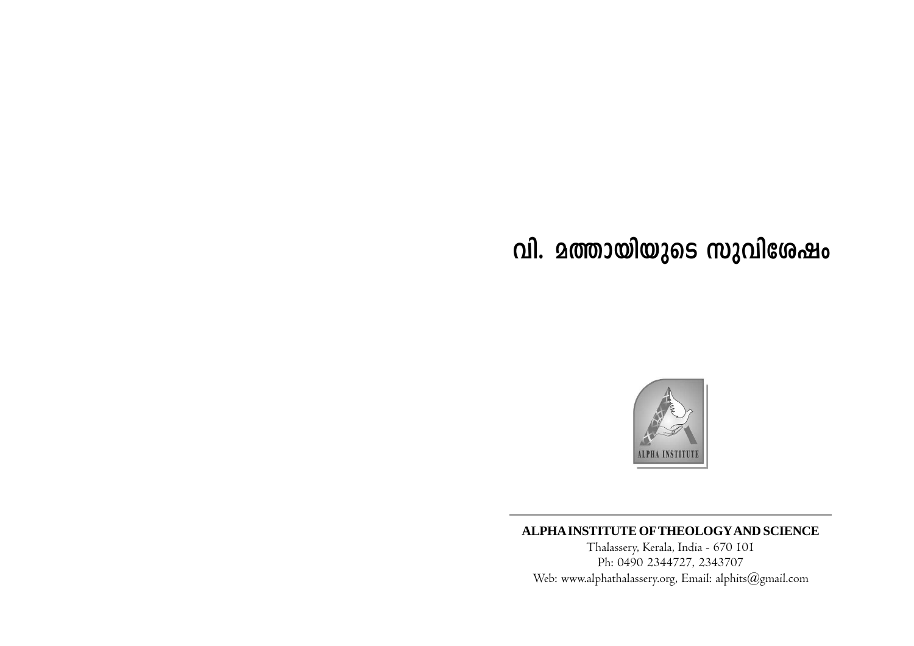

## **ALPHA INSTITUTE OFTHEOLOGYAND SCIENCE**

Thalasser y, Kerala, India - 670 101 Ph: 0490 2344727, 2343707 Web: www.alphathalassery.org, Email: alphits $@$ gmail.com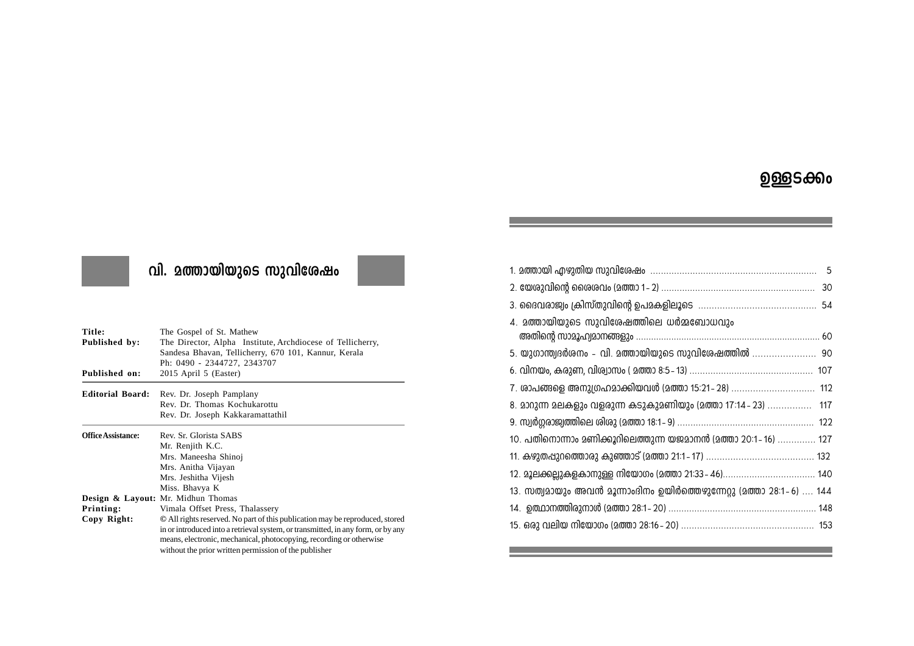## <u>ഉള്</u>ളടക്കം

## വി. മത്തായിയുടെ സുവിശേഷം

| Title:<br>Published by:<br>Published on: | The Gospel of St. Mathew<br>The Director, Alpha Institute, Archdiocese of Tellicherry,<br>Sandesa Bhavan, Tellicherry, 670 101, Kannur, Kerala<br>Ph: 0490 - 2344727, 2343707<br>2015 April 5 (Easter)                                                                                                                                                                               |  |
|------------------------------------------|--------------------------------------------------------------------------------------------------------------------------------------------------------------------------------------------------------------------------------------------------------------------------------------------------------------------------------------------------------------------------------------|--|
| <b>Editorial Board:</b>                  | Rev. Dr. Joseph Pamplany<br>Rev. Dr. Thomas Kochukarottu<br>Rev. Dr. Joseph Kakkaramattathil                                                                                                                                                                                                                                                                                         |  |
| <b>Office Assistance:</b>                | Rev. Sr. Glorista SABS<br>Mr. Renjith K.C.<br>Mrs. Maneesha Shinoj<br>Mrs. Anitha Vijayan<br>Mrs. Jeshitha Vijesh<br>Miss. Bhavya K                                                                                                                                                                                                                                                  |  |
| Printing:<br>Copy Right:                 | <b>Design &amp; Layout:</b> Mr. Midhun Thomas<br>Vimala Offset Press, Thalassery<br>© All rights reserved. No part of this publication may be reproduced, stored<br>in or introduced into a retrieval system, or transmitted, in any form, or by any<br>means, electronic, mechanical, photocopying, recording or otherwise<br>without the prior written permission of the publisher |  |

|                                                                      | - 5 |
|----------------------------------------------------------------------|-----|
|                                                                      | 30  |
|                                                                      | 54  |
| 4. മത്തായിയുടെ സുവിശേഷത്തിലെ ധർമ്മബോധവും                             |     |
| 5. യുഗാന്ത്വദർശനം - വി. മത്തായിയുടെ സുവിശേഷത്തിൽ  90                 |     |
|                                                                      |     |
| 7. ശാപങ്ങളെ അനുഗ്രഹമാക്കിയവൾ (മത്താ 15:21– 28)  112                  |     |
| 8. മാറുന്ന മലകളും വളരുന്ന കടുകുമണിയും (മത്താ 17:14 - 23)  117        |     |
|                                                                      |     |
| 10. പതിനൊന്നാം മണിക്കൂറിലെത്തുന്ന യജമാനൻ (മത്താ 20:1-16)  127        |     |
|                                                                      |     |
|                                                                      |     |
| 13. സത്വമായും അവൻ മൂന്നാംദിനം ഉയിർത്തെഴുന്നേറ്റു (മത്താ 28:1-6)  144 |     |
|                                                                      |     |
|                                                                      | 153 |
|                                                                      |     |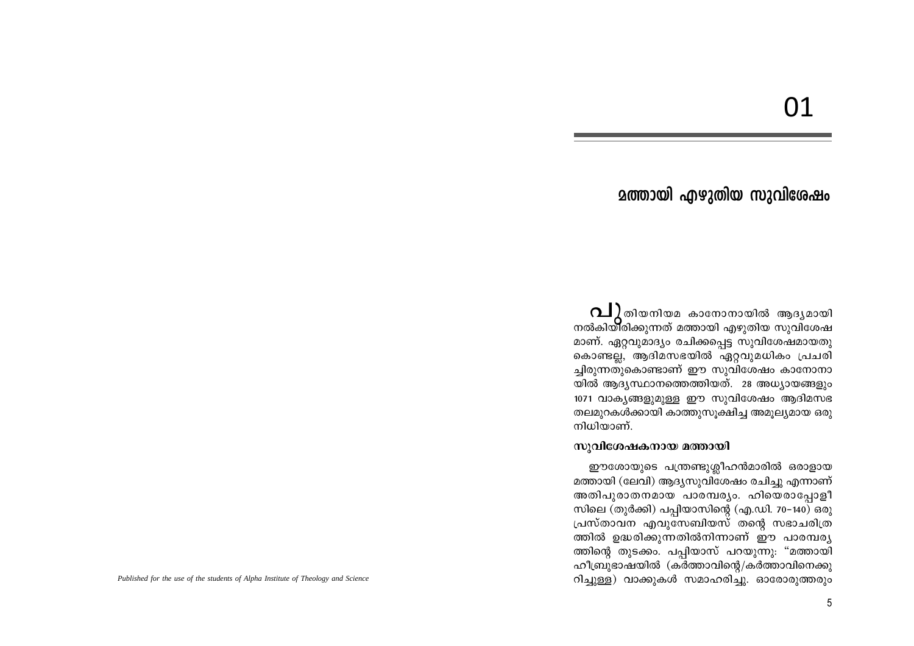**മത്തായി എഴുതിയ സുവിശേഷം** 

 $\alpha$ ] തിയനിയമ കാനോനായിൽ ആദ്യമായി മാണ്. ഏറ്റവുമാദ്യം രചിക്കപ്പെട്ട സുവിശേഷമായതു കൊണ്ടല്ല, ആദിമസഭയിൽ ഏറ്റവുമധികം പ്രചരി ച്ചിരുന്നതുകൊണ്ടാണ് ഈ സുവിശേഷം കാനോനാ യിൽ ആദ്യസ്ഥാനത്തെത്തിയത്. 28 അധ്യായങ്ങളും 1071 വാകൃങ്ങളുമുള്ള ഈ സുവിശേഷം ആദിമസഭ തലമുറകൾക്കായി കാത്തുസൂക്ഷിച്ച അമൂല്യമായ ഒരു നിധിയാണ്.

#### സുവിശേഷകനായ മത്തായി

ഈശോയുടെ പന്ത്രണ്ടുശ്ലീഹൻമാരിൽ ഒരാളായ മത്തായി (ലേവി) ആദ്യസുവിശേഷം രചിച്ചു എന്നാണ് അതിപുരാതനമായ പാരമ്പര്യം. ഹിയെരാപ്പോളീ സിലെ (തുർക്കി) പപ്പിയാസിന്റെ (എ.ഡി. 70–140) ഒരു പ്രസ്താവന എവുസേബിയസ് തന്റെ സഭാചരിത്ര ത്തിൽ ഉദ്ധരിക്കുന്നതിൽനിന്നാണ് ഈ പാരമ്പര്യ ത്തിന്റെ തുടക്കം. പപ്പിയാസ് പറയുന്നു: "മത്തായി ഹീബ്രുഭാഷയിൽ (കർത്താവിന്റെ/കർത്താവിനെക്കു റിച്ചുള്ള) വാക്കുകൾ സമാഹരിച്ചു. ഓരോരുത്തരും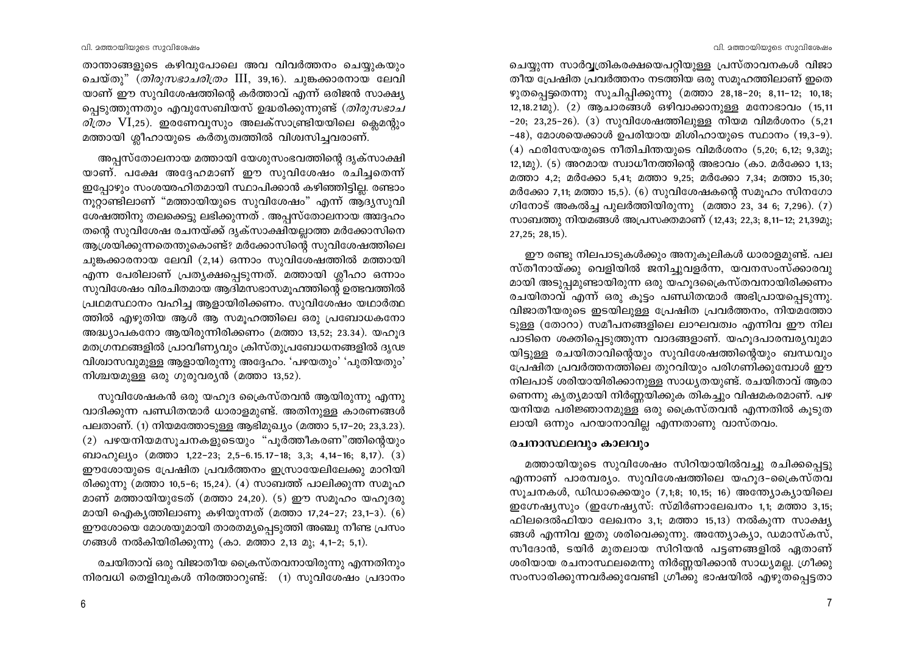ചെയ്യുന്ന സാർവ്വത്രികരക്ഷയെപറ്റിയുള്ള പ്രസ്താവനകൾ വിജാ തീയ പ്രേഷിത പ്രവർത്തനം നടത്തിയ ഒരു സമൂഹത്തിലാണ് ഇതെ ഴുതപ്പെട്ടതെന്നു സൂചിപ്പിക്കുന്നു (മത്താ 28,18-20; 8,11-12; 10,18; 12,18.2121). (2) ആചാരങ്ങൾ ഒഴിവാക്കാനുള്ള മനോഭാവം (15,11  $-20$ ; 23,25-26). (3) സുവിശേഷത്തിലൂള്ള നിയമ വിമർശനം (5,21  $-48$ ), മോശയെക്കാൾ ഉപരിയായ മിശിഹായുടെ സ്ഥാനം (19,3-9).  $(4)$  ഫരിസേയരുടെ നീതിചിന്തയുടെ വിമർശനം  $(5.20; 6.12; 9.32);$ 12,121). (5) അറമായ സ്വാധീനത്തിന്റെ അഭാവം (കാ. മർക്കോ 1,13; മത്താ 4,2; മർക്കോ 5,41; മത്താ 9,25; മർക്കോ 7,34; മത്താ 15,30; മർക്കോ 7,11; മത്താ 15,5). (6) സുവിശേഷകന്റെ സമുഹം സിനഗോ ഗിനോട് അകൽച്ച പുലർത്തിയിരുന്നു (മത്താ 23, 34 6; 7,296).  $(7)$ സാബത്തു നിയമങ്ങൾ അപ്രസക്തമാണ് (12,43; 22,3; 8,11-12; 21,39മു;  $27,25$ ;  $28,15$ ).

ഈ രണ്ടു നിലപാടുകൾക്കും അനുകൂലികൾ ധാരാളമുണ്ട്. പല സ്തീനായ്ക്കു വെളിയിൽ ജനിച്ചുവളർന്ന, യവനസംസ്ക്കാരവു മായി അടുപമുണ്ടായിരുന്ന ഒരു യഹുദപ്രൈസ്തവനായിരിക്കണം രചയിതാവ് എന്ന് ഒരു കൂട്ടം പണ്ഡിതന്മാർ അഭിപ്രായപ്പെടുന്നു. വിജാതീയരുടെ ഇടയിലുള്ള പ്രേഷിത പ്രവർത്തനം, നിയമത്തോ ടുള്ള (തോറാ) സമീപനങ്ങളിലെ ലാഘവത്വം എന്നിവ ഈ നില പാടിനെ ശക്തിപ്പെടുത്തുന്ന വാദങ്ങളാണ്. യഹൂദപാരമ്പര്യവുമാ യിട്ടുള്ള രചയിതാവിന്റെയും സുവിശേഷത്തിന്റെയും ബന്ധവും പ്രേഷിത പ്രവർത്തനത്തിലെ തുറവിയും പരിഗണിക്കുമ്പോൾ ഈ നിലപാട് ശരിയായിരിക്കാനുള്ള സാധൃതയുണ്ട്. രചയിതാവ് ആരാ ണെന്നു കൃത്യമായി നിർണ്ണയിക്കുക തികച്ചും വിഷമകരമാണ്. പഴ യനിയമ പരിജ്ഞാനമുള്ള ഒരു ക്രൈസ്തവൻ എന്നതിൽ കൂടുത ലായി ഒന്നും പറയാനാവില്ല എന്നതാണു വാസ്തവം.

## രചനാസ്ഥലവും കാലവും

മത്തായിയുടെ സുവിശേഷം സിറിയായിൽവച്ചു രചിക്കപ്പെട്ടു എന്നാണ് പാരമ്പര്യം. സുവിശേഷത്തിലെ യഹൂദ-പ്രൈസ്തവ സുചനകൾ, ഡിഡാക്കെയും (7,1;8; 10,15; 16) അന്ത്യോക്യായിലെ ഇഗ്നേഷ്യസും (ഇഗ്നേഷ്യസ്: സ്മിർണാലേഖനം 1,1; മത്താ 3,15; ഫിലദെൽഫിയാ ലേഖനം 3,1; മത്താ 15,13) നൽകുന്ന സാക്ഷ്യ ങ്ങൾ എന്നിവ ഇതു ശരിവെക്കുന്നു. അന്ത്യോക്യാ, ഡമാസ്കസ്, സീദോൻ, ടയിർ മുതലായ സിറിയൻ പട്ടണങ്ങളിൽ ഏതാണ് ശരിയായ രചനാസ്ഥലമെന്നു നിർണ്ണയിക്കാൻ സാധ്യമല്ല. ഗ്രീക്കു സംസാരിക്കുന്നവർക്കുവേണ്ടി ഗ്രീക്കു ഭാഷയിൽ എഴുതപ്പെട്ടതാ

താന്താങ്ങളുടെ കഴിവുപോലെ അവ വിവർത്തനം ചെയ്യുകയും ചെയ്തു" *(തിരുസഭാചരിത്രം* III, 39,16). ചുങ്കക്കാരനായ ലേവി യാണ് ഈ സുവിശേഷത്തിന്റെ കർത്താവ് എന്ന് ഒരിജൻ സാക്ഷ്യ പ്പെടുത്തുന്നതും എവുസേബിയസ് ഉദ്ധരിക്കുന്നുണ്ട് (*തിരുസഭാച*  $\partial\phi$ തം VI,25). ഇരണേവുസും അലക്സാണ്ട്രിയയിലെ കൊന്റും മത്തായി ശ്ലീഹായുടെ കർതൃത്വത്തിൽ വിശ്വസിച്ചവരാണ്.

അപ്പസ്തോലനായ മത്തായി യേശുസംഭവത്തിന്റെ ദൃക്സാക്ഷി യാണ്. പക്ഷേ അദ്ദേഹമാണ് ഈ സുവിശേഷം രചിച്ചതെന്ന് ഇപ്പോഴും സംശയ്മഹിതമായി സ്ഥാപിക്കാൻ കഴിഞ്ഞിട്ടില്ല. രണ്ടാം നുറ്റാണ്ടിലാണ് "മത്തായിയുടെ സുവിശേഷം" എന്ന് ആദ്യസുവി ശേഷത്തിനു തലക്കെട്ടു ലഭിക്കുന്നത് . അപ്പസ്തോലനായ അ്ദദ്ദഹം തന്റെ സുവിശേഷ രചനയ്ക്ക് ദൃക്സാക്ഷിയല്ലാത്ത മർക്കോസിനെ ആശ്രയിക്കുന്നതെന്തുകൊണ്ട്? മർക്കോസിന്റെ സുവിശേഷത്തിലെ ചുങ്കക്കാരനായ ലേവി (2,14) ഒന്നാം സുവിശേഷത്തിൽ മത്തായി എന്ന പേരിലാണ് പ്രത്യക്ഷപ്പെടുന്നത്. മത്തായി ശ്ലീഹാ ഒന്നാം സുവിശേഷം വിരചിതമായ ആദിമസഭാസമുഹ്ത്തിന്റെ ഉത്ഭവത്തിൽ പ്രഥമസ്ഥാനം വഹിച്ച ആളായിരിക്കണം. സുവിശേഷം യഥാർത്ഥ ത്തിൽ എഴുതിയ ആൾ ആ സമുഹത്തിലെ ഒരു പ്രബോധകനോ അദ്ധ്യാപകനോ ആയിരുന്നിരിക്കണം (മത്താ 13,52; 23.34). യഹുദ മതഗ്രന്ഥങ്ങളിൽ പ്രാവീണ്യവും ക്രിസ്തുപ്രബോധനങ്ങളിൽ ദൃഢ വിശ്വാസവുമുള്ള ആളായിരുന്നു അദ്ദേഹം. 'പഴയതും' 'പുതിയതും' നിശ്ചയമുള്ള ഒരു ഗുരുവര്യൻ (മത്താ 13,52).

സുവിശേഷകൻ ഒരു യഹുദ ക്രൈസ്തവൻ ആയിരുന്നു എന്നു വാദിക്കുന്ന പണ്ഡിതന്മാർ ധാരാളമുണ്ട്. അതിനുള്ള കാരണങ്ങൾ പലതാണ്. (1) നിയമത്തോടുള്ള ആഭിമുഖ്യം (മത്താ 5,17–20; 23,3.23). (2) പഴയനിയമസൂചനകളുടെയും "പൂർത്തീകരണ"ത്തിന്റെയും ബാഹുല്യം (മത്താ 1,22-23; 2,5-6.15.17-18; 3,3; 4,14-16; 8,17). (3) ഈശോയുടെ പ്രേഷിത പ്രവർത്തനം ഇസ്രായേലിലേക്കു മാറിയി രിക്കുന്നു (മത്താ 10,5–6; 15,24). (4) സാബത്ത് പാലിക്കുന്ന സമുഹ മാണ് മത്തായിയുടേത് (മത്താ 24,20). (5) ഈ സമൂഹം യഹുദരു മായി ഐകൃത്തിലാണു കഴിയുന്നത് (മത്താ 17,24-27; 23,1-3). (6) ഈശോയെ മോശയുമായി താരതമ്യപ്പെടുത്തി അഞ്ചു നീണ്ട പ്രസം ഗങ്ങൾ നൽകിയിരിക്കുന്നു (കാ. മത്താ 2,13 മു; 4,1-2; 5,1).

രചയിതാവ് ഒരു വിജാതീയ ക്രൈസ്തവനായിരുന്നു എന്നതിനും നിരവധി തെളിവുകൾ നിരത്താറുണ്ട്: (1) സുവിശേഷം പ്രദാനം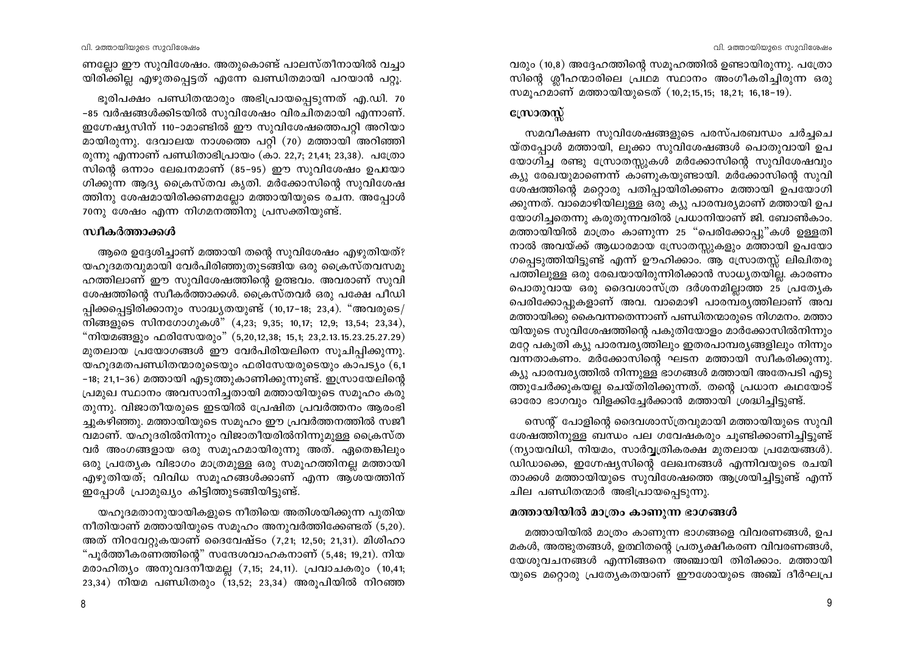ണല്ലോ ഈ സുവിശേഷം. അതുകൊണ്ട് പാലസ്തീനായിൽ വച്ചാ യിരിക്കില്ല എഴുതപ്പെട്ടത് എന്നേ ഖണ്ഡിതമായി പറയാൻ പറ്റു.

ഭൂരിപക്ഷം പണ്ഡിതന്മാരും അഭിപ്രായപ്പെടുന്നത് എ.ഡി. 70 -85 വർഷങ്ങൾക്കിടയിൽ സുവിശേഷം വിരചിതമായി എന്നാണ്. ഇഗ്നേഷ്യസിന് 110-ാമാണ്ടിൽ ഈ സൂവിശേഷത്തെപറ്റി അറിയാ മായിരുന്നു. ദേവാലയ നാശത്തെ പറ്റി (70) മത്തായി അറിഞ്ഞി രുന്നു എന്നാണ് പണ്ഡിതാഭിപ്രായം (കാ. 22,7; 21,41; 23,38). പത്രോ സിന്റെ ഒന്നാം ലേഖനമാണ് (85–95) ഈ സുവിശേഷം ഉപയോ ഗിക്കുന്ന ആദ്യ ക്രൈസ്തവ കൃതി. മർക്കോസിന്റെ സുവിശേഷ ത്തിനു ശേഷമായിരിക്കണമല്ലോ മത്തായിയുടെ രചന. അപ്പോൾ 70നു ശേഷം എന്ന നിഗമനത്തിനു പ്രസക്തിയുണ്ട്.

## സ്ഥീകർത്താക്കൾ

ആരെ ഉദ്ദേശിച്ചാണ് മത്തായി തന്റെ സുവിശേഷം എഴുതിയത്? യഹൂദമതവുമായി വേർപിരിഞ്ഞുതുടങ്ങിയ ഒരു ക്രൈസ്തവസമൂ ഹത്തിലാണ് ഈ സുവിശേഷത്തിന്റെ ഉത്ഭവം. അവരാണ് സുവി ശേഷത്തിന്റെ സ്വീകർത്താക്കൾ. ക്രൈസ്തവർ ഒരു പക്ഷേ പീഡി പ്പിക്കപ്പെട്ടിരിക്കാനും സാദ്ധ്യതയുണ്ട് (10,17-18; 23,4). "അവരുടെ/ നിങ്ങളുടെ സിനഗോഗുകൾ" (4,23; 9,35; 10,17; 12,9; 13,54; 23,34), "നിയമങ്ങളും ഫരിസേയരും" (5,20,12,38; 15,1; 23,2.13.15.23.25.27.29) മുതലായ പ്രയോഗങ്ങൾ ഈ വേർപിരിയലിനെ സൂചിപ്പിക്കുന്നു. യഹൂദമതപണ്ഡിതന്മാരുടെയും ഫരിസേയരുടെയും കാപട്യം  $(6,1)$ -18; 21,1-36) മത്തായി എടുത്തുകാണിക്കുന്നുണ്ട്. ഇസ്രായേലിന്റെ പ്രമുഖ സ്ഥാനം അവസാനിച്ചതായി മത്തായിയുടെ സമൂഹം കരു തുന്നു. വിജാതീയരുടെ ഇടയിൽ പ്രേഷിത പ്രവർത്തനം ആരംഭി ച്ചുകഴിഞ്ഞു. മത്തായിയുടെ സമൂഹം ഈ പ്രവർത്തനത്തിൽ സജീ വമാണ്. യഹൂദരിൽനിന്നും വിജാതീയരിൽനിന്നുമുള്ള ക്രൈസ്ത വർ അംഗങ്ങളായ ഒരു സമൂഹമായിരുന്നു അത്. ഏതെങ്കിലും ഒരു പ്രത്യേക വിഭാഗം മാത്രമുള്ള ഒരു സമൂഹത്തിനല്ല മത്തായി എഴുതിയത്; വിവിധ സമൂഹങ്ങൾക്കാണ് എന്ന ആശയത്തിന് ഇപ്പോൾ പ്രാമുഖ്യം കിട്ടിത്തുടങ്ങിയിട്ടുണ്ട്.

യഹുദമതാനുയായികളുടെ നീതിയെ അതിശയിക്കുന്ന പുതിയ നീതിയാണ് മത്തായിയുടെ സമൂഹം അനുവർത്തിക്കേണ്ടത്  $(5,20)$ . അത് നിറവേറ്റുകയാണ് ദൈവേഷ്ടം (7,21; 12,50; 21,31). മിശിഹാ "പൂർത്തീകരണത്തിന്റെ" സന്ദേശവാഹകനാണ് (5,48; 19,21). നിയ മരാഹിത്യം അനുവദനീയമല്ല (7,15; 24,11). പ്രവാചകരും (10,41; 23,34) നിയമ പണ്ഡിതരും (13,52; 23,34) അരുപിയിൽ നിറഞ്ഞ

വരും (10,8) അദ്ദേഹത്തിന്റെ സമൂഹത്തിൽ ഉണ്ടായിരുന്നു. പത്രോ സിന്റെ ശ്ലീഹന്മാരിലെ പ്രഥമ സ്ഥാനം അംഗീകരിച്ചിരുന്ന ഒരു സമൂഹമാണ് മത്തായിയുടെത് (10,2;15,15; 18,21; 16,18-19).

## സോതസ്

സമവീക്ഷണ സുവിശേഷങ്ങളുടെ പരസ്പരബന്ധം ചർച്ചചെ യ്തപ്പോൾ മത്തായി, ലുക്കാ സുവിശേഷങ്ങൾ പൊതുവായി ഉപ യോഗിച്ച രണ്ടു സ്രോതസ്സുകൾ മർക്കോസിന്റെ സുവിശേഷവും ക്യു രേഖയുമാണെന്ന് കാണുകയുണ്ടായി. മർക്കോസിന്റെ സുവി ശേഷത്തിന്റെ മറ്റൊരു പതിപ്പായിരിക്കണം മത്തായി ഉപയോഗി ക്കുന്നത്. വാമൊഴിയിലുള്ള ഒരു ക്യു പാരമ്പര്യമാണ് മത്തായി ഉപ യോഗിച്ചതെന്നു കരുതുന്നവരിൽ പ്രധാനിയാണ് ജി. ബോൺകാം. മത്തായിയിൽ മാത്രം കാണുന്ന 25 "പെരിക്കോപ്പു"കൾ ഉള്ളതി നാൽ അവയ്ക്ക് ആധാരമായ സ്രോതസ്സുകളും മത്തായി ഉപയോ ഗപ്പെടുത്തിയിട്ടുണ്ട് എന്ന് ഊഹിക്കാം. ആ സ്രോതസ്സ് ലിഖിതരു പത്തിലുള്ള ഒരു രേഖയായിരുന്നിരിക്കാൻ സാധ്യതയില്ല. കാരണം പൊതുവായ ഒരു ദൈവശാസ്ത്ര ദർശനമില്ലാത്ത 25 പ്രത്യേക പെരിക്കോപ്പുകളാണ് അവ. വാമൊഴി പാരമ്പര്യത്തിലാണ് അവ മത്തായിക്കു കൈവന്നതെന്നാണ് പണ്ഡിതന്മാരുടെ നിഗമനം. മത്താ യിയുടെ സുവിശേഷത്തിന്റെ പകുതിയോളം മാർക്കോസിൽനിന്നും മറ്റേ പകുതി ക്യു പാരമ്പര്യത്തിലും ഇതരപാമ്പര്യങ്ങളിലും നിന്നും വന്നതാകണം. മർക്കോസിന്റെ ഘടന മത്തായി സ്വീകരിക്കുന്നു. ക്യു പാരമ്പര്യത്തിൽ നിന്നുള്ള ഭാഗങ്ങൾ മത്തായി അതേപടി എടു ത്തുചേർക്കുകയല്ല ചെയ്തിരിക്കുന്നത്. തന്റെ പ്രധാന കഥയോട് ഓരോ ഭാഗവും വിളക്കിച്ചേർക്കാൻ മത്തായി ശ്രദ്ധിച്ചിട്ടുണ്ട്.

സെന്റ് പോളിന്റെ ദൈവശാസ്ത്രവുമായി മത്തായിയുടെ സുവി ശേഷത്തിനുള്ള ബന്ധം പല ഗവേഷകരും ചൂണ്ടിക്കാണിച്ചിട്ടുണ്ട് (ന്യായവിധി, നിയമം, സാർവ്വത്രികരക്ഷ മുതലായ പ്രമേയങ്ങൾ). ഡിഡാകെ, ഇഗ്നേഷ്യസിന്റെ ലേഖനങ്ങൾ എന്നിവയുടെ രചയി താക്കൾ മത്തായിയുടെ സുവിശേഷത്തെ ആശ്രയിച്ചിട്ടുണ്ട് എന്ന് ചില പണ്ഡിതന്മാർ അഭിപ്രായപ്പെടുന്നു.

## മത്തായിയിൽ മാത്രം കാണുന്ന ഭാഗങ്ങൾ

മത്തായിയിൽ മാത്രം കാണുന്ന ഭാഗങ്ങളെ വിവരണങ്ങൾ, ഉപ മകൾ, അത്ഭുതങ്ങൾ, ഉത്ഥിതന്റെ പ്രത്യക്ഷീകരണ വിവരണങ്ങൾ, യേശുവചനങ്ങൾ എന്നിങ്ങനെ അഞ്ചായി തിരിക്കാം. മത്തായി യുടെ മറ്റൊരു പ്രത്യേകതയാണ് ഈശോയുടെ അഞ്ച് ദീർഘപ്ര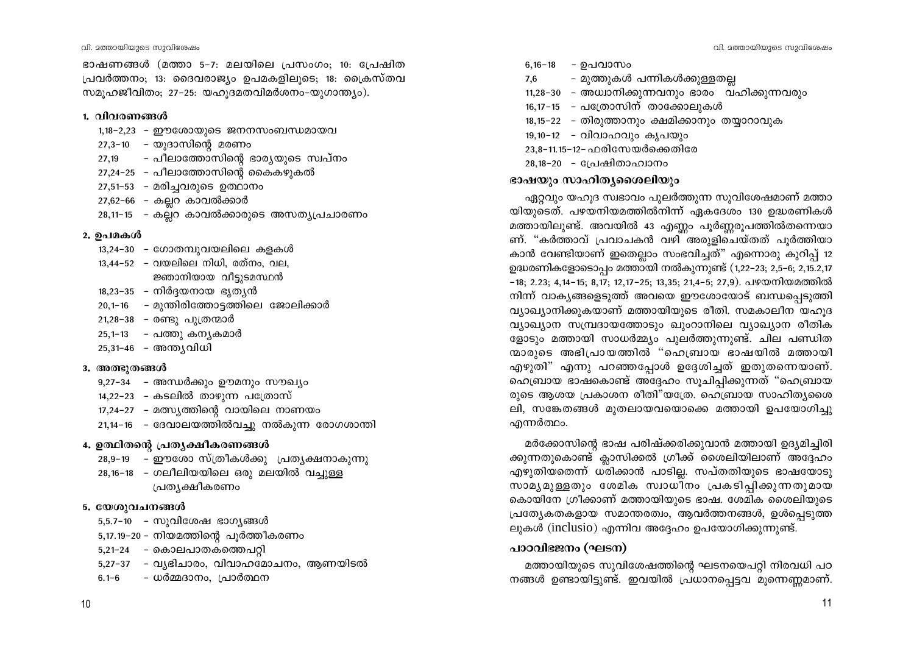ഭാഷണങ്ങൾ (മത്താ 5-7: മലയിലെ പ്രസംഗം; 10: പ്രേഷിത പ്രവർത്തനം; 13: ദൈവരാജ്യം ഉപമകളിലൂടെ; 18: ക്രൈസ്തവ സമുഹജീവിതം; 27-25: യഹുദമതവിമർശനം-യുഗാന്ത്യം).

## 1. വിവരണങ്ങൾ

- 1,18-2,23 ഈശോയുടെ ജനനസംബന്ധമായവ
- 27,3-10 യുദാസിന്റെ മരണം
- പീലാത്തോസിന്റെ ഭാര്യയുടെ സ്വപ്നം 27.19
- $27,24-25$  പീലാത്തോസിന്റെ കൈകഴുകൽ
- 27,51-53 മരിച്ചവരുടെ ഉത്ഥാനം
- 27,62-66 കല്ലറ കാവൽക്കാർ
- 28,11-15 കല്ലറ കാവൽക്കാരുടെ അസത്യപ്രചാരണം

## 2. ഉപമകൾ

- $13,24-30$  ഗോതമ്പുവയലിലെ കളകൾ
- $13,44-52$  വയലിലെ നിധി, രത്നം, വല, ജ്ഞാനിയായ വീട്ടുടമസ്ഥൻ
- 18,23-35 നിർദയനായ ഭൂതൃൻ
- 20,1-16 മുന്തിരിത്തോട്ടത്തിലെ ജോലിക്കാർ
- 21,28-38 രണ്ടു പുത്രന്മാർ
- 25,1-13 പത്തു കന്യകമാർ
- 25,31-46 അന്ത്യവിധി

## 3. അത്ഭുതങ്ങൾ

- 9,27-34 അന്ധർക്കും ഊമനും സൗഖ്യം
- 14,22–23 കടലിൽ താഴുന്ന പത്രോസ്
- 17,24-27 മത്സ്യത്തിന്റെ വായിലെ നാണയം
- 21,14-16 ദേവാലയത്തിൽവച്ചു നൽകുന്ന രോഗശാന്തി

## 4. ഉത്ഥിതന്റെ പ്രത്യക്ഷീകരണങ്ങൾ

28,9–19 – ഈശോ സ്ത്രീകൾക്കു പ്രത്യക്ഷനാകുന്നു 28,16-18 - ഗലീലിയയിലെ ഒരു മലയിൽ വച്ചുള്ള പ്രത്യക്ഷീകരണം

## 5. യേശുവചനങ്ങൾ

- $5,5.7-10$  സുവിശേഷ ഭാഗ്യങ്ങൾ
- 5,17.19-20 നിയമത്തിന്റെ പുർത്തീകരണം
- $5,21-24$  കൊലപാതകത്തെപറ്റി
- 5,27-37 വൃഭിചാരം, വിവാഹമോചനം, ആണയിടൽ
- ധർമ്മദാനം, പ്രാർത്ഥന  $6.1 - 6$
- $6.16 18 9$ പവാസം
- മുത്തുകൾ പന്നികൾക്കുള്ളതല്ല  $7.6$
- 11,28-30 അധ്വാനിക്കുന്നവനും ഭാരം വഹിക്കുന്നവരും
- 16,17–15 പത്രോസിന് താക്കോലുകൾ
- 18,15-22 തിരുത്താനും ക്ഷമിക്കാനും തയ്യാറാവുക
- 19,10-12 വിവാഹവും കൃപയും
- 23.8-11.15-12-ഫരിസേയർക്കെതിരേ
- 28.18-20 പ്രേഷിതാഹ്വാനം

## ഭാഷയും സാഹിത്യശൈലിയും

ഏറ്റവും യഹുദ സ്വഭാവം പുലർത്തുന്ന സുവിശേഷമാണ് മത്താ യിയുടെത്. പഴയനിയമത്തിൽനിന്ന് ഏകദേശം 130 ഉദ്ധരണികൾ മത്തായിലുണ്ട്. അവയിൽ 43 എണ്ണം പൂർണ്ണരൂപത്തിൽതന്നെയാ ണ്. "കർത്താവ് പ്രവാചകൻ വഴി അരുളിചെയ്തത് പുർത്തിയാ കാൻ വേണ്ടിയാണ് ഇതെല്ലാം സംഭവിച്ചത്" എന്നൊരു കുറിപ്പ് 12 ഉദ്ധരണികളോടൊപ്പം മത്തായി നൽകുന്നുണ്ട് (1,22-23; 2,5-6; 2,15.2,17  $-18$ ; 2.23; 4,14-15; 8,17; 12,17-25; 13,35; 21,4-5; 27,9). പഴയനിയമത്തിൽ നിന്ന് വാകൃങ്ങളെടുത്ത് അവയെ ഈശോയോട് ബന്ധപ്പെടുത്തി വ്യാഖ്യാനിക്കുകയാണ് മത്തായിയുടെ രീതി. സമകാലീന യഹൂദ വ്യാഖ്യാന സമ്പ്രദായത്തോടും ഖുംറാനിലെ വ്യാഖ്യാന രീതിക ളോടും മത്തായി സാധർമ്മ്യം പുലർത്തുന്നുണ്ട്. ചില പണ്ഡിത ന്മാരുടെ അഭിപ്രായത്തിൽ "ഹെബ്രായ ഭാഷയിൽ മത്തായി എഴുതി" എന്നു പറഞ്ഞപ്പോൾ ഉദ്ദേശിച്ചത് ഇതുതന്നെയാണ്. ഹെബ്രായ ഭാഷകൊണ്ട് അദ്ദേഹം സൂചിപ്പിക്കുന്നത് "ഹെബ്രായ രുടെ ആശയ പ്രകാശന രീതി"യത്രേ. ഹെബ്രായ സാഹിത്യശൈ ലി, സങ്കേതങ്ങൾ മുതലായവയൊക്കെ മത്തായി ഉപയോഗിച്ചു എന്നർത്ഥം.

മർക്കോസിന്റെ ഭാഷ പരിഷ്ക്കരിക്കുവാൻ മത്തായി ഉദ്യമിച്ചിരി ക്കുന്നതുകൊണ്ട് ക്ലാസിക്കൽ ഗ്രീക്ക് ശൈലിയിലാണ് അദ്ദേഹം എഴുതിയതെന്ന് ധരിക്കാൻ പാടില്ല. സപ്തതിയുടെ ഭാഷയോടു സാമൃമുള്ളതും ശേമിക സ്വാധീനം പ്രകടിപ്പിക്കുന്നതുമായ കൊയിനേ ഗ്രീക്കാണ് മത്തായിയുടെ ഭാഷ. ശേമിക ശൈലിയുടെ പ്രത്യേകതകളായ സമാന്തരത്വം, ആവർത്തനങ്ങൾ, ഉൾപ്പെടുത്ത ലൂകൾ (inclusio) എന്നിവ അദ്ദേഹം ഉപയോഗിക്കുന്നുണ്ട്.

## പാഠവിജേനം (ഘടന)

മത്തായിയുടെ സുവിശേഷത്തിന്റെ ഘടനയെപറ്റി നിരവധി പഠ നങ്ങൾ ഉണ്ടായിട്ടുണ്ട്. ഇവയിൽ പ്രധാനപ്പെട്ടവ മൂന്നെണ്ണമാണ്.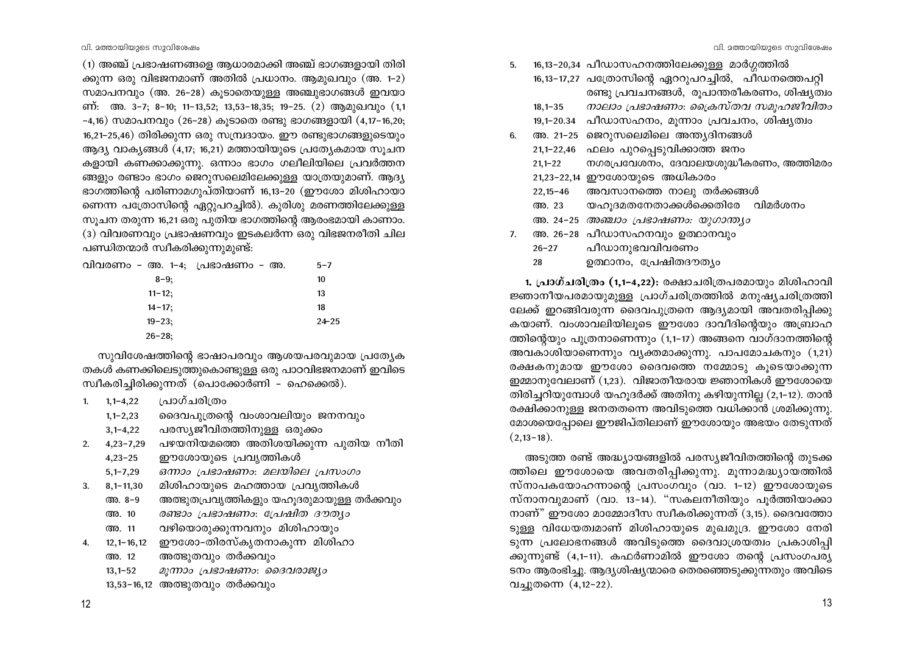(1) അഞ്ച് പ്രഭാഷണങ്ങളെ ആധാരമാക്കി അഞ്ച് ഭാഗങ്ങളായി തിരി ക്കുന്ന ഒരു വിഭജനമാണ് അതിൽ പ്രധാനം. ആമുഖവും (അ. 1-2) സമാപനവും (അ. 26-28) കുടാതെയുള്ള അഞ്ചുഭാഗങ്ങൾ ഇവയാ ണ്: അ. 3-7; 8-10; 11-13,52; 13,53-18,35; 19-25. (2) ആമുഖവും (1,1 -4,16) സമാപനവും (26-28) കൂടാതെ രണ്ടു ഭാഗങ്ങളായി (4,17-16,20; 16,21-25,46) തിരിക്കുന്ന ഒരു സമ്പ്രദായം. ഈ രണ്ടുഭാഗങ്ങളുടെയും ആദ്യ വാകൃങ്ങൾ (4,17; 16,21) മത്തായിയുടെ പ്രത്യേകമായ സൂചന കളായി കണക്കാക്കുന്നു. ഒന്നാം ഭാഗം ഗലീലിയിലെ പ്രവർത്തന ങ്ങളും രണ്ടാം ഭാഗം ജെറുസലെമിലേക്കുള്ള യാത്രയുമാണ്. ആദ്യ ഭാഗത്തിന്റെ പരിണാമഗുപ്തിയാണ് 16,13-20 (ഈശോ മിശിഹായാ ണെന്ന പത്രോസിന്റെ ഏറ്റുപറച്ചിൽ). കുരിശു മരണത്തിലേക്കുള്ള സുചന തരുന്ന 16,21 ഒരു പുതിയ ഭാഗത്തിന്റെ ആരംഭമായി കാണാം. (3) വിവരണവും പ്രഭാഷണവും ഇടകലർന്ന ഒരു വിഭജനരീതി ചില പണ്ഡിതന്മാർ സ്വീകരിക്കുന്നുമുണ്ട്:

| വിവരണം - അ. 1-4;  പ്രഭാഷണം - അ. | $5 - 7$   |
|---------------------------------|-----------|
| $8 - 9:$                        | 10        |
| $11 - 12$ ;                     | 13        |
| $14 - 17:$                      | 18        |
| $19 - 23:$                      | $24 - 25$ |
| $26 - 28:$                      |           |

സുവിശേഷത്തിന്റെ ഭാഷാപരവും ആശയപരവുമായ പ്രത്യേക തകൾ കണക്കിലെടുത്തുകൊണ്ടുള്ള ഒരു പാഠവിഭജനമാണ് ഇവിടെ സ്വീകരിച്ചിരിക്കുന്നത് (പൊക്കോർണി - ഹെക്കെൽ).

- പ്രാഗ്ചരിത്രം  $1.$  $1,1-4,22$ 
	- ദൈവപുത്രന്റെ വംശാവലിയും ജനനവും  $1,1-2,23$
	- പരസ്യജീവിതത്തിനുള്ള ഒരുക്കം  $3,1-4,22$
- പഴയനിയമത്തെ അതിശയിക്കുന്ന പുതിയ നീതി  $2.4,23-7,29$ 
	- ഈശോയുടെ പ്രവൃത്തികൾ  $4,23-25$
	- ഒന്നാം പ്രഭാഷണം: മലയിലെ പ്രസംഗം  $5.1 - 7.29$
- മിശിഹായുടെ മഹത്തായ പ്രവൃത്തികൾ  $3. 8,1-11,30$ 
	- അ. 8-9 അത്ഭുതപ്രവൃത്തികളും യഹൂദരുമായുള്ള തർക്കവും
	- രണ്ടാം പ്രഭാഷണം: പ്രേഷിത ദൗത്യം അ. 10
	- അ. 11 വഴിയൊരുക്കുന്നവനും മിശിഹായും
- ഈശോ-തിരസ്കൃതനാകുന്ന മിശിഹാ  $12,1 - 16,12$ 4.
	- അത്ഭുതവും തർക്കവും അ. 12
	- മുന്നാം പ്രഭാഷണം: ദൈവരാജ്യം  $13.1 - 52$
	- 13,53-16,12 അത്ഭുതവും തർക്കവും

| 5. |                | 16,13-20,34 പീഡാസഹനത്തിലേക്കുള്ള മാർഗ്ഗത്തിൽ       |
|----|----------------|----------------------------------------------------|
|    |                | 16,13–17,27 പത്രോസിന്റെ ഏററുപറച്ചിൽ, പീഡനത്തെപറ്റി |
|    |                | രണ്ടു പ്രവചനങ്ങൾ, രൂപാന്തരീകരണം, ശിഷ്യത്വം         |
|    | $18,1 - 35$    | നാലാം പ്രഭാഷണം: ക്രൈസ്തവ സമൂഹജീവിതം                |
|    |                | 19,1–20.34 പീഡാസഹനം, മൂന്നാം പ്രവചനം, ശിഷ്യത്വം    |
| 6. |                | അ. 21-25 ജെറുസലെമിലെ അന്ത്യദിനങ്ങൾ                 |
|    | $21,1 - 22,46$ | ഫലം പുറപ്പെടുവിക്കാത്ത ജനം                         |
|    | $21,1 - 22$    | നഗരപ്രവേശനം, ദേവാലയശുദ്ധീകരണം, അത്തിമരം            |
|    |                | 21,23-22,14 ഈശോയുടെ അധികാരം                        |
|    | $22,15 - 46$   | അവസാനത്തെ നാലു തർക്കങ്ങൾ                           |
|    | അ. 23          | യഹൂദമതനേതാക്കൾക്കെതിരേ വിമർശനം                     |
|    |                | അ. 24-25 അഞ്ചാം പ്രഭാഷണം: യുഗാന്ത്യം               |
| 7. |                | അ. 26-28 പീഡാസഹനവും ഉത്ഥാനവും                      |
|    |                | $.9 \times 10^{-10}$                               |

- $26 27$ പീഡാനുഭവവിവരണം
- ഉത്ഥാനം, പ്രേഷിതദൗത്യം 28

1. പ്രാഗ്ചരിത്രം (1,1–4,22): രക്ഷാചരിത്രപരമായും മിശിഹാവി ജ്ഞാനീയപരമായുമുള്ള പ്രാഗ്ചരിത്രത്തിൽ മനുഷ്യചരിത്രത്തി ലേക്ക് ഇറങ്ങിവരുന്ന ദൈവപുത്രനെ ആദ്യമായി അവതരിപ്പിക്കു കയാണ്. വംശാവലിയിലൂടെ ഈശോ ദാവീദിന്റെയും അബ്രാഹ ത്തിന്റെയും പുത്രനാണെന്നും (1,1–17) അങ്ങനെ വാഗ്ദാനത്തിന്റെ അവകാശിയാണെന്നും വൃക്തമാക്കുന്നു. പാപമോചകനും (1,21) രക്ഷകനുമായ ഈശോ ദൈവത്തെ നമ്മോടു കൂടെയാക്കുന്ന ഇമ്മാനുവേലാണ് (1,23). വിജാതീയരായ ജ്ഞാനികൾ ഈശോയെ തിരിച്ചറിയുമ്പോൾ യഹൂദർക്ക് അതിനു കഴിയുന്നില്ല (2,1–12). താൻ രക്ഷിക്കാനുള്ള ജനതതന്നെ അവിടുത്തെ വധിക്കാൻ ശ്രമിക്കുന്നു. മോശയെപ്പോലെ ഈജിപ്തിലാണ് ഈശോയും അഭയം തേടുന്നത്  $(2, 13-18)$ .

അടുത്ത രണ്ട് അദ്ധ്യായങ്ങളിൽ പരസ്യജീവിതത്തിന്റെ തുടക്ക ത്തിലെ ഈശോയെ അവതരിപ്പിക്കുന്നു. മൂന്നാമദ്ധ്യായത്തിൽ സ്നാപകയോഹന്നാന്റെ പ്രസംഗവും (വാ. 1-12) ഈശോയുടെ സ്നാനവുമാണ് (വാ. 13-14). "സകലനീതിയും പൂർത്തിയാക്കാ നാണ്" ഈശോ മാമ്മോദീസ സ്വീകരിക്കുന്നത് (3,15). ദൈവത്തോ ടുള്ള വിധേയത്വമാണ് മിശിഹായുടെ മുഖമുദ്ര. ഈശോ നേരി ടുന്ന പ്രലോഭനങ്ങൾ അവിടുത്തെ ദൈവാശ്രയത്വം പ്രകാശിപ്പി ക്കുന്നുണ്ട് (4,1–11). കഫർണാമിൽ ഈശോ തന്റെ പ്രസംഗപര്യ ടനം ആരംഭിച്ചു. ആദ്യശിഷ്യന്മാരെ തെരഞ്ഞെടുക്കുന്നതും അവിടെ വച്ചുതന്നെ (4,12-22).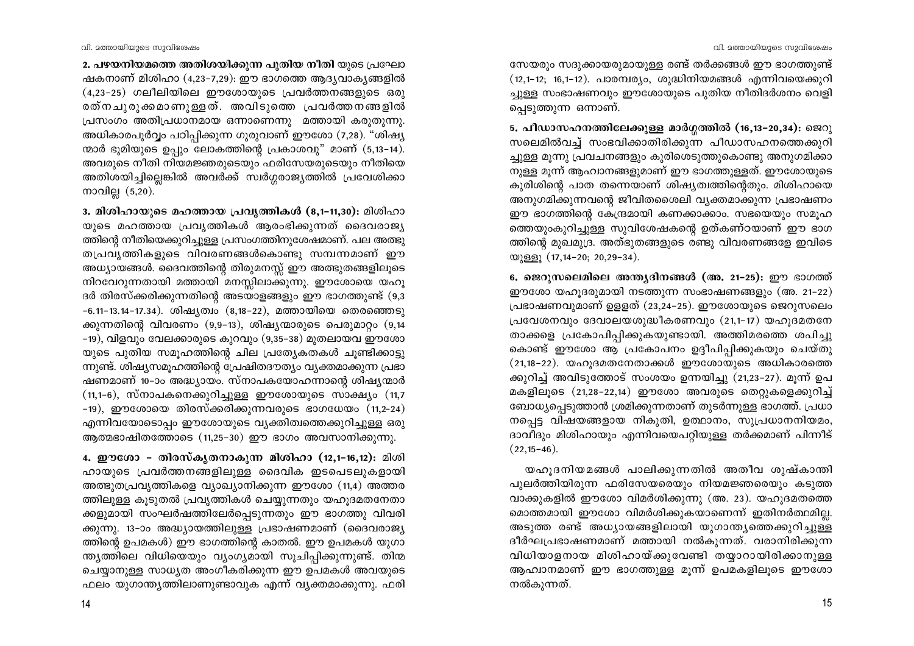വി. മത്തായിയുടെ സുവിശേഷം

2. പഴയനിയമത്തെ അതിശയിക്കുന്ന പുതിയ നീതി യുടെ പ്രഘോ ഷകനാണ് മിശിഹാ (4,23-7,29): ഈ ഭാഗത്തെ ആദ്യവാകൃങ്ങളിൽ  $(4,23-25)$  ഗലീലിയിലെ ഈശോയുടെ പ്രവർത്തനങ്ങളുടെ ഒരു രത്നചുരുക്കമാണുള്ളത്. അവിടുത്തെ പ്രവർത്തനങ്ങളിൽ പ്രസംഗം അതിപ്രധാനമായ ഒന്നാണെന്നു മത്തായി കരുതുന്നു. അധികാരപൂർവ്വം പഠിപ്പിക്കുന്ന ഗുരുവാണ് ഈശോ (7,28). "ശിഷ്യ ന്മാർ ഭൂമിയുടെ ഉപ്പും ലോകത്തിന്റെ പ്രകാശവു" മാണ്  $(5,13-14)$ . അവരുടെ നീതി നിയമജ്ഞരുടെയും ഫരിസേയരുടെയും നീതിയെ അതിശയിച്ചില്ലെങ്കിൽ അവർക്ക് സ്വർഗ്ഗരാജ്യത്തിൽ പ്രവേശിക്കാ നാവില്ല (5,20).

3. മിശിഹായുടെ മഹത്തായ പ്രവൃത്തികൾ (8,1-11,30): മിശിഹാ യുടെ മഹത്തായ പ്രവൃത്തികൾ ആരംഭിക്കുന്നത് ദൈവരാജ്യ ത്തിന്റെ നീതിയെക്കുറിച്ചുള്ള പ്രസംഗത്തിനുശേഷമാണ്. പല അത്ഭു തപ്രവൃത്തികളുടെ വിവരണങ്ങൾകൊണ്ടു സമ്പന്നമാണ് ഈ അധ്യായങ്ങൾ. ദൈവത്തിന്റെ തിരുമനസ്സ് ഈ അത്ഭുതങ്ങളിലൂടെ നിറവേറുന്നതായി മത്തായി മനസ്സിലാക്കുന്നു. ഈശോയെ യഹു ദർ തിരസ്ക്കരിക്കുന്നതിന്റെ അടയാളങ്ങളും ഈ ഭാഗത്തുണ്ട് (9,3 -6.11-13.14-17.34). ശിഷ്യത്വം (8,18-22), മത്തായിയെ തെരഞ്ഞെടു ക്കുന്നതിന്റെ വിവരണം (9,9–13), ശിഷ്യന്മാരുടെ പെരുമാറ്റം (9,14 -19), വിളവും വേലക്കാരുടെ കുറവും (9,35-38) മുതലായവ ഈശോ യുടെ പുതിയ സമൂഹത്തിന്റെ ചില പ്രത്യേകതകൾ ചൂണ്ടിക്കാട്ടു ന്നുണ്ട്. ശിഷ്യസമുഹത്തിന്റെ പ്രേഷിതദൗത്യം വ്യക്തമാക്കുന്ന പ്രഭാ ഷണമാണ് 10-ാം അദ്ധ്യായം. സ്നാപകയോഹന്നാന്റെ ശിഷ്യന്മാർ  $(11,1-6)$ , സ്നാപകനെക്കുറിച്ചുള്ള ഈശോയുടെ സാക്ഷ്യം  $(11,7)$  $-19$ ), ഈശോയെ തിരസ്ക്കരിക്കുന്നവരുടെ ഭാഗധേയം  $(11,2-24)$ എന്നിവയോടൊപ്പം ഈശോയുടെ വ്യക്തിത്വത്തെക്കുറിച്ചുള്ള ഒരു ആത്മഭാഷിതത്തോടെ (11,25-30) ഈ ഭാഗം അവസാനിക്കുന്നു.

4. ഈശോ – തിരസ്കൃതനാകുന്ന മിശിഹാ (12,1-16,12): മിശി ഹായുടെ പ്രവർത്തനങ്ങളിലുള്ള ദൈവിക ഇടപെടലുകളായി അത്ഭുതപ്രവൃത്തികളെ വ്യാഖ്യാനിക്കുന്ന ഈശോ (11,4) അത്തര ത്തിലുള്ള കൂടുതൽ പ്രവൃത്തികൾ ചെയ്യുന്നതും യഹൂദമതനേതാ ക്കളുമായി സംഘർഷത്തിലേർപ്പെടുന്നതും ഈ ഭാഗത്തു വിവരി ക്കുന്നു. 13-ാം അദ്ധ്യായത്തിലുള്ള പ്രഭാഷണമാണ് (ദൈവരാജ്യ ത്തിന്റെ ഉപമകൾ) ഈ ഭാഗത്തിന്റെ കാതൽ. ഈ ഉപമകൾ യുഗാ ന്ത്യത്തിലെ വിധിയെയും വ്യംഗ്യമായി സൂചിപ്പിക്കുന്നുണ്ട്. തിന്മ ചെയ്യാനുള്ള സാധ്യത അംഗീകരിക്കുന്ന ഈ ഉപമകൾ അവയുടെ ഫലം യുഗാന്ത്യത്തിലാണുണ്ടാവുക എന്ന് വ്യക്തമാക്കുന്നു. ഫരി

സേയരും സദുക്കായരുമായുള്ള രണ്ട് തർക്കങ്ങൾ ഈ ഭാഗത്തുണ്ട്  $(12,1-12; 16,1-12)$ . പാരമ്പര്യം, ശൂദ്ധിനിയമങ്ങൾ എന്നിവയെക്കുറി ച്ചുള്ള സംഭാഷണവും ഈശോയുടെ പുതിയ നീതിദർശനം വെളി പെടുത്തുന്ന ഒന്നാണ്.

5. പീഡാസഹനത്തിലേക്കുള്ള മാർഗ്ഗത്തിൽ (16,13–20,34): ജെറു സലെമിൽവച്ച് സംഭവിക്കാതിരിക്കുന്ന പീഡാസഹനത്തെക്കുറി ച്ചുള്ള മൂന്നു പ്രവചനങ്ങളും കുരിശെടുത്തുകൊണ്ടു അനുഗമിക്കാ നുള്ള മൂന്ന് ആഹ്വാനങ്ങളുമാണ് ഈ ഭാഗത്തുള്ളത്. ഈശോയുടെ കുരിശിന്റെ പാത തന്നെയാണ് ശിഷ്യത്വത്തിന്റെതും. മിശിഹായെ അനുഗമിക്കുന്നവന്റെ ജീവിതശൈലി വ്യക്തമാക്കുന്ന പ്രഭാഷണം ഈ ഭാഗത്തിന്റെ കേന്ദ്രമായി കണക്കാക്കാം. സഭയെയും സമുഹ ത്തെയുംകുറിച്ചുള്ള സുവിശേഷകന്റെ ഉത്കണ്ഠയാണ് ഈ ഭാഗ ത്തിന്റെ മുഖമുദ്ര. അത്ഭുതങ്ങളുടെ രണ്ടു വിവരണങ്ങളേ ഇവിടെ യുള്ളൂ (17,14-20; 20,29-34).

6. ജെറുസലെമിലെ അന്ത്യദിനങ്ങൾ (അ. 21-25): ഈ ഭാഗത്ത് ഈശോ യഹുദരുമായി നടത്തുന്ന സംഭാഷണങ്ങളും (അ. 21-22) പ്രഭാഷണവുമാണ് ഉളളത് (23,24–25). ഈശോയുടെ ജെറുസലെം പ്രവേശനവും ദേവാലയശുദ്ധീകരണവും (21,1-17) യഹുദമതനേ താക്കളെ പ്രകോപിപ്പിക്കുകയുണ്ടായി. അത്തിമരത്തെ ശപിച്ചു കൊണ്ട് ഈശോ ആ പ്രകോപനം ഉദ്ദീപിപ്പിക്കുകയും ചെയ്തു  $(21,18-22)$ . യഹൂദമതനേതാക്കൾ ഈശോയുടെ അധികാരത്തെ ക്കുറിച്ച് അവിടുത്തോട് സംശയം ഉന്നയിച്ചു (21,23–27). മൂന്ന് ഉപ മകളിലൂടെ (21,28–22,14) ഈശോ അവരുടെ തെറ്റുകളെക്കുറിച്ച് ബോധ്യപ്പെടുത്താൻ ശ്രമിക്കുന്നതാണ് തുടർന്നുള്ള ഭാഗത്ത്. പ്രധാ നപ്പെട്ട വിഷയങ്ങളായ നികുതി, ഉത്ഥാനം, സുപ്രധാനനിയമം, ദാവീദും മിശിഹായും എന്നിവയെപറ്റിയുള്ള തർക്കമാണ് പിന്നീട്  $(22, 15-46)$ .

യഹൂദനിയമങ്ങൾ പാലിക്കുന്നതിൽ അതീവ ശുഷ്കാന്തി പുലർത്തിയിരുന്ന ഫരിസേയരെയും നിയമജ്ഞരെയും കടുത്ത വാക്കുകളിൽ ഈശോ വിമർശിക്കുന്നു (അ. 23). യഹൂദമതത്തെ മൊത്തമായി ഈശോ വിമർശിക്കുകയാണെന്ന് ഇതിനർത്ഥമില്ല. അടുത്ത രണ്ട് അധ്യായങ്ങളിലായി യുഗാന്ത്യത്തെക്കുറിച്ചുള്ള ദീർഘപ്രഭാഷണമാണ് മത്തായി നൽകുന്നത്. വരാനിരിക്കുന്ന വിധിയാളനായ മിശിഹായ്ക്കുവേണ്ടി തയ്യാറായിരിക്കാനുള്ള ആഹ്വാനമാണ് ഈ ഭാഗത്തുള്ള മൂന്ന് ഉപമകളിലൂടെ ഈശോ നൽകുന്നത്.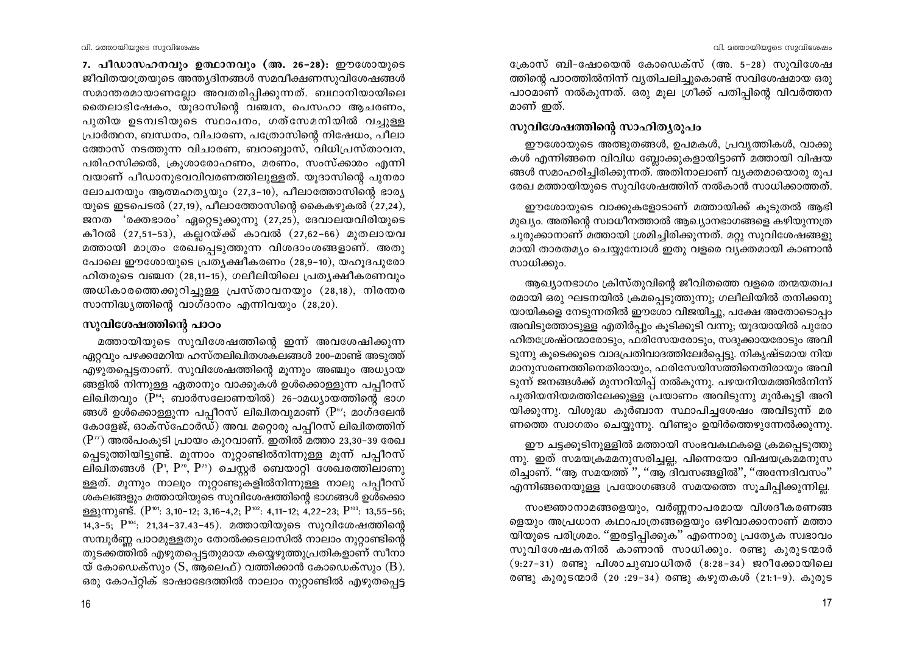7. പീഡാസഹനവും ഉത്ഥാനവും (അ. 26-28): ഈശോയുടെ ജീവിതയാത്രയുടെ അന്ത്യദിനങ്ങൾ സമവീക്ഷണസുവിശേഷങ്ങൾ സമാന്തരമായാണല്ലോ അവതരിപ്പിക്കുന്നത്. ബഥാനിയായിലെ തൈലാഭിഷേകം, യൂദാസിന്റെ വഞ്ചന, പെസഹാ ആചരണം, പുതിയ ഉടമ്പടിയുടെ സ്ഥാപനം, ഗത്സേമനിയിൽ വച്ചുള്ള പ്രാർത്ഥന, ബന്ധനം, വിചാരണ, പത്രോസിന്റെ നിഷേധം, പീലാ ത്തോസ് നടത്തുന്ന വിചാരണ, ബറാബ്ബാസ്, വിധിപ്രസ്താവന, പരിഹസിക്കൽ, ക്രുശാരോഹണം, മരണം, സംസ്ക്കാരം എന്നി വയാണ് പീഡാനുഭവവിവരണത്തിലുള്ളത്. യുദാസിന്റെ പുനരാ ലോചനയും ആത്മഹത്യയും (27,3-10), പീലാത്തോസിന്റെ ഭാര്യ യുടെ ഇടപെടൽ (27,19), പീലാത്തോസിന്റെ കൈകഴുകൽ (27,24), ജനത 'രക്തഭാരം' ഏറ്റെടുക്കുന്നു (27,25), ദേവാലയവിരിയുടെ കീറൽ (27,51–53), കല്ലറയ്ക്ക് കാവൽ (27,62–66) മുതലായവ മത്തായി മാത്രം രേഖപ്പെടുത്തുന്ന വിശദാംശങ്ങളാണ്. അതു പോലെ ഈശോയുടെ പ്രത്യക്ഷീകരണം (28,9-10), യഹുദപുരോ ഹിതരുടെ വഞ്ചന (28,11-15), ഗലീലിയിലെ പ്രത്യക്ഷീകരണവും അധികാരത്തെക്കുറിച്ചുള്ള പ്രസ്താവനയും (28,18), നിരന്തര സാന്നിദ്ധ്യത്തിന്റെ വാഗ്ദാനം എന്നിവയും (28,20).

## സുവിശേഷത്തിന്റെ പാഠം

മത്തായിയുടെ സുവിശേഷത്തിന്റെ ഇന്ന് അവശേഷിക്കുന്ന ഏറ്റവും പഴക്കമേറിയ ഹസ്തലിഖിതശകലങ്ങൾ 200–മാണ്ട് അടുത്ത് എഴുതപ്പെട്ടതാണ്. സുവിശേഷത്തിന്റെ മുന്നും അഞ്ചും അധ്യായ ങ്ങളിൽ നിന്നുള്ള ഏതാനും വാക്കുകൾ ഉൾക്കൊള്ളുന്ന പപ്പീറസ് ലിഖിതവും ( $P^{64}$ ; ബാർസലോണയിൽ) 26-ാമധ്യായത്തിന്റെ ഭാഗ ങ്ങൾ ഉൾക്കൊള്ളുന്ന പപ്പീറസ് ലിഖിതവുമാണ് ( $P^{\circ\circ}$ ; മാഗ്ദലേൻ കോളേജ്, ഓക്സ്ഫോർഡ്) അവ. മറ്റൊരു പപ്പീറസ് ലിഖിതത്തിന്  $(P<sup>77</sup>)$  അൽപംകൂടി പ്രായം കുറവാണ്. ഇതിൽ മത്താ 23,30-39 രേഖ പ്പെടുത്തിയിട്ടുണ്ട്. മൂന്നാം നൂറ്റാണ്ടിൽനിന്നുള്ള മൂന്ന് പപ്പീറസ് ലിഖിതങ്ങൾ  $(P^1, P^{r_0}, P^{r_5})$  ചെസ്റ്റർ ബെയാറ്റി ശേഖരത്തിലാണു ള്ളത്. മൂന്നും നാലും നൂറ്റാണ്ടുകളിൽനിന്നുള്ള നാലു പപ്പീറസ് ശകലങ്ങളും മത്തായിയുടെ സുവിശേഷത്തിന്റെ ഭാഗങ്ങൾ ഉൾക്കൊ ള്ളുന്നുണ്ട്. ( $P^{101}$ : 3,10-12; 3,16-4,2;  $P^{102}$ : 4,11-12; 4,22-23;  $P^{103}$ : 13,55-56;  $14,3-5$ ;  $P^{104}$ : 21,34-37.43-45). മത്തായിയുടെ സുവിശേഷത്തിന്റെ സമ്പൂർണ്ണ പാഠമുള്ളതും തോൽക്കടലാസിൽ നാലാം നൂറ്റാണ്ടിന്റെ തുടക്കത്തിൽ എഴുതപ്പെട്ടതുമായ കയ്യെഴുത്തുപ്രതികളാണ് സീനാ യ് കോഡെക്സും  $(S, \omega)$  അലെഫ്) വത്തിക്കാൻ കോഡെക്സും  $(B)$ . ഒരു കോപ്റ്റിക് ഭാഷാഭേദത്തിൽ നാലാം നൂറ്റാണ്ടിൽ എഴുതപ്പെട്ട

ക്രോസ് ബി-ഷോയെൻ കോഡെക്സ് (അ. 5–28) സുവിശേഷ ത്തിന്റെ പാഠത്തിൽനിന്ന് വ്യതിചലിച്ചുകൊണ്ട് സവിശേഷമായ ഒരു പാഠമാണ് നൽകുന്നത്. ഒരു മുല ഗ്രീക്ക് പതിപ്പിന്റെ വിവർത്തന മാണ് ഇത്.

## സുവിശേഷത്തിന്റെ സാഹിത്യരൂപം

ഈശോയുടെ അത്ഭുതങ്ങൾ, ഉപമകൾ, പ്രവൃത്തികൾ, വാക്കു കൾ എന്നിങ്ങനെ വിവിധ ബ്ലോക്കുകളായിട്ടാണ് മത്തായി വിഷയ ങ്ങൾ സമാഹരിച്ചിരിക്കുന്നത്. അതിനാലാണ് വൃക്തമായൊരു രൂപ രേഖ മത്തായിയുടെ സുവിശേഷത്തിന് നൽകാൻ സാധിക്കാത്തത്.

ഈശോയുടെ വാക്കുകളോടാണ് മത്തായിക്ക് കൂടുതൽ ആഭി മുഖ്യം. അതിന്റെ സ്വാധീനത്താൽ ആഖ്യാനഭാഗങ്ങളെ കഴിയുന്നത്ര ചുരുക്കാനാണ് മത്തായി ശ്രമിച്ചിരിക്കുന്നത്. മറ്റു സുവിശേഷങ്ങളു മായി താരതമ്യം ചെയ്യുമ്പോൾ ഇതു വളരെ വ്യക്തമായി കാണാൻ സാധിക്കും.

ആഖ്യാനഭാഗം ക്രിസ്തുവിന്റെ ജീവിതത്തെ വളരെ തന്മയത്വപ രമായി ഒരു ഘടനയിൽ ക്രമപ്പെടുത്തുന്നു; ഗലീലിയിൽ തനിക്കനു യായികളെ നേടുന്നതിൽ ഈശോ വിജയിച്ചു, പക്ഷേ അതോടൊപ്പം അവിടുത്തോടുള്ള എതിർപ്പും കൂടിക്കൂടി വന്നു; യൂദയായിൽ പുരോ ഹിതശ്രേഷ്ഠന്മാരോടും, ഫരിസേയരോടും, സദുക്കായരോടും അവി ടുന്നു കുടെക്കുടെ വാദപ്രതിവാദത്തിലേർപ്പെട്ടു. നികൃഷ്ടമായ നിയ മാനുസരണത്തിനെതിരായും, ഫരിസേയിസത്തിനെതിരായും അവി ടുന്ന് ജനങ്ങൾക്ക് മുന്നറിയിപ്പ് നൽകുന്നു. പഴയനിയമത്തിൽനിന്ന് പുതിയനിയമത്തിലേക്കുള്ള പ്രയാണം അവിടുന്നു മുൻകുട്ടി അറി യിക്കുന്നു. വിശുദ്ധ കുർബാന സ്ഥാപിച്ചശേഷം അവിടുന്ന് മര ണത്തെ സ്വാഗതം ചെയ്യുന്നു. വീണ്ടും ഉയിർത്തെഴുന്നേൽക്കുന്നു.

ഈ ചട്ടക്കൂടിനുള്ളിൽ മത്തായി സംഭവകഥകളെ ക്രമപ്പെടുത്തു ന്നു. ഇത് സമയക്രമമനുസരിച്ചല്ല, പിന്നെയോ വിഷയക്രമമനുസ രിച്ചാണ്. ''ആ സമയത്ത് '', ''ആ ദിവസങ്ങളിൽ'', ''അന്നേദിവസം'' എന്നിങ്ങനെയുള്ള പ്രയോഗങ്ങൾ സമയത്തെ സൂചിപ്പിക്കുന്നില്ല.

സംജ്ഞാനാമങ്ങളെയും, വർണ്ണനാപരമായ വിശദീകരണങ്ങ ളെയും അപ്രധാന കഥാപാത്രങ്ങളെയും ഒഴിവാക്കാനാണ് മത്താ യിയുടെ പരിശ്രമം. ''ഇരട്ടിപ്പിക്കുക'' എന്നൊരു പ്രത്യേക സ്വഭാവം സുവിശേഷകനിൽ കാണാൻ സാധിക്കും. രണ്ടു കുരുടന്മാർ  $(9:27-31)$  രണ്ടു പിശാചുബാധിതർ  $(8:28-34)$  ജറീക്കോയിലെ രണ്ടു കുരുടന്മാർ (20 :29-34) രണ്ടു കഴുതകൾ (21:1-9). കുരുട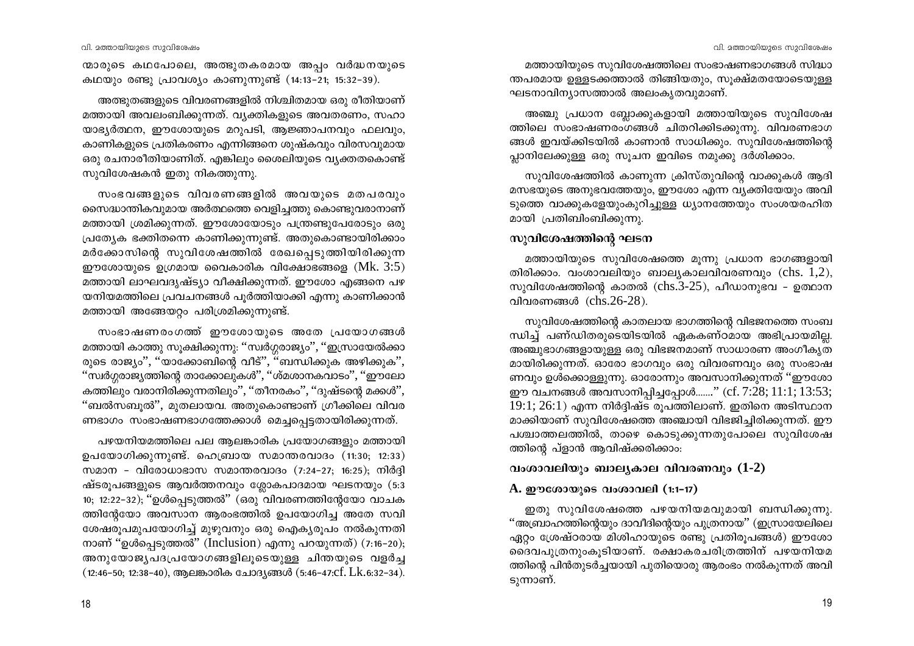ന്മാരുടെ കഥപോലെ, അത്ഭുതകരമായ അപ്പം വർദ്ധനയുടെ കഥയും രണ്ടു പ്രാവശ്യം കാണുന്നുണ്ട് (14:13-21; 15:32-39).

അത്ഭുതങ്ങളുടെ വിവരണങ്ങളിൽ നിശ്ചിതമായ ഒരു രീതിയാണ് മത്തായി അവലംബിക്കുന്നത്. വ്യക്തികളുടെ അവതരണം, സഹാ യാഭ്യർത്ഥന, ഈശോയുടെ മറുപടി, ആജ്ഞാപനവും ഫലവും, കാണികളുടെ പ്രതികരണം എന്നിങ്ങനെ ശുഷ്കവും വിരസവുമായ ഒരു രചനാരീതിയാണിത്. എങ്കിലും ശൈലിയുടെ വൃക്തതകൊണ്ട് സുവിശേഷകൻ ഇതു നികത്തുന്നു.

സംഭവങ്ങളുടെ വിവരണങ്ങളിൽ അവയുടെ മതപരവും സൈദ്ധാന്തികവുമായ അർത്ഥത്തെ വെളിച്ചത്തു കൊണ്ടുവരാനാണ് മത്തായി ശ്രമിക്കുന്നത്. ഈശോയോടും പന്ത്രണ്ടുപേരോടും ഒരു പ്രത്യേക ഭക്തിതന്നെ കാണിക്കുന്നുണ്ട്. അതുകൊണ്ടായിരിക്കാം മർക്കോസിന്റെ സുവിശേഷത്തിൽ രേഖപ്പെടുത്തിയിരിക്കുന്ന ഈശോയുടെ ഉഗ്രമായ വൈകാരിക വിക്ഷോഭങ്ങളെ  $(Mk. 3:5)$ മത്തായി ലാഘവദൃഷ്ട്യാ വീക്ഷിക്കുന്നത്. ഈശോ എങ്ങനെ പഴ യനിയമത്തിലെ പ്രവചനങ്ങൾ പൂർത്തിയാക്കി എന്നു കാണിക്കാൻ മത്തായി അങ്ങേയറ്റം പരിശ്രമിക്കുന്നുണ്ട്.

സംഭാഷണരംഗത്ത് ഈശോയുടെ അതേ പ്രയോഗങ്ങൾ മത്തായി കാത്തു സൂക്ഷിക്കുന്നു: "സ്വർഗ്ഗരാജ്യം", "ഇസ്രായേൽക്കാ രുടെ രാജ്യം'', ''യാക്കോബിന്റെ വീട്'', ''ബന്ധിക്കുക അഴിക്കുക'', ''സ്വർഗ്ഗരാജ്യത്തിന്റെ താക്കോലുകൾ'', ''ശ്മശാനകവാടം'', ''ഈലോ കത്തിലും വരാനിരിക്കുന്നതിലും'', ''തീനരകം'', ''ദുഷ്ടന്റെ മക്കൾ'', ''ബൽസബൂൽ'', മുതലായവ. അതുകൊണ്ടാണ് ഗ്രീക്കിലെ വിവര ണഭാഗം സംഭാഷണഭാഗത്തേക്കാൾ മെച്ചപ്പെട്ടതായിരിക്കുന്നത്.

പഴയനിയമത്തിലെ പല ആലങ്കാരിക പ്രയോഗങ്ങളും മത്തായി ഉപയോഗിക്കുന്നുണ്ട്. ഹെബ്രായ സമാന്തരവാദം (11:30; 12:33) സമാന - വിരോധാഭാസ സമാന്തരവാദം (7:24-27; 16:25); നിർദ്ദി ഷ്ടരുപങ്ങളുടെ ആവർത്തനവും ശ്ലോകപാദമായ ഘടനയും (5:3 10; 12:22-32); ''ഉൾപ്പെടുത്തൽ'' (ഒരു വിവരണത്തിന്റേയോ വാചക ത്തിന്റേയോ അവസാന ആരംഭത്തിൽ ഉപയോഗിച്ച അതേ സവി ശേഷരുപമുപയോഗിച്ച് മുഴുവനും ഒരു ഐക്യരുപം നൽകുന്നതി നാണ് "ഉൾപ്പെടുത്തൽ" (Inclusion) എന്നു പറയുന്നത്) (7:16-20); അനുയോജ്യപദപ്രയോഗങ്ങളിലുടെയുള്ള ചിന്തയുടെ വളർച്ച (12:46-50; 12:38-40), ആലങ്കാരിക ചോദൃങ്ങൾ (5:46-47:cf. Lk.6:32-34).

മത്തായിയുടെ സുവിശേഷത്തിലെ സംഭാഷണഭാഗങ്ങൾ സിദ്ധാ ന്തപരമായ ഉള്ളടക്കത്താൽ തിങ്ങിയതും, സൂക്ഷ്മതയോടെയുള്ള ഘടനാവിന്യാസത്താൽ അലംകൃതവുമാണ്.

അഞ്ചു പ്രധാന ബ്ലോക്കുകളായി മത്തായിയുടെ സുവിശേഷ ത്തിലെ സംഭാഷണരംഗങ്ങൾ ചിതറിക്കിടക്കുന്നു. വിവരണഭാഗ ങ്ങൾ ഇവയ്ക്കിടയിൽ കാണാൻ സാധിക്കും. സുവിശേഷത്തിന്റെ പ്ലാനിലേക്കുള്ള ഒരു സൂചന ഇവിടെ നമുക്കു ദർശിക്കാം.

സുവിശേഷത്തിൽ കാണുന്ന ക്രിസ്തുവിന്റെ വാക്കുകൾ ആദി മസഭയുടെ അനുഭവത്തേയും, ഈശോ എന്ന വ്യക്തിയേയും അവി ടുത്തെ വാക്കുകളേയുംകുറിച്ചുള്ള ധ്യാനത്തേയും സംശയരഹിത മായി പ്രതിബിംബിക്കുന്നു.

## സുവിശേഷത്തിന്റെ ഘടന

മത്തായിയുടെ സുവിശേഷത്തെ മൂന്നു പ്രധാന ഭാഗങ്ങളായി തിരിക്കാം. വംശാവലിയും ബാല്യകാലവിവരണവും (chs. 1,2), സുവിശേഷത്തിന്റെ കാതൽ ( $\text{chs.}3\text{-}25$ ), പീഡാനുഭവ - ഉത്ഥാന വിവരണങ്ങൾ (chs.26-28).

സുവിശേഷത്തിന്റെ കാതലായ ഭാഗത്തിന്റെ വിഭജനത്തെ സംബ ന്ധിച്ച് പണ്ഡിതരുടെയിടയിൽ ഏകകണ്ഠമായ അഭിപ്രായമില്ല. അഞ്ചുഭാഗങ്ങളായുള്ള ഒരു വിഭജനമാണ് സാധാരണ അംഗീകൃത മായിരിക്കുന്നത്. ഓരോ ഭാഗവും ഒരു വിവരണവും ഒരു സംഭാഷ ണവും ഉൾക്കൊള്ളുന്നു. ഓരോന്നും അവസാനിക്കുന്നത് ''ഈശോ ഈ വചനങ്ങൾ അവസാനിപ്പിച്ചപ്പോൾ.......'' (cf. 7:28; 11:1; 13:53;  $19:1; 26:1$ ) എന്ന നിർദ്ദിഷ്ട രുപത്തിലാണ്. ഇതിനെ അടിസ്ഥാന മാക്കിയാണ് സുവിശേഷത്തെ അഞ്ചായി വിഭജിച്ചിരിക്കുന്നത്. ഈ പശ്ചാത്തലത്തിൽ, താഴെ കൊടുക്കുന്നതുപോലെ സുവിശേഷ ത്തിന്റെ പ്ളാൻ ആവിഷ്ക്കരിക്കാം:

## വംശാവലിയും ബാല്യകാല വിവരണവും  $(1-2)$

## A. ഈശോയുടെ വംശാവലി  $(1:1-17)$

ഇതു സുവിശേഷത്തെ പഴയനിയമവുമായി ബന്ധിക്കുന്നു. ''അബ്രാഹത്തിന്റെയും ദാവീദിന്റെയും പുത്രനായ'' (ഇസ്രായേലിലെ ഏറ്റം ശ്രേഷ്ഠരായ മിശിഹായുടെ രണ്ടു പ്രതിരൂപങ്ങൾ) ഈശോ ദൈവപുത്രനുംകുടിയാണ്. രക്ഷാകരചരിത്രത്തിന് പഴയനിയമ ത്തിന്റെ പിൻതുടർച്ചയായി പുതിയൊരു ആരംഭം നൽകുന്നത് അവി ടുന്നാണ്.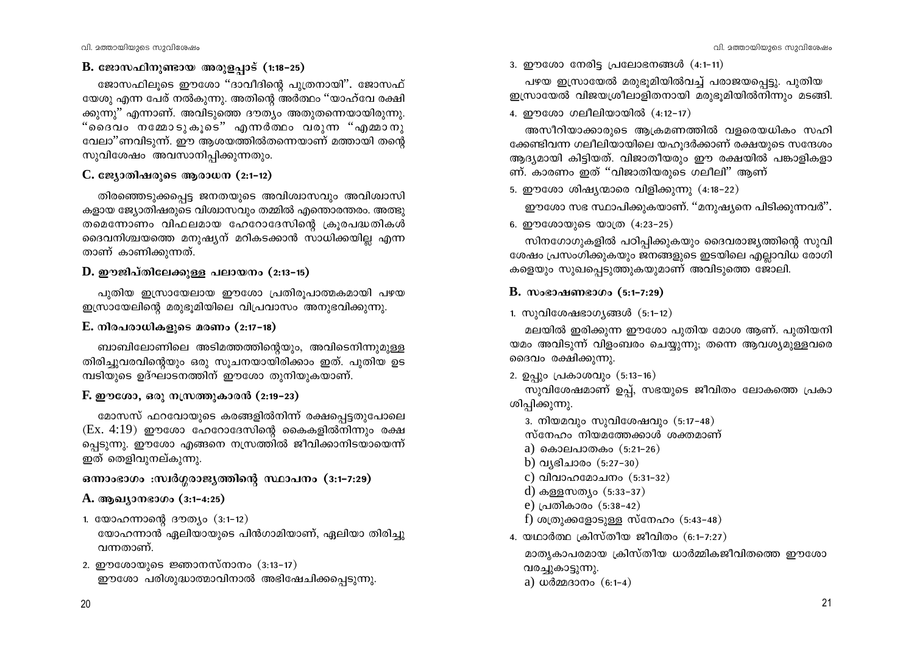## $B.$  ജോസഫിനുണ്ടായ അരുളപാട് (1:18-25)

ജോസഫിലൂടെ ഈശോ ''ദാവീദിന്റെ പുത്രനായി''. ജോസഫ് യേശു എന്ന പേര് നൽകുന്നു. അതിന്റെ അർത്ഥം ''യാഹ്വേ രക്ഷി ക്കുന്നു" എന്നാണ്. അവിടുത്തെ ദൗത്യം അതുതന്നെയായിരുന്നു. "ദൈവം നമ്മോടുകൂടെ" എന്നർത്ഥം വരുന്ന "എമ്മാനു വേലാ''ണവിടുന്ന്. ഈ ആശയത്തിൽതന്നെയാണ് മത്തായി തന്റെ സുവിശേഷം അവസാനിപ്പിക്കുന്നതും.

## C. ജ്യോതിഷരുടെ ആരാധന (2:1-12)

തിരഞ്ഞെടുക്കപ്പെട്ട ജനതയുടെ അവിശ്വാസവും അവിശ്വാസി കളായ ജ്യോതിഷരുടെ വിശ്വാസവും തമ്മിൽ എന്തൊരന്തരം. അത്ഭു തമെന്നോണം വിഫലമായ ഹേറോദേസിന്റെ ക്രൂരപദ്ധതികൾ ദൈവനിശ്ചയത്തെ മനുഷ്യന് മറികടക്കാൻ സാധിക്കയില്ല എന്ന താണ് കാണിക്കുന്നത്.

## $D$ , ഈജിപ്തിലേക്കുള്ള പലായനം (2:13-15)

പുതിയ ഇസ്രായേലായ ഈശോ പ്രതിരുപാത്മകമായി പഴയ ഇസ്രായേലിന്റെ മരുഭൂമിയിലെ വിപ്രവാസം അനുഭവിക്കുന്നു.

## E. നിരപരാധികളുടെ മരണം (2:17-18)

ബാബിലോണിലെ അടിമത്തത്തിന്റെയും, അവിടെനിന്നുമുള്ള തിരിച്ചുവരവിന്റെയും ഒരു സൂചനയായിരിക്കാം ഇത്. പുതിയ ഉട മ്പടിയുടെ ഉദ്ഘാടനത്തിന് ഈശോ തുനിയുകയാണ്.

## F. ഈശോ, ഒരു നസ്രത്തുകാരൻ (2:19-23)

മോസസ് ഫറവോയുടെ കരങ്ങളിൽനിന്ന് രക്ഷപ്പെട്ടതുപോലെ  $(Ex. 4.19)$  ഈശോ ഹേറോദേസിന്റെ കൈകളിൽനിന്നും രക്ഷ പ്പെടുന്നു. ഈശോ എങ്ങനെ നസ്രത്തിൽ ജീവിക്കാനിടയായെന്ന് ഇത് തെളിവുനല്കുന്നു.

## ഒന്നാംഭാഗം :സ്വർഗ്ഗരാജ്യത്തിന്റെ സ്ഥാപനം (3:1-7:29)

## A. ആഖ്യാനഭാഗം (3:1-4:25)

- 1. യോഹന്നാന്റെ ദൗത്യം (3:1-12) യോഹന്നാൻ ഏലിയായുടെ പിൻഗാമിയാണ്, ഏലിയാ തിരിച്ചു വന്നതാണ്
- 2. ഈശോയുടെ ജ്ഞാനസ്നാനം  $(3:13-17)$ ഈശോ പരിശുദ്ധാത്മാവിനാൽ അഭിഷേചിക്കപ്പെടുന്നു.

3. ഈശോ നേരിട്ട പ്രലോഭനങ്ങൾ  $(4:1-11)$ 

പഴയ ഇസ്രായേൽ മരുഭൂമിയിൽവച്ച് പരാജയപ്പെട്ടു. പുതിയ ഇസ്രായേൽ വിജയശ്രീലാളിതനായി മരുഭുമിയിൽനിന്നും മടങ്ങി.

4. ഈശോ ഗലീലിയായിൽ (4:12-17)

അസീറിയാക്കാരുടെ ആക്രമണത്തിൽ വളരെയധികം സഹി ക്കേണ്ടിവന്ന ഗലീലിയായിലെ യഹുദർക്കാണ് രക്ഷയുടെ സന്ദേശം ആദ്യമായി കിട്ടിയത്. വിജാതീയരും ഈ രക്ഷയിൽ പങ്കാളികളാ ണ്. കാരണം ഇത് ''വിജാതിയരുടെ ഗലീലി'' ആണ്

5. ഈശോ ശിഷ്യന്മാരെ വിളിക്കുന്നു (4:18-22)

ഈശോ സഭ സ്ഥാപിക്കുകയാണ്. ''മനുഷ്യനെ പിടിക്കുന്നവർ''.

6. ഈശോയുടെ യാത്ര  $(4:23-25)$ 

്സിനഗോഗുകളിൽ പഠിപ്പിക്കുകയും ദൈവരാജ്യത്തിന്റെ സുവി ശേഷം പ്രസംഗിക്കുകയും ജനങ്ങളുടെ ഇടയിലെ എല്ലാവിധ രോഗി കളെയും സുഖപ്പെടുത്തുകയുമാണ് അവിടുത്തെ ജോലി.

## **B.** സംഭാഷണഭാഗം (5:1-7:29)

1. സുവിശേഷഭാഗൃങ്ങൾ (5:1-12)

മലയിൽ ഇരിക്കുന്ന ഈശോ പുതിയ മോശ ആണ്. പുതിയനി യമം അവിടുന്ന് വിളംബരം ചെയ്യുന്നു; തന്നെ ആവശ്യമുള്ളവരെ ദൈവം രക്ഷിക്കുന്നു.

2. ഉപ്പും പ്രകാശവും (5:13-16)

സുവിശേഷമാണ് ഉപ്പ്, സഭയുടെ ജീവിതം ലോകത്തെ പ്രകാ ശിപ്പിക്കുന്നു.

3. നിയമവും സുവിശേഷവും  $(5:17-48)$ 

- സ്നേഹം നിയമത്തേക്കാൾ ശക്തമാണ്
- a) കൊലപാതകം (5:21-26)
- b) വൃഭിചാരം  $(5:27-30)$
- c) വിവാഹമോചനം  $(5:31-32)$
- $d)$  കള്ളസത്യം  $(5:33-37)$
- e) പ്രതികാരം (5:38-42)
- $f$ ) ശത്രുക്കളോടുള്ള സ്നേഹം (5:43-48)
- 4. യഥാർത്ഥ ക്രിസ്തീയ ജീവിതം (6:1-7:27)

മാതൃകാപരമായ ക്രിസ്തീയ ധാർമ്മികജീവിതത്തെ ഈശോ വരച്ചുകാട്ടുന്നു. a)  $\omega$ ർമ്മദാനം  $(6:1-4)$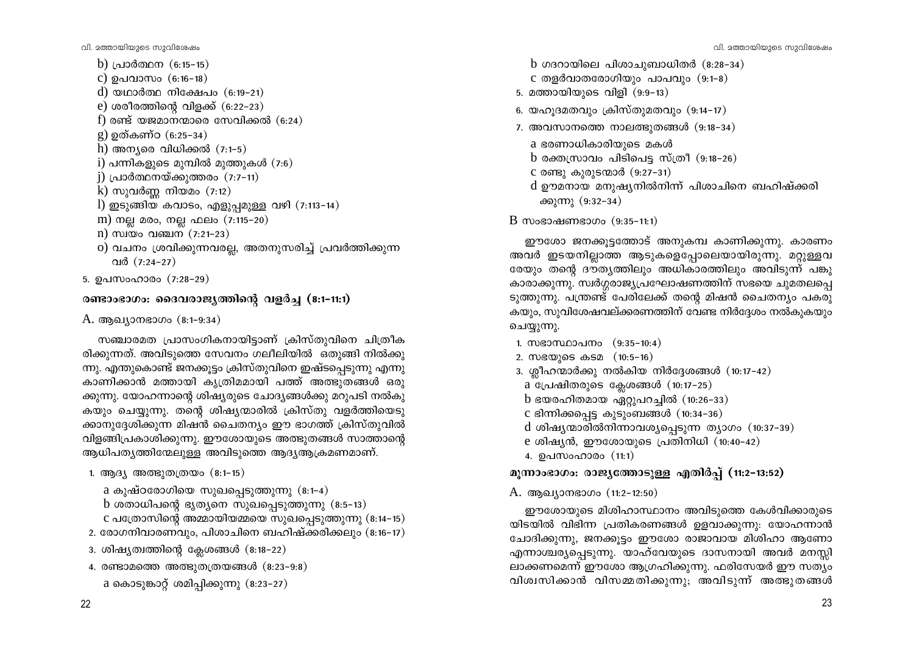b) (പാർത്ഥന  $(6:15-15)$  $c)$  ഉപവാസം  $(6:16-18)$  $d)$  യഥാർത്ഥ നിക്ഷേപം  $(6:19-21)$ e) ശരീരത്തിന്റെ വിളക്ക്  $(6:22-23)$  $f$ ) രണ്ട് യജമാനന്മാരെ സേവിക്കൽ (6:24)  $g)$  ഉത്കണ്ഠ (6:25-34) h) അന്യരെ വിധിക്കൽ  $(7:1-5)$  $i)$  പന്നികളുടെ മുമ്പിൽ മുത്തുകൾ  $(7:6)$  $j)$  പ്രാർത്ഥനയ്ക്കുത്തരം  $(7:7-11)$ k) സുവർണ്ണ നിയമം  $(7:12)$  $1)$  ഇടുങ്ങിയ കവാടം, എളുപ്പമുള്ള വഴി (7:113-14) m) നല്ല മരം, നല്ല ഫലം (7:115-20) n) സ്വയം വഞ്ചന  $(7:21-23)$ o) വചനം ശ്രവിക്കുന്നവരല്ല, അതനുസരിച്ച് പ്രവർത്തിക്കുന്ന വർ  $(7:24-27)$ 

5. ഉപസംഹാരം  $(7:28-29)$ 

## രണ്ടാംഭാഗം: ദൈവരാജ്യത്തിന്റെ വളർച്ച (8:1-11:1)

A. ആഖ്യാനഭാഗം (8:1-9:34)

സഞ്ചാരമത പ്രാസംഗികനായിട്ടാണ് ക്രിസ്തുവിനെ ചിത്രീക രിക്കുന്നത്. അവിടുത്തെ സേവനം ഗലീലിയിൽ ഒതുങ്ങി നിൽക്കു ന്നു. എന്തുകൊണ്ട് ജനക്കൂട്ടം ക്രിസ്തുവിനെ ഇഷ്ടപ്പെടുന്നു എന്നു കാണിക്കാൻ മത്തായി കൃത്രിമമായി പത്ത് അത്ഭുതങ്ങൾ ഒരു ക്കുന്നു. യോഹന്നാന്റെ ശിഷ്യരുടെ ചോദ്യങ്ങൾക്കു മറുപടി നൽകു കയും ചെയ്യുന്നു. തന്റെ ശിഷ്യന്മാരിൽ ക്രിസ്തു വളർത്തിയെടു ക്കാനുദ്ദേശിക്കുന്ന മിഷൻ ചൈതന്യം ഈ ഭാഗത്ത് ക്രിസ്തുവിൽ വിളങ്ങിപ്രകാശിക്കുന്നു. ഈശോയുടെ അത്ഭുതങ്ങൾ സാത്താന്റെ ആധിപത്യത്തിന്മേലുള്ള അവിടുത്തെ ആദ്യആക്രമണമാണ്.

```
1. ആദ്യ അത്ഭുതത്രയം (8:1-15)
```

```
a കുഷ്ഠരോഗിയെ സുഖപ്പെടുത്തുന്നു (s_{1} - 4)b ശതാധിപന്റെ ഭൂത്യനെ സുഖപ്പെടുത്തുന്നു (8.5-13)c പത്രോസിന്റെ അമ്മായിയമ്മയെ സുഖപ്പെടുത്തുന്നു (8:14-15)
```
- 2. രോഗനിവാരണവും, പിശാചിനെ ബഹിഷ്ക്കരിക്കലും (8:16-17)
- 3. ശിഷ്യത്വത്തിന്റെ ക്ലേശങ്ങൾ  $(8:18-22)$

```
4. രണ്ടാമത്തെ അത്ഭുതത്രയങ്ങൾ (8:23-9:8)
```

```
a കൊടുങ്കാറ്റ് ശമിപ്പിക്കുന്നു (s.23-27)
```
- $b$  ഗദറായിലെ പിശാചുബാധിതർ (8:28-34)
- c തളർവാതരോഗിയും പാപവും (9:1-8)
- 5. മത്തായിയുടെ വിളി (9:9-13)
- 6. യഹുദമതവും ക്രിസ്തുമതവും (9:14-17)
- 7. അവസാനത്തെ നാലത്ഭുതങ്ങൾ (9:18-34)
	- a ഭരണാധികാരിയുടെ മകൾ
	- $b$  രക്തസ്രാവം പിടിപെട്ട സ്ത്രീ (9:18-26)
	- c രണ്ടു കുരുടന്മാർ (9:27-31)
	- d ഊമനായ മനുഷ്യനിൽനിന്ന് പിശാചിനെ ബഹിഷ്ക്കരി ക്കുന്നു (9:32–34)
- $\rm{B}$  സംഭാഷണഭാഗം (9:35-11:1)

ഈശോ ജനക്കൂട്ടത്തോട് അനുകമ്പ കാണിക്കുന്നു. കാരണം അവർ ഇടയനില്ലാത്ത ആടുകളെപ്പോലെയായിരുന്നു. മറ്റുള്ളവ രേയും തന്റെ ദൗതൃത്തിലും അധികാരത്തിലും അവിടുന്ന് പങ്കു കാരാക്കുന്നു. സ്വർഗ്ഗരാജ്യപ്രഘോഷണത്തിന് സഭയെ ചുമതലപ്പെ ടുത്തുന്നു. പന്ത്രണ്ട് പേരിലേക്ക് തന്റെ മിഷൻ ചൈതന്യം പകരു കയും, സുവിശേഷവല്ക്കരണത്തിന് വേണ്ട നിർദ്ദേശം നൽകുകയും ചെയ്യുന്നു.

- 1. സഭാസ്ഥാപനം  $(9:35-10:4)$
- 2.  $M\&0$  (10:5-16)
- 3. ശ്ലീഹന്മാർക്കു നൽകിയ നിർദ്ദേശങ്ങൾ (10:17-42)
- a പ്രേഷിതരുടെ ക്ലേശങ്ങൾ (10:17-25)
- $b$  ഭയരഹിതമായ ഏറ്റുപറച്ചിൽ  $(10:26-33)$
- c ഭിന്നിക്കപ്പെട്ട കൂടുംബങ്ങൾ  $(10:34-36)$
- $d$  ശിഷ്യന്മാരിൽനിന്നാവശ്യപ്പെടുന്ന ത്യാഗം (10:37-39)
- e ശിഷ്യൻ, ഈശോയുടെ പ്രതിനിധി (10:40-42)
- 4. ഉപസംഹാരം (11:1)

## മൂന്നാംഭാഗം: രാജ്യത്തോടുള്ള എതിർപ്പ് (11:2-13:52)

A. ആഖ്യാനഭാഗം (11:2-12:50)

ഈശോയുടെ മിശിഹാസ്ഥാനം അവിടുത്തെ കേൾവിക്കാരുടെ യിടയിൽ വിഭിന്ന പ്രതികരണങ്ങൾ ഉളവാക്കുന്നു: യോഹന്നാൻ ചോദിക്കുന്നു, ജനക്കുട്ടം ഈശോ രാജാവായ മിശിഹാ ആണോ എന്നാശ്ചര്യപ്പെടുന്നു. യാഹ്വേയുടെ ദാസനായി അവർ മനസ്സി ലാക്കണമെന്ന് ഈശോ ആഗ്രഹിക്കുന്നു. ഫരിസേയർ ഈ സത്യം വിശ്വസിക്കാൻ വിസമ്മതിക്കുന്നു; അവിടുന്ന് അത്ഭുതങ്ങൾ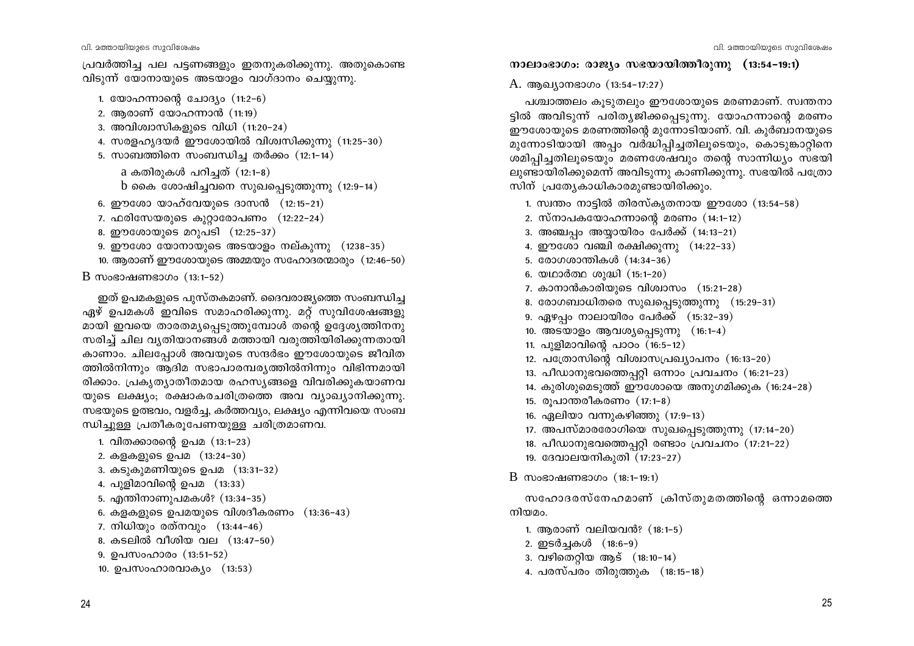${a}$ പവർത്തിച്ച പല പട്ടണങ്ങളും ഇതനുകരിക്കുന്നു. അതുകൊണ്ട വിടുന്ന് യോനായുടെ അടയാളം വാഗ്ദാനം ചെയ്യുന്നു.

- 1. യോഹന്നാന്റെ ചോദ്യം  $(11:2-6)$
- 2. ആരാണ് യോഹന്നാൻ  $(11:19)$
- $3.$  അവിശ്വാസികളുടെ വിധി  $(11:20-24)$
- 4. സരളഹൃദയർ ഈശോയിൽ വിശ്വസിക്കുന്നു (11:25-30)
- $5.$  സാബത്തിനെ സംബന്ധിച്ച തർക്കം  $(12:1-14)$ 
	- $a \nabla \omega$ ിരുകൾ പറിച്ചത് (12:1–8)
	- $b$  കൈ ശോഷിച്ചവനെ സുഖപ്പെടുത്തുന്നു  $(12:9-14)$
- 6. ഈശോ യാഹ്വേയുടെ ദാസൻ  $(12:15-21)$
- 7. ഫരിസേയരുടെ കുറ്റാരോപണം (12:22-24)
- 8. ഈശോയുടെ മറുപടി (12:25-37)
- 9. ഈശോ യോനായുടെ അടയാളം നല്കുന്നു  $(1238-35)$
- $10.$  ആരാണ് ഈശോയുടെ അമ്മയും സഹോദരന്മാരും  $(12:46-50)$

 $B$  സംഭാഷണഭാഗം (13:1–52)

ഇത് ഉപമകളുടെ പുസ്തകമാണ്. ദൈവരാജ്യത്തെ സംബന്ധിച്ച ഏഴ് ഉപമകൾ ഇവിടെ സമാഹരിക്കുന്നു. മറ്റ് സുവിശേഷങ്ങളു മായി ഇവയെ താരതമൃപ്പെടുത്തുമ്പോൾ തന്റെ ഉദ്ദേശൃത്തിനനു സരിച്ച് ചില വൃതിയാനങ്ങൾ മത്തായി വരുത്തിയിരിക്കുന്നതായി കാണാം. ചിലപ്പോൾ അവയുടെ സന്ദർഭം ഈശോയുടെ ജീവിത ത്തിൽനിന്നും ആദിമ സഭാപാരമ്പരൃത്തിൽനിന്നും വിഭിന്നമായി രിക്കാം. പ്രകൃത്യാതീതമായ രഹസ്യങ്ങളെ വിവരിക്കുകയാണവ യുടെ ലക്ഷ്യം; രക്ഷാകരചരിത്രത്തെ അവ വ്യാഖ്യാനിക്കുന്നു. സഭയുടെ ഉത്ഭവം, വളർച്ച, കർത്തവ്യം, ലക്ഷ്യം എന്നിവയെ സംബ ന്ധിച്ചുള്ള പ്രതീകരൂപേണയുള്ള ചരിത്രമാണവ.

- 1. വിതക്കാരന്റെ ഉപമ (13:1–23)
- 2. കളകളുടെ ഉപമ  $(13:24-30)$
- 3. കടുകുമണിയുടെ ഉപമ (13:31-32)
- 4. പുളിമാവിന്റെ ഉപമ $(13:33)$
- 5. എന്തിനാണുപമകൾ? (13:34-35)
- $6.$  കളകളുടെ ഉപമയുടെ വിശദീകരണം  $(13:36-43)$
- 7. നിധിയും രത്നവും  $(13:44-46)$
- 8. കടലിൽ വീശിയ വല (13:47-50)
- $9.$  ഉപസംഹാരം  $(13:51-52)$
- 10. ഉപസംഹാരവാകൃം  $(13:53)$

moലാംഭാഗം: രാജ്യം സഭയായിത്തീരുന്നു (13:54−19:1)

A. ആഖ്യാനഭാഗം (13:54-17:27)

പശ്ചാത്തലം കൂടുതലും ഈശോയുടെ മരണമാണ്. സ്വന്തനാ ട്ടിൽ അവിടുന്ന് പരിതൃജിക്കപ്പെടുന്നു. യോഹന്നാന്റെ മരണം ഈശോയുടെ മരണത്തിന്റെ മുന്നോടിയാണ്. വി. കുർബാനയുടെ മുന്നോടിയായി അപ്പം വർദ്ധിപ്പിച്ചതിലൂടെയും, കൊടുങ്കാറ്റിനെ ശമിപ്പിച്ചതിലുടെയും മരണശേഷവും തന്റെ സാന്നിധ്യം സഭയി ലുണ്ടായിരിക്കുമെന്ന് അവിടുന്നു കാണിക്കുന്നു. സഭയിൽ പത്രോ സിന് പ്രത്യേകാധികാരമുണ്ടായിരിക്കും.

1. സ്വന്തം നാട്ടിൽ തിരസ്കൃതനായ ഈശോ  $(13:54-58)$ 

- 2. സ്നാപകയോഹന്നാന്റെ മരണം  $(14:1-12)$
- 3. അഞ്ചപ്പം അയ്യായിരം പേർക്ക് (14:13-21)
- 4. ഈശോ വഞ്ചി രക്ഷിക്കുന്നു (14:22-33)
- $5.$  മോഗശാന്തികൾ  $(14:34-36)$
- 6. യഥാർത്ഥ ശുദ്ധി (15:1−20)
- 7. കാനാൻകാരിയുടെ വിശ്വാസം (15:21-28)
- 8. രോഗബാധിതരെ സുഖപ്പെടുത്തുന്നു  $(15:29-31)$
- 9. ഏഴപ്പം നാലായിരം പേർക്ക് (15:32−39)
- 10. അടയാളം ആവശ്യപ്പെടുന്നു  $(16:1-4)$
- 11. പുളിമാവിന്റെ പാഠം (16:5-12)
- 12. പത്രോസിന്റെ വിശ്വാസപ്രഖ്യാപനം  $(16:13-20)$
- $13.$  പീഡാനുഭവത്തെപ്പറ്റി ഒന്നാം പ്രവചനം  $(16:21-23)$
- 14. കുരിശുമെടുത്ത് ഈശോയെ അനുഗമിക്കുക $(16:24-28)$
- $15.$  രൂപാന്തരീകരണം  $(17:1-8)$
- 16. ഏലിയാ വന്നുകഴിഞ്ഞു (17:9−13)
- 17. അപസ്മാരരോഗിയെ സുഖപ്പെടുത്തുന്നു  $(17:14-20)$
- 18. പീഡാനുഭവത്തെപ്പറ്റി രണ്ടാം പ്രവചനം  $(17:21-22)$
- 19. ദേവാലയനികുതി (17:23-27)

 $\,$ B സംഭാഷണഭാഗം (18:1–19:1)

ിസഹോദരസ്നേഹമാണ് ക്രിസ്തുമതത്തിന്റെ ഒന്നാമത്തെ നിയമ $\circ$ .

- 1. ആരാണ് വലിയവൻ? (18:1–5)
- 2. ഇടർച്ചകൾ  $(18:6-9)$
- $3.$  വഴിതെറ്റിയ ആട്  $(18:10-14)$
- 4. പരസ്പരം തിരുത്തുക (18:15-18)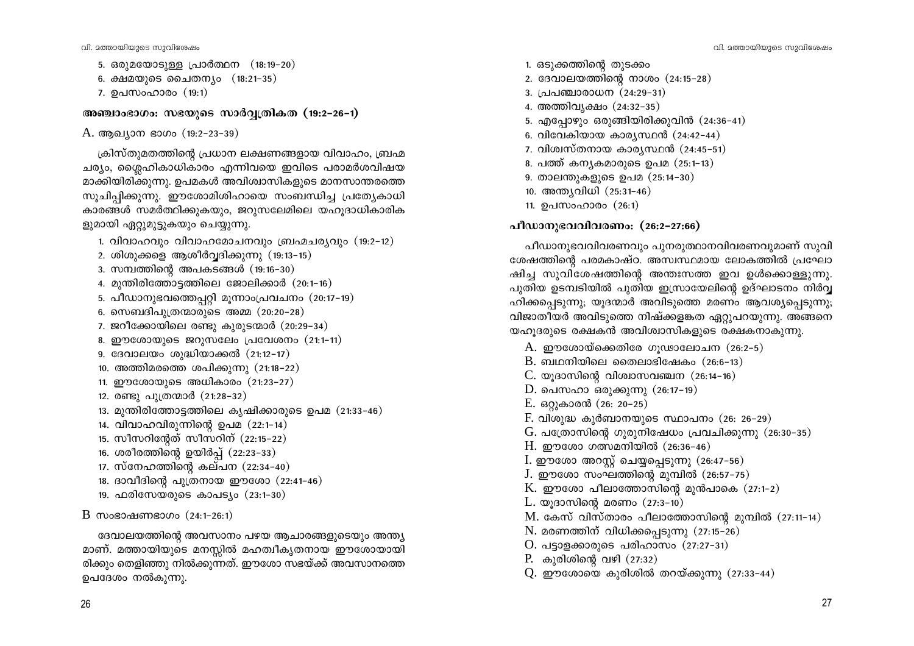$5.$  ഒരുമയോടുള്ള പ്രാർത്ഥന  $(18:19-20)$ 

```
6. ക്ഷമയുടെ ചൈതന്യം (18:21-35)
```
7. ഉപസംഹാരം  $(19:1)$ 

അഞ്ചാംഭാഗം: സഭയുടെ സാർവ്വത്രികത (19:2-26-1)

## A. ആഖ്യാന ഭാഗം (19:2-23-39)

ക്രിസ്തുമതത്തിന്റെ പ്രധാന ലക്ഷണങ്ങളായ വിവാഹം, ബ്രഹ്മ ചര്യം, ശ്ലൈഹികാധികാരം എന്നിവയെ ഇവിടെ പരാമർശവിഷയ മാക്കിയിരിക്കുന്നു. ഉപമകൾ അവിശ്വാസികളുടെ മാനസാന്തരത്തെ സുചിപ്പിക്കുന്നു. ഈശോമിശിഹായെ സംബന്ധിച്ച പ്രത്യേകാധി കാരങ്ങൾ സമർത്ഥിക്കുകയും, ജറുസലേമിലെ യഹൂദാധികാരിക ളുമായി ഏറ്റുമുട്ടുകയും ചെയ്യുന്നു.

- 1. വിവാഹവും വിവാഹമോചനവും ബ്രഹ്മചര്യവും (19:2-12)
- 2. ശിശുക്കളെ ആശീർവ്വദിക്കുന്നു (19:13-15)
- 3. സമ്പത്തിന്റെ അപകടങ്ങൾ (19:16-30)
- 4. മുന്തിരിത്തോട്ടത്തിലെ ജോലിക്കാർ (20:1-16)
- 5. പീഡാനുഭവത്തെപ്പറ്റി മുന്നാംപ്രവചനം (20:17-19)
- 6. സെബദിപുത്രന്മാരുടെ അമ്മ  $(20:20-28)$
- 7. ജറീക്കോയിലെ രണ്ടു കൂരുടന്മാർ (20:29-34)
- 8. ഈശോയുടെ ജറുസലോ പ്രവേശനം (21:1-11)
- 9. ദേവാലയം ശുദ്ധിയാക്കൽ (21:12-17)
- 10. അത്തിമരത്തെ ശപിക്കുന്നു  $(21:18-22)$
- 11. ഈശോയുടെ അധികാരം (21:23-27)
- 12. രണ്ടു പുത്രന്മാർ (21:28-32)
- 13. മുന്തിരിത്തോട്ടത്തിലെ കൃഷിക്കാരുടെ ഉപമ (21:33-46)
- 14. വിവാഹവിരുന്നിന്റെ ഉപമ (22:1-14)
- 15. സീസറിന്റേത് സീസറിന് (22:15-22)
- 16. ശരീരത്തിന്റെ ഉയിർപ്പ് (22:23-33)
- 17. സ്നേഹത്തിന്റെ കല്പന  $(22:34-40)$
- 18. ദാവീദിന്റെ പുത്രനായ ഈശോ (22:41-46)
- 19. ഫരിസേയരുടെ കാപട്യം (23:1-30)

 $\rm{B}$  സംഭാഷണഭാഗം (24:1-26:1)

ദേവാലയത്തിന്റെ അവസാനം പഴയ ആചാരങ്ങളുടെയും അന്ത്യ മാണ്. മത്തായിയുടെ മനസ്സിൽ മഹത്വീകൃതനായ ഈശോയായി രിക്കും തെളിഞ്ഞു നിൽക്കുന്നത്. ഈശോ സഭയ്ക്ക് അവസാനത്തെ ഉപദേശം നൽകുന്നു.

- 1. ഒടുക്കത്തിന്റെ തുടക്കം
- 2. ദേവാലയത്തിന്റെ നാശം (24:15-28)
- 3. പ്രപഞ്ചാരാധന (24:29-31)
- 4. അത്തിവൃക്ഷം (24:32-35)
- 5. എപ്പോഴും ഒരുങ്ങിയിരിക്കുവിൻ (24:36-41)
- 6. വിവേകിയായ കാര്യസ്ഥൻ (24:42-44)
- 7. വിശ്വസ്തനായ കാര്യസ്ഥൻ (24:45-51)
- 8. പത്ത് കനൃകമാരുടെ ഉപമ (25:1-13)
- $9.$  താലന്തുകളുടെ ഉപമ $(25:14-30)$
- 10. അന്ത്യവിധി (25:31-46)
- 11. ഉപസംഹാരം  $(26:1)$

## പീഡാനുഭവവിവരണം: (26:2-27:66)

പീഡാനുഭവവിവരണവും പുനരുത്ഥാനവിവരണവുമാണ് സുവി ശേഷത്തിന്റെ പരമകാഷ്ഠ. അസ്വസ്ഥമായ ലോകത്തിൽ പ്രഘോ ഷിച്ച സുവിശേഷത്തിന്റെ അന്തഃസത്ത ഇവ ഉൾക്കൊള്ളുന്നു. പുതിയ ഉടമ്പടിയിൽ പുതിയ ഇസ്രായേലിന്റെ ഉദ്ഘാടനം നിർവ്വ ഹിക്കപ്പെടുന്നു; യൂദന്മാർ അവിടുത്തെ മരണം ആവശ്യപ്പെടുന്നു; വിജാതിയർ അവിടുത്തെ നിഷ്ക്കളങ്കത ഏറ്റുപറയുന്നു. അങ്ങനെ യഹുദരുടെ രക്ഷകൻ അവിശ്വാസികളുടെ രക്ഷകനാകുന്നു.

- A. ഈശോയ്ക്കെതിരേ ഗൂഢാലോചന  $(26:2-5)$
- $B.$  ബഥനിയിലെ തൈലാഭിഷേകം  $(26:6-13)$
- C. യൂദാസിന്റെ വിശ്വാസവഞ്ചന  $(26:14-16)$
- $D.$  പെസഹാ ഒരുക്കുന്നു  $(26:17-19)$
- $E.$  ഒറ്റുകാരൻ (26: 20-25)
- $F.$  വിശുദ്ധ കുർബാനയുടെ സ്ഥാപനം (26: 26-29)
- $G.$  പത്രോസിന്റെ ഗുരുനിഷേധം പ്രവചിക്കുന്നു  $(26:30-35)$
- H. ഈശോ ഗത്സമനിയിൽ (26:36-46)
- $I.$  ഈശോ അറസ്റ്റ് ചെയ്യപ്പെടുന്നു (26:47-56)
- J. ഈശോ സംഘത്തിന്റെ മുമ്പിൽ (26:57-75)
- $K.$  ഈശോ പീലാത്തോസിന്റെ മുൻപാകെ (27:1-2)
- $L.$  യൂദാസിന്റെ മരണം  $(27:3-10)$
- M. കേസ് വിസ്താരം പീലാത്തോസിന്റെ മുമ്പിൽ  $(27:11-14)$
- $N.$  മരണത്തിന് വിധിക്കപ്പെടുന്നു  $(27:15-26)$
- O. പട്ടാളക്കാരുടെ പരിഹാസം (27:27-31)
- P. കുരിശിന്റെ വഴി  $(27:32)$
- $Q.$  ഈശോയെ കുരിശിൽ തറയ്ക്കുന്നു (27:33-44)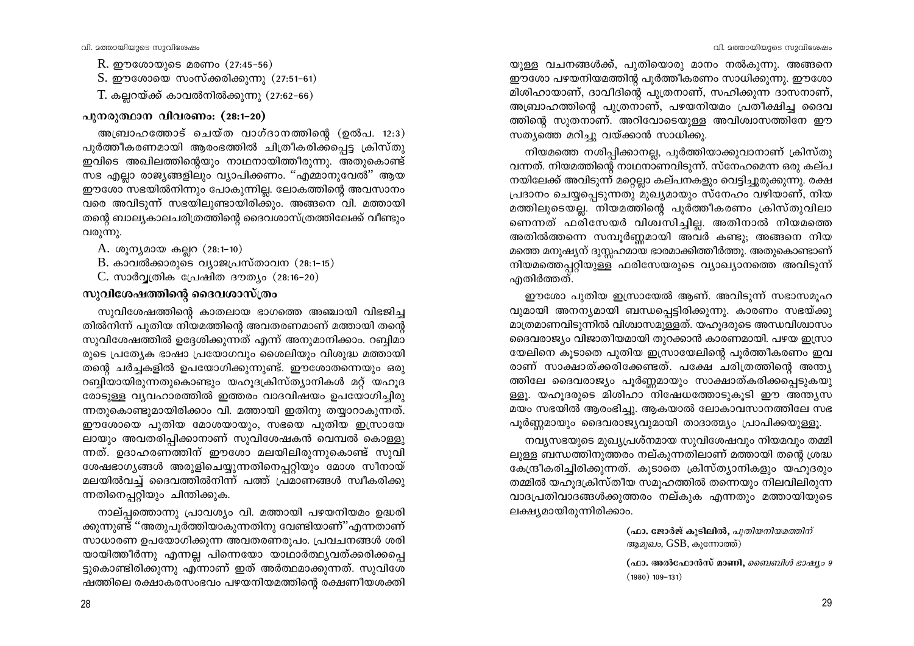R. ഈശോയുടെ മരണം (27:45-56)

S. ഈശോയെ സംസ്ക്കരിക്കുന്നു  $(27:51-61)$ 

 $T.$  കല്ലറയ്ക്ക് കാവൽനിൽക്കുന്നു  $(27:62-66)$ 

## പുനരുത്ഥാന വിവരണം: (28:1-20)

അബ്രാഹത്തോട് ചെയ്ത വാഗ്ദാനത്തിന്റെ (ഉൽപ. 12:3) പൂർത്തീകരണമായി ആരംഭത്തിൽ ചിത്രീകരിക്കപ്പെട്ട ക്രിസ്തു ഇവിടെ അഖിലത്തിന്റെയും നാഥനായിത്തീരുന്നു. അതുകൊണ്ട് സഭ എല്ലാ രാജ്യങ്ങളിലും വ്യാപിക്കണം. ''എമ്മാനുവേൽ'' ആയ ഈശോ സഭയിൽനിന്നും പോകുന്നില്ല. ലോകത്തിന്റെ അവസാനം വരെ അവിടുന്ന് സഭയിലുണ്ടായിരിക്കും. അങ്ങനെ വി. മത്തായി തന്റെ ബാല്യകാലചരിത്രത്തിന്റെ ദൈവശാസ്ത്രത്തിലേക്ക് വീണ്ടും വരുന്നു.

- A. ശുന്യമായ കല്ലറ  $(28:1-10)$
- $B.$  കാവൽക്കാരുടെ വ്യാജപ്രസ്താവന  $(28:1-15)$
- C. സാർവ്വത്രിക പ്രേഷിത ദൗത്യം (28:16-20)

## സുവിശേഷത്തിന്റെ ദൈവശാസ്ത്രം

സുവിശേഷത്തിന്റെ കാതലായ ഭാഗത്തെ അഞ്ചായി വിഭജിച്ച തിൽനിന്ന് പുതിയ നിയമത്തിന്റെ അവതരണമാണ് മത്തായി തന്റെ സുവിശേഷത്തിൽ ഉദ്ദേശിക്കുന്നത് എന്ന് അനുമാനിക്കാം. റബ്ബിമാ രുടെ പ്രത്യേക ഭാഷാ പ്രയോഗവും ശൈലിയും വിശുദ്ധ മത്തായി തന്റെ ചർച്ചകളിൽ ഉപയോഗിക്കുന്നുണ്ട്. ഈശോതന്നെയും ഒരു റബ്ബിയായിരുന്നതുകൊണ്ടും യഹൂദക്രിസ്ത്യാനികൾ മറ്റ് യഹൂദ രോടുള്ള വ്യവഹാരത്തിൽ ഇത്തരം വാദവിഷയം ഉപയോഗിച്ചിരു ന്നതുകൊണ്ടുമായിരിക്കാം വി. മത്തായി ഇതിനു തയ്യാറാകുന്നത്. ഈശോയെ പുതിയ മോശയായും, സഭയെ പുതിയ ഇസ്രായേ ലായും അവതരിപ്പിക്കാനാണ് സുവിശേഷകൻ വെമ്പൽ കൊള്ളു ന്നത്. ഉദാഹരണത്തിന് ഈശോ മലയിലിരുന്നുകൊണ്ട് സുവി ശേഷഭാഗൃങ്ങൾ അരുളിചെയ്യുന്നതിനെപ്പറ്റിയും മോശ സീനായ് മലയിൽവച്ച് ദൈവത്തിൽനിന്ന് പത്ത് പ്രമാണങ്ങൾ സ്വീകരിക്കു ന്നതിനെപ്പറ്റിയും ചിന്തിക്കുക.

നാല്പ്പത്തൊന്നു പ്രാവശ്യം വി. മത്തായി പഴയനിയമം ഉദ്ധരി ക്കുന്നുണ്ട് ''അതുപൂർത്തിയാകുന്നതിനു വേണ്ടിയാണ്''എന്നതാണ് സാധാരണ ഉപയോഗിക്കുന്ന അവതരണരുപം. പ്രവചനങ്ങൾ ശരി യായിത്തീർന്നു എന്നല്ല പിന്നെയോ യാഥാർത്ഥ്യവത്ക്കരിക്കപ്പെ ട്ടുകൊണ്ടിരിക്കുന്നു എന്നാണ് ഇത് അർത്ഥമാക്കുന്നത്. സുവിശേ ഷത്തിലെ രക്ഷാകരസംഭവം പഴയനിയമത്തിന്റെ രക്ഷണീയശക്തി

യുള്ള വചനങ്ങൾക്ക്, പുതിയൊരു മാനം നൽകുന്നു. അങ്ങനെ ഈശോ പഴയനിയമത്തിന്റ പുർത്തീകരണം സാധിക്കുന്നു. ഈശോ മിശിഹായാണ്, ദാവീദിന്റെ പുത്രനാണ്, സഹിക്കുന്ന ദാസനാണ്, അബ്രാഹത്തിന്റെ പുത്രനാണ്, പഴയനിയമം പ്രതീക്ഷിച്ച ദൈവ ത്തിന്റെ സുതനാണ്. അറിവോടെയുള്ള അവിശ്വാസത്തിനേ ഈ സത്യത്തെ മറിച്ചു വയ്ക്കാൻ സാധിക്കു.

നിയമത്തെ നശിപ്പിക്കാനല്ല, പൂർത്തിയാക്കുവാനാണ് ക്രിസ്തു വന്നത്. നിയമത്തിന്റെ നാഥനാണവിടുന്ന്. സ്നേഹമെന്ന ഒരു കല്പ നയിലേക്ക് അവിടുന്ന് മറ്റെല്ലാ കല്പനകളും വെട്ടിച്ചുരുക്കുന്നു. രക്ഷ പ്രദാനം ചെയ്യപ്പെടുന്നതു മുഖ്യമായും സ്നേഹം വഴിയാണ്, നിയ മത്തിലൂടെയല്ല. നിയമത്തിന്റെ പൂർത്തീകരണം ക്രിസ്തുവിലാ ണെന്നത് ഫരിസേയർ വിശ്വസിച്ചില്ല. അതിനാൽ നിയമത്തെ അതിൽത്തന്നെ സമ്പൂർണ്ണമായി അവർ കണ്ടു; അങ്ങനെ നിയ മത്തെ മനുഷ്യന് ദുസ്സഹമായ ഭാരമാക്കിത്തീർത്തു. അതുകൊണ്ടാണ് നിയമത്തെപ്പറ്റിയുള്ള ഫരിസേയരുടെ വ്യാഖ്യാനത്തെ അവിടുന്ന് എതിർത്തത്.

ഈശോ പുതിയ ഇസ്രായേൽ ആണ്. അവിടുന്ന് സഭാസമുഹ വുമായി അനന്യമായി ബന്ധപ്പെട്ടിരിക്കുന്നു. കാരണം സഭയ്ക്കു മാത്രമാണവിടുന്നിൽ വിശ്വാസമുള്ളത്. യഹുദരുടെ അന്ധവിശ്വാസം ദൈവരാജ്യം വിജാതീയമായി തുറക്കാൻ കാരണമായി. പഴയ ഇസ്രാ യേലിനെ കൂടാതെ പുതിയ ഇസ്രായേലിന്റെ പൂർത്തീകരണം ഇവ രാണ് സാക്ഷാത്ക്കരിക്കേണ്ടത്. പക്ഷേ ചരിത്രത്തിന്റെ അന്ത്യ ത്തിലേ ദൈവരാജ്യം പൂർണ്ണമായും സാക്ഷാത്കരിക്കപ്പെടുകയു ള്ളൂ. യഹൂദരുടെ മിശിഹാ നിഷേധത്തോടുകൂടി ഈ അന്ത്യസ മയം സഭയിൽ ആരംഭിച്ചു. ആകയാൽ ലോകാവസാനത്തിലേ സഭ പൂർണ്ണമായും ദൈവരാജ്യവുമായി താദാത്മ്യം പ്രാപിക്കയുള്ളു.

നവൃസഭയുടെ മുഖ്യപ്രശ്നമായ സുവിശേഷവും നിയമവും തമ്മി ലുള്ള ബന്ധത്തിനുത്തരം നല്കുന്നതിലാണ് മത്തായി തന്റെ ശ്രദ്ധ കേന്ദ്രീകരിച്ചിരിക്കുന്നത്. കുടാതെ ക്രിസ്ത്യാനികളും യഹുദരും തമ്മിൽ യഹുദക്രിസ്തീയ സമുഹത്തിൽ തന്നെയും നിലവിലിരുന്ന വാദപ്രതിവാദങ്ങൾക്കുത്തരം നല്കുക എന്നതും മത്തായിയുടെ ലക്ഷ്യമായിരുന്നിരിക്കാം.

> (ഫാ. ജോർജ് കുടിലിൽ, *പുതിയനിയമത്തിന് ആമുഖം*, GSB, കുന്നോത്ത്)

(ഫാ. അൽഫോൻസ് മാണി, ബൈബിൾ ഭാഷ്യം 9  $(1980) 109 - 131)$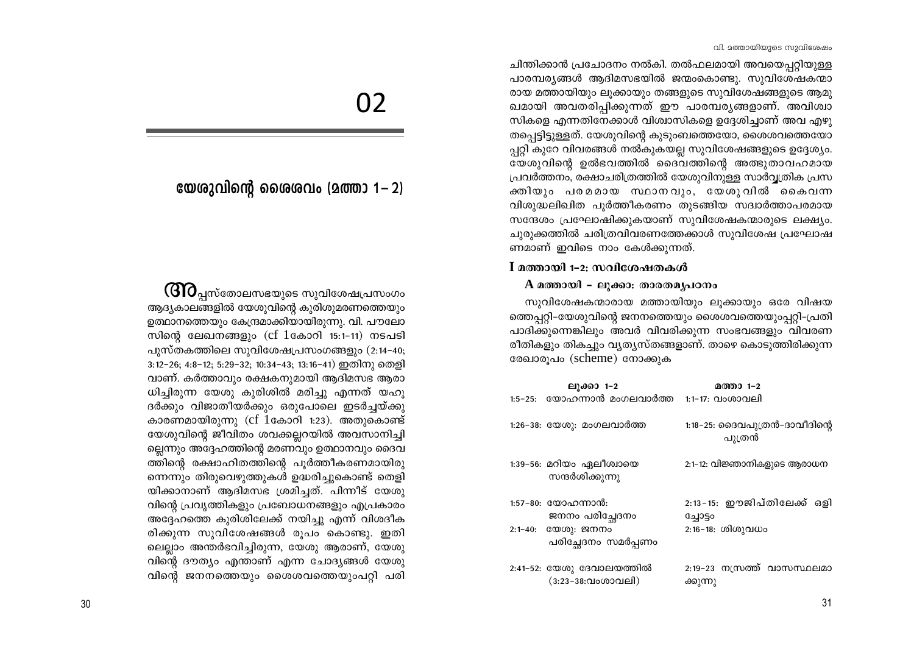ചിന്തിക്കാൻ പ്രചോദനം നൽകി. തൽഫലമായി അവയെപ്പറ്റിയുള്ള പാരമ്പര്യങ്ങൾ ആദിമസഭയിൽ ജന്മംകൊണ്ടു. സുവിശേഷകന്മാ രായ മത്തായിയും ലുക്കായും തങ്ങളുടെ സുവിശേഷങ്ങളുടെ ആമു ഖമായി അവതരിപ്പിക്കുന്നത് ഈ പാരമ്പര്യങ്ങളാണ്. അവിശ്വാ സികളെ എന്നതിനേക്കാൾ വിശ്വാസികളെ ഉദ്ദേശിച്ചാണ് അവ എഴു തപ്പെട്ടിട്ടുള്ളത്. യേശുവിന്റെ കുടുംബത്തെയോ, ശൈശവത്തെയോ പ്പറ്റി കുറേ വിവരങ്ങൾ നൽകുകയല്ല സുവിശേഷങ്ങളുടെ ഉദ്ദേശ്യം. യേശുവിന്റെ ഉൽഭവത്തിൽ ദൈവത്തിന്റെ അത്ഭുതാവഹമായ പ്രവർത്തനം, രക്ഷാചരിത്രത്തിൽ യേശുവിനുള്ള സാർവ്വത്രിക പ്രസ ക്തിയും പരമമായ സ്ഥാനവും, യേശുവിൽ കൈവന്ന വിശുദ്ധലിഖിത പൂർത്തീകരണം തുടങ്ങിയ സദ്ധാർത്താപരമായ സന്ദേശം പ്രഘോഷിക്കുകയാണ് സുവിശേഷകന്മാരുടെ ലക്ഷ്യം. ചൂരുക്കത്തിൽ ചരിത്രവിവരണത്തേക്കാൾ സൂവിശേഷ പ്രഘോഷ ണമാണ് ഇവിടെ നാം കേൾക്കുന്നത്.

## I മത്തായി 1-2: സവിശേഷതകൾ

#### A മത്തായി – ലൂക്കാ: താരതമൃപഠനം

സുവിശേഷകന്മാരായ മത്തായിയും ലുക്കായും ഒരേ വിഷയ ത്തെപ്പറ്റി-യേശുവിന്റെ ജനനത്തെയും ശൈശവത്തെയുംപ്പറ്റി-പ്രതി പാദിക്കുന്നെങ്കിലും അവർ വിവരിക്കുന്ന സംഭവങ്ങളും വിവരണ രീതികളും തികച്ചും വ്യത്യസ്തങ്ങളാണ്. താഴെ കൊടുത്തിരിക്കുന്ന രേഖാരൂപം (scheme) നോക്കുക

| മത്താ 1–2                                   |
|---------------------------------------------|
| 1:5-25: യോഹന്നാൻ മംഗലവാർത്ത 1:1-17: വംശാവലി |
| 1:18-25: ദൈവപുത്രൻ-ദാവീദിന്റെ<br>പുത്രൻ     |
| 2:1–12: വിജ്ഞാനികളുടെ ആരാധന                 |
| 2:13-15: ഈജിപ്തിലേക്ക്<br>ഒളി<br>ച്ചോട്ടം   |
| 2:16-18: ശിശുവധം                            |
|                                             |
| 2:19-23 നസ്രത്ത് വാസസ്ഥലമാ<br>ക്കുന്നു      |
|                                             |

## 02

## യേശുവിന്റെ ശൈശവം (മത്താ 1– 2)

 $\alpha$  ( $\alpha$ )  $\alpha$ ിന്തോലസഭയുടെ സുവിശേഷപ്രസംഗം ആദ്യകാലങ്ങളിൽ യേശുവിന്റെ കുരിശുമരണത്തെയും ഉത്ഥാനത്തെയും കേന്ദ്രമാക്കിയായിരുന്നു. വി. പൗലോ സിന്റെ ലേഖനങ്ങളും (cf 1കോറി 15:1-11) നടപടി പുസ്തകത്തിലെ സുവിശേഷപ്രസംഗങ്ങളും (2:14-40; 3:12-26; 4:8-12; 5:29-32; 10:34-43; 13:16-41) ഇതിനു തെളി വാണ്. കർത്താവും രക്ഷകനുമായി ആദിമസഭ ആരാ ധിച്ചിരുന്ന യേശു കുരിശിൽ മരിച്ചു എന്നത് യഹു ദർക്കും വിജാതീയർക്കും ഒരുപോലെ ഇടർച്ചയ്ക്കു കാരണമായിരുന്നു (cf 1കോറി 1:23). അതുകൊണ്ട് യേശുവിന്റെ ജീവിതം ശവക്കല്ലറയിൽ അവസാനിച്ചി ല്ലെന്നും അദ്ദേഹത്തിന്റെ മരണവും ഉത്ഥാനവും ദൈവ ത്തിന്റെ രക്ഷാഹിതത്തിന്റെ പുർത്തീകരണമായിരു ന്നെന്നും തിരുവെഴുത്തുകൾ ഉദ്ധരിച്ചുകൊണ്ട് തെളി യിക്കാനാണ് ആദിമസഭ ശ്രമിച്ചത്. പിന്നീട് യേശു വിന്റെ പ്രവൃത്തികളും പ്രബോധനങ്ങളും എപ്രകാരം അദ്ദേഹത്തെ കുരിശിലേക്ക് നയിച്ചു എന്ന് വിശദീക രിക്കുന്ന സുവിശേഷങ്ങൾ രൂപം കൊണ്ടു. ഇതി ലെല്ലാം അന്തർഭവിച്ചിരുന്ന, യേശു ആരാണ്, യേശു വിന്റെ ദൗത്യം എന്താണ് എന്ന ചോദ്യങ്ങൾ യേശു വിന്റെ ജനനത്തെയും ശൈശവത്തെയുംപറ്റി പരി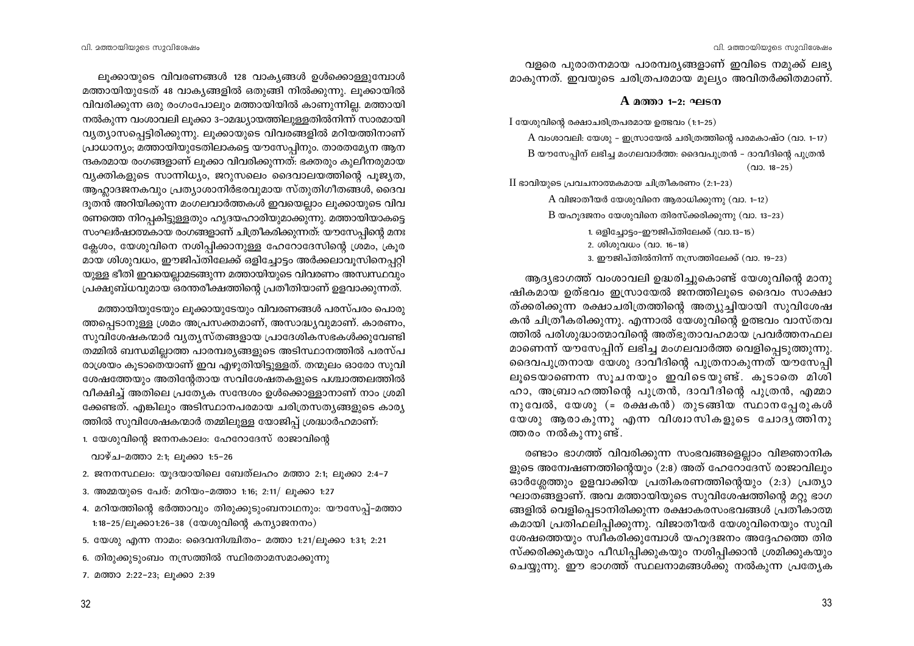വളരെ പുരാതനമായ പാരമ്പര്യങ്ങളാണ് ഇവിടെ നമുക്ക് ലഭ്യ മാകുന്നത്. ഇവയുടെ ചരിത്രപരമായ മുല്യം അവിതർക്കിതമാണ്.

#### A മത്താ 1–2: ഘടന

 $I$  യേശുവിന്റെ രക്ഷാചരിത്രപരമായ ഉത്ഭവം  $(1:1-25)$ 

 $A$  വംശാവലി: യേശു - ഇസ്രായേൽ ചരിത്രത്തിന്റെ പരമകാഷ്ഠ (വാ. 1-17)  $B$  യൗസേപ്പിന് ലഭിച്ച മംഗലവാർത്ത: ദൈവപുത്രൻ - ദാവീദിന്റെ പുത്രൻ  $(210. 18-25)$ 

 $\text{II}$  ഭാവിയുടെ പ്രവചനാത്മകമായ ചിത്രീകരണം (2:1-23)

 $A$  വിജാതീയർ യേശുവിനെ ആരാധിക്കുന്നു (വാ. 1-12)

B യഹുദജനം യേശുവിനെ തിരസ്ക്കരിക്കുന്നു (വാ. 13–23)

1. ഒളിച്ചോട്ടം-ഈജിപ്തിലേക്ക് (വാ.13-15)

2. ശിശുവധം (വാ. 16-18)

3. ഈജിപ്തിൽനിന്ന് നസ്രത്തിലേക്ക് (വാ. 19–23)

ആദ്യഭാഗത്ത് വംശാവലി ഉദ്ധരിച്ചുകൊണ്ട് യേശുവിന്റെ മാനു ഷികമായ ഉത്ഭവം ഇസ്രായേൽ ജനത്തിലൂടെ ദൈവം സാക്ഷാ ത്ക്കരിക്കുന്ന രക്ഷാചരിത്രത്തിന്റെ അത്യുച്ചിയായി സുവിശേഷ കൻ ചിത്രീകരിക്കുന്നു. എന്നാൽ യേശുവിന്റെ ഉത്ഭവം വാസ്തവ ത്തിൽ പരിശുദ്ധാത്മാവിന്റെ അത്ഭുതാവഹമായ പ്രവർത്തനഫല മാണെന്ന് യൗസേപ്പിന് ലഭിച്ച മംഗലവാർത്ത വെളിപ്പെടുത്തുന്നു. ദൈവപുത്രനായ യേശു ദാവീദിന്റെ പുത്രനാകുന്നത് യൗസേപ്പി ലൂടെയാണെന്ന സുചനയും ഇവിടെയുണ്ട്. കൂടാതെ മിശി ഹാ, അബ്രാഹത്തിന്റെ പുത്രൻ, ദാവീദിന്റെ പുത്രൻ, എമ്മാ നുവേൽ, യേശു (= രക്ഷകൻ) തുടങ്ങിയ സ്ഥാനപ്പേരുകൾ യേശു ആരാകുന്നു എന്ന വിശ്വാസികളുടെ ചോദൃത്തിനു ത്തരം നൽകുന്നുണ്ട്.

രണ്ടാം ഭാഗത്ത് വിവരിക്കുന്ന സംഭവങ്ങളെല്ലാം വിജ്ഞാനിക ളുടെ അന്വേഷണത്തിന്റെയും (2:8) അത് ഹേറോദേസ് രാജാവിലും ഓർശ്ലേത്തും ഉളവാക്കിയ പ്രതികരണത്തിന്റെയും (2:3) പ്രത്യാ ഘാതങ്ങളാണ്. അവ മത്തായിയുടെ സുവിശേഷത്തിന്റെ മറ്റു ഭാഗ ങ്ങളിൽ വെളിപ്പെടാനിരിക്കുന്ന രക്ഷാകരസംഭവങ്ങൾ പ്രതീകാത്മ കമായി പ്രതിഫലിപ്പിക്കുന്നു. വിജാതീയർ യേശുവിനെയും സുവി ശേഷത്തെയും സ്വീകരിക്കുമ്പോൾ യഹൂദജനം അദ്ദേഹത്തെ തിര സ്ക്കരിക്കുകയും പീഡിപ്പിക്കുകയും നശിപ്പിക്കാൻ ശ്രമിക്കുകയും ചെയ്യുന്നു. ഈ ഭാഗത്ത് സ്ഥലനാമങ്ങൾക്കു നൽകുന്ന പ്രത്യേക

ലൂക്കായുടെ വിവരണങ്ങൾ 128 വാകൃങ്ങൾ ഉൾക്കൊള്ളുമ്പോൾ മത്തായിയുടേത് 48 വാകൃങ്ങളിൽ ഒതുങ്ങി നിൽക്കുന്നു. ലുക്കായിൽ വിവരിക്കുന്ന ഒരു രംഗംപോലും മത്തായിയിൽ കാണുന്നില്ല. മത്തായി നൽകുന്ന വംശാവലി ലൂക്കാ 3–ാമദ്ധ്യായത്തിലുള്ളതിൽനിന്ന് സാരമായി വ്യത്യാസപ്പെട്ടിരിക്കുന്നു. ലുക്കായുടെ വിവരങ്ങളിൽ മറിയത്തിനാണ് പ്രാധാന്യം; മത്തായിയുടേതിലാകട്ടെ യൗസേപ്പിനും. താരതമ്യേന ആന ന്ദകരമായ രംഗങ്ങളാണ് ലൂക്കാ വിവരിക്കുന്നത്: ഭക്തരും കുലീനരുമായ വ്യക്തികളുടെ സാന്നിധ്യം, ജറുസലെം ദൈവാലയത്തിന്റെ പുജ്യത, ആഹ്ലാദജനകവും പ്രത്യാശാനിർഭരവുമായ സ്തുതിഗീതങ്ങൾ, ദൈവ ദൂതൻ അറിയിക്കുന്ന മംഗലവാർത്തകൾ ഇവയെല്ലാം ലൂക്കായുടെ വിവ രണത്തെ നിറപ്പകിട്ടുള്ളതും ഹൃദയഹാരിയുമാക്കുന്നു. മത്തായിയാകട്ടെ സംഘർഷാത്മകായ രംഗങ്ങളാണ് ചിത്രീകരിക്കുന്നത്: യൗസേപ്പിന്റെ മനഃ ക്ലേശം, യേശുവിനെ നശിപ്പിക്കാനുള്ള ഹേറോദേസിന്റെ ശ്രമം, ക്രൂര മായ ശിശുവധം, ഈജിപ്തിലേക്ക് ഒളിച്ചോട്ടം അർക്കലാവുസിനെപ്പറ്റി യുള്ള ഭീതി ഇവയെല്ലാമടങ്ങുന്ന മത്തായിയുടെ വിവരണം അസ്ഥസ്ഥവും പ്രക്ഷുബ്ധവുമായ ഒരന്തരീക്ഷത്തിന്റെ പ്രതീതിയാണ് ഉളവാക്കുന്നത്.

മത്തായിയുടേയും ലൂക്കായുടേയും വിവരണങ്ങൾ പരസ്പരം പൊരു ത്തപ്പെടാനുള്ള ശ്രമം അപ്രസക്തമാണ്, അസാദ്ധ്യവുമാണ്. കാരണം, സുവിശേഷകന്മാർ വ്യത്യസ്തങ്ങളായ പ്രാദേശികസഭകൾക്കുവേണ്ടി തമ്മിൽ ബന്ധമില്ലാത്ത പാരമ്പര്യങ്ങളുടെ അടിസ്ഥാനത്തിൽ പരസ്പ രാശ്രയം കൂടാതെയാണ് ഇവ എഴുതിയിട്ടുള്ളത്. തന്മൂലം ഓരോ സുവി ശേഷത്തേയും അതിന്റേതായ സവിശേഷതകളുടെ പശ്ചാത്തലത്തിൽ വീക്ഷിച്ച് അതിലെ പ്രത്യേക സന്ദേശം ഉൾക്കൊള്ളാനാണ് നാം ശ്രമി ക്കേണ്ടത്. എങ്കിലും അടിസ്ഥാനപരമായ ചരിത്രസത്യങ്ങളുടെ കാര്യ ത്തിൽ സുവിശേഷകന്മാർ തമ്മിലുള്ള യോജിപ്പ് ശ്രദ്ധാർഹമാണ്:

1. യേശുവിന്റെ ജനനകാലം: ഹേറോദേസ് രാജാവിന്റെ

വാഴ്ച–മത്താ 2:1; ലൂക്കാ 1:5–26

2. ജനനസ്ഥലം: യുദയായിലെ ബേത്ലഹം മത്താ 2:1; ലുക്കാ 2:4-7

- 3. അമ്മയുടെ പേര്: മറിയം-മത്താ 1:16; 2:11/ ലൂക്കാ 1:27
- 4. മറിയത്തിന്റെ ഭർത്താവും തിരുക്കുടുംബനാഥനും: യൗസേപ്പ്–മത്താ 1:18-25/ലൂക്കാ1:26-38 (യേശുവിന്റെ കന്യാജനനം)
- 5. യേശു എന്ന നാമം: ദൈവനിശ്ചിതം– മത്താ 1:21/ലൂക്കാ 1:31; 2:21
- 6. തിരുക്കുടുംബം നസ്രത്തിൽ സ്ഥിരതാമസമാക്കുന്നു

7. മത്താ 2:22-23; ലൂക്കാ 2:39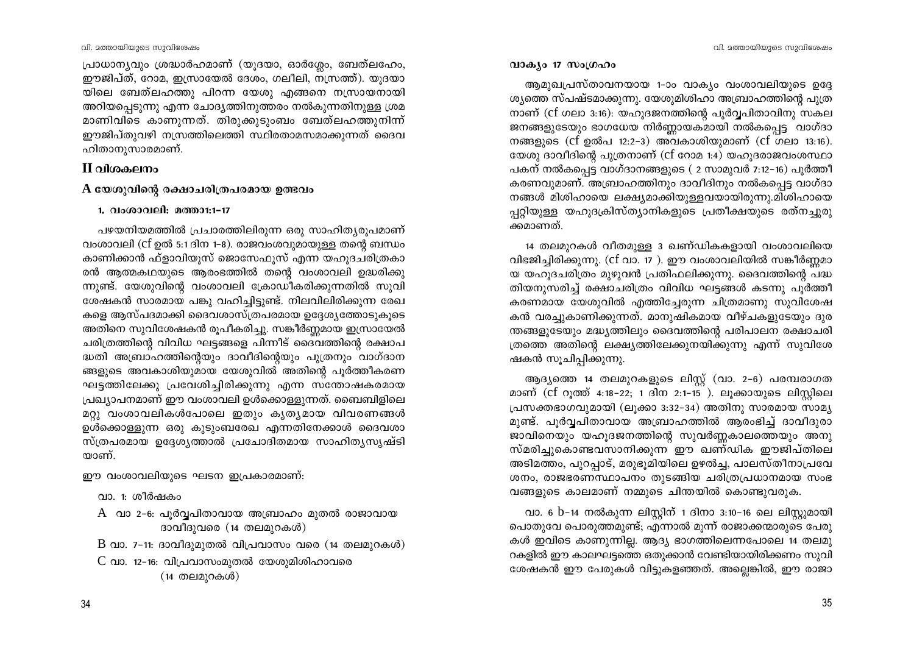പ്രാധാന്യവും ശ്രദ്ധാർഹമാണ് (യൂദയാ, ഓർശ്ലോ, ബേത്ലഹോം, ഈജിപ്ത്, റോമ, ഇസ്രായേൽ ദേശം, ഗലീലി, നസ്ത്രത്). യുദയാ യിലെ ബേത്ലഹത്തു പിറന്ന യേശു എങ്ങനെ നസ്രായനായി അറിയപ്പെടുന്നു എന്ന ചോദ്യത്തിനുത്തരം നൽകുന്നതിനുള്ള ശ്രമ മാണിവിടെ കാണുന്നത്. തിരുക്കുടുംബം ബേത്ലഹത്തുനിന്ന് ഈജിപ്തുവഴി നസ്രത്തിലെത്തി സ്ഥിരതാമസമാക്കുന്നത് ദൈവ ഹിതാനുസാരമാണ്.

## $\Pi$  വിശകലനം

## A യേശുവിന്റെ രക്ഷാചരിത്രപരമായ ഉത്ഭവം

## 1. വംശാവലി: മത്താ1:1-17

പഴയനിയമത്തിൽ പ്രചാരത്തിലിരുന്ന ഒരു സാഹിത്യരുപമാണ് വംശാവലി (cf ഉൽ 5:1 ദിന 1-8). രാജവംശവുമായുള്ള തന്റെ ബന്ധം കാണിക്കാൻ ഫ്ളാവിയുസ് ജൊസേഫുസ് എന്ന യഹുദചരിത്രകാ രൻ ആത്മകഥയുടെ ആരംഭത്തിൽ തന്റെ വംശാവലി ഉദ്ധരിക്കു ന്നുണ്ട്. യേശുവിന്റെ വംശാവലി ക്രോഡീകരിക്കുന്നതിൽ സുവി ശേഷകൻ സാരമായ പങ്കു വഹിച്ചിട്ടുണ്ട്. നിലവിലിരിക്കുന്ന രേഖ കളെ ആസ്പദമാക്കി ദൈവശാസ്ത്രപരമായ ഉദ്ദേശ്യത്തോടുകുടെ അതിനെ സുവിശേഷകൻ രൂപീകരിച്ചു. സങ്കീർണ്ണമായ ഇസ്രായേൽ ചരിത്രത്തിന്റെ വിവിധ ഘട്ടങ്ങളെ പിന്നീട് ദൈവത്തിന്റെ രക്ഷാപ ദ്ധതി അബ്രാഹത്തിന്റെയും ദാവീദിന്റെയും പുത്രനും വാഗ്ദാന ങ്ങളുടെ അവകാശിയുമായ യേശുവിൽ അതിന്റെ പൂർത്തീകരണ ഘട്ടത്തിലേക്കു പ്രവേശിച്ചിരിക്കുന്നു എന്ന സന്തോഷകരമായ പ്രഖ്യാപനമാണ് ഈ വംശാവലി ഉൾക്കൊള്ളുന്നത്. ബൈബിളിലെ മറ്റു വംശാവലികൾപോലെ ഇതും കൃത്യമായ വിവരണങ്ങൾ ഉൾക്കൊള്ളുന്ന ഒരു കൂടുംബരേഖ എന്നതിനേക്കാൾ ദൈവശാ സ്ത്രപരമായ ഉദ്ദേശ്യത്താൽ പ്രചോദിതമായ സാഹിത്യസൃഷ്ടി യാണ്.

ഈ വംശാവലിയുടെ ഘടന ഇപ്രകാരമാണ്:

- വാ. 1: ശീർഷകം
- $A$  വാ 2-6: പൂർവ്വപിതാവായ അബ്രാഹം മുതൽ രാജാവായ ദാവീദുവരെ  $(14 \text{ }\text{Re} \text{Re})$
- B വാ. 7-11: ദാവീദുമുതൽ വിപ്രവാസം വരെ (14 തലമുറകൾ)
- $C$  വാ. 12-16: വിപ്രവാസംമുതൽ യേശുമിശിഹാവരെ (14 തലമുറകൾ)

#### വാകും 17 സംഗ്രഹം

ആമുഖപ്രസ്താവനയായ 1-ാം വാക്യം വംശാവലിയുടെ ഉദ്ദേ ശ്യത്തെ സ്പഷ്ടമാക്കുന്നു. യേശുമിശിഹാ അബ്രാഹത്തിന്റെ പുത്ര നാണ് (cf ഗലാ 3:16): യഹുദജനത്തിന്റെ പൂർവപിതാവിനു സകല ജനങ്ങളുടേയും ഭാഗധേയ നിർണ്ണായകമായി നൽകപ്പെട്ട വാഗ്ദാ നങ്ങളുടെ (cf ഉൽപ 12:2-3) അവകാശിയുമാണ് (cf ഗലാ 13:16). യേശു ദാവീദിന്റെ പുത്രനാണ് (cf റോമ 1:4) യഹുദരാജവംശസ്ഥാ പകന് നൽകപ്പെട്ട വാഗ്ദാനങ്ങളുടെ ( 2 സാമുവർ 7:12-16) പൂർത്തീ കരണവുമാണ്. അബ്രാഹത്തിനും ദാവീദിനും നൽകപ്പെട്ട വാഗ്ദാ നങ്ങൾ മിശിഹായെ ലക്ഷ്യമാക്കിയുള്ളവയായിരുന്നു.മിശിഹായെ പ്പറ്റിയുള്ള യഹൂദക്രിസ്ത്യാനികളുടെ പ്രതീക്ഷയുടെ രത്നച്ചുരു ക്കമാണത്.

14 തലമുറകൾ വീതമുള്ള 3 ഖണ്ഡികകളായി വംശാവലിയെ വിഭജിച്ചിരിക്കുന്നു. (cf വാ. 17 ). ഈ വംശാവലിയിൽ സങ്കീർണ്ണമാ യ യഹൂദചരിത്രം മുഴുവൻ പ്രതിഫലിക്കുന്നു. ദൈവത്തിന്റെ പദ്ധ തിയനുസരിച്ച് രക്ഷാചരിത്രം വിവിധ ഘട്ടങ്ങൾ കടന്നു പൂർത്തീ കരണമായ യേശുവിൽ എത്തിച്ചേരുന്ന ചിത്രമാണു സുവിശേഷ കൻ വരച്ചുകാണിക്കുന്നത്. മാനുഷികമായ വീഴ്ചകളുടേയും ദുര ന്തങ്ങളുടേയും മദ്ധ്യത്തിലും ദൈവത്തിന്റെ പരിപാലന രക്ഷാചരി ത്രത്തെ അതിന്റെ ലക്ഷ്യത്തിലേക്കുനയിക്കുന്നു എന്ന് സുവിശേ ഷകൻ സുചിപ്പിക്കുന്നു.

ആദ്യത്തെ 14 തലമുറകളുടെ ലിസ്റ്റ് (വാ. 2-6) പരമ്പരാഗത മാണ് (cf റൂത്ത് 4:18-22; 1 ദിന 2:1-15 ). ലൂക്കായുടെ ലിസ്റ്റിലെ പ്രസക്തഭാഗവുമായി (ലൂക്കാ 3:32-34) അതിനു സാരമായ സാമ്യ മുണ്ട്. പൂർവ്വപിതാവായ അബ്രാഹത്തിൽ ആരംഭിച്ച് ദാവീദൂരാ ജാവിനെയും യഹൂദജനത്തിന്റെ സുവർണ്ണകാലത്തെയും അനു സ്മരിച്ചുകൊണ്ടവസാനിക്കുന്ന ഈ ഖണ്ഡിക ഈജിപ്തിലെ അടിമത്തം, പുറപ്പാട്, മരുഭുമിയിലെ ഉഴൽച്ച, പാലസ്തീനാപ്രവേ ശനം, രാജഭരണസ്ഥാപനം തുടങ്ങിയ ചരിത്രപ്രധാനമായ സംഭ വങ്ങളുടെ കാലമാണ് നമ്മുടെ ചിന്തയിൽ കൊണ്ടുവരുക.

വാ. 6 b-14 നൽകുന്ന ലിസ്റ്റിന് 1 ദിനാ 3:10-16 ലെ ലിസ്റ്റുമായി പൊതുവേ പൊരുത്തമുണ്ട്; എന്നാൽ മൂന്ന് രാജാക്കന്മാരുടെ പേരു കൾ ഇവിടെ കാണുന്നില്ല. ആദ്യ ഭാഗത്തിലെന്നപോലെ 14 തലമു റകളിൽ ഈ കാലഘട്ടത്തെ ഒതുക്കാൻ വേണ്ടിയായിരിക്കണം സുവി ശേഷകൻ ഈ പേരുകൾ വിട്ടുകളഞ്ഞത്. അല്ലെങ്കിൽ, ഈ രാജാ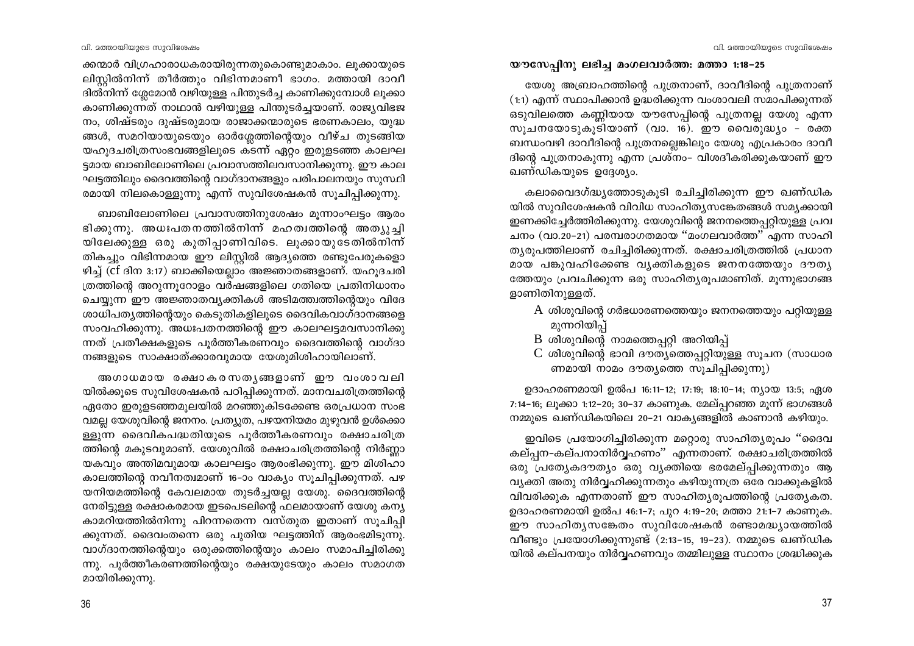#### യൗസേപ്പിനു ലഭിച്ച മംഗലവാർത്ത: മത്താ 1:18-25

യേശു അബ്രാഹത്തിന്റെ പുത്രനാണ്, ദാവീദിന്റെ പുത്രനാണ് (1:1) എന്ന് സ്ഥാപിക്കാൻ ഉദ്ധരിക്കുന്ന വംശാവലി സമാപിക്കുന്നത് ഒടുവിലത്തെ കണ്ണിയായ യൗസേപ്പിന്റെ പുത്രനല്ല യേശു എന്ന സുചനയോടുകൂടിയാണ് (വാ. 16). ഈ വൈരുദ്ധ്യം – രക്ത ബന്ധംവഴി ദാവീദിന്റെ പുത്രനല്ലെങ്കിലും യേശു എപ്രകാരം ദാവീ ദിന്റെ പുത്രനാകുന്നു എന്ന പ്രശ്നം– വിശദീകരിക്കുകയാണ് ഈ ഖണ്ഡികയുടെ ഉദ്ദേശ്യം.

കലാവൈദഗ്ദ്ധ്യത്തോടുകൂടി രചിച്ചിരിക്കുന്ന ഈ ഖണ്ഡിക യിൽ സുവിശേഷകൻ വിവിധ സാഹിത്യസങ്കേതങ്ങൾ സമ്യക്കായി ഇണക്കിച്ചേർത്തിരിക്കുന്നു. യേശുവിന്റെ ജനനത്തെപ്പറ്റിയുള്ള പ്രവ ചനം (വാ.20–21) പരമ്പരാഗതമായ ''മംഗലവാർത്ത'' എന്ന സാഹി ത്യരൂപത്തിലാണ് രചിച്ചിരിക്കുന്നത്. രക്ഷാചരിത്രത്തിൽ പ്രധാന മായ പങ്കുവഹിക്കേണ്ട വ്യക്തികളുടെ ജനനത്തേയും ദൗത്യ ത്തേയും പ്രവചിക്കുന്ന ഒരു സാഹിത്യരുപമാണിത്. മുന്നുഭാഗങ്ങ ളാണിതിനുള്ളത്.

- A ശിശുവിന്റെ ഗർഭധാരണത്തെയും ജനനത്തെയും പറ്റിയുള്ള മുന്നറിയിപ്പ്
- B ശിശുവിന്റെ നാമത്തെപ്പറ്റി അറിയിപ്പ്
- C ശിശുവിന്റെ ഭാവി ദൗത്യത്തെപ്പറ്റിയുള്ള സൂചന (സാധാര ണമായി നാമം ദൗത്യത്തെ സുചിപ്പിക്കുന്നു)

ഉദാഹരണമായി ഉൽപ 16:11-12; 17:19; 18:10-14; ന്യായ 13:5; ഏശ 7:14–16; ലുക്കാ 1:12–20; 30–37 കാണുക. മേല്പ്പറഞ്ഞ മുന്ന് ഭാഗങ്ങൾ നമ്മുടെ ഖണ്ഡികയിലെ 20-21 വാകൃങ്ങളിൽ കാണാൻ കഴിയും.

ഇവിടെ പ്രയോഗിച്ചിരിക്കുന്ന മറ്റൊരു സാഹിത്യരൂപം ''ദൈവ കല്പ്പന-കല്പനാനിർവ്വഹണം'' എന്നതാണ്. രക്ഷാചരിത്രത്തിൽ ഒരു പ്രത്യേകദൗത്യം ഒരു വ്യക്തിയെ ഭരമേല്പ്പിക്കുന്നതും ആ വ്യക്തി അതു നിർവ്വഹിക്കുന്നതും കഴിയുന്നത്ര ഒരേ വാക്കുകളിൽ വിവരിക്കുക എന്നതാണ് ഈ സാഹിത്യരുപത്തിന്റെ പ്രത്യേകത. ഉദാഹരണമായി ഉൽപ 46:1-7; പുറ 4:19-20; മത്താ 21:1-7 കാണുക. ഈ സാഹിത്യസങ്കേതം സുവിശേഷകൻ രണ്ടാമദ്ധ്യായത്തിൽ വീണ്ടും പ്രയോഗിക്കുന്നുണ്ട് (2:13-15, 19-23). നമ്മുടെ ഖണ്ഡിക യിൽ കല്പനയും നിർവ്വഹണവും തമ്മിലുള്ള സ്ഥാനം ശ്രദ്ധിക്കുക

വി. മത്തായിയുടെ സുവിശേഷം

ക്കന്മാർ വിഗ്രഹാരാധകരായിരുന്നതുകൊണ്ടുമാകാം. ലൂക്കായുടെ ലിസ്ലിൽനിന്ന് തീർത്തും വിഭിന്നമാണീ ഭാഗം. മത്തായി ദാവീ ദിൽനിന്ന് ശ്ലേമോൻ വഴിയുള്ള പിന്തുടർച്ച കാണിക്കുമ്പോൾ ലുക്കാ കാണിക്കുന്നത് നാഥാൻ വഴിയുള്ള പിന്തുടർച്ചയാണ്. രാജ്യവിഭജ നം, ശിഷ്ടരും ദുഷ്ടരുമായ രാജാക്കന്മാരുടെ ഭരണകാലം, യുദ്ധ ങ്ങൾ, സമറിയായുടെയും ഓർശ്ലേത്തിന്റെയും വീഴ്ച തുടങ്ങിയ യഹുദചരിത്രസംഭവങ്ങളിലൂടെ കടന്ന് ഏറ്റം ഇരുളടഞ്ഞ കാലഘ ട്ടമായ ബാബിലോണിലെ പ്രവാസത്തിലവസാനിക്കുന്നു. ഈ കാല ഘട്ടത്തിലും ദൈവത്തിന്റെ വാഗ്ദാനങ്ങളും പരിപാലനയും സുസ്ഥി രമായി നിലകൊള്ളുന്നു എന്ന് സുവിശേഷകൻ സുചിപ്പിക്കുന്നു.

ബാബിലോണിലെ പ്രവാസത്തിനുശേഷം മുന്നാംഘട്ടം ആരം ഭിക്കുന്നു. അധഃപതനത്തിൽനിന്ന് മഹത്വത്തിന്റെ അത്യുച്ചി യിലേക്കുള്ള ഒരു കുതിപ്പാണിവിടെ. ലൂക്കായുടേതിൽനിന്ന് തികച്ചും വിഭിന്നമായ ഈ ലിസ്കിൽ ആദ്യത്തെ രണ്ടുപേരുകളൊ ഴിച്ച് (cf ദിന 3:17) ബാക്കിയെല്ലാം അജ്ഞാതങ്ങളാണ്. യഹൂദചരി ത്രത്തിന്റെ അറുന്നുറോളം വർഷങ്ങളിലെ ഗതിയെ പ്രതിനിധാനം ചെയ്യുന്ന ഈ അജ്ഞാതവ്യക്തികൾ അടിമത്ത്വത്തിന്റെയും വിദേ ശാധിപത്യത്തിന്റെയും കെടുതികളിലൂടെ ദൈവികവാഗ്ദാനങ്ങളെ സംവഹിക്കുന്നു. അധഃപതനത്തിന്റെ ഈ കാലഘട്ടമവസാനിക്കു ന്നത് പ്രതീക്ഷകളുടെ പൂർത്തീകരണവും ദൈവത്തിന്റെ വാഗ്ദാ നങ്ങളുടെ സാക്ഷാത്ക്കാരവുമായ യേശുമിശിഹായിലാണ്.

അഗാധമായ രക്ഷാകരസതൃങ്ങളാണ് ഈ വംശാവലി യിൽക്കൂടെ സുവിശേഷകൻ പഠിപ്പിക്കുന്നത്. മാനവചരിത്രത്തിന്റെ ഏതോ ഇരുളടഞ്ഞമൂലയിൽ മറഞ്ഞുകിടക്കേണ്ട ഒരപ്രധാന സംഭ വമല്ല യേശുവിന്റെ ജനനം. പ്രത്യുത, പഴയനിയമം മുഴുവൻ ഉൾക്കൊ ള്ളുന്ന ദൈവികപദ്ധതിയുടെ പൂർത്തീകരണവും രക്ഷാചരിത്ര ത്തിന്റെ മകുടവുമാണ്. യേശുവിൽ രക്ഷാചരിത്രത്തിന്റെ നിർണ്ണാ യകവും അന്തിമവുമായ കാലഘട്ടം ആരംഭിക്കുന്നു. ഈ മിശിഹാ കാലത്തിന്റെ നവീനത്വമാണ് 16–ാം വാക്യം സൂചിപ്പിക്കുന്നത്. പഴ യനിയമത്തിന്റെ കേവലമായ തുടർച്ചയല്ല യേശു. ദൈവത്തിന്റെ നേരിട്ടുള്ള രക്ഷാകരമായ ഇടപെടലിന്റെ ഫലമായാണ് യേശു കന്യ കാമറിയത്തിൽനിന്നു പിറന്നതെന്ന വസ്തുത ഇതാണ് സൂചിപ്പി ക്കുന്നത്. ദൈവംതന്നെ ഒരു പുതിയ ഘട്ടത്തിന് ആരംഭമിടുന്നു. വാഗ്ദാനത്തിന്റെയും ഒരുക്കത്തിന്റെയും കാലം സമാപിച്ചിരിക്കു ന്നു. പൂർത്തീകരണത്തിന്റെയും രക്ഷയുടേയും കാലം സമാഗത മായിരിക്കുന്നു.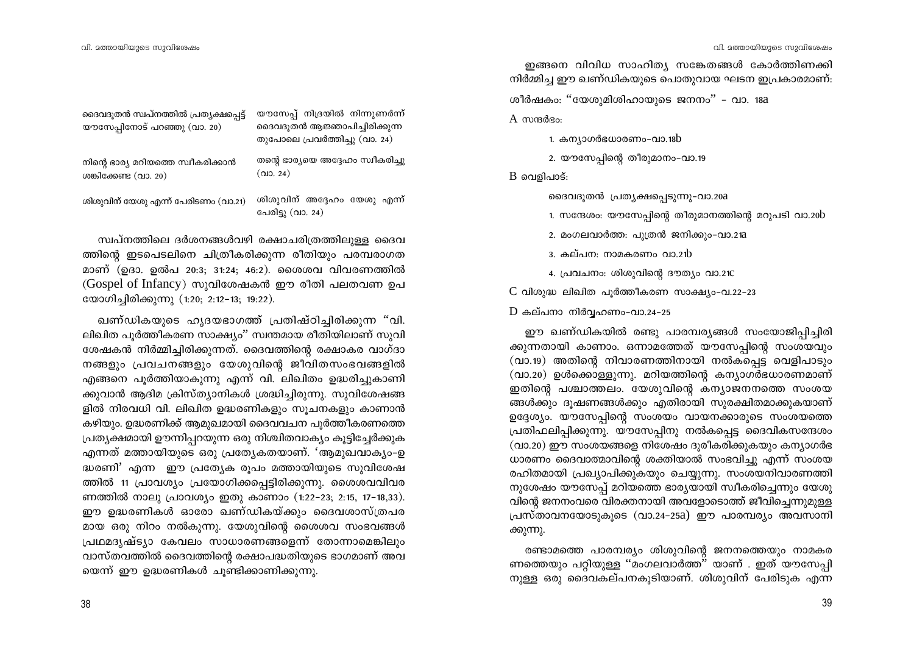| ദൈവദൂതൻ സ്വപ്നത്തിൽ പ്രത്യക്ഷപ്പെട്ട്<br>യൗസേപ്പിനോട് പറഞ്ഞു (വാ. 20) | യൗസേപ്പ് നിദ്രയിൽ നിന്നുണർന്ന്<br>ദൈവദൂതൻ ആജ്ഞാപിച്ചിരിക്കുന്ന<br>തുപോലെ പ്രവർത്തിച്ചു (വാ. 24) |
|-----------------------------------------------------------------------|-------------------------------------------------------------------------------------------------|
| നിന്റെ ഭാര്യ മറിയത്തെ സ്വീകരിക്കാൻ<br>ശങ്കിക്കേണ്ട (വാ. 20)           | തന്റെ ഭാര്യയെ അദ്ദേഹം സ്ഥീകരിച്ചു<br>(210.24)                                                   |
| ശിശുവിന് യേശു എന്ന് പേരിടണം (വാ.21)                                   | ശിശുവിന് അദ്ദേഹം യേശു എന്ന്<br>പേരിട്ടു (വാ. 24)                                                |

സ്വപ്നത്തിലെ ദർശനങ്ങൾവഴി രക്ഷാചരിത്രത്തിലുള്ള ദൈവ ത്തിന്റെ ഇടപെടലിനെ ചിത്രീകരിക്കുന്ന രീതിയും പരമ്പരാഗത മാണ് (ഉദാ. ഉൽപ 20:3; 31:24; 46:2). ശൈശവ വിവരണത്തിൽ (Gospel of Infancy) സുവിശേഷകൻ ഈ രീതി പലതവണ ഉപ യോഗിചിരിക്കുന്നു (1:20; 2:12-13; 19:22).

ഖണ്ഡികയുടെ ഹൃദയഭാഗത്ത് പ്രതിഷ്ഠിച്ചിരിക്കുന്ന ''വി. ലിഖിത പൂർത്തീകരണ സാക്ഷ്യം'' സ്വന്തമായ രീതിയിലാണ് സുവി ശേഷകൻ നിർമ്മിച്ചിരിക്കുന്നത്. ദൈവത്തിന്റെ രക്ഷാകര വാഗ്ദാ നങ്ങളും പ്രവചനങ്ങളും യേശുവിന്റെ ജീവിതസംഭവങ്ങളിൽ എങ്ങനെ പൂർത്തിയാകുന്നു എന്ന് വി. ലിഖിതം ഉദ്ധരിച്ചുകാണി ക്കുവാൻ ആദിമ ക്രിസ്ത്യാനികൾ ശ്രദ്ധിച്ചിരുന്നു. സുവിശേഷങ്ങ ളിൽ നിരവധി വി. ലിഖിത ഉദ്ധരണികളും സൂചനകളും കാണാൻ കഴിയും. ഉദ്ധരണിക്ക് ആമുഖമായി ദൈവവചന പൂർത്തീകരണത്തെ പ്രത്യക്ഷമായി ഊന്നിപ്പറയുന്ന ഒരു നിശ്ചിതവാക്യം കൂട്ടിച്ചേർക്കുക എന്നത് മത്തായിയുടെ ഒരു പ്രത്യേകതയാണ്. 'ആമുഖവാക്യം-ഉ ദ്ധരണി' എന്ന ഈ പ്രത്യേക രൂപം മത്തായിയുടെ സുവിശേഷ ത്തിൽ 11 പ്രാവശ്യം പ്രയോഗിക്കപ്പെട്ടിരിക്കുന്നു. ശൈശവവിവര ണത്തിൽ നാലു പ്രാവശ്യം ഇതു കാണാം (1:22-23; 2:15, 17-18,33). ഈ ഉദ്ധരണികൾ ഓരോ ഖണ്ഡികയ്ക്കും ദൈവശാസ്ത്രപര മായ ഒരു നിറം നൽകുന്നു. യേശുവിന്റെ ശൈശവ സംഭവങ്ങൾ പ്രഥമദൃഷ്ട്യാ കേവലം സാധാരണങ്ങളെന്ന് തോന്നാമെങ്കിലും വാസ്തവത്തിൽ ദൈവത്തിന്റെ രക്ഷാപദ്ധതിയുടെ ഭാഗമാണ് അവ യെന്ന് ഈ ഉദ്ധരണികൾ ചൂണ്ടിക്കാണിക്കുന്നു.

ഇങ്ങനെ വിവിധ സാഹിത്യ സങ്കേതങ്ങൾ കോർത്തിണക്കി നിർമ്മിച്ച ഈ ഖണ്ഡികയുടെ പൊതുവായ ഘടന ഇപ്രകാരമാണ്:

ശീർഷകം: "യേശുമിശിഹായുടെ ജനനം" - വാ. 18a

1. കന്യാഗർഭധാരണം-വാ.18 $b$ 

2. യൗസേപ്പിന്റെ തീരുമാനം-വാ.19

ദൈവദൂതൻ പ്രത്യക്ഷപ്പെടുന്നു-വാ.20a

2. മംഗലവാർത്ത: പുത്രൻ ജനിക്കും-വാ.21a

1. സന്ദേശം: യൗസേപ്പിന്റെ തീരുമാനത്തിന്റെ മറുപടി വാ.20b

<u>3. കല്പന: നാമകരണം വാ.21b</u> 4. പ്രവചനം: ശിശുവിന്റെ ദൗത്യം വാ.210

 $A$  mandeo:

 $\mathbf B$  വെളിപാട്:

 $C$  വിശുദ്ധ ലിഖിത പൂർത്തീകരണ സാക്ഷ്യം-വ.22-23

 $\overline{D}$  കല്പനാ നിർവ്വഹണം-വാ.24-25

ഈ ഖണ്ഡികയിൽ രണ്ടു പാരമ്പര്യങ്ങൾ സംയോജിപ്പിച്ചിരി ക്കുന്നതായി കാണാം. ഒന്നാമത്തേത് യൗസേപ്പിന്റെ സംശയവും (വാ.19) അതിന്റെ നിവാരണത്തിനായി നൽകപ്പെട്ട വെളിപാടും (വാ.20) ഉൾക്കൊള്ളുന്നു. മറിയത്തിന്റെ കന്യാഗർഭധാരണമാണ് ഇതിന്റെ പശ്ചാത്തലം. യേശുവിന്റെ കന്യാജനനത്തെ സംശയ ങ്ങൾക്കും ദുഷണങ്ങൾക്കും എതിരായി സുരക്ഷിതമാക്കുകയാണ് ഉദ്ദേശ്യം. യൗസേപ്പിന്റെ സംശയം വായനക്കാരുടെ സംശയത്തെ പ്രതിഫലിപ്പിക്കുന്നു. യൗസേപ്പിനു നൽകപ്പെട്ട ദൈവികസന്ദേശം (വാ.20) ഈ സംശയങ്ങളെ നിശേഷം ദൂരീകരിക്കുകയും കന്യാഗർഭ ധാരണം ദൈവാത്മാവിന്റെ ശക്തിയാൽ സംഭവിച്ചു എന്ന് സംശയ രഹിതമായി പ്രഖ്യാപിക്കുകയും ചെയ്യുന്നു. സംശയനിവാരണത്തി നുശേഷം യൗസേപ്പ് മറിയത്തെ ഭാര്യയായി സ്ഥീകരിച്ചെന്നും യേശു വിന്റെ ജനനംവരെ വിരക്തനായി അവളോടൊത്ത് ജീവിച്ചെന്നുമുള്ള പ്രസ്താവനയോടുകൂടെ (വാ.24–25a) ഈ പാരമ്പര്യം അവസാനി ക്കുന്നു.

രണ്ടാമത്തെ പാരമ്പര്യം ശിശുവിന്റെ ജനനത്തെയും നാമകര ണത്തെയും പറ്റിയുള്ള ''മംഗലവാർത്ത<sup></sup>' യാണ് . ഇത് യൗസേപ്പി നുള്ള ഒരു ദൈവകല്പനകൂടിയാണ്. ശിശുവിന് പേരിടുക എന്ന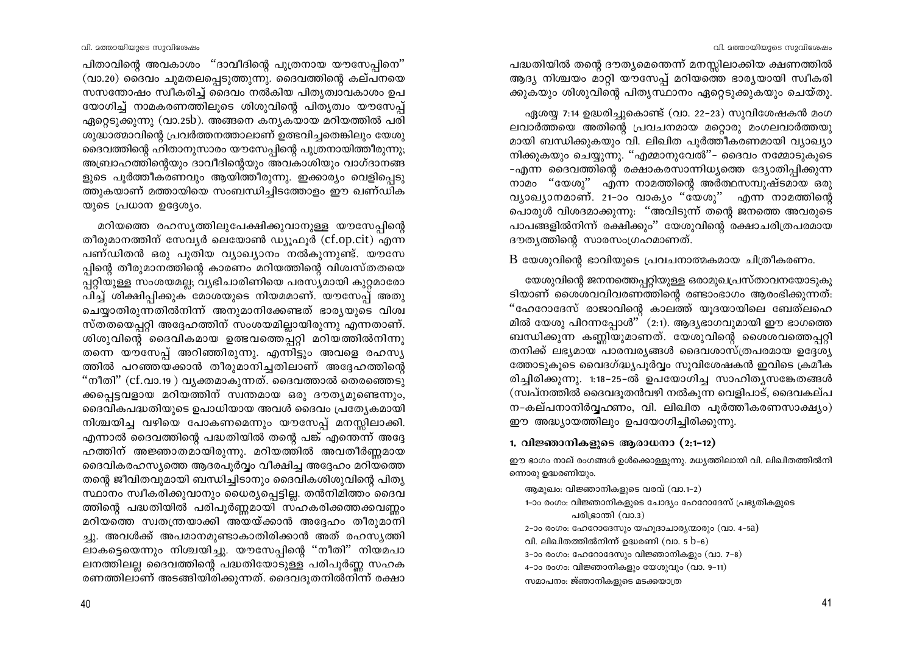വി. മത്തായിയുടെ സുവിശേഷം

പിതാവിന്റെ അവകാശം "ദാവീദിന്റെ പുത്രനായ യൗസേപ്പിനെ" (വാ.20) ദൈവം ചുമതലപ്പെടുത്തുന്നു. ദൈവത്തിന്റെ കല്പനയെ സസന്തോഷം സ്വീകരിച്ച് ദൈവം നൽകിയ പിതൃത്വാവകാശം ഉപ യോഗിച്ച് നാമകരണത്തിലൂടെ ശിശുവിന്റെ പിതൃത്വം യൗസേപ്പ് ഏറ്റെടുക്കുന്നു (വാ.25b). അങ്ങനെ കന്യകയായ മറിയത്തിൽ പരി ശുദ്ധാത്മാവിന്റെ പ്രവർത്തനത്താലാണ് ഉത്ഭവിച്ചതെങ്കിലും യേശു ദൈവത്തിന്റെ ഹിതാനുസാരം യൗസേപ്പിന്റെ പുത്രനായിത്തീരുന്നു; അബ്രാഹത്തിന്റെയും ദാവീദിന്റെയും അവകാശിയും വാഗ്ദാനങ്ങ ളുടെ പൂർത്തീകരണവും ആയിത്തീരുന്നു. ഇക്കാര്യം വെളിപ്പെടു ത്തുകയാണ് മത്തായിയെ സംബന്ധിച്ചിടത്തോളം ഈ ഖണ്ഡിക യുടെ പ്രധാന ഉദ്ദേശ്യം.

മറിയത്തെ രഹസ്യത്തിലുപേക്ഷിക്കുവാനുള്ള യൗസേപ്പിന്റെ തീരുമാനത്തിന് സേവ്യർ ലെയോൺ ഡ്യുഫുർ (cf.op.cit) എന്ന പണ്ഡിതൻ ഒരു പുതിയ വ്യാഖ്യാനം നൽകുന്നുണ്ട്. യൗസേ പ്പിന്റെ തീരുമാനത്തിന്റെ കാരണം മറിയത്തിന്റെ വിശ്വസ്തതയെ പ്പറ്റിയുള്ള സംശയമല്ല; വൃഭിചാരിണിയെ പരസ്യമായി കുറ്റമാരോ പിച്ച് ശിക്ഷിപ്പിക്കുക മോശയുടെ നിയമമാണ്. യൗസേപ്പ് അതു ചെയ്യാതിരുന്നതിൽനിന്ന് അനുമാനിക്കേണ്ടത് ഭാര്യയുടെ വിശ്വ സ്തതയെപ്പറ്റി അദ്ദേഹത്തിന് സംശയമില്ലായിരുന്നു എന്നതാണ്. ശിശുവിന്റെ ദൈവികമായ ഉത്ഭവത്തെപ്പറ്റി മറിയത്തിൽനിന്നു തന്നെ യൗസേപ്പ് അറിഞ്ഞിരുന്നു. എന്നിട്ടും അവളെ രഹസ്യ ത്തിൽ പറഞ്ഞയക്കാൻ തീരുമാനിച്ചതിലാണ് അദ്ദേഹത്തിന്റെ "നീതി" (cf.വാ.19 ) വൃക്തമാകുന്നത്. ദൈവത്താൽ തെരഞ്ഞെടു ക്കപ്പെട്ടവളായ മറിയത്തിന് സ്വന്തമായ ഒരു ദൗതൃമുണ്ടെന്നും, ദൈവികപദ്ധതിയുടെ ഉപാധിയായ അവൾ ദൈവം പ്രത്യേകമായി നിശ്ചയിച്ച വഴിയെ പോകണമെന്നും യൗസേപ്പ് മനസ്സിലാക്കി. എന്നാൽ ദൈവത്തിന്റെ പദ്ധതിയിൽ തന്റെ പങ്ക് എന്തെന്ന് അദ്ദേ ഹത്തിന് അജ്ഞാതമായിരുന്നു. മറിയത്തിൽ അവതീർണ്ണമായ ദൈവികരഹസ്യത്തെ ആദരപുർവ്വം വീക്ഷിച്ച അദ്ദേഹം മറിയത്തെ തന്റെ ജീവിതവുമായി ബന്ധിച്ചിടാനും ദൈവികശിശുവിന്റെ പിതൃ സ്ഥാനം സ്വീകരിക്കുവാനും ധൈര്യപ്പെട്ടില്ല. തൻനിമിത്തം ദൈവ ത്തിന്റെ പദ്ധതിയിൽ പരിപൂർണ്ണമായി സഹകരിക്കത്തക്കവണ്ണം മറിയത്തെ സ്വതന്ത്രയാക്കി അയയ്ക്കാൻ അദ്ദേഹം തീരുമാനി ച്ചു. അവൾക്ക് അപമാനമുണ്ടാകാതിരിക്കാൻ അത് രഹസ്യത്തി ലാകട്ടെയെന്നും നിശ്ചയിച്ചു. യൗസേപ്പിന്റെ ''നീതി'' നിയമപാ ലനത്തിലല്ല ദൈവത്തിന്റെ പദ്ധതിയോടുള്ള പരിപൂർണ്ണ സഹക രണത്തിലാണ് അടങ്ങിയിരിക്കുന്നത്. ദൈവദൂതനിൽനിന്ന് രക്ഷാ

പദ്ധതിയിൽ തന്റെ ദൗത്യമെന്തെന്ന് മനസ്സിലാക്കിയ ക്ഷണത്തിൽ ആദ്യ നിശ്ചയം മാറ്റി യൗസേപ്പ് മറിയത്തെ ഭാര്യയായി സ്വീകരി ക്കുകയും ശിശുവിന്റെ പിതൃസ്ഥാനം ഏറ്റെടുക്കുകയും ചെയ്തു.

ഏശയ്യ 7:14 ഉദ്ധരിച്ചുകൊണ്ട് (വാ. 22-23) സുവിശേഷകൻ മംഗ ലവാർത്തയെ അതിന്റെ പ്രവചനമായ മറ്റൊരു മംഗലവാർത്തയു മായി ബന്ധിക്കുകയും വി. ലിഖിത പൂർത്തീകരണമായി വ്യാഖ്യാ നിക്കുകയും ചെയ്യുന്നു. ''എമ്മാനുവേൽ''- ദൈവം നമ്മോടുകുടെ -എന്ന ദൈവത്തിന്റെ രക്ഷാകരസാന്നിധ്യത്തെ ദ്യോതിപ്പിക്കുന്ന നാമം ''യേശു'' എന്ന നാമത്തിന്റെ അർത്ഥസമ്പുഷ്ടമായ ഒരു വ്യാഖ്യാനമാണ്. 21-ാം വാക്യം ''യേശു'' എന്ന നാമത്തിന്റെ പൊരുൾ വിശദമാക്കുന്നു: "അവിടുന്ന് തന്റെ ജനത്തെ അവരുടെ പാപങ്ങളിൽനിന്ന് രക്ഷിക്കും'' യേശുവിന്റെ രക്ഷാചരിത്രപരമായ ദൗത്യത്തിന്റെ സാരസംഗ്രഹമാണത്.

 $B$  യേശുവിന്റെ ഭാവിയുടെ പ്രവചനാത്മകമായ ചിത്രീകരണം.

യേശുവിന്റെ ജനനത്തെപ്പറ്റിയുള്ള ഒരാമുഖപ്രസ്താവനയോടുകൂ ടിയാണ് ശൈശവവിവരണത്തിന്റെ രണ്ടാംഭാഗം ആരംഭിക്കുന്നത്: "ഹേറോദേസ് രാജാവിന്റെ കാലത്ത് യൂദയായിലെ ബേത്ലഹെ മിൽ യേശു പിറന്നപ്പോൾ" (2:1). ആദ്യഭാഗവുമായി ഈ ഭാഗത്തെ ബന്ധിക്കുന്ന കണ്ണിയുമാണത്. യേശുവിന്റെ ശൈശവത്തെപ്പറ്റി തനിക്ക് ലഭ്യമായ പാരമ്പര്യങ്ങൾ ദൈവശാസ്ത്രപരമായ ഉദ്ദേശ്യ ത്തോടുകൂടെ വൈദഗ്ദ്ധ്യപൂർവ്വം സുവിശേഷകൻ ഇവിടെ ക്രമീക രിച്ചിരിക്കുന്നു. 1:18-25-ൽ ഉപയോഗിച്ച സാഹിതൃസങ്കേതങ്ങൾ (സ്വപ്നത്തിൽ ദൈവദൂതൻവഴി നൽകുന്ന വെളിപാട്, ദൈവകല്പ ന-കല്പനാനിർവ്വഹണം, വി. ലിഖിത പൂർത്തീകരണസാക്ഷ്യം) ഈ അദ്ധ്യായത്തിലും ഉപയോഗിച്ചിരിക്കുന്നു.

## 1. വിജ്ഞാനികളുടെ ആരാധനാ (2:1-12)

ഈ ഭാഗം നാല് രംഗങ്ങൾ ഉൾക്കൊള്ളുന്നു. മധ്യത്തിലായി വി. ലിഖിതത്തിൽനി ന്നൊരു ഉദ്ധരണിയും.

ആമുഖം: വിജ്ഞാനികളുടെ വരവ് (വാ.1-2) 1-ാം രംഗം: വിജ്ഞാനികളുടെ ചോദ്യം ഹേറോദേസ് പ്രഭൃതികളുടെ പരിഭ്രാന്തി (വാ.3) 2-ാം രംഗം: ഹേറോദേസും യഹൂദാചാര്യന്മാരും (വാ. 4-5a) വി. ലിഖിതത്തിൽനിന്ന് ഉദ്ധരണി (വാ. 5  $b$ –6) 3-ാം രംഗം: ഹേറോദേസും വിജ്ഞാനികളും (വാ. 7-8) 4-ാം രംഗം: വിജ്ഞാനികളും യേശുവും (വാ. 9-11) സമാപനം: ജ്ഞാനികളുടെ മടക്കയാത്ര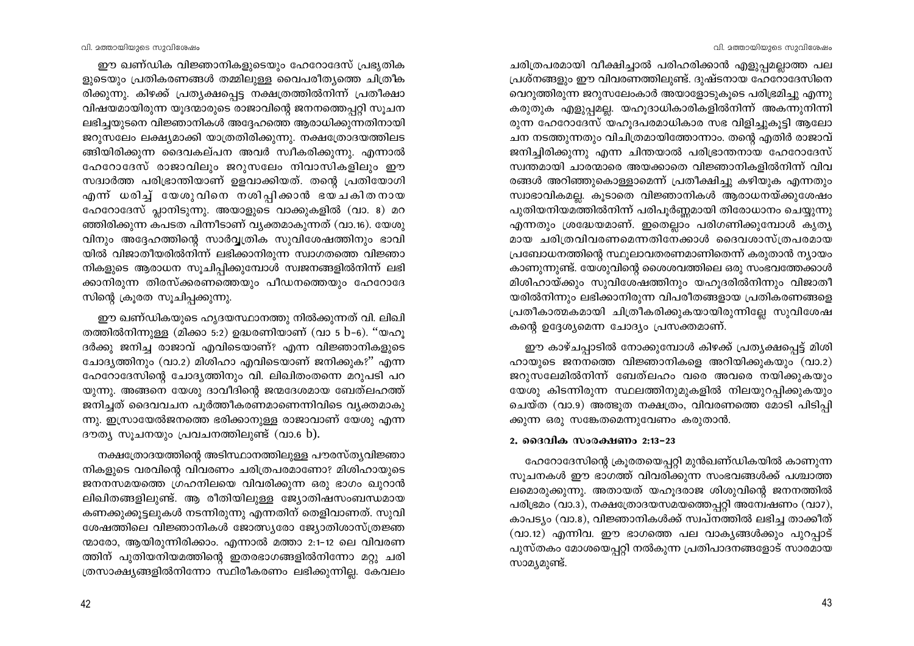ചരിത്രപരമായി വീക്ഷിച്ചാൽ പരിഹരിക്കാൻ എളുപ്പമല്ലാത്ത പല പ്രശ്നങ്ങളും ഈ വിവരണത്തിലുണ്ട്. ദുഷ്ടനായ ഹേറോദേസിനെ വെറുത്തിരുന്ന ജറുസലേംകാർ അയാളോടുകൂടെ പരിഭ്രമിച്ചു എന്നു കരുതുക എളുപ്പമല്ല. യഹൂദാധികാരികളിൽനിന്ന് അകന്നുനിന്നി രുന്ന ഹേറോദേസ് യഹൂദപരമാധികാര സഭ വിളിച്ചുകൂട്ടി ആലോ ചന നടത്തുന്നതും വിചിത്രമായിത്തോന്നാം. തന്റെ എതിർ രാജാവ് ജനിച്ചിരിക്കുന്നു എന്ന ചിന്തയാൽ പരിഭ്രാന്തനായ ഹേറോദേസ് സ്വന്തമായി ചാരന്മാരെ അയക്കാതെ വിജ്ഞാനികളിൽനിന്ന് വിവ രങ്ങൾ അറിഞ്ഞുകൊള്ളാമെന്ന് പ്രതീക്ഷിച്ചു കഴിയുക എന്നതും സ്വാഭാവികമല്ല. കൂടാതെ വിജ്ഞാനികൾ ആരാധനയ്ക്കുശേഷം പുതിയനിയമത്തിൽനിന്ന് പരിപൂർണ്ണമായി തിരോധാനം ചെയ്യുന്നു എന്നതും ശ്രദ്ധേയമാണ്. ഇതെല്ലാം പരിഗണിക്കുമ്പോൾ കൃത്യ മായ ചരിത്രവിവരണമെന്നതിനേക്കാൾ ദൈവശാസ്ത്രപരമായ പ്രബോധനത്തിന്റെ സ്ഥൂലാവതരണമാണിതെന്ന് കരുതാൻ ന്യായം കാണുന്നുണ്ട്. യേശുവിന്റെ ശൈശവത്തിലെ ഒരു സംഭവത്തേക്കാൾ മിശിഹായ്ക്കും സുവിശേഷത്തിനും യഹൂദരിൽനിന്നും വിജാതീ യരിൽനിന്നും ലഭിക്കാനിരുന്ന വിപരീതങ്ങളായ പ്രതികരണങ്ങളെ പ്രതീകാത്മകമായി ചിത്രീകരിക്കുകയായിരുന്നില്ലേ സുവിശേഷ കന്റെ ഉദ്ദേശ്യമെന്ന ചോദ്യം പ്രസക്തമാണ്.

ഈ കാഴ്ചപ്പാടിൽ നോക്കുമ്പോൾ കിഴക്ക് പ്രത്യക്ഷപ്പെട്ട് മിശി ഹായുടെ ജനനത്തെ വിജ്ഞാനികളെ അറിയിക്കുകയും (വാ.2) ജറുസലേമിൽനിന്ന് ബേത്ലഹം വരെ അവരെ നയിക്കുകയും യേശു കിടന്നിരുന്ന സ്ഥലത്തിനുമുകളിൽ നിലയുറപ്പിക്കുകയും ചെയ്ത (വാ.9) അത്ഭുത നക്ഷത്രം, വിവരണത്തെ മോടി പിടിപ്പി ക്കുന്ന ഒരു സങ്കേതമെന്നുവേണം കരുതാൻ.

## 2. ദൈവിക സംരക്ഷണം 2:13–23

ഹേറോദേസിന്റെ ക്രൂരതയെപ്പറ്റി മുൻഖണ്ഡികയിൽ കാണുന്ന സൂചനകൾ ഈ ഭാഗത്ത് വിവരിക്കുന്ന സംഭവങ്ങൾക്ക് പശ്ചാത്ത ലമൊരുക്കുന്നു. അതായത് യഹൂദരാജ ശിശുവിന്റെ ജനനത്തിൽ പരിഭ്രമം (വാ.3), നക്ഷത്രോദയസമയത്തെപ്പറ്റി അന്വേഷണം (വാ7), കാപട്യം (വാ.8), വിജ്ഞാനികൾക്ക് സ്വപ്നത്തിൽ ലഭിച്ച താക്കീത് (വാ.12) എന്നിവ. ഈ ഭാഗത്തെ പല വാകൃങ്ങൾക്കും പുറപ്പാട് പുസ്തകം മോശയെപ്പറ്റി നൽകുന്ന പ്രതിപാദനങ്ങളോട് സാരമായ സാമ്യമുണ്ട്.

വി. മത്തായിയുടെ സുവിശേഷം

ഈ ഖണ്ഡിക വിജ്ഞാനികളുടെയും ഹേറോദേസ് പ്രഭൃതിക ളുടെയും പ്രതികരണങ്ങൾ തമ്മിലുള്ള വൈപരീത്യത്തെ ചിത്രീക രിക്കുന്നു. കിഴക്ക് പ്രത്യക്ഷപ്പെട്ട നക്ഷത്രത്തിൽനിന്ന് പ്രതീക്ഷാ വിഷയമായിരുന്ന യൂദന്മാരുടെ രാജാവിന്റെ ജനനത്തെപ്പറ്റി സൂചന ലഭിച്ചയുടനെ വിജ്ഞാനികൾ അദ്ദേഹത്തെ ആരാധിക്കുന്നതിനായി ജറുസലേം ലക്ഷ്യമാക്കി യാത്രതിരിക്കുന്നു. നക്ഷത്രോദയത്തിലട ങ്ങിയിരിക്കുന്ന ദൈവകല്പന അവർ സ്വീകരിക്കുന്നു. എന്നാൽ ഹേറോദേസ് രാജാവിലും ജറുസലേം നിവാസികളിലും ഈ സദ്വാർത്ത പരിഭ്രാന്തിയാണ് ഉളവാക്കിയത്. തന്റെ പ്രതിയോഗി എന്ന് ധരിച്ച് യേശുവിനെ നശിപ്പിക്കാൻ ഭയചകിതനായ ഹേറോദേസ് പ്ലാനിടുന്നു. അയാളുടെ വാക്കുകളിൽ (വാ. 8) മറ ഞ്ഞിരിക്കുന്ന കപടത പിന്നീടാണ് വ്യക്തമാകുന്നത് (വാ.16). യേശു വിനും അദ്ദേഹത്തിന്റെ സാർവ്വത്രിക സുവിശേഷത്തിനും ഭാവി യിൽ വിജാതീയരിൽനിന്ന് ലഭിക്കാനിരുന്ന സ്വാഗതത്തെ വിജ്ഞാ നികളുടെ ആരാധന സുചിപ്പിക്കുമ്പോൾ സ്വജനങ്ങളിൽനിന്ന് ലഭി ക്കാനിരുന്ന തിരസ്ക്കരണത്തെയും പീഡനത്തെയും ഹേറോദേ സിന്റെ ക്രൂരത സൂചിപ്പക്കുന്നു.

ഈ ഖണ്ഡികയുടെ ഹൃദയസ്ഥാനത്തു നിൽക്കുന്നത് വി. ലിഖി തത്തിൽനിന്നുള്ള (മിക്കാ 5:2) ഉദ്ധരണിയാണ് (വാ 5  $b$ -6). "യഹു ദർക്കു ജനിച്ച രാജാവ് എവിടെയാണ്? എന്ന വിജ്ഞാനികളുടെ ചോദ്യത്തിനും (വാ.2) മിശിഹാ എവിടെയാണ് ജനിക്കുക?" എന്ന ഹേറോദേസിന്റെ ചോദ്യത്തിനും വി. ലിഖിതംതന്നെ മറുപടി പറ യുന്നു. അങ്ങനെ യേശു ദാവീദിന്റെ ജന്മദേശമായ ബേത്ലഹത്ത് ജനിച്ചത് ദൈവവചന പൂർത്തീകരണമാണെന്നിവിടെ വ്യക്തമാകു ന്നു. ഇസ്രായേൽജനത്തെ ഭരിക്കാനുള്ള രാജാവാണ് യേശു എന്ന ദൗത്യ സൂചനയും പ്രവചനത്തിലുണ്ട് (വാ.6 b).

നക്ഷത്രോദയത്തിന്റെ അടിസ്ഥാനത്തിലുള്ള പൗരസ്തൃവിജ്ഞാ നികളുടെ വരവിന്റെ വിവരണം ചരിത്രപരമാണോ? മിശിഹായുടെ ജനനസമയത്തെ ഗ്രഹനിലയെ വിവരിക്കുന്ന ഒരു ഭാഗം ഖുറാൻ ലിഖിതങ്ങളിലുണ്ട്. ആ രീതിയിലുള്ള ജ്യോതിഷസംബന്ധമായ കണക്കുക്കൂട്ടലുകൾ നടന്നിരുന്നു എന്നതിന് തെളിവാണത്. സുവി ശേഷത്തിലെ വിജ്ഞാനികൾ ജോത്സ്യരോ ജ്യോതിശാസ്ത്രജ്ഞ ന്മാരോ, ആയിരുന്നിരിക്കാം. എന്നാൽ മത്താ 2:1-12 ലെ വിവരണ ത്തിന് പുതിയനിയമത്തിന്റെ ഇതരഭാഗങ്ങളിൽനിന്നോ മറ്റു ചരി ത്രസാക്ഷ്യങ്ങളിൽനിന്നോ സ്ഥിരീകരണം ലഭിക്കുന്നില്ല. കേവലം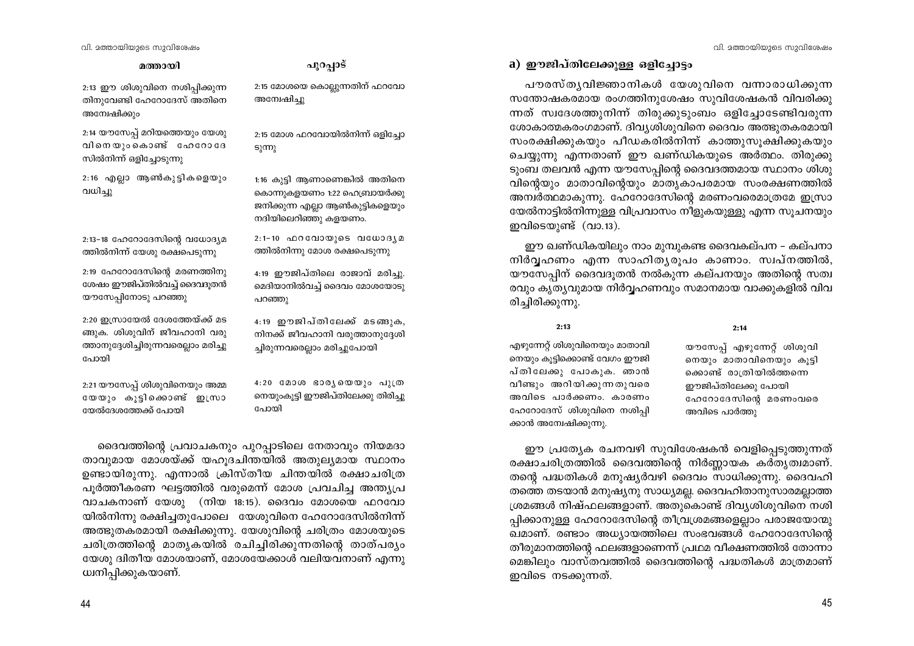വി. മത്തായിയുടെ സുവിശേഷം

#### മത്തായി

2:13 ഈ ശിശുവിനെ നശിപ്പിക്കുന്ന തിനുവേണ്ടി ഹേറോദേസ് അതിനെ അന്വേഷിക്കും

2:14 യൗസേപ്പ് മറിയത്തെയും യേശു വിനെയുംകൊണ്ട് ഹേറോദേ സിൽനിന്ന് ഒളിച്ചോടുന്നു

2:16 എല്ലാ ആൺകുട്ടികളെയും വധിച്ചു

2:13-18 ഹേറോദേസിന്റെ വധോദ്യമ ത്തിൽനിന്ന് യേശു രക്ഷപെടുന്നു

2:19 ഹേറോദേസിന്റെ മരണത്തിനു ശേഷം ഈജിപ്തിൽവച്ച് ദൈവദുതൻ യൗസേപ്പിനോടു പറഞ്ഞു

2:20 ഇസ്രായേൽ ദേശത്തേയ്ക്ക് മട ങ്ങുക. ശിശുവിന് ജീവഹാനി വരു ത്താനുദ്ദേശിച്ചിരുന്നവരെല്ലാം മരിച്ചു പോയി

2:21 യൗസേപ്പ് ശിശുവിനെയും അമ്മ യേയും കൂട്ടിക്കൊണ്ട് ഇസ്രാ യേൽദേശത്തേക്ക് പോയി

ദൈവത്തിന്റെ പ്രവാചകനും പുറപ്പാടിലെ നേതാവും നിയമദാ താവുമായ മോശയ്ക്ക് യഹൂദചിന്തയിൽ അതുല്യമായ സ്ഥാനം ഉണ്ടായിരുന്നു. എന്നാൽ ക്രിസ്തീയ ചിന്തയിൽ രക്ഷാചരിത്ര പൂർത്തീകരണ ഘട്ടത്തിൽ വരുമെന്ന് മോശ പ്രവചിച്ച അന്ത്യപ്ര വാചകനാണ് യേശു (നിയ 18:15). ദൈവം മോശയെ ഫറവോ യിൽനിന്നു രക്ഷിച്ചതുപോലെ യേശുവിനെ ഹേറോദേസിൽനിന്ന് അത്ഭുതകരമായി രക്ഷിക്കുന്നു. യേശുവിന്റെ ചരിത്രം മോശയുടെ ചരിത്രത്തിന്റെ മാതൃകയിൽ രചിച്ചിരിക്കുന്നതിന്റെ താത്പര്യം യേശു ദിതീയ മോശയാണ്, മോശയേക്കാൾ വലിയവനാണ് എന്നു ധ്വനിപ്പിക്കുകയാണ്.

## പുറപ്പാട്

2:15 മോശയെ കൊല്ലുന്നതിന് ഫറവോ അന്വേഷിച്ചു

2:15 മോശ ഫറവോയിൽനിന്ന് ഒളിചോ  $S(1)$ 

1:16 കുട്ടി ആണാണെങ്കിൽ അതിനെ കൊന്നുകളയണം 1:22 ഹെബ്രായർക്കു ജനിക്കുന്ന എല്ലാ ആൺകുട്ടികളെയും നദിയിലെറിഞ്ഞു കളയണം.

2:1-10  $\triangle$  0  $\triangle$  0  $\triangle$  0  $\triangle$  0  $\triangle$  0  $\triangle$  0  $\triangle$  0  $\triangle$  0  $\triangle$  0  $\triangle$  0  $\triangle$  0  $\triangle$  0  $\triangle$  0  $\triangle$  0  $\triangle$  0  $\triangle$  0  $\triangle$  0  $\triangle$  0  $\triangle$  0  $\triangle$  0  $\triangle$  0  $\triangle$  0  $\triangle$  0  $\triangle$  0  $\triangle$  0  $\triangle$  0  $\triangle$  0  $\triangle$  0  $\triangle$  0  $\triangle$  0  $\triangle$ ത്തിൽനിന്നു മോശ രക്ഷപെടുന്നു

4:19 ഈജിപ്തിലെ രാജാവ് മരിച്ചു. മെദിയാനിൽവച്ച് ദൈവം മോശയോടു പറഞ്ഞു

4:19 ഈജിപ്തിലേക്ക് മടങ്ങുക, നിനക്ക് ജീവഹാനി വരുത്താനുദ്ദേശി ച്ചിരുന്നവരെല്ലാം മരിച്ചുപോയി

 $4:20$  മോശ ഭാര്യയത്ര ചുത്ര നെയുംകൂട്ടി ഈജിപ്തിലേക്കു തിരിച്ചു പോയി

## a) ഈജിപ്തിലേക്കുള്ള ഒളിച്ചോട്ടം

പൗരസ്തൃവിജ്ഞാനികൾ യേശുവിനെ വന്നാരാധിക്കുന്ന സന്തോഷകരമായ രംഗത്തിനുശേഷം സുവിശേഷകൻ വിവരിക്കു ന്നത് സ്വദേശത്തുനിന്ന് തിരുക്കുടുംബം ഒളിച്ചോടേണ്ടിവരുന്ന ശോകാത്മകരംഗമാണ്. ദിവൃശിശുവിനെ ദൈവം അത്ഭുതകരമായി സംരക്ഷിക്കുകയും പീഡകരിൽനിന്ന് കാത്തുസുക്ഷിക്കുകയും ചെയ്യുന്നു എന്നതാണ് ഈ ഖണ്ഡികയുടെ അർത്ഥം. തിരുക്കു ടുംബ തലവൻ എന്ന യൗസേപ്പിന്റെ ദൈവദത്തമായ സ്ഥാനം ശിശു വിന്റെയും മാതാവിന്റെയും മാതൃകാപരമായ സംരക്ഷണത്തിൽ അമ്പർത്ഥമാകുന്നു. ഹേറോദേസിന്റെ മരണംവരെമാത്രമേ ഇസ്രാ യേൽനാട്ടിൽനിന്നുള്ള വിപ്രവാസം നീളുകയുള്ളു എന്ന സുചനയും ഇവിടെയുണ്ട്  $(210.13)$ .

ഈ ഖണ്ഡികയിലും നാം മുമ്പുകണ്ട ദൈവകല്പന – കല്പനാ നിർവ്വഹണം എന്ന സാഹിതൃരൂപം കാണാം. സ്വപ്നത്തിൽ, യൗസേപ്പിന് ദൈവദൂതൻ നൽകുന്ന കല്പനയും അതിന്റെ സത്വ രവും കൃത്യവുമായ നിർവ്വഹണവും സമാനമായ വാക്കുകളിൽ വിവ രിചിരിക്കുന്നു.

 $2:13$ 

എഴുന്നേറ്റ് ശിശുവിനെയും മാതാവി നെയും കൂട്ടിക്കൊണ്ട് വേഗം ഈജി പ്തിലേക്കു പോകുക. ഞാൻ വീണ്ടും അറിയിക്കുന്നതുവരെ അവിടെ പാർക്കണം. കാരണം ഹേറോദേസ് ശിശുവിനെ നശിപ്പി ക്കാൻ അന്വേഷിക്കുന്നു.

യൗസേപ്പ് എഴുന്നേറ്റ് ശിശുവി നെയും മാതാവിനെയും കൂട്ടി ക്കൊണ്ട് രാത്രിയിൽത്തന്നെ ഈജിപ്തിലേക്കു പോയി ഹേറോദേസിന്റെ മരണംവരെ

 $2:14$ 

അവിടെ പാർത്തു

ഈ പ്രത്യേക രചനവഴി സുവിശേഷകൻ വെളിപ്പെടുത്തുന്നത് രക്ഷാചരിത്രത്തിൽ ദൈവത്തിന്റെ നിർണ്ണായക കർതൃത്വമാണ്. തന്റെ പദ്ധതികൾ മനുഷ്യർവഴി ദൈവം സാധിക്കുന്നു. ദൈവഹി തത്തെ തടയാൻ മനുഷ്യനു സാധ്യമല്ല. ദൈവഹിതാനുസാരമല്ലാത്ത ശ്രമങ്ങൾ നിഷ്ഫലങ്ങളാണ്. അതുകൊണ്ട് ദിവ്യശിശുവിനെ നശി പ്പിക്കാനുള്ള ഹേറോദേസിന്റെ തീവ്രശ്രമങ്ങളെല്ലാം പരാജയോന്മു ഖമാണ്. രണ്ടാം അധ്യായത്തിലെ സംഭവങ്ങൾ ഹേറോദേസിന്റെ തീരുമാനത്തിന്റെ ഫലങ്ങളാണെന്ന് പ്രഥമ വീക്ഷണത്തിൽ തോന്നാ മെങ്കിലും വാസ്തവത്തിൽ ദൈവത്തിന്റെ പദ്ധതികൾ മാത്രമാണ് ഇവിടെ നടക്കുന്നത്.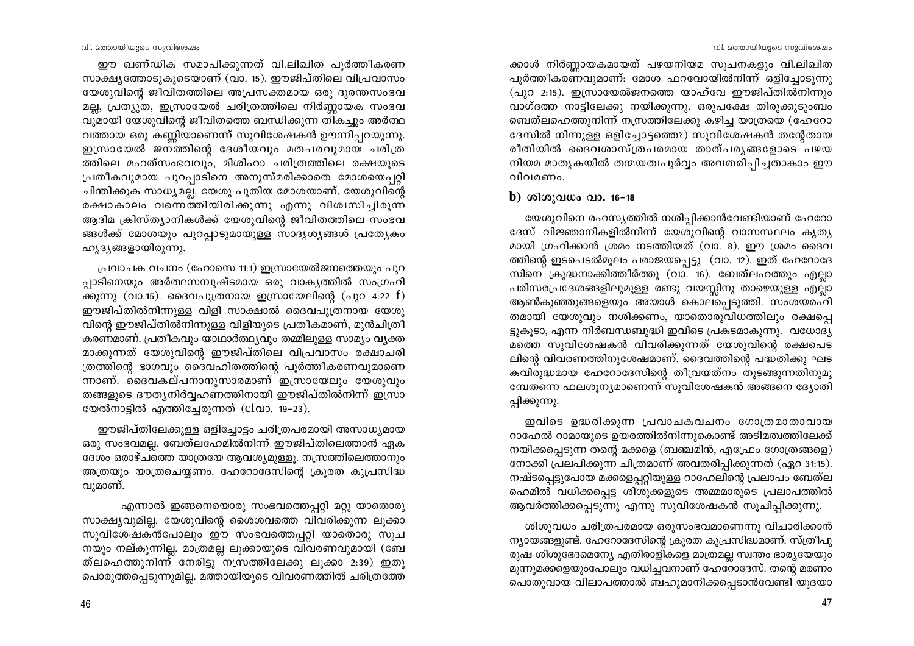ഈ ഖണ്ഡിക സമാപിക്കുന്നത് വി.ലിഖിത പൂർത്തീകരണ സാക്ഷ്യത്തോടുകുടെയാണ് (വാ. 15). ഈജിപ്തിലെ വിപ്രവാസം യേശുവിന്റെ ജീവിതത്തിലെ അപ്രസക്തമായ ഒരു ദുരന്തസംഭവ മല്ല, പ്രത്യുത, ഇസ്രായേൽ ചരിത്രത്തിലെ നിർണ്ണായക സംഭവ വുമായി യേശുവിന്റെ ജീവിതത്തെ ബന്ധിക്കുന്ന തികച്ചും അർത്ഥ വത്തായ ഒരു കണ്ണിയാണെന്ന് സുവിശേഷകൻ ഊന്നിപ്പറയുന്നു. ഇസ്രായേൽ ജനത്തിന്റെ ദേശീയവും മതപരവുമായ ചരിത്ര ത്തിലെ മഹത്സംഭവവും, മിശിഹാ ചരിത്രത്തിലെ രക്ഷയുടെ പ്രതീകവുമായ പുറപ്പാടിനെ അനുസ്മരിക്കാതെ മോശയെപ്പറ്റി ചിന്തിക്കുക സാധ്യമല്ല. യേശു പുതിയ മോശയാണ്, യേശുവിന്റെ രക്ഷാകാലം വന്നെത്തിയിരിക്കുന്നു എന്നു വിശ്വസിച്ചിരുന്ന ആദിമ ക്രിസ്ത്യാനികൾക്ക് യേശുവിന്റെ ജീവിതത്തിലെ സംഭവ ങ്ങൾക്ക് മോശയും പുറപ്പാടുമായുള്ള സാദൃശൃങ്ങൾ പ്രത്യേകം ഹൃദൃങ്ങളായിരുന്നു.

പ്രവാചക വചനം (ഹോസെ 11:1) ഇസ്രായേൽജനത്തെയും പുറ പ്പാടിനെയും അർത്ഥസമ്പുഷ്ടമായ ഒരു വാകൃത്തിൽ സംഗ്രഹി ക്കുന്നു (വാ.15). ദൈവപുത്രനായ ഇസ്രായേലിന്റെ (പുറ 4:22 f) ഈജിപ്തിൽനിന്നുള്ള വിളി സാക്ഷാൽ ദൈവപുത്രനായ യേശു വിന്റെ ഈജിപ്തിൽനിന്നുള്ള വിളിയുടെ പ്രതീകമാണ്, മുൻചിത്രീ കരണമാണ്. പ്രതീകവും യാഥാർത്ഥ്യവും തമ്മിലുള്ള സാമ്യം വ്യക്ത മാക്കുന്നത് യേശുവിന്റെ ഈജിപ്തിലെ വിപ്രവാസം രക്ഷാചരി ത്രത്തിന്റെ ഭാഗവും ദൈവഹിതത്തിന്റെ പുർത്തീകരണവുമാണെ ന്നാണ്. ദൈവകല്പനാനുസാരമാണ് ഇസ്രായേലും യേശുവും തങ്ങളുടെ ദൗതൃനിർവ്വഹണത്തിനായി ഈജിപ്തിൽനിന്ന് ഇസ്രാ യേൽനാട്ടിൽ എത്തിച്ചേരുന്നത് (cfവാ. 19-23).

ഈജിപ്തിലേക്കുള്ള ഒളിച്ചോട്ടം ചരിത്രപരമായി അസാധ്യമായ ഒരു സംഭവമല്ല. ബേത്ലഹേമിൽനിന്ന് ഈജിപ്തിലെത്താൻ ഏക ദേശം ഒരാഴ്ചത്തെ യാത്രയേ ആവശ്യമുള്ളൂ. നസ്രത്തിലെത്താനും അത്രയും യാത്രചെയ്യണം. ഹേറോദേസിന്റെ ക്രൂരത കുപ്രസിദ്ധ വുമാണ്.

എന്നാൽ ഇങ്ങനെയൊരു സംഭവത്തെപ്പറ്റി മറ്റു യാതൊരു സാക്ഷ്യവുമില്ല. യേശുവിന്റെ ശൈശവത്തെ വിവരിക്കുന്ന ലൂക്കാ സുവിശേഷകൻപോലും ഈ സംഭവത്തെപ്പറ്റി യാതൊരു സൂച നയും നല്കുന്നില്ല. മാത്രമല്ല ലൂക്കായുടെ വിവരണവുമായി (ബേ ത്ലഹെത്തുനിന്ന് നേരിട്ടു നസ്രത്തിലേക്കു ലൂക്കാ 2:39) ഇതു പൊരുത്തപ്പെടുന്നുമില്ല. മത്തായിയുടെ വിവരണത്തിൽ ചരിത്രത്തേ ക്കാൾ നിർണ്ണായകമായത് പഴയനിയമ സൂചനകളും വി.ലിഖിത പൂർത്തീകരണവുമാണ്: മോശ ഫറവോയിൽനിന്ന് ഒളിച്ചോടുന്നു (പുറ 2:15). ഇസ്രായേൽജനത്തെ യാഹ്വേ ഈജിപ്തിൽനിന്നും വാഗ്ദത്ത നാട്ടിലേക്കു നയിക്കുന്നു. ഒരുപക്ഷേ തിരുക്കുടുംബം ബെത്ലഹെത്തുനിന്ന് നസ്രത്തിലേക്കു കഴിച്ച യാത്രയെ (ഹേറോ ദേസിൽ നിന്നുള്ള ഒളിച്ചോട്ടത്തെ?) സുവിശേഷകൻ തന്റേതായ രീതിയിൽ ദൈവശാസ്ത്രപരമായ താത്പരൃങ്ങളോടെ പഴയ നിയമ മാതൃകയിൽ തന്മയത്വപൂർവ്വം അവതരിപ്പിച്ചതാകാം ഈ വിവരണം.

## b) ശിശുവധം വാ.  $16-18$

യേശുവിനെ രഹസ്യത്തിൽ നശിപ്പിക്കാൻവേണ്ടിയാണ് ഹേറോ ദേസ് വിജ്ഞാനികളിൽനിന്ന് യേശുവിന്റെ വാസസ്ഥലം കൃത്യ മായി ഗ്രഹിക്കാൻ ശ്രമം നടത്തിയത് (വാ. 8). ഈ ശ്രമം ദൈവ ത്തിന്റെ ഇടപെടൽമുലം പരാജയപ്പെട്ടു (വാ. 12). ഇത് ഹേറോദേ സിനെ ക്രുദ്ധനാക്കിത്തീർത്തു (വാ. 16). ബേത്ലഹത്തും എല്ലാ പരിസരപ്രദേശങ്ങളിലുമുള്ള രണ്ടു വയസ്സിനു താഴെയുള്ള എല്ലാ ആൺകുഞ്ഞുങ്ങളെയും അയാൾ കൊല്പ്പെടുത്തി. സംശയരഹി തമായി യേശുവും നശിക്കണം, യാതൊരുവിധത്തിലും രക്ഷപ്പെ ട്ടുകൂടാ, എന്ന നിർബന്ധബുദ്ധി ഇവിടെ പ്രകടമാകുന്നു. വധോദ്യ മത്തെ സുവിശേഷകൻ വിവരിക്കുന്നത് യേശുവിന്റെ രക്ഷപെട ലിന്റെ വിവരണത്തിനുശേഷമാണ്. ദൈവത്തിന്റെ പദ്ധതിക്കു ഘട കവിരുദ്ധമായ ഹേറോദേസിന്റെ തീവ്രയത്നം തുടങ്ങുന്നതിനുമു മ്പേതന്നെ ഫലശൂന്യമാണെന്ന് സുവിശേഷകൻ അങ്ങനെ ദ്യോതി പ്പിക്കുന്നു.

ഇവിടെ ഉദ്ധരിക്കുന്ന പ്രവാചകവചനം ഗോത്രമാതാവായ റാഹേൽ റാമായുടെ ഉയരത്തിൽനിന്നുകൊണ്ട് അടിമത്വത്തിലേക്ക് നയിക്കപ്പെടുന്ന തന്റെ മക്കളെ (ബഞ്ചമിൻ, എഫ്രോ ഗോത്രങ്ങളെ) നോക്കി പ്രലപിക്കുന്ന ചിത്രമാണ് അവതരിപ്പിക്കുന്നത് (ഏറ 31:15). നഷ്ടപ്പെട്ടുപോയ മക്കളെപ്പറ്റിയുള്ള റാഹേലിന്റെ പ്രലാപം ബേത്ല ഹെമിൽ വധിക്കപ്പെട്ട ശിശുക്കളുടെ അമ്മമാരുടെ പ്രലാപത്തിൽ ആവർത്തിക്കപ്പെടുന്നു എന്നു സുവിശേഷകൻ സുചിപ്പിക്കുന്നു.

ശിശുവധം ചരിത്രപരമായ ഒരുസംഭവമാണെന്നു വിചാരിക്കാൻ ന്യായങ്ങളുണ്ട്. ഹേറോദേസിന്റെ ക്രുരത കുപ്രസിദ്ധമാണ്. സ്ത്രീപു രുഷ ശിശുഭേദമെന്യേ എതിരാളികളെ മാത്രമല്ല സ്ഥതം ഭാര്യയേയും മൂന്നുമക്കളെയുംപോലും വധിച്ചവനാണ് ഹേറോദേസ്. തന്റെ മരണം പൊതുവായ വിലാപത്താൽ ബഹുമാനിക്കപ്പെടാൻവേണ്ടി യൂദയാ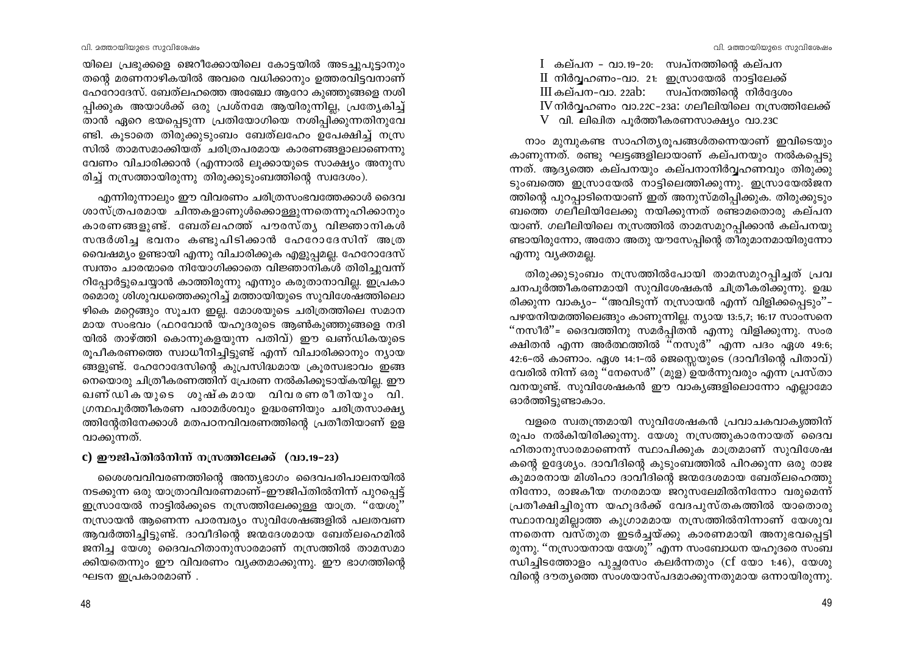$I$  കല്പന - വാ.19-20: സ്വപ്നത്തിന്റെ കല്പന  $\rm II$  നിർവ്വഹണം-വാ. 21: ഇസ്രായേൽ നാട്ടിലേക്ക്  $III$ കല്പന-വാ. 22 $ab$ : സ്വപ്നത്തിന്റെ നിർദ്ദേശം  $\overline{\text{IV}}$ നിർവ്വഹണം വാ.22C-23a: ഗലീലിയിലെ നസ്രത്തിലേക്ക്  $V$  വി. ലിഖിത പൂർത്തീകരണസാക്ഷ്യം വാ.23 $c$ 

നാം മുമ്പുകണ്ട സാഹിതൃരൂപങ്ങൾതന്നെയാണ് ഇവിടെയും കാണുന്നത്. രണ്ടു ഘട്ടങ്ങളിലായാണ് കല്പനയും നൽകപ്പെടു ന്നത്. ആദ്യത്തെ കല്പനയും കല്പനാനിർവ്വഹണവും തിരുക്കു ടുംബത്തെ ഇസ്രായേൽ നാട്ടിലെത്തിക്കുന്നു. ഇസ്രായേൽജന ത്തിന്റെ പുറപ്പാടിനെയാണ് ഇത് അനുസ്മരിപ്പിക്കുക. തിരുക്കുടും ബത്തെ ഗലിലിയിലേക്കു നയിക്കുന്നത് രണ്ടാമതൊരു കല്പന യാണ്. ഗലീലിയിലെ നസ്രത്തിൽ താമസമുറപ്പിക്കാൻ കല്പനയു ണ്ടായിരുന്നോ, അതോ അതു യൗസേപ്പിന്റെ തീരുമാനമായിരുന്നോ എന്നു വ്യക്തമല്ല.

തിരുക്കുടുംബം നസ്രത്തിൽപോയി താമസമുറപ്പിച്ചത് പ്രവ ചനപൂർത്തീകരണമായി സുവിശേഷകൻ ചിത്രീകരിക്കുന്നു. ഉദ്ധ രിക്കുന്ന വാക്യം– ''അവിടുന്ന് നസ്രായൻ എന്ന് വിളിക്കപ്പെടും''– പഴയനിയമത്തിലെങ്ങും കാണുന്നില്ല. ന്യായ 13:5,7; 16:17 സാംസനെ ''നസീർ''= ദൈവത്തിനു സമർപ്പിതൻ എന്നു വിളിക്കുന്നു. സംര ക്ഷിതൻ എന്ന അർത്ഥത്തിൽ "നസൂർ" എന്ന പദം ഏശ 49:6; 42:6-ൽ കാണാം. ഏശ 14:1-ൽ ജെസ്സെയുടെ (ദാവീദിന്റെ പിതാവ്) വേരിൽ നിന്ന് ഒരു ''നേസെർ'' (മുള) ഉയർന്നുവരും എന്ന പ്രസ്താ വനയുണ്ട്. സുവിശേഷകൻ ഈ വാകൃങ്ങളിലൊന്നോ എല്ലാമോ ഓർത്തിട്ടുണ്ടാകാം.

വളരെ സ്വതന്ത്രമായി സുവിശേഷകൻ പ്രവാചകവാകൃത്തിന് രൂപം നൽകിയിരിക്കുന്നു. യേശു നസ്രത്തുകാരനായത് ദൈവ ഹിതാനുസാരമാണെന്ന് സ്ഥാപിക്കുക മാത്രമാണ് സുവിശേഷ കന്റെ ഉദ്ദേശ്യം. ദാവീദിന്റെ കൂടുംബത്തിൽ പിറക്കുന്ന ഒരു രാജ കുമാരനായ മിശിഹാ ദാവീദിന്റെ ജന്മദേശമായ ബേത്ലഹെത്തു നിന്നോ, രാജകീയ നഗരമായ ജറുസലേമിൽനിന്നോ വരുമെന്ന് പ്രതീക്ഷിച്ചിരുന്ന യഹൂദർക്ക് വേദപുസ്തകത്തിൽ യാതൊരു സ്ഥാനവുമില്ലാത്ത കുഗ്രാമമായ നസ്രത്തിൽനിന്നാണ് യേശുവ ന്നതെന്ന വസ്തുത ഇടർച്ചയ്ക്കു കാരണമായി അനുഭവപ്പെട്ടി രുന്നു. ''നസ്രായനായ യേശു'' എന്ന സംബോധന യഹുദരെ സംബ ന്ധിച്ചിടത്തോളം പുച്ഛരസം കലർന്നതും (cf യോ 1:46), യേശു വിന്റെ ദൗത്യത്തെ സംശയാസ്പദമാക്കുന്നതുമായ ഒന്നായിരുന്നു.

വി. മത്തായിയുടെ സുവിശേഷം

യിലെ പ്രഭുക്കളെ ജെറീക്കോയിലെ കോട്ടയിൽ അടച്ചുപൂട്ടാനും തന്റെ മരണനാഴികയിൽ അവരെ വധിക്കാനും ഉത്തരവിട്ടവനാണ് ഹേറോദേസ്. ബേത്ലഹത്തെ അഞ്ചോ ആറോ കുഞ്ഞുങ്ങളെ നശി പ്പിക്കുക അയാൾക്ക് ഒരു പ്രശ്നമേ ആയിരുന്നില്ല, പ്രത്യേകിച്ച് താൻ ഏറെ ഭയപ്പെടുന്ന പ്രതിയോഗിയെ നശിപ്പിക്കുന്നതിനുവേ ണ്ടി. കുടാതെ തിരുക്കുടുംബം ബേത്ലഹേം ഉപേക്ഷിച്ച് നസ്ര സിൽ താമസമാക്കിയത് ചരിത്രപരമായ കാരണങ്ങളാലാണെന്നു വേണം വിചാരിക്കാൻ (എന്നാൽ ലൂക്കായുടെ സാക്ഷ്യം അനുസ രിച്ച് നസ്രത്തായിരുന്നു തിരുക്കുടുംബത്തിന്റെ സ്വദേശം).

എന്നിരുന്നാലും ഈ വിവരണം ചരിത്രസംഭവത്തേക്കാൾ ദൈവ ശാസ്ത്രപരമായ ചിന്തകളാണുൾക്കൊള്ളുന്നതെന്നുഹിക്കാനും കാരണങ്ങളുണ്ട്. ബേത്ലഹത്ത് പൗരസ്തൃ വിജ്ഞാനികൾ സന്ദർശിച്ച ഭവനം കണ്ടുപിടിക്കാൻ ഹേറോദേസിന് അത്ര വൈഷമ്യം ഉണ്ടായി എന്നു വിചാരിക്കുക എളുപ്പമല്ല. ഹേറോദേസ് സ്വന്തം ചാരന്മാരെ നിയോഗിക്കാതെ വിജ്ഞാനികൾ തിരിച്ചുവന്ന് റിപ്പോർട്ടുചെയ്യാൻ കാത്തിരുന്നു എന്നും കരുതാനാവില്ല. ഇപ്രകാ രമൊരു ശിശുവധത്തെക്കുറിച്ച് മത്തായിയുടെ സുവിശേഷത്തിലൊ ഴികെ മറ്റെങ്ങും സൂചന ഇല്ല. മോശയുടെ ചരിത്രത്തിലെ സമാന മായ സംഭവം (ഫറവോൻ യഹുദരുടെ ആൺകുഞ്ഞുങ്ങളെ നദി യിൽ താഴ്ത്തി കൊന്നുകളയുന്ന പതിവ്) ഈ ഖണ്ഡികയുടെ രൂപീകരണത്തെ സ്വാധീനിച്ചിട്ടുണ്ട് എന്ന് വിചാരിക്കാനും നൃായ ങ്ങളുണ്ട്. ഹേറോദേസിന്റെ കുപ്രസിദ്ധമായ ക്രുരസ്വഭാവം ഇങ്ങ നെയൊരു ചിത്രീകരണത്തിന് പ്രേരണ നൽകിക്കൂടായ്കയില്ല. ഈ ഖണ്ഡികയുടെ ശുഷ്കമായ വിവരണരീതിയും വി. ഗ്രന്ഥപൂർത്തീകരണ പരാമർശവും ഉദ്ധരണിയും ചരിത്രസാക്ഷ്യ ത്തിന്റേതിനേക്കാൾ മതപഠനവിവരണത്തിന്റെ പ്രതീതിയാണ് ഉള വാക്കുന്നത്.

## c) ഈജിപ്തിൽനിന്ന് നസ്രത്തിലേക്ക് (വാ.19-23)

ശൈശവവിവരണത്തിന്റെ അന്ത്യഭാഗം ദൈവപരിപാലനയിൽ നടക്കുന്ന ഒരു യാത്രാവിവരണമാണ്-ഈജിപ്തിൽനിന്ന് പുറപ്പെട്ട് ഇസ്രായേൽ നാട്ടിൽക്കുടെ നസ്രത്തിലേക്കുള്ള യാത്ര. "യേശു" നസ്രായൻ ആണെന്ന പാരമ്പര്യം സുവിശേഷങ്ങളിൽ പലതവണ ആവർത്തിച്ചിട്ടുണ്ട്. ദാവീദിന്റെ ജന്മദേശമായ ബേത്ലഹെമിൽ ജനിച്ച യേശു ദൈവഹിതാനുസാരമാണ് നസ്രത്തിൽ താമസമാ ക്കിയതെന്നും ഈ വിവരണം വ്യക്തമാക്കുന്നു. ഈ ഭാഗത്തിന്റെ ഘടന ഇപ്രകാരമാണ് .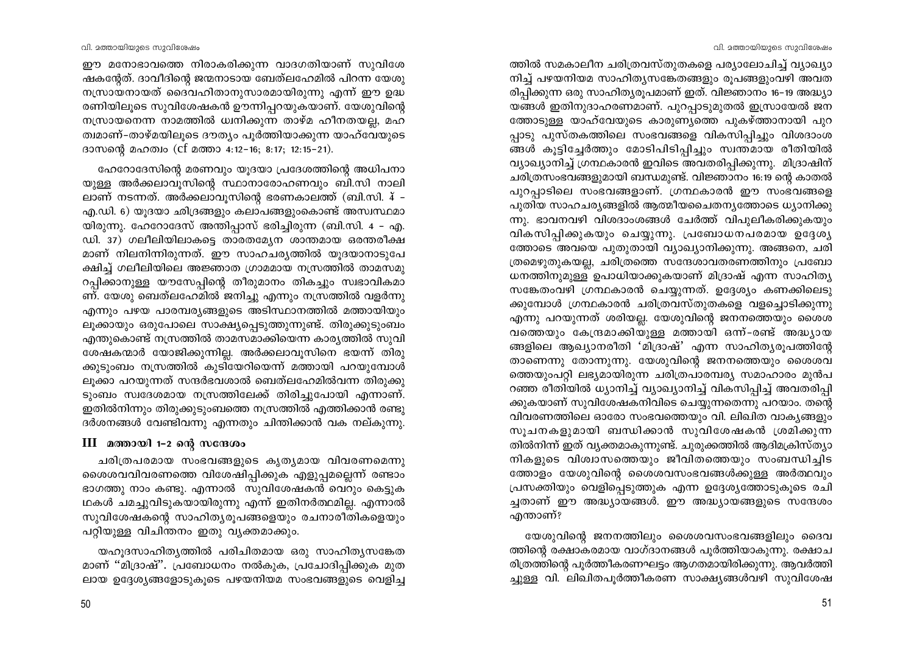ത്തിൽ സമകാലീന ചരിത്രവസ്തുതകളെ പര്യാലോചിച്ച് വ്യാഖ്യാ നിച്ച് പഴയനിയമ സാഹിത്യസങ്കേതങ്ങളും രുപങ്ങളുംവഴി അവത രിപ്പിക്കുന്ന ഒരു സാഹിത്യരൂപമാണ് ഇത്. വിജ്ഞാനം 16–19 അദ്ധ്യാ യങ്ങൾ ഇതിനുദാഹരണമാണ്. പുറപ്പാടുമുതൽ ഇസ്രായേൽ ജന ത്തോടുള്ള യാഹ്വേയുടെ കാരുണ്യത്തെ പുകഴ്ത്താനായി പുറ പ്പാടു പുസ്തകത്തിലെ സംഭവങ്ങളെ വികസിപ്പിച്ചും വിശദാംശ ങ്ങൾ കൂട്ടിച്ചേർത്തും മോടിപിടിപ്പിച്ചും സ്വന്തമായ രീതിയിൽ വ്യാഖ്യാനിച്ച് ഗ്രന്ഥകാരൻ ഇവിടെ അവതരിപ്പിക്കുന്നു. മിദ്രാഷിന് ചരിത്രസംഭവങ്ങളുമായി ബന്ധമുണ്ട്. വിജ്ഞാനം 16:19 ന്റെ കാതൽ പുറപ്പാടിലെ സംഭവങ്ങളാണ്. ഗ്രന്ഥകാരൻ ഈ സംഭവങ്ങളെ പുതിയ സാഹചര്യങ്ങളിൽ ആത്മീയചൈതന്യത്തോടെ ധ്യാനിക്കു ന്നു. ഭാവനവഴി വിശദാംശങ്ങൾ ചേർത്ത് വിപുലീകരിക്കുകയും വികസിപ്പിക്കുകയും ചെയ്യുന്നു. പ്രബോധനപരമായ ഉദ്ദേശ്യ ത്തോടെ അവയെ പുതുതായി വ്യാഖ്യാനിക്കുന്നു. അങ്ങനെ, ചരി ത്രമെഴുതുകയല്ല, ചരിത്രത്തെ സന്ദേശാവതരണത്തിനും പ്രബോ ധനത്തിനുമുള്ള ഉപാധിയാക്കുകയാണ് മിദ്രാഷ് എന്ന സാഹിത്യ സങ്കേതംവഴി ഗ്രന്ഥകാരൻ ചെയ്യുന്നത്. ഉദ്ദേശ്യം കണക്കിലെടു ക്കുമ്പോൾ ഗ്രന്ഥകാരൻ ചരിത്രവസ്തുതകളെ വളച്ചൊടിക്കുന്നു എന്നു പറയുന്നത് ശരിയല്ല. യേശുവിന്റെ ജനനത്തെയും ശൈശ വത്തെയും കേന്ദ്രമാക്കിയുള്ള മത്തായി ഒന്ന്-രണ്ട് അദ്ധ്യായ ങ്ങളിലെ ആഖ്യാനരീതി 'മിദ്രാഷ്' എന്ന സാഹിത്യരുപത്തിന്റേ താണെന്നു തോന്നുന്നു. യേശുവിന്റെ ജനനത്തെയും ശൈശവ ത്തെയുംപറ്റി ലഭ്യമായിരുന്ന ചരിത്രപാരമ്പര്യ സമാഹാരം മുൻപ റഞ്ഞ രീതിയിൽ ധ്യാനിച്ച് വ്യാഖ്യാനിച്ച് വികസിപ്പിച്ച് അവതരിപ്പി ക്കുകയാണ് സുവിശേഷകനിവിടെ ചെയ്യുന്നതെന്നു പറയാം. തന്റെ വിവരണത്തിലെ ഓരോ സംഭവത്തെയും വി. ലിഖിത വാകൃങ്ങളും സൂചനകളുമായി ബന്ധിക്കാൻ സുവിശേഷകൻ ശ്രമിക്കുന്ന തിൽനിന്ന് ഇത് വ്യക്തമാകുന്നുണ്ട്. ചുരുക്കത്തിൽ ആദിമക്രിസ്ത്യാ നികളുടെ വിശ്വാസത്തെയും ജീവിതത്തെയും സംബന്ധിച്ചിട ത്തോളം യേശുവിന്റെ ശൈശവസംഭവങ്ങൾക്കുള്ള അർത്ഥവും പ്രസക്തിയും വെളിപ്പെടുത്തുക എന്ന ഉദ്ദേശ്യത്തോടുകൂടെ രചി ച്ചതാണ് ഈ അദ്ധ്യായങ്ങൾ. ഈ അദ്ധ്യായങ്ങളുടെ സന്ദേശം എന്താണ്?

യേശുവിന്റെ ജനനത്തിലും ശൈശവസംഭവങ്ങളിലും ദൈവ ത്തിന്റെ രക്ഷാകരമായ വാഗ്ദാനങ്ങൾ പുർത്തിയാകുന്നു. രക്ഷാച രിത്രത്തിന്റെ പൂർത്തീകരണഘട്ടം ആഗതമായിരിക്കുന്നു. ആവർത്തി ച്ചുള്ള വി. ലിഖിതപൂർത്തീകരണ സാക്ഷ്യങ്ങൾവഴി സുവിശേഷ

വി. മത്തായിയുടെ സുവിശേഷം

ഈ മനോഭാവത്തെ നിരാകരിക്കുന്ന വാദഗതിയാണ് സുവിശേ ഷകന്റേത്. ദാവീദിന്റെ ജന്മനാടായ ബേത്ലഹേമിൽ പിറന്ന യേശു നസ്രായനായത് ദൈവഹിതാനുസാരമായിരുന്നു എന്ന് ഈ ഉദ്ധ രണിയിലൂടെ സുവിശേഷകൻ ഊന്നിപ്പറയുകയാണ്. യേശുവിന്റെ നസ്രായനെന്ന നാമത്തിൽ ധ്വനിക്കുന്ന താഴ്മ ഹീനതയല്ല, മഹ ത്വമാണ്-താഴ്മയിലുടെ ദൗത്യം പൂർത്തിയാക്കുന്ന യാഹ്വേയുടെ ദാസന്റെ മഹത്വം (cf മത്താ 4:12-16; 8:17; 12:15-21).

ഹേറോദേസിന്റെ മരണവും യുദയാ പ്രദേശത്തിന്റെ അധിപനാ യുള്ള അർക്കലാവൂസിന്റെ സ്ഥാനാരോഹണവും ബി.സി നാലി ലാണ് നടന്നത്. അർക്കലാവുസിന്റെ ഭരണകാലത്ത് (ബി.സി. 4 -എ.ഡി. 6) യുദയാ ഛിദ്രങ്ങളും കലാപങ്ങളുംകൊണ്ട് അസ്വസ്ഥമാ യിരുന്നു. ഹേറോദേസ് അന്തിപ്പാസ് ഭരിച്ചിരുന്ന (ബി.സി. 4 - എ. ഡി. 37) ഗലീലിയിലാകട്ടെ താരതമ്യേന ശാന്തമായ ഒരന്തരീക്ഷ മാണ് നിലനിന്നിരുന്നത്. ഈ സാഹചര്യത്തിൽ യൂദയാനാടുപേ ക്ഷിച്ച് ഗലീലിയിലെ അജ്ഞാത ഗ്രാമമായ നസ്രത്തിൽ താമസമു റപ്പിക്കാനുള്ള യൗസേപ്പിന്റെ തീരുമാനം തികച്ചും സ്വഭാവികമാ ണ്. യേശു ബെത്ലഹേമിൽ ജനിച്ചു എന്നും നസ്രത്തിൽ വളർന്നു എന്നും പഴയ പാരമ്പര്യങ്ങളുടെ അടിസ്ഥാനത്തിൽ മത്തായിയും ലുക്കായും ഒരുപോലെ സാക്ഷ്യപ്പെടുത്തുന്നുണ്ട്. തിരുക്കുടുംബം എന്തുകൊണ്ട് നസ്രത്തിൽ താമസമാക്കിയെന്ന കാര്യത്തിൽ സുവി ശേഷകന്മാർ യോജിക്കുന്നില്ല. അർക്കലാവൂസിനെ ഭയന്ന് തിരു ക്കുടുംബം നസ്രത്തിൽ കുടിയേറിയെന്ന് മത്തായി പറയുമ്പോൾ ലുക്കാ പറയുന്നത് സന്ദർഭവശാൽ ബെത്ലഹേമിൽവന്ന തിരുക്കു ടുംബം സ്വദേശമായ നസ്രത്തിലേക്ക് തിരിച്ചുപോയി എന്നാണ്. ഇതിൽനിന്നും തിരുക്കുടുംബത്തെ നസ്രത്തിൽ എത്തിക്കാൻ രണ്ടു ദർശനങ്ങൾ വേണ്ടിവന്നു എന്നതും ചിന്തിക്കാൻ വക നല്കുന്നു.

#### $III$  допозод 1-2 опо тепио

ചരിത്രപരമായ സംഭവങ്ങളുടെ കൃത്യമായ വിവരണമെന്നു ശൈശവവിവരണത്തെ വിശേഷിപ്പിക്കുക എളുപ്പമല്ലെന്ന് രണ്ടാം ഭാഗത്തു നാം കണ്ടു. എന്നാൽ സുവിശേഷകൻ വെറും കെട്ടുക ഥകൾ ചമച്ചുവിടുകയായിരുന്നു എന്ന് ഇതിനർത്ഥമില്ല. എന്നാൽ സുവിശേഷകന്റെ സാഹിത്യരൂപങ്ങളെയും രചനാരീതികളെയും പറ്റിയുള്ള വിചിന്തനം ഇതു വ്യക്തമാക്കും.

യഹുദസാഹിതൃത്തിൽ പരിചിതമായ ഒരു സാഹിതൃസങ്കേത മാണ് "മിദ്രാഷ്". പ്രബോധനം നൽകുക, പ്രചോദിപ്പിക്കുക മുത ലായ ഉദ്ദേശ്യങ്ങളോടുകൂടെ പഴയനിയമ സംഭവങ്ങളുടെ വെളിച്ച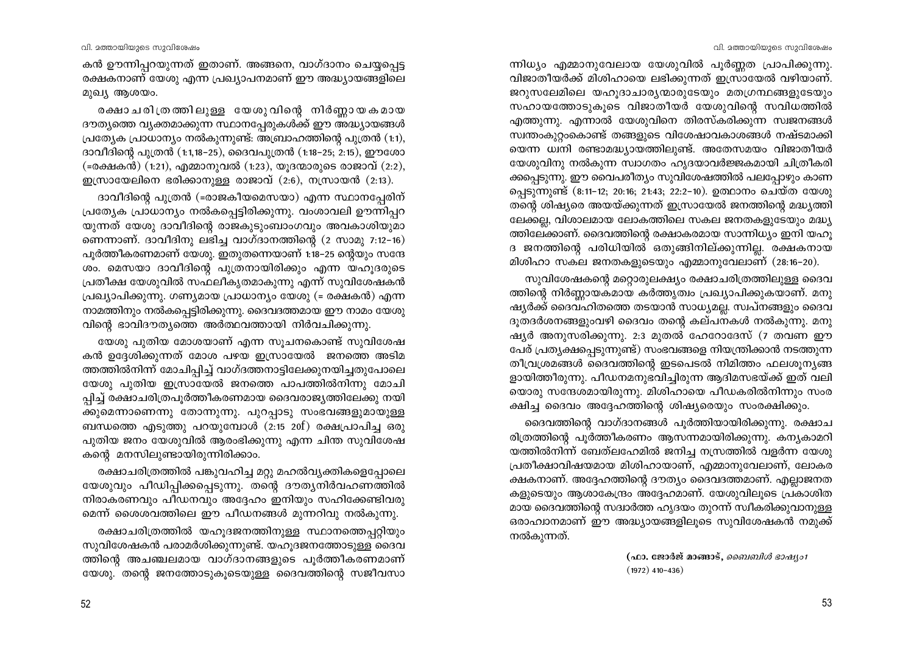ന്നിധ്യം എമ്മാനുവേലായ യേശുവിൽ പൂർണ്ണത പ്രാപിക്കുന്നു. വിജാതീയർക്ക് മിശിഹായെ ലഭിക്കുന്നത് ഇസ്രായേൽ വഴിയാണ്. ജറുസലേമിലെ യഹൂദാചാര്യന്മാരുടേയും മതഗ്രന്ഥങ്ങളുടേയും സഹായത്തോടുകൂടെ വിജാതീയർ യേശുവിന്റെ സവിധത്തിൽ എത്തുന്നു. എന്നാൽ യേശുവിനെ തിരസ്കരിക്കുന്ന സ്വജനങ്ങൾ സ്ഥന്തംകുറ്റംകൊണ്ട് തങ്ങളുടെ വിശേഷാവകാശങ്ങൾ നഷ്ടമാക്കി യെന്ന ധ്വനി രണ്ടാമദ്ധ്യായത്തിലുണ്ട്. അതേസമയം വിജാതീയർ യേശുവിനു നൽകുന്ന സ്വാഗതം ഹൃദയാവർജ്ജകമായി ചിത്രീകരി ക്കപ്പെടുന്നു. ഈ വൈപരീത്യം സുവിശേഷത്തിൽ പലപ്പോഴും കാണ ചെടുന്നുണ്ട് (8:11-12; 20:16; 21:43; 22:2-10). ഉത്ഥാനം ചെയ്ത യേശു തന്റെ ശിഷ്യരെ അയയ്ക്കുന്നത് ഇസ്രായേൽ ജനത്തിന്റെ മദ്ധ്യത്തി ലേക്കല്ല, വിശാലമായ ലോകത്തിലെ സകല ജനതകളുടേയും മദ്ധ്യ ത്തിലേക്കാണ്. ദൈവത്തിന്റെ രക്ഷാകരമായ സാന്നിധ്യം ഇനി യഹു ദ ജനത്തിന്റെ പരിധിയിൽ ഒതുങ്ങിനില്ക്കുന്നില്ല. രക്ഷകനായ മിശിഹാ സകല ജനതകളുടെയും എമ്മാനുവേലാണ് (28:16-20).

സുവിശേഷകന്റെ മറ്റൊരുലക്ഷ്യം രക്ഷാചരിത്രത്തിലുള്ള ദൈവ ത്തിന്റെ നിർണ്ണായകമായ കർത്ത്യത്വം പ്രഖ്യാപിക്കുകയാണ്. മനു ഷ്യർക്ക് ദൈവഹിതത്തെ തടയാൻ സാധ്യമല്ല. സ്ഥ്പനങ്ങളും ദൈവ ദൂതദർശനങ്ങളുംവഴി ദൈവം തന്റെ കല്പനകൾ നൽകുന്നു. മനു ഷ്യർ അനുസരിക്കുന്നു. 2:3 മുതൽ ഹേറോദേസ് (7 തവണ ഈ പേര് പ്രത്യക്ഷപ്പെടുന്നുണ്ട്) സംഭവങ്ങളെ നിയന്ത്രിക്കാൻ നടത്തുന്ന തീവ്രശ്രമങ്ങൾ ദൈവത്തിന്റെ ഇടപെടൽ നിമിത്തം ഫലശൂന്യങ്ങ ളായിത്തീരുന്നു. പീഡനമനുഭവിച്ചിരുന്ന ആദിമസഭയ്ക്ക് ഇത് വലി യൊരു സന്ദേശമായിരുന്നു. മിശിഹായെ പീഡകരിൽനിന്നും സംര ക്ഷിച്ച ദൈവം അദ്ദേഹത്തിന്റെ ശിഷ്യരെയും സംരക്ഷിക്കും.

ദൈവത്തിന്റെ വാഗ്ദാനങ്ങൾ പൂർത്തിയായിരിക്കുന്നു. രക്ഷാച രിത്രത്തിന്റെ പൂർത്തീകരണം ആസന്നമായിരിക്കുന്നു. കന്യകാമറി യത്തിൽനിന്ന് ബേത്ലഹേമിൽ ജനിച്ച നസ്രത്തിൽ വളർന്ന യേശു പ്രതീക്ഷാവിഷയമായ മിശിഹായാണ്, എമ്മാനുവേലാണ്, ലോകര ക്ഷകനാണ്. അദ്ദേഹത്തിന്റെ ദൗത്യം ദൈവദത്തമാണ്. എല്ലാജനത കളുടെയും ആശാകേന്ദ്രം അദ്ദേഹമാണ്. യേശുവിലൂടെ പ്രകാശിത മായ ദൈവത്തിന്റെ സദ്ധാർത്ത ഹൃദയം തുറന്ന് സ്ഥീകരിക്കുവാനുള്ള ഒരാഹ്വാനമാണ് ഈ അദ്ധ്യായങ്ങളിലൂടെ സുവിശേഷകൻ നമുക്ക് നൽകുന്നത്.

> (ഫാ. ജോർജ് മാങ്ങാട്, ബൈബിൾ ഭാഷ്യാ1  $(1972)$  410-436)

വി. മത്തായിയുടെ സുവിശേഷം

കൻ ഊന്നിപ്പറയുന്നത് ഇതാണ്. അങ്ങനെ, വാഗ്ദാനം ചെയ്യപ്പെട്ട രക്ഷകനാണ് യേശു എന്ന പ്രഖ്യാപനമാണ് ഈ അദ്ധ്യായങ്ങളിലെ മുഖ്യ ആശയം.

രക്ഷാ ചരിത്രത്തിലുള്ള യേശുവിന്റെ നിർണ്ണായകമായ ദൗത്യത്തെ വ്യക്തമാക്കുന്ന സ്ഥാനപ്പേരുകൾക്ക് ഈ അദ്ധ്യായങ്ങൾ പ്രത്യേക പ്രാധാന്യം നൽകുന്നുണ്ട്: അബ്രാഹത്തിന്റെ പുത്രൻ (1:1), ദാവീദിന്റെ പുത്രൻ (1:1,18-25), ദൈവപുത്രൻ (1:18-25; 2:15), ഈശോ (=രക്ഷകൻ) (1:21), എമ്മാനുവൽ (1:23), യൂദന്മാരുടെ രാജാവ് (2:2), ഇസ്രായേലിനെ ഭരിക്കാനുള്ള രാജാവ്  $(2:6)$ , നസ്രായൻ  $(2:13)$ .

ദാവീദിന്റെ പുത്രൻ (=രാജകീയമെസയാ) എന്ന സ്ഥാനപ്പേരിന് പ്രത്യേക പ്രാധാന്യം നൽകപ്പെട്ടിരിക്കുന്നു. വംശാവലി ഊന്നിപ്പറ യുന്നത് യേശു ദാവീദിന്റെ രാജകുടുംബാംഗവും അവകാശിയുമാ ണെന്നാണ്. ദാവീദിനു ലഭിച്ച വാഗ്ദാനത്തിന്റെ (2 സാമു 7:12-16) പൂർത്തീകരണമാണ് യേശു. ഇതുതന്നെയാണ് 1:18–25 ന്റെയും സന്ദേ ശം. മെസയാ ദാവീദിന്റെ പുത്രനായിരിക്കും എന്ന യഹൂദരുടെ പ്രതീക്ഷ യേശുവിൽ സഫലീകൃതമാകുന്നു എന്ന് സുവിശേഷകൻ പ്രഖ്യാപിക്കുന്നു. ഗണ്യമായ പ്രാധാന്യം യേശു (= രക്ഷകൻ) എന്ന നാമത്തിനും നൽകപ്പെട്ടിരിക്കുന്നു. ദൈവദത്തമായ ഈ നാമം യേശു വിന്റെ ഭാവിദൗത്യത്തെ അർത്ഥവത്തായി നിർവചിക്കുന്നു.

യേശു പുതിയ മോശയാണ് എന്ന സുചനകൊണ്ട് സുവിശേഷ കൻ ഉദ്ദേശിക്കുന്നത് മോശ പഴയ ഇസ്രായേൽ ജനത്തെ അടിമ ത്തത്തിൽനിന്ന് മോചിപ്പിച്ച് വാഗ്ദത്തനാട്ടിലേക്കുനയിച്ചതുപോലെ യേശു പുതിയ ഇസ്രായേൽ ജനത്തെ പാപത്തിൽനിന്നു മോചി പ്പിച്ച് രക്ഷാചരിത്രപൂർത്തീകരണമായ ദൈവരാജ്യത്തിലേക്കു നയി ക്കുമെന്നാണെന്നു തോന്നുന്നു. പുറപ്പാടു സംഭവങ്ങളുമായുള്ള ബന്ധത്തെ എടുത്തു പറയുമ്പോൾ (2:15 20f) രക്ഷപ്രാപിച്ച ഒരു പുതിയ ജനം യേശുവിൽ ആരംഭിക്കുന്നു എന്ന ചിന്ത സുവിശേഷ കന്റെ മനസിലുണ്ടായിരുന്നിരിക്കാം.

രക്ഷാചരിത്രത്തിൽ പങ്കുവഹിച്ച മറ്റു മഹൽവ്യക്തികളെപ്പോലെ യേശുവും പീഡിപ്പിക്കപ്പെടുന്നു. തന്റെ ദൗതൃനിർവഹണത്തിൽ നിരാകരണവും പീഡനവും അദ്ദേഹം ഇനിയും സഹിക്കേണ്ടിവരു മെന്ന് ശൈശവത്തിലെ ഈ പീഡനങ്ങൾ മുന്നറിവു നൽകുന്നു.

രക്ഷാചരിത്രത്തിൽ യഹൂദജനത്തിനുള്ള സ്ഥാനത്തെപ്പറ്റിയും സുവിശേഷകൻ പരാമർശിക്കുന്നുണ്ട്. യഹുദജനത്തോടുള്ള ദൈവ ത്തിന്റെ അചഞ്ചലമായ വാഗ്ദാനങ്ങളുടെ പൂർത്തീകരണമാണ് യേശു. തന്റെ ജനത്തോടുകൂടെയുള്ള ദൈവത്തിന്റെ സജീവസാ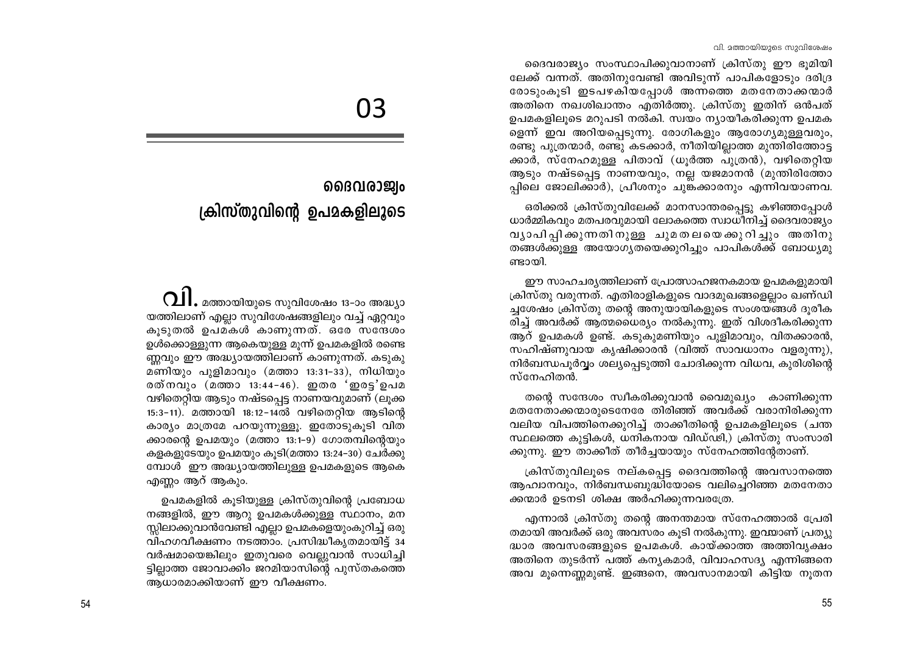ദൈവരാജ്യം സംസ്ഥാപിക്കുവാനാണ് ക്രിസ്തു ഈ ഭൂമിയി ലേക്ക് വന്നത്. അതിനുവേണ്ടി അവിടുന്ന് പാപികളോടും ദരിദ്ര രോടുംകൂടി ഇടപഴകിയപ്പോൾ അന്നത്തെ മതനേതാക്കന്മാർ അതിനെ നഖശിഖാന്തം എതിർത്തു. ക്രിസ്തു ഇതിന് ഒൻപത് ഉപമകളിലൂടെ മറുപടി നൽകി. സ്വയം ന്യായീകരിക്കുന്ന ഉപമക ളെന്ന് ഇവ അറിയപ്പെടുന്നു. രോഗികളും ആരോഗ്യമുള്ളവരും, രണ്ടു പുത്രന്മാർ, രണ്ടു കടക്കാർ, നീതിയില്ലാത്ത മുന്തിരിത്തോട്ട ക്കാർ, സ്നേഹമുള്ള പിതാവ് (ധൂർത്ത പുത്രൻ), വഴിതെറ്റിയ ആടും നഷ്ടപ്പെട്ട നാണയവും, നല്ല യജമാനൻ (മുന്തിരിത്തോ പ്പിലെ ജോലിക്കാർ), പ്രീശനും ചുങ്ക്കാരനും എന്നിവയാണവ.

ഒരിക്കൽ ക്രിസ്തുവിലേക്ക് മാനസാന്തരപ്പെട്ടു കഴിഞ്ഞപ്പോൾ ധാർമ്മികവും മതപരവുമായി ലോകത്തെ സ്വാധീനിച്ച് ദൈവരാജ്യം വ്യാപിപ്പിക്കുന്നതിനുള്ള ചുമതലയെക്കുറിച്ചും അതിനു തങ്ങൾക്കുള്ള അയോഗ്യതയെക്കുറിച്ചും പാപികൾക്ക് ബോധ്യമു ണ്ടായി.

ഈ സാഹചര്യത്തിലാണ് പ്രോത്സാഹജനകമായ ഉപമകളുമായി ക്രിസ്തു വരുന്നത്. എതിരാളികളുടെ വാദമുഖങ്ങളെല്ലാം ഖണ്ഡി ച്ചശേഷം ക്രിസ്തു തന്റെ അനുയായികളുടെ സംശയങ്ങൾ ദൂരീക രിച്ച് അവർക്ക് ആത്മധൈര്യം നൽകുന്നു. ഇത് വിശദീകരിക്കുന്ന ആറ് ഉപമകൾ ഉണ്ട്. കടുകുമണിയും പുളിമാവും, വിതക്കാരൻ, സഹിഷ്ണുവായ കൃഷിക്കാരൻ (വിത്ത് സാവധാനം വളരുന്നു), നിർബന്ധപൂർവ്വം ശല്യപ്പെടുത്തി ചോദിക്കുന്ന വിധവ, കുരിശിന്റെ സ്നേഹിതൻ.

തന്റെ സന്ദേശം സ്വീകരിക്കുവാൻ വൈമുഖ്യം കാണിക്കുന്ന മതനേതാക്കന്മാരുടെനേരേ തിരിഞ്ഞ് അവർക്ക് വരാനിരിക്കുന്ന വലിയ വിപത്തിനെക്കുറിച്ച് താക്കീതിന്റെ ഉപമകളിലൂടെ (ചന്ത സ്ഥലത്തെ കുട്ടികൾ, ധനികനായ വിഡ്ഢി,) ക്രിസ്തു സംസാരി ക്കുന്നു. ഈ താക്കീത് തീർച്ചയായും സ്നേഹത്തിന്റേതാണ്.

ക്രിസ്തുവിലൂടെ നല്കപ്പെട്ട ദൈവത്തിന്റെ അവസാനത്തെ ആഹ്വാനവും, നിർബന്ധബുദ്ധിയോടെ വലിച്ചെറിഞ്ഞ മതനേതാ ക്കന്മാർ ഉടനടി ശിക്ഷ അർഹിക്കുന്നവരത്രേ.

എന്നാൽ ക്രിസ്തു തന്റെ അനന്തമായ സ്നേഹത്താൽ പ്രേരി തമായി അവർക്ക് ഒരു അവസരം കൂടി നൽകുന്നു. ഇവയാണ് പ്രത്യു ദ്ധാര അവസരങ്ങളുടെ ഉപമകൾ. കായ്ക്കാത്ത അത്തിവൃക്ഷം അതിനെ തുടർന്ന് പത്ത് കന്യകമാർ, വിവാഹസദ്യ എന്നിങ്ങനെ അവ മൂന്നെണ്ണമുണ്ട്. ഇങ്ങനെ, അവസാനമായി കിട്ടിയ നൂതന

## 03

## ൭ൈവരാജ്വം ക്രിസ്തുവിന്റെ ഉപമകളിലൂടെ

 $\Omega$  . മത്തായിയുടെ സുവിശേഷം 13–ാം അദ്ധ്യാ യത്തിലാണ് എല്ലാ സുവിശേഷങ്ങളിലും വച്ച് ഏറ്റവും കൂടുതൽ ഉപമകൾ കാണുന്നത്. ഒരേ സന്ദേശം ഉൾക്കൊള്ളുന്ന ആകെയുള്ള മുന്ന് ഉപമകളിൽ രണ്ടെ ണ്ണവും ഈ അദ്ധ്യായത്തിലാണ് കാണുന്നത്. കടുകൂ മണിയും പുളിമാവും (മത്താ 13:31-33), നിധിയും രത്നവും (മത്താ 13:44-46). ഇതര 'ഇരട്ട'ഉപമ വഴിതെറ്റിയ ആടും നഷ്ടപ്പെട്ട നാണയവുമാണ് (ലൂക്ക 15:3-11). മത്തായി 18:12-14ൽ വഴിതെറ്റിയ ആടിന്റെ കാര്യം മാത്രമേ പറയുന്നുള്ളൂ. ഇതോടുകൂടി വിത ക്കാരന്റെ ഉപമയും (മത്താ 13:1-9) ഗോതമ്പിന്റെയും കളകളുടേയും ഉപമയും കുടി(മത്താ 13:24-30) ചേർക്കു മ്പോൾ ഈ അദ്ധ്യായത്തിലുള്ള ഉപമകളുടെ ആകെ എണ്ണം ആറ് ആകും.

ഉപമകളിൽ കുടിയുള്ള ക്രിസ്തുവിന്റെ പ്രബോധ നങ്ങളിൽ, ഈ ആറു ഉപമകൾക്കുള്ള സ്ഥാനം, മന സ്സിലാക്കുവാൻവേണ്ടി എല്ലാ ഉപമകളെയുംകുറിച്ച് ഒരു വിഹഗവീക്ഷണം നടത്താം. പ്രസിദ്ധീകൃതമായിട്ട് 34 വർഷമായെങ്കിലും ഇതുവരെ വെല്ലുവാൻ സാധിച്ചി ട്ടില്ലാത്ത ജോവാക്കിം ജറമിയാസിന്റെ പുസ്തകത്തെ ആധാരമാക്കിയാണ് ഈ വീക്ഷണം.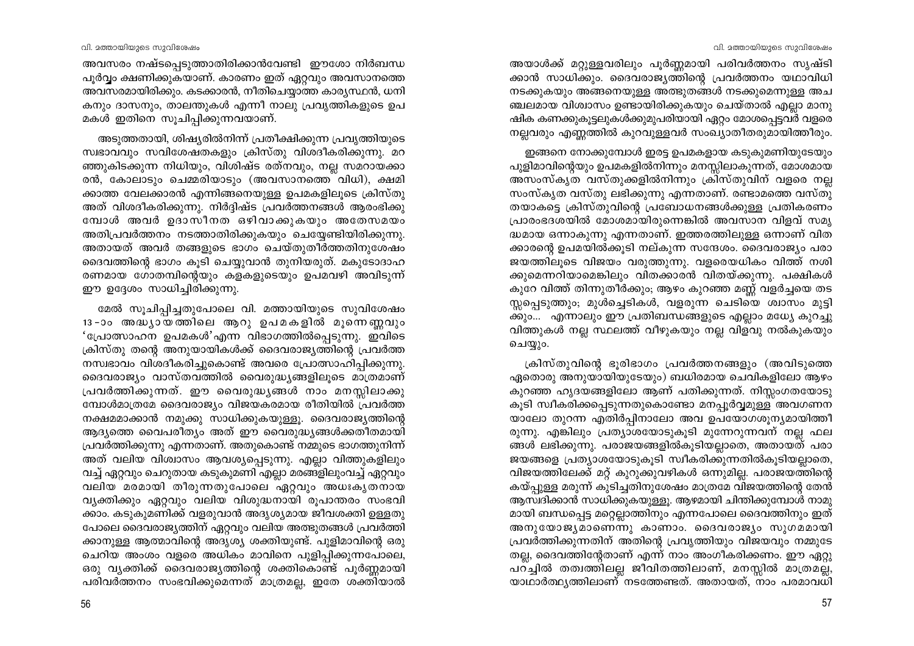അയാൾക്ക് മറ്റുള്ളവരിലും പൂർണ്ണമായി പരിവർത്തനം സൃഷ്ടി ക്കാൻ സാധിക്കും. ദൈവരാജ്യത്തിന്റെ പ്രവർത്തനം യഥാവിധി നടക്കുകയും അങ്ങനെയുള്ള അത്ഭുതങ്ങൾ നടക്കുമെന്നുള്ള അച ഞ്ചലമായ വിശ്വാസം ഉണ്ടായിരിക്കുകയും ചെയ്താൽ എല്ലാ മാനു ഷിക കണക്കുകൂട്ടലുകൾക്കുമുപരിയായി ഏറ്റം മോശപ്പെട്ടവർ വളരെ നല്ലവരും എണ്ണത്തിൽ കുറവുള്ളവർ സംഖ്യാതീതരുമായിത്തീരും.

ഇങ്ങനെ നോക്കുമ്പോൾ ഇരട്ട ഉപമകളായ കടുകുമണിയുടേയും പുളിമാവിന്റെയും ഉപമകളിൽനിന്നും മനസ്സിലാകുന്നത്, മോശമായ അസംസ്കൃത വസ്തുക്കളിൽനിന്നും ക്രിസ്തുവിന് വളരെ നല്ല സംസ്കൃത വസ്തു ലഭിക്കുന്നു എന്നതാണ്. രണ്ടാമത്തെ വസ്തു തയാകട്ടെ ക്രിസ്തുവിന്റെ പ്രബോധനങ്ങൾക്കുള്ള പ്രതികരണം പ്രാരംഭദശയിൽ മോശമായിരുന്നെങ്കിൽ അവസാന വിളവ് സമൃ ദ്ധമായ ഒന്നാകുന്നു എന്നതാണ്. ഇത്തരത്തിലുള്ള ഒന്നാണ് വിത ക്കാരന്റെ ഉപമയിൽക്കൂടി നല്കുന്ന സന്ദേശം. ദൈവരാജ്യം പരാ ജയത്തിലൂടെ വിജയം വരുത്തുന്നു. വളരെയധികം വിത്ത് നശി ക്കുമെന്നറിയാമെങ്കിലും വിതക്കാരൻ വിതയ്ക്കുന്നു. പക്ഷികൾ കൂറേ വിത്ത് തിന്നുതീർക്കും; ആഴം കുറഞ്ഞ മണ്ണ് വളർച്ചയെ തട സ്സപ്പെടുത്തും; മുൾച്ചെടികൾ, വളരുന്ന ചെടിയെ ശ്വാസം മുട്ടി ക്കും... എന്നാലും ഈ പ്രതിബന്ധങ്ങളുടെ എല്ലാം മധ്യേ കുറച്ചു വിത്തുകൾ നല്ല സ്ഥലത്ത് വീഴുകയും നല്ല വിളവു നൽകുകയും ചെയ്യും.

ക്രിസ്തുവിന്റെ ഭുരിഭാഗം പ്രവർത്തനങ്ങളും (അവിടുത്തെ ഏതൊരു അനുയായിയുടേയും) ബധിരമായ ചെവികളിലോ ആഴം കുറഞ്ഞ ഹൃദയങ്ങളിലോ ആണ് പതിക്കുന്നത്. നിസ്സംഗതയോടു കൂടി സ്വീകരിക്കപ്പെടുന്നതുകൊണ്ടോ മനപ്പൂർവ്വമുള്ള അവഗണന യാലോ തുറന്ന എതിർപ്പിനാലോ അവ ഉപയോഗശൂന്യമായിത്തീ രുന്നു. എങ്കിലും പ്രത്യാശയോടുകൂടി മുന്നേറുന്നവന് നല്ല ഫല ങ്ങൾ ലഭിക്കുന്നു. പരാജയങ്ങളിൽകൂടിയല്ലാതെ, അതായത് പരാ ജയങ്ങളെ പ്രത്യാശയോടുകൂടി സ്വീകരിക്കുന്നതിൽകുടിയല്ലാതെ, വിജയത്തിലേക്ക് മറ്റ് കുറുക്കുവഴികൾ ഒന്നുമില്ല. പരാജയത്തിന്റെ കയ്പ്പുള്ള മരുന്ന് കുടിച്ചതിനുശേഷം മാത്രമേ വിജയത്തിന്റെ തേൻ ആസ്വദിക്കാൻ സാധിക്കുകയുള്ളൂ. ആഴമായി ചിന്തിക്കുമ്പോൾ നാമു മായി ബന്ധപ്പെട്ട മറ്റെല്ലാത്തിനും എന്നപോലെ ദൈവത്തിനും ഇത് അനുയോജ്യമാണെന്നു കാണാം. ദൈവരാജ്യം സുഗമമായി പ്രവർത്തിക്കുന്നതിന് അതിന്റെ പ്രവൃത്തിയും വിജയവും നമ്മുടേ തല്ല, ദൈവത്തിന്റേതാണ് എന്ന് നാം അംഗീകരിക്കണം. ഈ ഏറ്റു പറച്ചിൽ തത്വത്തിലല്ല ജീവിതത്തിലാണ്, മനസ്സിൽ മാത്രമല്ല, യാഥാർത്ഥ്യത്തിലാണ് നടത്തേണ്ടത്. അതായത്, നാം പരമാവധി

#### വി. മത്തായിയുടെ സുവിശേഷം

അവസരം നഷ്ടപ്പെടുത്താതിരിക്കാൻവേണ്ടി ഈശോ നിർബന്ധ പൂർവ്വം ക്ഷണിക്കുകയാണ്. കാരണം ഇത് ഏറ്റവും അവസാനത്തെ അവസരമായിരിക്കും. കടക്കാരൻ, നീതിചെയ്യാത്ത കാര്യസ്ഥൻ, ധനി കനും ദാസനും, താലന്തുകൾ എന്നീ നാലു പ്രവൃത്തികളുടെ ഉപ മകൾ ഇതിനെ സൂചിപിക്കുന്നവയാണ്.

അടുത്തതായി, ശിഷ്യരിൽനിന്ന് പ്രതീക്ഷിക്കുന്ന പ്രവൃത്തിയുടെ സ്വഭാവവും സവിശേഷതകളും ക്രിസ്തു വിശദീകരിക്കുന്നു. മറ ഞ്ഞുകിടക്കുന്ന നിധിയും, വിശിഷ്ട രത്നവും, നല്ല സമറായക്കാ രൻ, കോലാടും ചെമ്മരിയാടും (അവസാനത്തെ വിധി), ക്ഷമി ക്കാത്ത വേലക്കാരൻ എന്നിങ്ങനെയുള്ള ഉപമകളിലൂടെ ക്രിസ്തു അത് വിശദീകരിക്കുന്നു. നിർദ്ദിഷ്ട പ്രവർത്തനങ്ങൾ ആരംഭിക്കു മ്പോൾ അവർ ഉദാസീനത ഒഴിവാക്കുകയും അതേസമയം അതിപ്രവർത്തനം നടത്താതിരിക്കുകയും ചെയ്യേണ്ടിയിരിക്കുന്നു. അതായത് അവർ തങ്ങളുടെ ഭാഗം ചെയ്തുതീർത്തതിനുശേഷം ദൈവത്തിന്റെ ഭാഗം കൂടി ചെയ്യുവാൻ തുനിയരുത്. മകുടോദാഹ രണമായ ഗോതമ്പിന്റെയും കളകളുടെയും ഉപമവഴി അവിടുന്ന് ഈ ഉദ്ദേശം സാധിച്ചിരിക്കുന്നു.

മേൽ സൂചിപ്പിച്ചതുപോലെ വി. മത്തായിയുടെ സുവിശേഷം 13-ാം അദ്ധ്യായത്തിലെ ആറു ഉപമകളിൽ മൂന്നെണ്ണവും 'പ്രോത്സാഹന ഉപമകൾ'എന്ന വിഭാഗത്തിൽപ്പെടുന്നു. ഇവിടെ ക്രിസ്തു തന്റെ അനുയായികൾക്ക് ദൈവരാജ്യത്തിന്റെ പ്രവർത്ത നസ്വഭാവം വിശദീകരിച്ചുകൊണ്ട് അവരെ പ്രോത്സാഹിപ്പിക്കുന്നു. ദൈവരാജ്യം വാസ്തവത്തിൽ വൈരുദ്ധ്യങ്ങളിലൂടെ മാത്രമാണ് പ്രവർത്തിക്കുന്നത്. ഈ വൈരുദ്ധ്യങ്ങൾ നാം മനസ്സിലാക്കു മ്പോൾമാത്രമേ ദൈവരാജ്യം വിജയകരമായ രീതിയിൽ പ്രവർത്ത നക്ഷമമാക്കാൻ നമുക്കു സാധിക്കുകയുള്ളു. ദൈവരാജ്യത്തിന്റെ ആദ്യത്തെ വൈപരീത്യം അത് ഈ വൈരുദ്ധ്യങ്ങൾക്കതീതമായി പ്രവർത്തിക്കുന്നു എന്നതാണ്. അതുകൊണ്ട് നമ്മുടെ ഭാഗത്തുനിന്ന് അത് വലിയ വിശ്വാസം ആവശ്യപ്പെടുന്നു. എല്ലാ വിത്തുകളിലും വച്ച് ഏറ്റവും ചെറുതായ കടുകുമണി എല്ലാ മരങ്ങളിലുംവച്ച് ഏറ്റവും വലിയ മരമായി തീരുന്നതുപോലെ ഏറ്റവും അധഃകൃതനായ വ്യക്തിക്കും ഏറ്റവും വലിയ വിശുദ്ധനായി രൂപാന്തരം സംഭവി ക്കാം. കടുകുമണിക്ക് വളരുവാൻ അദൃശ്യമായ ജീവശക്തി ഉള്ളതു പോലെ ദൈവരാജ്യത്തിന് ഏറ്റവും വലിയ അത്ഭുതങ്ങൾ പ്രവർത്തി ക്കാനുള്ള ആത്മാവിന്റെ അദൃശ്യ ശക്തിയുണ്ട്. പുളിമാവിന്റെ ഒരു ചെറിയ അംശം വളരെ അധികം മാവിനെ പുളിപ്പിക്കുന്നപോലെ, ഒരു വൃക്തിക്ക് ദൈവരാജ്യത്തിന്റെ ശക്തികൊണ്ട് പൂർണ്ണമായി പരിവർത്തനം സംഭവിക്കുമെന്നത് മാത്രമല്ല, ഇതേ ശക്തിയാൽ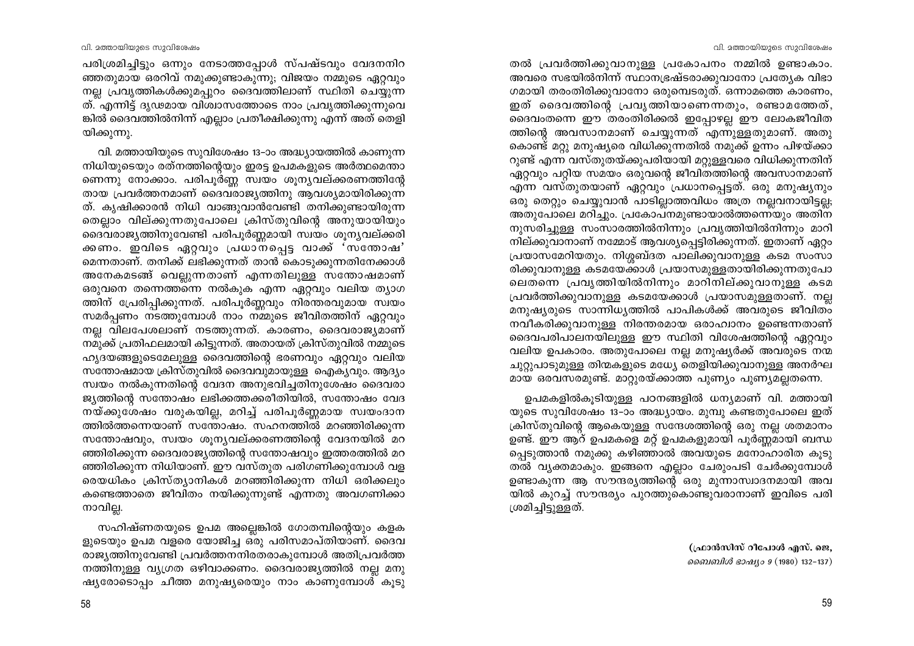തൽ പ്രവർത്തിക്കുവാനുള്ള പ്രകോപനം നമ്മിൽ ഉണ്ടാകാം. അവരെ സഭയിൽനിന്ന് സ്ഥാനഭ്രഷ്ടരാക്കുവാനോ പ്രത്യേക വിഭാ ഗമായി തരംതിരിക്കുവാനോ ഒരുമ്പെടരുത്. ഒന്നാമത്തെ കാരണം, ഇത് ദൈവത്തിന്റെ പ്രവൃത്തിയാണെന്നതും, രണ്ടാമത്തേത്, ദൈവംതന്നെ ഈ തരംതിരിക്കൽ ഇപ്പോഴല്ല ഈ ലോകജീവിത ത്തിന്റെ അവസാനമാണ് ചെയ്യുന്നത് എന്നുള്ളതുമാണ്. അതു കൊണ്ട് മറ്റു മനുഷ്യരെ വിധിക്കുന്നതിൽ നമുക്ക് ഉന്നം പിഴയ്ക്കാ റുണ്ട് എന്ന വസ്തുതയ്ക്കുപരിയായി മറ്റുള്ളവരെ വിധിക്കുന്നതിന് ഏറ്റവും പറ്റിയ സമയം ഒരുവന്റെ ജീവിതത്തിന്റെ അവസാനമാണ് എന്ന വസ്തുതയാണ് ഏറ്റവും പ്രധാനപ്പെട്ടത്. ഒരു മനുഷ്യനും ഒരു തെറ്റും ചെയ്യുവാൻ പാടില്ലാത്തവിധം അത്ര നല്ലവനായിട്ടല്ല; അതുപോലെ മറിച്ചും. പ്രകോപനമുണ്ടായാൽത്തന്നെയും അതിന നുസരിച്ചുള്ള സംസാരത്തിൽനിന്നും പ്രവൃത്തിയിൽനിന്നും മാറി നില്ക്കുവാനാണ് നമ്മോട് ആവശ്യപ്പെട്ടിരിക്കുന്നത്. ഇതാണ് ഏറ്റം പ്രയാസമേറിയതും. നിശ്ശബ്ദത പാലിക്കുവാനുള്ള കടമ സംസാ രിക്കുവാനുള്ള കടമയേക്കാൾ പ്രയാസമുള്ളതായിരിക്കുന്നതുപോ ലെതന്നെ പ്രവൃത്തിയിൽനിന്നും മാറിനില്ക്കുവാനുള്ള കടമ പ്രവർത്തിക്കുവാനുള്ള കടമയേക്കാൾ പ്രയാസമുള്ളതാണ്. നല്ല മനുഷ്യരുടെ സാന്നിധ്യത്തിൽ പാപികൾക്ക് അവരുടെ ജീവിതം നവീകരിക്കുവാനുള്ള നിരന്തരമായ ഒരാഹ്വാനം ഉണ്ടെന്നതാണ് ദൈവപരിപാലനയിലുള്ള ഈ സ്ഥിതി വിശേഷത്തിന്റെ ഏറ്റവും വലിയ ഉപകാരം. അതുപോലെ നല്ല മനുഷ്യർക്ക് അവരുടെ നന്മ ചുറ്റുപാടുമുള്ള തിന്മകളുടെ മധ്യേ തെളിയിക്കുവാനുള്ള അനർഘ മായ ഒരവസരമുണ്ട്. മാറ്റുരയ്ക്കാത്ത പുണ്യം പുണ്യമല്ലതന്നെ.

ഉപമകളിൽകൂടിയുള്ള പഠനങ്ങളിൽ ധന്യമാണ് വി. മത്തായി യുടെ സുവിശേഷം 13-ാം അദ്ധ്യായം. മുമ്പു കണ്ടതുപോലെ ഇത് ക്രിസ്തുവിന്റെ ആകെയുള്ള സന്ദേശത്തിന്റെ ഒരു നല്ല ശതമാനം ഉണ്ട്. ഈ ആറ് ഉപമകളെ മറ്റ് ഉപമകളുമായി പുർണ്ണമായി ബന്ധ പ്പെടുത്താൻ നമുക്കു കഴിഞ്ഞാൽ അവയുടെ മനോഹാരിത കൂടു തൽ വ്യക്തമാകും. ഇങ്ങനെ എല്ലാം ചേരുംപടി ചേർക്കുമ്പോൾ ഉണ്ടാകുന്ന ആ സൗന്ദര്യത്തിന്റെ ഒരു മുന്നാസ്ഥദനമായി അവ യിൽ കുറച്ച് സൗന്ദര്യം പുറത്തുകൊണ്ടുവരാനാണ് ഇവിടെ പരി ശ്രമിച്ചിട്ടുള്ളത്.

> (ഫ്രാൻസിസ് റീപോൾ എസ്. ജെ, ബൈബിൾ ഭാഷ്യം 9 (1980) 132-137)

വി. മത്തായിയുടെ സുവിശേഷം

പരിശ്രമിച്ചിട്ടും ഒന്നും നേടാത്തപ്പോൾ സ്പഷ്ടവും വേദനനിറ ഞ്ഞതുമായ ഒരറിവ് നമുക്കുണ്ടാകുന്നു; വിജയം നമ്മുടെ ഏറ്റവും നല്ല പ്രവൃത്തികൾക്കുമപ്പുറം ദൈവത്തിലാണ് സ്ഥിതി ചെയ്യുന്ന ത്. എന്നിട്ട് ദൃഢമായ വിശ്വാസത്തോടെ നാം പ്രവൃത്തിക്കുന്നുവെ ങ്കിൽ ദൈവത്തിൽനിന്ന് എല്ലാം പ്രതീക്ഷിക്കുന്നു എന്ന് അത് തെളി യിക്കുന്നു.

വി. മത്തായിയുടെ സുവിശേഷം 13–ാം അദ്ധ്യായത്തിൽ കാണുന്ന നിധിയുടെയും രത്നത്തിന്റെയും ഇരട്ട ഉപമകളുടെ അർത്ഥമെന്താ ണെന്നു നോക്കാം. പരിപൂർണ്ണ സ്വയം ശൂന്യവല്ക്കരണത്തിന്റേ തായ പ്രവർത്തനമാണ് ദൈവരാജ്യത്തിനു ആവശ്യമായിരിക്കുന്ന ത്. കൃഷിക്കാരൻ നിധി വാങ്ങുവാൻവേണ്ടി തനിക്കുണ്ടായിരുന്ന തെല്ലാം വില്ക്കുന്നതുപോലെ ക്രിസ്തുവിന്റെ അനുയായിയും ദൈവരാജ്യത്തിനുവേണ്ടി പരിപൂർണ്ണമായി സ്വയം ശൂന്യവല്ക്കരി ക്കണം. ഇവിടെ ഏറ്റവും പ്രധാനപ്പെട്ട വാക്ക് 'സന്തോഷ' മെന്നതാണ്. തനിക്ക് ലഭിക്കുന്നത് താൻ കൊടുക്കുന്നതിനേക്കാൾ അനേകമടങ്ങ് വെല്ലുന്നതാണ് എന്നതിലുള്ള സന്തോഷമാണ് ഒരുവനെ തന്നെത്തന്നെ നൽകുക എന്ന ഏറ്റവും വലിയ ത്യാഗ ത്തിന് പ്രേരിപ്പിക്കുന്നത്. പരിപൂർണ്ണവും നിരന്തരവുമായ സ്വയം സമർപ്പണം നടത്തുമ്പോൾ നാം നമ്മുടെ ജീവിതത്തിന് ഏറ്റവും നല്ല വിലപേശലാണ് നടത്തുന്നത്. കാരണം, ദൈവരാജ്യമാണ് നമുക്ക് പ്രതിഫലമായി കിട്ടുന്നത്. അതായത് ക്രിസ്തുവിൽ നമ്മുടെ ഹ്യദയങ്ങളുടെമേലുള്ള ദൈവത്തിന്റെ ഭരണവും ഏറ്റവും വലിയ സന്തോഷമായ ക്രിസ്തുവിൽ ദൈവവുമായുള്ള ഐക്യവും. ആദ്യം സ്വയം നൽകുന്നതിന്റെ വേദന അനുഭവിച്ചതിനുശേഷം ദൈവരാ ജ്യത്തിന്റെ സന്തോഷം ലഭിക്കത്തക്കരീതിയിൽ, സന്തോഷം വേദ നയ്ക്കുശേഷം വരുകയില്ല, മറിച്ച് പരിപൂർണ്ണമായ സ്വയംദാന ത്തിൽത്തന്നെയാണ് സന്തോഷം. സഹനത്തിൽ മറഞ്ഞിരിക്കുന്ന സന്തോഷവും, സ്വയം ശുന്യവല്ക്കരണത്തിന്റെ വേദനയിൽ മറ ഞ്ഞിരിക്കുന്ന ദൈവരാജ്യത്തിന്റെ സന്തോഷവും ഇത്തരത്തിൽ മറ ഞ്ഞിരിക്കുന്ന നിധിയാണ്. ഈ വസ്തുത പരിഗണിക്കുമ്പോൾ വള രെയധികം ക്രിസ്ത്യാനികൾ മറഞ്ഞിരിക്കുന്ന നിധി ഒരിക്കലും കണ്ടെത്താതെ ജീവിതം നയിക്കുന്നുണ്ട് എന്നതു അവഗണിക്കാ നാവില്ല.

സഹിഷ്ണതയുടെ ഉപമ അല്ലെങ്കിൽ ഗോതമ്പിന്റെയും കളക ളുടെയും ഉപമ വളരെ യോജിച്ച ഒരു പരിസമാപ്തിയാണ്. ദൈവ രാജ്യത്തിനുവേണ്ടി പ്രവർത്തനനിരതരാകുമ്പോൾ അതിപ്രവർത്ത നത്തിനുള്ള വ്യഗ്രത ഒഴിവാക്കണം. ദൈവരാജ്യത്തിൽ നല്ല മനു ഷ്യരോടൊപ്പം ചീത്ത മനുഷ്യരെയും നാം കാണുമ്പോൾ കൂടു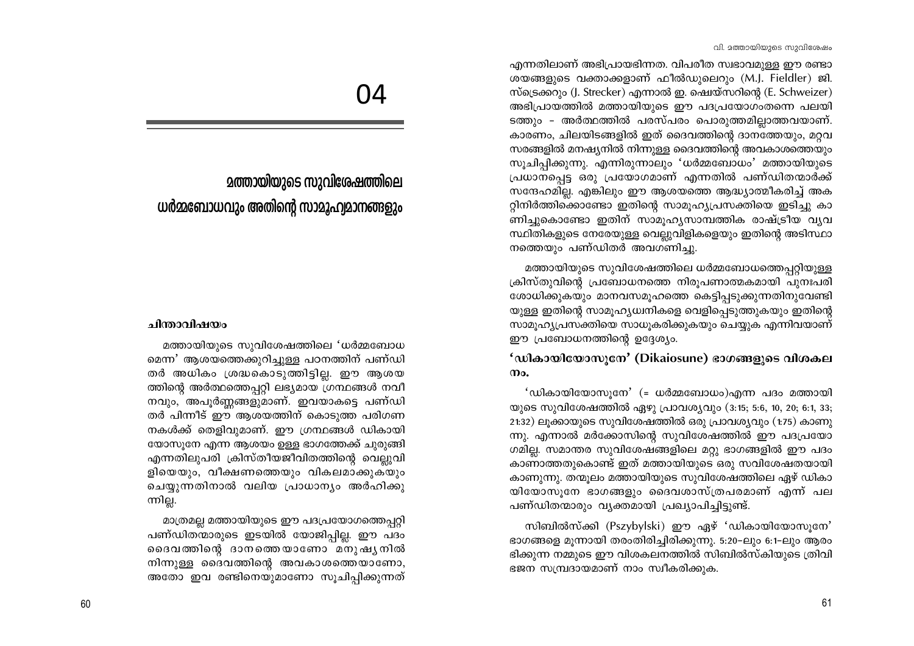എന്നതിലാണ് അഭിപ്രായഭിന്നത. വിപരീത സ്വഭാവമുള്ള ഈ രണ്ടാ ശയങ്ങളുടെ വക്താക്കളാണ് ഫീൽഡുലെറും (M.J. Fieldler) ജി. സ്ട്രെക്കറും (J. Strecker) എന്നാൽ ഇ. ഷെയ്സറിന്റെ (E. Schweizer) അഭിപ്രായത്തിൽ മത്തായിയുടെ ഈ പദപ്രയോഗംതന്നെ പലയി ടത്തും - അർത്ഥത്തിൽ പരസ്പരം പൊരുത്തമില്ലാത്തവയാണ്. കാരണം, ചിലയിടങ്ങളിൽ ഇത് ദൈവത്തിന്റെ ദാനത്തേയും, മറ്റവ സരങ്ങളിൽ മനഷ്യനിൽ നിന്നുള്ള ദൈവത്തിന്റെ അവകാശത്തെയും സൂചിപ്പിക്കുന്നു. എന്നിരുന്നാലും 'ധർമ്മബോധം' മത്തായിയുടെ പ്രധാനപ്പെട്ട ഒരു പ്രയോഗമാണ് എന്നതിൽ പണ്ഡിതന്മാർക്ക് സന്ദേഹമില്ല. എങ്കിലും ഈ ആശയത്തെ ആദ്ധ്യാത്മീകരിച്ച് അക റ്റിനിർത്തിക്കൊണ്ടോ ഇതിന്റെ സാമൂഹ്യപ്രസക്തിയെ ഇടിച്ചു കാ ണിച്ചുകൊണ്ടോ ഇതിന് സാമുഹൃസാമ്പത്തിക രാഷ്ട്രീയ വൃവ സ്ഥിതികളുടെ നേരേയുള്ള വെല്ലുവിളികളെയും ഇതിന്റെ അടിസ്ഥാ നത്തെയും പണ്ഡിതർ അവഗണിച്ചു.

മത്തായിയുടെ സുവിശേഷത്തിലെ ധർമ്മബോധത്തെപ്പറ്റിയുള്ള ക്രിസ്തുവിന്റെ പ്രബോധനത്തെ നിരുപണാത്മകമായി പുനഃപരി ശോധിക്കുകയും മാനവസമൂഹത്തെ കെട്ടിപ്പടുക്കുന്നതിനുവേണ്ടി യുള്ള ഇതിന്റെ സാമൂഹ്യധ്വനികളെ വെളിപ്പെടുത്തുകയും ഇതിന്റെ സാമുഹ്യപ്രസക്തിയെ സാധുകരിക്കുകയും ചെയ്യുക എന്നിവയാണ് ഈ പ്രബോധനത്തിന്റെ ഉദ്ദേശ്യം.

'ഡികായിയോസുനേ' (Dikaiosune) ഭാഗങ്ങളുടെ വിശകല  $\omega$ .

'ഡികായിയോസൂനേ' (= ധർമ്മബോധം)എന്ന പദം മത്തായി യുടെ സുവിശേഷത്തിൽ ഏഴു പ്രാവശ്യവും (3:15; 5:6, 10, 20; 6:1, 33; 21:32) ലുക്കായുടെ സുവിശേഷത്തിൽ ഒരു പ്രാവശ്യവും (1:75) കാണു ന്നു. എന്നാൽ മർക്കോസിന്റെ സുവിശേഷത്തിൽ ഈ പദപ്രയോ ഗമില്ല. സമാന്തര സുവിശേഷങ്ങളിലെ മറ്റു ഭാഗങ്ങളിൽ ഈ പദം കാണാത്തതുകൊണ്ട് ഇത് മത്തായിയുടെ ഒരു സവിശേഷതയായി കാണുന്നു. തന്മൂലം മത്തായിയുടെ സുവിശേഷത്തിലെ ഏഴ് ഡികാ യിയോസൂനേ ഭാഗങ്ങളും ദൈവശാസ്ത്രപരമാണ് എന്ന് പല പണ്ഡിതന്മാരും വൃക്തമായി പ്രഖ്യാപിച്ചിട്ടുണ്ട്.

സിബിൽസ്ക്കി (Pszybylski) ഈ ഏഴ് 'ഡികായിയോസൂനേ' ഭാഗങ്ങളെ മുന്നായി തരംതിരിച്ചിരിക്കുന്നു. 5:20-ലും 6:1-ലും ആരം ഭിക്കുന്ന നമ്മുടെ ഈ വിശകലനത്തിൽ സിബിൽസ്കിയുടെ ത്രിവി ഭജന സമ്പ്രദായമാണ് നാം സ്വീകരിക്കുക.

## 04

## <u> മത്തായിയുടെ സുവിശേഷത്തിലെ</u> ധർമ്മബോധവും അതിന്റെ സാമൂഹ്വമാനങ്ങളും

## ചിന്താവിഷയം

മത്തായിയുടെ സുവിശേഷത്തിലെ 'ധർമ്മബോധ മെന്ന' ആശയത്തെക്കുറിച്ചുള്ള പഠനത്തിന് പണ്ഡി തർ അധികം ശ്രദ്ധകൊടുത്തിട്ടില്ല. ഈ ആശയ ത്തിന്റെ അർത്ഥത്തെപ്പറ്റി ലഭ്യമായ ഗ്രന്ഥങ്ങൾ നവീ നവും, അപൂർണ്ണങ്ങളുമാണ്. ഇവയാകട്ടെ പണ്ഡി തർ പിന്നീട് ഈ ആശയത്തിന് കൊടുത്ത പരിഗണ നകൾക്ക് തെളിവുമാണ്. ഈ ഗ്രന്ഥങ്ങൾ ഡികായി യോസൂനേ എന്ന ആശയം ഉള്ള ഭാഗത്തേക്ക് ചുരുങ്ങി എന്നതിലുപരി ക്രിസ്തീയജീവിതത്തിന്റെ വെല്ലുവി ളിയെയും, വീക്ഷണത്തെയും വികലമാക്കുകയും ചെയ്യുന്നതിനാൽ വലിയ പ്രാധാന്യം അർഹിക്കു ന്നില്ല.

മാത്രമല്ല മത്തായിയുടെ ഈ പദപ്രയോഗത്തെപ്പറ്റി പണ്ഡിതന്മാരുടെ ഇടയിൽ യോജിപ്പില്ല. ഈ പദം ദൈവത്തിന്റെ ദാനത്തെയാണോ മനുഷ്യനിൽ നിന്നുള്ള ദൈവത്തിന്റെ അവകാശത്തെയാണോ, അതോ ഇവ രണ്ടിനെയുമാണോ സുചിപ്പിക്കുന്നത്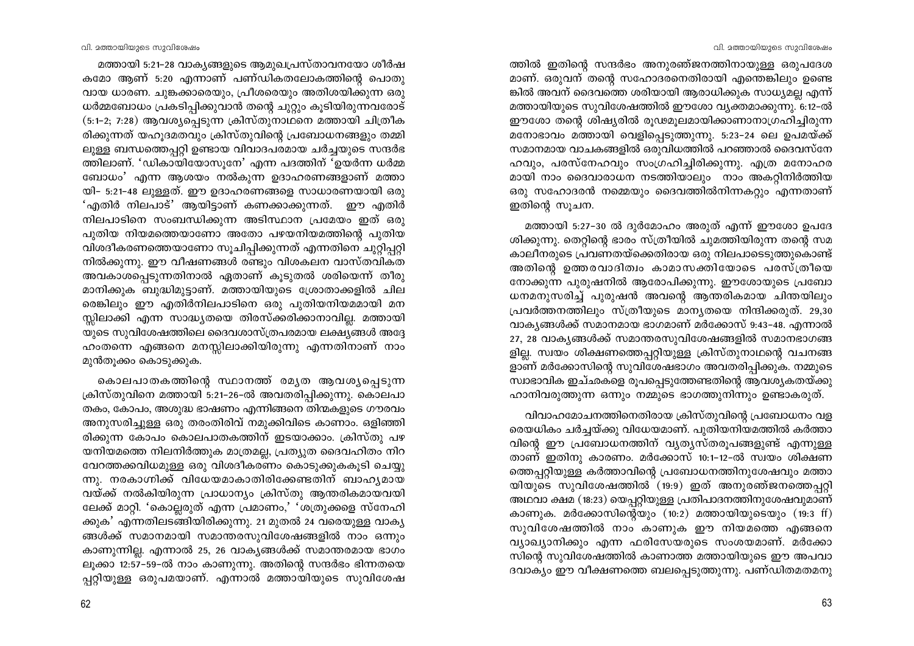ത്തിൽ ഇതിന്റെ സന്ദർഭം അനുരഞ്ജനത്തിനായുള്ള ഒരുപദേശ മാണ്. ഒരുവന് തന്റെ സഹോദരനെതിരായി എന്തെങ്കിലും ഉണ്ടെ ങ്കിൽ അവന് ദൈവത്തെ ശരിയായി ആരാധിക്കുക സാധ്യമല്ല എന്ന് മത്തായിയുടെ സുവിശേഷത്തിൽ ഈശോ വ്യക്തമാക്കുന്നു. 6:12-ൽ ഈശോ തന്റെ ശിഷ്യരിൽ രൂഢമൂലമായിക്കാണാനാഗ്രഹിച്ചിരുന്ന മനോഭാവം മത്തായി വെളിപ്പെടുത്തുന്നു. 5:23-24 ലെ ഉപമയ്ക്ക് സമാനമായ വാചകങ്ങളിൽ ഒരുവിധത്തിൽ പറഞ്ഞാൽ ദൈവസ്നേ ഹവും, പരസ്നേഹവും സംഗ്രഹിച്ചിരിക്കുന്നു. എത്ര മനോഹര മായി നാം ദൈവാരാധന നടത്തിയാലും നാം അകറ്റിനിർത്തിയ ഒരു സഹോദരൻ നമ്മെയും ദൈവത്തിൽനിന്നകറ്റും എന്നതാണ് ഇതിന്റെ സൂചന.

മത്തായി 5:27-30 ൽ ദുർമോഹം അരുത് എന്ന് ഈശോ ഉപദേ ശിക്കുന്നു. തെറ്റിന്റെ ഭാരം സ്ത്രീയിൽ ചുമത്തിയിരുന്ന തന്റെ സമ കാലീനരുടെ പ്രവണതയ്ക്കെതിരായ ഒരു നിലപാടെടുത്തുകൊണ്ട് അതിന്റെ ഉത്തരവാദിത്വം കാമാസക്തിയോടെ പരസ്ത്രീയെ നോക്കുന്ന പുരുഷനിൽ ആരോപിക്കുന്നു. ഈശോയുടെ പ്രബോ ധനമനുസരിച്ച് പുരുഷൻ അവന്റെ ആന്തരികമായ ചിന്തയിലും പ്രവർത്തനത്തിലും സ്ത്രീയുടെ മാനൃതയെ നിന്ദിക്കരുത്. 29,30 വാകൃങ്ങൾക്ക് സമാനമായ ഭാഗമാണ് മർക്കോസ് 9:43-48. എന്നാൽ 27, 28 വാക്യങ്ങൾക്ക് സമാന്തരസുവിശേഷങ്ങളിൽ സമാനഭാഗങ്ങ ളില്ല. സ്വയം ശിക്ഷണത്തെപ്പറ്റിയുള്ള ക്രിസ്തുനാഥന്റെ വചനങ്ങ ളാണ് മർക്കോസിന്റെ സുവിശേഷഭാഗം അവതരിപ്പിക്കുക. നമ്മുടെ സ്ഥഭാവിക ഇച്ഛക്ളെ രൂപപ്പെടുത്തേണ്ടതിന്റെ ആവശ്യകതയ്ക്കു ഹാനിവരുത്തുന്ന ഒന്നും നമ്മുടെ ഭാഗത്തുനിന്നും ഉണ്ടാകരുത്.

വിവാഹമോചനത്തിനെതിരായ ക്രിസ്തുവിന്റെ പ്രബോധനം വള രെയധികം ചർച്ചയ്ക്കു വിധേയമാണ്. പുതിയനിയമത്തിൽ കർത്താ വിന്റെ ഈ പ്രബോധനത്തിന് വ്യത്യസ്തരുപങ്ങളുണ്ട് എന്നുള്ള താണ് ഇതിനു കാരണം. മർക്കോസ് 10:1-12-ൽ സ്വയം ശിക്ഷണ ത്തെപ്പറ്റിയുള്ള കർത്താവിന്റെ പ്രബോധനത്തിനുശേഷവും മത്താ യിയുടെ സുവിശേഷത്തിൽ (19:9) ഇത് അനുരഞ്ജനത്തെപ്പറ്റി അഥവാ ക്ഷമ (18:23) യെപ്പറ്റിയുള്ള പ്രതിപാദനത്തിനുശേഷവുമാണ് കാണുക. മർക്കോസിന്റെയും (10:2) മത്തായിയുടെയും (19:3 ff) സുവിശേഷത്തിൽ നാം കാണുക ഈ നിയമത്തെ എങ്ങനെ വ്യാഖ്യാനിക്കും എന്ന ഫരിസേയരുടെ സംശയമാണ്. മർക്കോ സിന്റെ സുവിശേഷത്തിൽ കാണാത്ത മത്തായിയുടെ ഈ അപവാ ദവാക്യം ഈ വീക്ഷണത്തെ ബലപ്പെടുത്തുന്നു. പണ്ഡിതമതമനു

വി. മത്തായിയുടെ സുവിശേഷം

മത്തായി 5:21-28 വാകൃങ്ങളുടെ ആമുഖപ്രസ്താവനയോ ശീർഷ കമോ ആണ് 5:20 എന്നാണ് പണ്ഡികതലോകത്തിന്റെ പൊതു വായ ധാരണ. ചുങ്കക്കാരെയും, പ്രീശരെയും അതിശയിക്കുന്ന ഒരു ധർമ്മബോധം പ്രകടിപ്പിക്കുവാൻ തന്റെ ചുറ്റും കൂടിയിരുന്നവരോട്  $(5:1-2; 7:28)$  ആവശ്യപ്പെടുന്ന ക്രിസ്തുനാഥനെ മത്തായി ചിത്രീക രിക്കുന്നത് യഹുദമതവും ക്രിസ്തുവിന്റെ പ്രബോധനങ്ങളും തമ്മി ലുള്ള ബന്ധത്തെപ്പറ്റി ഉണ്ടായ വിവാദപരമായ ചർച്ചയുടെ സന്ദർഭ ത്തിലാണ്. 'ഡികായിയോസൂനേ' എന്ന പദത്തിന് 'ഉയർന്ന ധർമ്മ ബോധം' എന്ന ആശയം നൽകുന്ന ഉദാഹരണങ്ങളാണ് മത്താ യി- 5:21-48 ലുള്ളത്. ഈ ഉദാഹരണങ്ങളെ സാധാരണയായി ഒരു 'എതിർ നിലപാട്' ആയിട്ടാണ് കണക്കാക്കുന്നത്. ഈ എതിർ നിലപാടിനെ സംബന്ധിക്കുന്ന അടിസ്ഥാന പ്രമേയം ഇത് ഒരു പൂതിയ നിയമത്തെയാണോ അതോ പഴയനിയമത്തിന്റെ പൂതിയ വിശദീകരണത്തെയാണോ സൂചിപ്പിക്കുന്നത് എന്നതിനെ ചുറ്റിപ്പറ്റി നിൽക്കുന്നു. ഈ വീഷണങ്ങൾ രണ്ടും വിശകലന വാസ്തവികത അവകാശപ്പെടുന്നതിനാൽ ഏതാണ് കൂടുതൽ ശരിയെന്ന് തീരു മാനിക്കുക ബുദ്ധിമുട്ടാണ്. മത്തായിയുടെ ശ്രോതാക്കളിൽ ചില രെങ്കിലും ഈ എതിർനിലപാടിനെ ഒരു പുതിയനിയമമായി മന സ്സിലാക്കി എന്ന സാദ്ധ്യതയെ തിരസ്ക്കരിക്കാനാവില്ല. മത്തായി യുടെ സുവിശേഷത്തിലെ ദൈവശാസ്ത്രപരമായ ലക്ഷ്യങ്ങൾ അദ്ദേ ഹംതന്നെ എങ്ങനെ മനസ്സിലാക്കിയിരുന്നു എന്നതിനാണ് നാം മുൻതുക്കം കൊടുക്കുക.

കൊലപാതകത്തിന്റെ സ്ഥാനത്ത് രമൃത ആവശൃപ്പെടുന്ന ക്രിസ്തുവിനെ മത്തായി 5:21–26–ൽ അവതരിപ്പിക്കുന്നു. കൊലപാ തകം, കോപം, അശുദ്ധ ഭാഷണം എന്നിങ്ങനെ തിന്മകളുടെ ഗൗരവം അനുസരിച്ചുള്ള ഒരു തരംതിരിവ് നമുക്കിവിടെ കാണാം. ഒളിഞ്ഞി രിക്കുന്ന കോപം കൊലപാതകത്തിന് ഇടയാക്കാം. ക്രിസ്തു പഴ യനിയമത്തെ നിലനിർത്തുക മാത്രമല്ല, പ്രത്യുത ദൈവഹിതം നിറ വേറത്തക്കവിധമുള്ള ഒരു വിശദീകരണം കൊടുക്കുകകുടി ചെയ്യു ന്നു. നരകാഗ്നിക്ക് വിധേയമാകാതിരിക്കേണ്ടതിന് ബാഹ്യമായ വയ്ക്ക് നൽകിയിരുന്ന പ്രാധാന്യം ക്രിസ്തു ആന്തരികമായവയി ലേക്ക് മാറ്റി. 'കൊല്ലരുത് എന്ന പ്രമാണം,' 'ശത്രുക്കളെ സ്നേഹി ക്കുക' എന്നതിലടങ്ങിയിരിക്കുന്നു. 21 മുതൽ 24 വരെയുള്ള വാകൃ ങ്ങൾക്ക് സമാനമായി സമാന്തരസുവിശേഷങ്ങളിൽ നാം ഒന്നും കാണുന്നില്ല. എന്നാൽ 25, 26 വാകൃങ്ങൾക്ക് സമാന്തരമായ ഭാഗം ലൂക്കാ 12:57–59–ൽ നാം കാണുന്നു. അതിന്റെ സന്ദർഭം ഭിന്നതയെ പ്പറ്റിയുള്ള ഒരുപമയാണ്. എന്നാൽ മത്തായിയുടെ സുവിശേഷ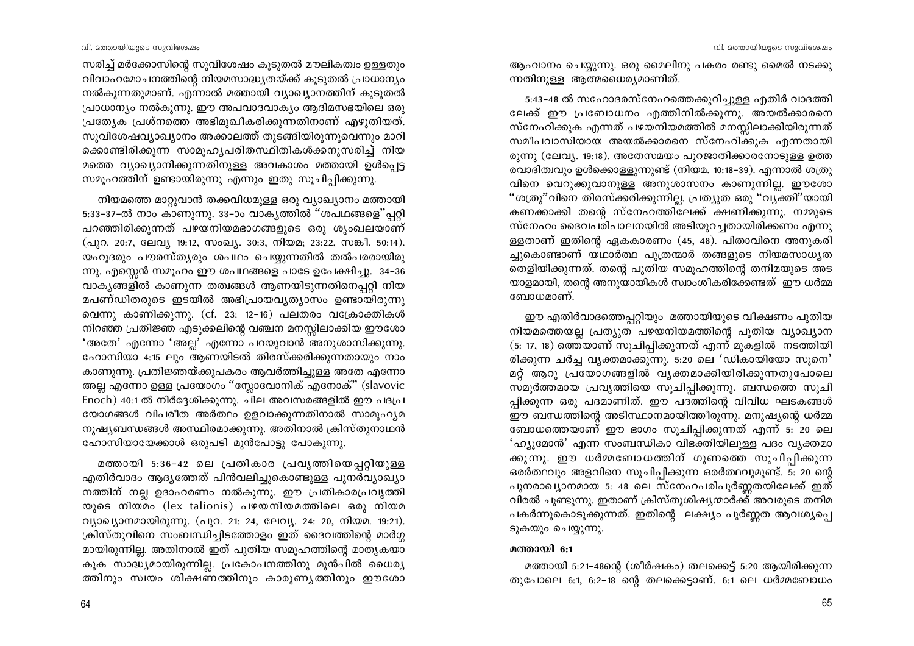സരിച്ച് മർക്കോസിന്റെ സുവിശേഷം കൂടുതൽ മൗലികത്വം ഉള്ളതും വിവാഹമോചനത്തിന്റെ നിയമസാദ്ധ്യതയ്ക്ക് കൂടുതൽ പ്രാധാന്യം നൽകുന്നതുമാണ്. എന്നാൽ മത്തായി വ്യാഖ്യാനത്തിന് കൂടുതൽ പ്രാധാന്യം നൽകുന്നു. ഈ അപവാദവാക്യം ആദിമസഭയിലെ ഒരു പ്രത്യേക പ്രശ്നത്തെ അഭിമുഖീകരിക്കുന്നതിനാണ് എഴുതിയത്. സുവിശേഷവ്യാഖ്യാനം അക്കാലത്ത് തുടങ്ങിയിരുന്നുവെന്നും മാറി

ക്കൊണ്ടിരിക്കുന്ന സാമുഹ്യപരിതസ്ഥിതികൾക്കനുസരിച്ച് നിയ മത്തെ വ്യാഖ്യാനിക്കുന്നതിനുള്ള അവകാശം മത്തായി ഉൾപ്പെട്ട സമൂഹത്തിന് ഉണ്ടായിരുന്നു എന്നും ഇതു സൂചിപ്പിക്കുന്നു.

നിയമത്തെ മാറ്റുവാൻ തക്കവിധമുള്ള ഒരു വ്യാഖ്യാനം മത്തായി 5:33-37-ൽ നാം കാണുന്നു. 33-ാം വാകൃത്തിൽ "ശപഥങ്ങളെ"പ്പറ്റി പറഞ്ഞിരിക്കുന്നത് പഴയനിയമഭാഗങ്ങളുടെ ഒരു ശൃംഖലയാണ് (പുറ. 20:7, ലേവ്യ 19:12, സംഖ്യ. 30:3, നിയമ; 23:22, സങ്കീ. 50:14). യഹുദരും പൗരസ്ത്യരും ശപഥം ചെയ്യുന്നതിൽ തൽപരരായിരു ന്നു. എസ്സെൻ സമൂഹം ഈ ശപഥങ്ങളെ പാടേ ഉപേക്ഷിച്ചു. 34-36 വാകൃങ്ങളിൽ കാണുന്ന തത്വങ്ങൾ ആണയിടുന്നതിനെപ്പറ്റി നിയ മപണ്ഡിതരുടെ ഇടയിൽ അഭിപ്രായവ്യത്യാസം ഉണ്ടായിരുന്നു വെന്നു കാണിക്കുന്നു. (cf. 23: 12-16) പലതരം വക്രോക്തികൾ നിറഞ്ഞ പ്രതിജ്ഞ എടുക്കലിന്റെ വഞ്ചന മനസ്സിലാക്കിയ ഈശോ 'അതേ' എന്നോ 'അല്ല' എന്നോ പറയുവാൻ അനുശാസിക്കുന്നു. ഹോസിയാ 4:15 ലും ആണയിടൽ തിരസ്ക്കരിക്കുന്നതായും നാം കാണുന്നു. പ്രതിജ്ഞയ്ക്കുപകരം ആവർത്തിച്ചുള്ള അതേ എന്നോ അല്ല എന്നോ ഉള്ള പ്രയോഗം "സ്ലോവോനിക് എനോക്" (slavovic Enoch) 40:1 ൽ നിർദ്ദേശിക്കുന്നു. ചില അവസരങ്ങളിൽ ഈ പദപ്ര യോഗങ്ങൾ വിപരീത അർത്ഥം ഉളവാക്കുന്നതിനാൽ സാമൂഹ്യമ നുഷ്യബന്ധങ്ങൾ അസ്ഥിരമാക്കുന്നു. അതിനാൽ ക്രിസ്തുനാഥൻ ഹോസിയായേക്കാൾ ഒരുപടി മുൻപോട്ടു പോകുന്നു.

മത്തായി 5:36-42 ലെ പ്രതികാര പ്രവൃത്തിയെപ്പറ്റിയുള്ള എതിർവാദം ആദ്യത്തേത് പിൻവലിച്ചുകൊണ്ടുള്ള പുനർവ്യാഖ്യാ നത്തിന് നല്ല ഉദാഹരണം നൽകുന്നു. ഈ പ്രതികാരപ്രവൃത്തി യുടെ നിയമം (lex talionis) പഴയനിയമത്തിലെ ഒരു നിയമ വ്യാഖ്യാനമായിരുന്നു. (പുറ. 21: 24, ലേവ്യ, 24: 20, നിയമ. 19:21). ക്രിസ്തുവിനെ സംബന്ധിച്ചിടത്തോളം ഇത് ദൈവത്തിന്റെ മാർഗ്ഗ മായിരുന്നില്ല. അതിനാൽ ഇത് പുതിയ സമൂഹത്തിന്റെ മാതൃകയാ കുക സാദ്ധ്യമായിരുന്നില്ല. പ്രകോപനത്തിനു മുൻപിൽ ധൈര്യ ത്തിനും സ്വയം ശിക്ഷണത്തിനും കാരുണ്യത്തിനും ഈശോ

ആഹ്വാനം ചെയ്യുന്നു. ഒരു മൈലിനു പകരം രണ്ടു മൈൽ നടക്കു ന്നതിനുള്ള ആത്മധൈര്യമാണിത്.

5:43-48 ൽ സഹോദരസ്നേഹത്തെക്കുറിച്ചുള്ള എതിർ വാദത്തി ലേക്ക് ഈ പ്രബോധനം എത്തിനിൽക്കുന്നു. അയൽക്കാരനെ സ്നേഹിക്കുക എന്നത് പഴയനിയമത്തിൽ മനസ്സിലാക്കിയിരുന്നത് സമീപവാസിയായ അയൽക്കാരനെ സ്നേഹിക്കുക എന്നതായി രുന്നു (ലേവ്യ. 19:18). അതേസമയം പുറജാതിക്കാരനോടുള്ള ഉത്ത രവാദിത്വവും ഉൾക്കൊള്ളുന്നുണ്ട് (നിയമ. 10:18–39). എന്നാൽ ശത്രു വിനെ വെറുക്കുവാനുള്ള അനുശാസനം കാണുന്നില്ല. ഈശോ ''ശത്രു''വിനെ തിരസ്ക്കരിക്കുന്നില്ല. പ്രത്യുത ഒരു ''വ്യക്തി''യായി കണക്കാക്കി തന്റെ സ്നേഹത്തിലേക്ക് ക്ഷണിക്കുന്നു. നമ്മുടെ സ്നേഹം ദൈവപരിപാലനയിൽ അടിയുറച്ചതായിരിക്കണം എന്നു ള്ളതാണ് ഇതിന്റെ ഏകകാരണം (45, 48). പിതാവിനെ അനുകരി ച്ചുകൊണ്ടാണ് യഥാർത്ഥ പുത്രന്മാർ തങ്ങളുടെ നിയമസാധൃത തെളിയിക്കുന്നത്. തന്റെ പുതിയ സമൂഹത്തിന്റെ തനിമയുടെ അട യാളമായി, തന്റെ അനുയായികൾ സ്വാംശീകരിക്കേണ്ടത് ഈ ധർമ്മ ബോധമാണ്.

ഈ എതിർവാദത്തെപ്പറ്റിയും മത്തായിയുടെ വീക്ഷണം പുതിയ നിയമത്തെയല്ല പ്രത്യുത പഴയനിയമത്തിന്റെ പുതിയ വ്യാഖ്യാന (5: 17, 18) ത്തെയാണ് സൂചിപ്പിക്കുന്നത് എന്ന് മുകളിൽ നടത്തിയി രിക്കുന്ന ചർച്ച വ്യക്തമാക്കുന്നു. 5:20 ലെ 'ഡികായിയോ സൂനെ' മറ്റ് ആറു പ്രയോഗങ്ങളിൽ വ്യക്തമാക്കിയിരിക്കുന്നതുപോലെ സമൂർത്തമായ പ്രവൃത്തിയെ സൂചിപ്പിക്കുന്നു. ബന്ധത്തെ സൂചി പ്പിക്കുന്ന ഒരു പദമാണിത്. ഈ പദത്തിന്റെ വിവിധ ഘടകങ്ങൾ ഈ ബന്ധത്തിന്റെ അടിസ്ഥാനമായിത്തീരുന്നു. മനുഷ്യന്റെ ധർമ്മ ബോധത്തെയാണ് ഈ ഭാഗം സൂചിപ്പിക്കുന്നത് എന്ന് 5: 20 ലെ 'ഹ്യൂമോൻ' എന്ന സംബന്ധികാ വിഭക്തിയിലുള്ള പദം വ്യക്തമാ ക്കുന്നു. ഈ ധർമ്മബോധത്തിന് ഗുണത്തെ സുചിപ്പിക്കുന്ന ഒരർത്ഥവും അളവിനെ സൂചിപ്പിക്കുന്ന ഒരർത്ഥവുമുണ്ട്. 5: 20 ന്റെ പുനരാഖ്യാനമായ 5: 48 ലെ സ്നേഹപരിപൂർണ്ണതയിലേക്ക് ഇത് വിരൽ ചൂണ്ടുന്നു. ഇതാണ് ക്രിസ്തുശിഷ്യന്മാർക്ക് അവരുടെ തനിമ പകർന്നുകൊടുക്കുന്നത്. ഇതിന്റെ ലക്ഷ്യം പൂർണ്ണത ആവശ്യപ്പെ ടുകയും ചെയ്യുന്നു.

## മത്തായി 6:1

മത്തായി 5:21-48ന്റെ (ശീർഷകം) തലക്കെട്ട് 5:20 ആയിരിക്കുന്ന തുപോലെ 6:1, 6:2-18 ന്റെ തലക്കെട്ടാണ്. 6:1 ലെ ധർമ്മബോധം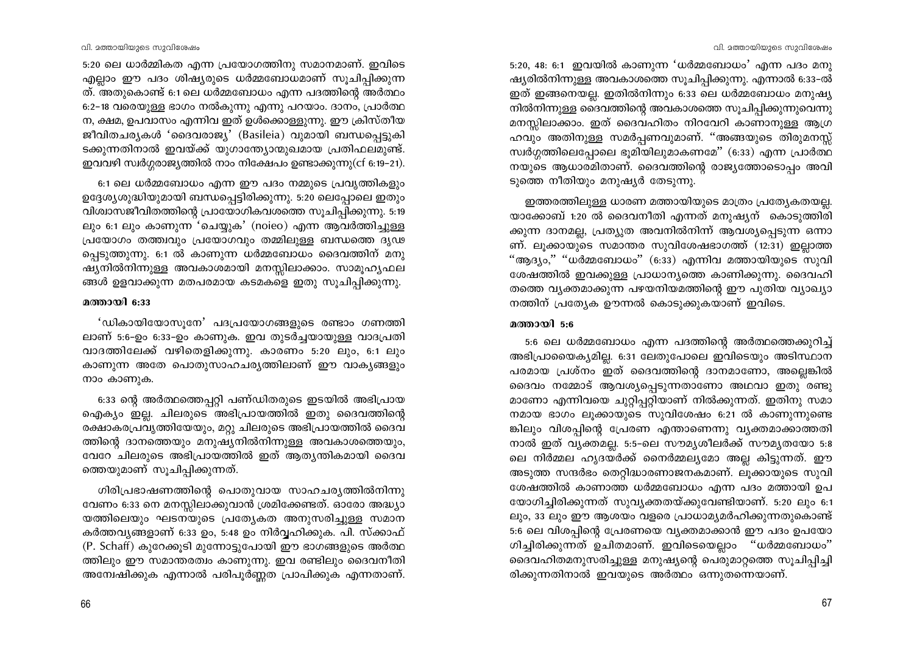$5:20, 48: 6:1$  ഇവയിൽ കാണുന്ന 'ധർമ്മബോധം' എന്ന പദം മനു ഷ്യരിൽനിന്നുള്ള അവകാശത്തെ സൂചിപ്പിക്കുന്നു. എന്നാൽ 6:33–ൽ ഇത് ഇങ്ങനെയല്ല. ഇതിൽനിന്നും 6:33 ലെ ധർമ്മബോധം മനുഷ്യ നിൽനിന്നുള്ള ദൈവത്തിന്റെ അവകാശത്തെ സൂചിപ്പിക്കുന്നുവെന്നു മനസ്സിലാക്കാം. ഇത് ദൈവഹിതം നിറവേറി കാണാനുള്ള ആഗ്ര ഹവും അതിനുള്ള സമർപ്പണവുമാണ്. ''അങ്ങയുടെ തിരുമനസ്സ് സ്വർഗ്ഗത്തിലെപ്പോലെ ഭുമിയിലുമാകണമേ'' (6:33) എന്ന പ്രാർത്ഥ നയുടെ ആധാരമിതാണ്. ദൈവത്തിന്റെ രാജ്യത്തോടൊപ്പം അവി ടുത്തെ നീതിയും മനുഷ്യർ തേടുന്നു.

ഇത്തരത്തിലുള്ള ധാരണ മത്തായിയുടെ മാത്രം പ്രത്യേകതയല്ല. യാക്കോബ് 1:20 ൽ ദൈവനീതി എന്നത് മനുഷ്യന് കൊടുത്തിരി ക്കുന്ന ദാനമല്ല, പ്രത്യുത അവനിൽനിന്ന് ആവശ്യപ്പെടുന്ന ഒന്നാ ണ്. ലൂക്കായുടെ സമാന്തര സുവിശേഷഭാഗത്ത് (12:31) ഇല്ലാത്ത "ആദ്യം," "ധർമ്മബോധം" (6:33) എന്നിവ മത്തായിയുടെ സുവി ശേഷത്തിൽ ഇവക്കുള്ള പ്രാധാന്യത്തെ കാണിക്കുന്നു. ദൈവഹി തത്തെ വ്യക്തമാക്കുന്ന പഴയനിയമത്തിന്റെ ഈ പുതിയ വ്യാഖ്യാ നത്തിന് പ്രത്യേക ഊന്നൽ കൊടുക്കുകയാണ് ഇവിടെ.

### മത്തായി 5:6

5:6 ലെ ധർമ്മബോധം എന്ന പദത്തിന്റെ അർത്ഥത്തെക്കുറിച്ച് അഭിപ്രായൈക്യമില്ല. 6:31 ലേതുപോലെ ഇവിടെയും അടിസ്ഥാന പരമായ പ്രശ്നം ഇത് ദൈവത്തിന്റെ ദാനമാണോ, അല്ലെങ്കിൽ ദൈവം നമ്മോട് ആവശ്യപ്പെടുന്നതാണോ അഥവാ ഇതു രണ്ടു മാണോ എന്നിവയെ ചുറ്റിപ്പറ്റിയാണ് നിൽക്കുന്നത്. ഇതിനു സമാ നമായ ഭാഗം ലൂക്കായുടെ സുവിശേഷം 6:21 ൽ കാണുന്നുണ്ടെ ങ്കിലും വിശപ്പിന്റെ പ്രേരണ എന്താണെന്നു വ്യക്തമാക്കാത്തതി നാൽ ഇത് വൃക്തമല്ല. 5:5-ലെ സൗമൃശീലർക്ക് സൗമൃതയോ 5:8 ലെ നിർമ്മല ഹൃദയർക്ക് നൈർമ്മല്യമോ അല്ല കിട്ടുന്നത്. ഈ അടുത്ത സന്ദർഭം തെറ്റിദ്ധാരണാജനകമാണ്. ലുക്കായുടെ സുവി ശേഷത്തിൽ കാണാത്ത ധർമ്മബോധം എന്ന പദം മത്തായി ഉപ യോഗിച്ചിരിക്കുന്നത് സുവൃക്തതയ്ക്കുവേണ്ടിയാണ്. 5:20 ലും 6:1 ലും, 33 ലും ഈ ആശയം വളരെ പ്രാധാമൃമർഹിക്കുന്നതുകൊണ്ട് 5:6 ലെ വിശപ്പിന്റെ പ്രേരണയെ വ്യക്തമാക്കാൻ ഈ പദം ഉപയോ ഗിച്ചിരിക്കുന്നത് ഉചിതമാണ്. ഇവിടെയെല്ലാം "ധർമ്മബോധം" ദൈവഹിതമനുസരിച്ചുള്ള മനുഷ്യന്റെ പെരുമാറ്റത്തെ സുചിപ്പിച്ചി രിക്കുന്നതിനാൽ ഇവയുടെ അർത്ഥം ഒന്നുതന്നെയാണ്.

വി. മത്തായിയുടെ സുവിശേഷം

5:20 ലെ ധാർമ്മികത എന്ന പ്രയോഗത്തിനു സമാനമാണ്. ഇവിടെ എല്ലാം ഈ പദം ശിഷ്യരുടെ ധർമ്മബോധമാണ് സുചിപ്പിക്കുന്ന ത്. അതുകൊണ്ട് 6:1 ലെ ധർമ്മബോധം എന്ന പദത്തിന്റെ അർത്ഥം 6:2-18 വരെയുള്ള ഭാഗം നൽകുന്നു എന്നു പറയാം. ദാനം, പ്രാർത്ഥ ന, ക്ഷമ, ഉപവാസം എന്നിവ ഇത് ഉൾക്കൊള്ളുന്നു. ഈ ക്രിസ്തീയ ജീവിതചര്യകൾ 'ദൈവരാജ്യ' (Basileia) വുമായി ബന്ധപ്പെട്ടുകി ടക്കുന്നതിനാൽ ഇവയ്ക്ക് യുഗാന്ത്യോന്മുഖമായ പ്രതിഫലമുണ്ട്. ഇവവഴി സ്വർഗ്ഗരാജ്യത്തിൽ നാം നിക്ഷേപം ഉണ്ടാക്കുന്നു(cf 6:19-21).

6:1 ലെ ധർമ്മബോധം എന്ന ഈ പദം നമ്മുടെ പ്രവൃത്തികളും ഉദ്ദേശ്യശുദ്ധിയുമായി ബന്ധപ്പെട്ടിരിക്കുന്നു. 5:20 ലെപ്പോലെ ഇതും വിശ്വാസജീവിതത്തിന്റെ പ്രായോഗികവശത്തെ സുചിപ്പിക്കുന്നു. 5:19 ലും 6:1 ലും കാണുന്ന 'ചെയ്യുക' (noieo) എന്ന ആവർത്തിച്ചുള്ള പ്രയോഗം തത്ത്വവും പ്രയോഗവും തമ്മിലുള്ള ബന്ധത്തെ ദൃഢ പെടുത്തുന്നു. 6:1 ൽ കാണുന്ന ധർമ്മബോധം ദൈവത്തിന് മനു ഷ്യനിൽനിന്നുള്ള അവകാശമായി മനസ്സിലാക്കാം. സാമൂഹ്യഫല ങ്ങൾ ഉളവാക്കുന്ന മതപരമായ കടമകളെ ഇതു സുചിപ്പിക്കുന്നു.

#### മത്തായി 6:33

'ഡികായിയോസുനേ' പദപ്രയോഗങ്ങളുടെ രണ്ടാം ഗണത്തി ലാണ് 5:6-ഉം 6:33-ഉം കാണുക. ഇവ തുടർച്ചയായുള്ള വാദപ്രതി വാദത്തിലേക്ക് വഴിതെളിക്കുന്നു. കാരണം 5:20 ലും, 6:1 ലും കാണുന്ന അതേ പൊതുസാഹചര്യത്തിലാണ് ഈ വാകൃങ്ങളും നാം കാണുക.

6:33 ന്റെ അർത്ഥത്തെപ്പറ്റി പണ്ഡിതരുടെ ഇടയിൽ അഭിപ്രായ ഐക്യം ഇല്ല. ചിലരുടെ അഭിപ്രായത്തിൽ ഇതു ദൈവത്തിന്റെ രക്ഷാകരപ്രവൃത്തിയേയും, മറ്റു ചിലരുടെ അഭിപ്രായത്തിൽ ദൈവ ത്തിന്റെ ദാനത്തെയും മനുഷ്യനിൽനിന്നുള്ള അവകാശത്തെയും, വേറേ ചിലരുടെ അഭിപ്രായത്തിൽ ഇത് ആത്യന്തികമായി ദൈവ ത്തെയുമാണ് സൂചിപ്പിക്കുന്നത്.

ഗിരിപ്രഭാഷണത്തിന്റെ പൊതുവായ സാഹചര്യത്തിൽനിന്നു വേണം 6:33 നെ മനസ്സിലാക്കുവാൻ ശ്രമിക്കേണ്ടത്. ഓരോ അദ്ധ്യാ യത്തിലെയും ഘടനയുടെ പ്രത്യേകത അനുസരിച്ചുള്ള സമാന കർത്തവൃങ്ങളാണ് 6:33 ഉം, 5:48 ഉം നിർവ്വഹിക്കുക. പി. സ്ക്കാഫ് (P. Schaff) കുറേക്കൂടി മുന്നോട്ടുപോയി ഈ ഭാഗങ്ങളുടെ അർത്ഥ ത്തിലും ഈ സമാന്തരത്വം കാണുന്നു. ഇവ രണ്ടിലും ദൈവനീതി അന്വേഷിക്കുക എന്നാൽ പരിപൂർണ്ണത പ്രാപിക്കുക എന്നതാണ്.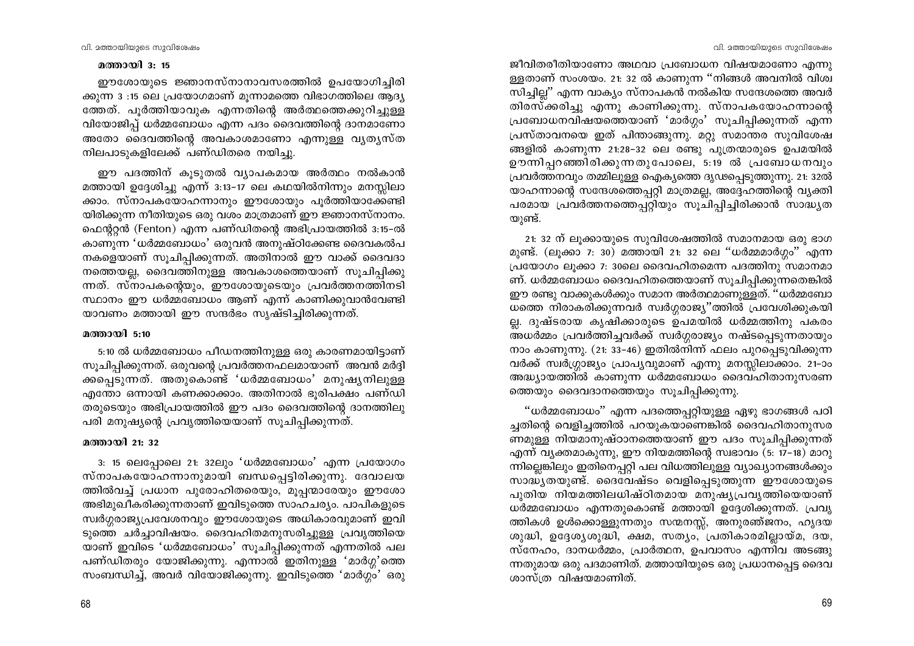#### മത്തായി 3: 15

ഈശോയുടെ ജ്ഞാനസ്നാനാവസരത്തിൽ ഉപയോഗിച്ചിരി ക്കുന്ന 3 :15 ലെ പ്രയോഗമാണ് മൂന്നാമത്തെ വിഭാഗത്തിലെ ആദ്യ ത്തേത്. പൂർത്തിയാവുക എന്നതിന്റെ അർത്ഥത്തെക്കുറിച്ചുള്ള വിയോജിപ്പ് ധർമ്മബോധം എന്ന പദം ദൈവത്തിന്റെ ദാനമാണോ അതോ ദൈവത്തിന്റെ അവകാശമാണോ എന്നുള്ള വ്യത്യസ്ത നിലപാടുകളിലേക്ക് പണ്ഡിതരെ നയിച്ചു.

ഈ പദത്തിന് കൂടുതൽ വ്യാപകമായ അർത്ഥം നൽകാൻ മത്തായി ഉദ്ദേശിച്ചു എന്ന് 3:13–17 ലെ കഥയിൽനിന്നും മനസ്സിലാ ക്കാം. സ്നാപകയോഹന്നാനും ഈശോയും പൂർത്തിയാക്കേണ്ടി യിരിക്കുന്ന നീതിയുടെ ഒരു വശം മാത്രമാണ് ഈ ജ്ഞാനസ്നാനം. ഫെന്ററ്റൻ (Fenton) എന്ന പണ്ഡിതന്റെ അഭിപ്രായത്തിൽ 3:15-ൽ കാണുന്ന 'ധർമ്മബോധം' ഒരുവൻ അനുഷ്ഠിക്കേണ്ട ദൈവകൽപ നകളെയാണ് സൂചിപ്പിക്കുന്നത്. അതിനാൽ ഈ വാക്ക് ദൈവദാ നത്തെയല്ല, ദൈവത്തിനുള്ള അവകാശത്തെയാണ് സുചിപ്പിക്കു ന്നത്. സ്നാപകന്റെയും, ഈശോയുടെയും പ്രവർത്തനത്തിനടി സ്ഥാനം ഈ ധർമ്മബോധം ആണ് എന്ന് കാണിക്കുവാൻവേണ്ടി യാവണം മത്തായി ഈ സന്ദർഭം സൃഷ്ടിച്ചിരിക്കുന്നത്.

#### മത്തായി 5:10

5:10 ൽ ധർമ്മബോധം പീഡനത്തിനുള്ള ഒരു കാരണമായിട്ടാണ് സൂചിപ്പിക്കുന്നത്. ഒരുവന്റെ പ്രവർത്തനഫലമായാണ് അവൻ മർദ്ദി ക്കപ്പെടുന്നത്. അതുകൊണ്ട് 'ധർമ്മബോധം' മനുഷ്യനിലുള്ള എന്തോ ഒന്നായി കണക്കാക്കാം. അതിനാൽ ഭൂരിപക്ഷം പണ്ഡി തരുടെയും അഭിപ്രായത്തിൽ ഈ പദം ദൈവത്തിന്റെ ദാനത്തിലു പരി മനുഷ്യന്റെ പ്രവൃത്തിയെയാണ് സൂചിപ്പിക്കുന്നത്.

#### മത്തായി 21:32

3: 15 ലെപ്പോലെ 21: 32ലും 'ധർമ്മബോധം' എന്ന പ്രയോഗം സ്നാപകയോഹന്നാനുമായി ബന്ധപ്പെട്ടിരിക്കുന്നു. ദേവാലയ ത്തിൽവച്ച് പ്രധാന പുരോഹിതരെയും, മൂപ്പന്മാരേയും ഈശോ അഭിമുഖീകരിക്കുന്നതാണ് ഇവിടുത്തെ സാഹചര്യം. പാപികളുടെ സ്വർഗ്ഗരാജ്യപ്രവേശനവും ഈശോയുടെ അധികാരവുമാണ് ഇവി ടുത്തെ ചർച്ചാവിഷയം. ദൈവഹിതമനുസരിച്ചുള്ള പ്രവൃത്തിയെ യാണ് ഇവിടെ 'ധർമ്മബോധം' സൂചിപ്പിക്കുന്നത് എന്നതിൽ പല പണ്ഡിതരും യോജിക്കുന്നു. എന്നാൽ ഇതിനുള്ള 'മാർഗ്ഗ'ത്തെ സംബന്ധിച്ച്, അവർ വിയോജിക്കുന്നു. ഇവിടുത്തെ 'മാർഗ്ഗം' ഒരു വി. മത്തായിയുടെ സുവിശേഷം

ജീവിതരീതിയാണോ അഥവാ പ്രബോധന വിഷയമാണോ എന്നു ള്ളതാണ് സംശയം. 21: 32 ൽ കാണുന്ന ''നിങ്ങൾ അവനിൽ വിശ്വ സിച്ചില്ല്' എന്ന വാക്യം സ്നാപകൻ നൽകിയ സന്ദേശത്തെ അവർ തിരസ്ക്കരിച്ചു എന്നു കാണിക്കുന്നു. സ്നാപകയോഹന്നാന്റെ പ്രബോധനവിഷയത്തെയാണ് 'മാർഗ്ഗം' സൂചിപ്പിക്കുന്നത് എന്ന പ്രസ്താവനയെ ഇത് പിന്താങ്ങുന്നു. മറ്റു സമാന്തര സുവിശേഷ ങ്ങളിൽ കാണുന്ന 21:28-32 ലെ രണ്ടു പുത്രന്മാരുടെ ഉപമയിൽ ഊന്നിപ്പറഞ്ഞിരിക്കുന്നതുപോലെ, 5:19 ൽ പ്രബോധനവും പ്രവർത്തനവും തമ്മിലുള്ള ഐക്യത്തെ ദൃഢപ്പെടുത്തുന്നു. 21: 32ൽ യാഹന്നാന്റെ സന്ദേശത്തെപ്പറ്റി മാത്രമല്ല, അദ്ദേഹത്തിന്റെ വ്യക്തി പരമായ പ്രവർത്തനത്തെപ്പറ്റിയും സൂചിപ്പിച്ചിരിക്കാൻ സാദ്ധൃത യുണ്ട്.

21: 32 ന് ലുക്കായുടെ സുവിശേഷത്തിൽ സമാനമായ ഒരു ഭാഗ മുണ്ട്. (ലുക്കാ 7: 30) മത്തായി 21: 32 ലെ "ധർമ്മമാർഗ്ഗം" എന്ന പ്രയോഗം ലൂക്കാ 7: 30ലെ ദൈവഹിതമെന്ന പദത്തിനു സമാനമാ ണ്. ധർമ്മബോധം ദൈവഹിതത്തെയാണ് സൂചിപ്പിക്കുന്നതെങ്കിൽ ഈ രണ്ടു വാക്കുകൾക്കും സമാന അർത്ഥമാണുള്ളത്. ''ധർമ്മബോ ധത്തെ നിരാകരിക്കുന്നവർ സ്വർഗ്ഗരാജ്യ"ത്തിൽ പ്രവേശിക്കുകയി ല്ല. ദുഷ്ടരായ കൃഷിക്കാരുടെ ഉപമയിൽ ധർമ്മത്തിനു പകരം അധർമ്മം പ്രവർത്തിച്ചവർക്ക് സ്വർഗ്ഗരാജ്യം നഷ്ടപ്പെടുന്നതായും നാം കാണുന്നു. (21: 33–46) ഇതിൽനിന്ന് ഫലം പുറപ്പെടുവിക്കുന്ന വർക്ക് സ്വർഗ്ഗ്രാജ്യം പ്രാപ്യവുമാണ് എന്നു മനസ്സിലാക്കാം. 21–ാം അദ്ധ്യായത്തിൽ കാണുന്ന ധർമ്മബോധം ദൈവഹിതാനുസരണ ത്തെയും ദൈവദാനത്തെയും സുചിപ്പിക്കുന്നു.

"ധർമ്മബോധം" എന്ന പദത്തെപ്പറ്റിയുള്ള ഏഴു ഭാഗങ്ങൾ പഠി ച്ചതിന്റെ വെളിച്ചത്തിൽ പറയുകയാണെങ്കിൽ ദൈവഹിതാനുസര ണമുള്ള നിയമാനുഷ്ഠാനത്തെയാണ് ഈ പദം സൂചിപ്പിക്കുന്നത് എന്ന് വ്യക്തമാകുന്നു, ഈ നിയമത്തിന്റെ സ്വഭാവം (5: 17–18) മാറു ന്നില്ലെങ്കിലും ഇതിനെപ്പറ്റി പല വിധത്തിലുള്ള വ്യാഖ്യാനങ്ങൾക്കും സാദ്ധ്യതയുണ്ട്. ദൈവേഷ്ടം വെളിപ്പെടുത്തുന്ന ഈശോയുടെ പുതിയ നിയമത്തിലധിഷ്ഠിതമായ മനുഷ്യപ്രവൃത്തിയെയാണ് ധർമ്മബോധം എന്നതുകൊണ്ട് മത്തായി ഉദ്ദേശിക്കുന്നത്. പ്രവൃ ത്തികൾ ഉൾക്കൊള്ളുന്നതും സന്മനസ്സ്, അനുരഞ്ജനം, ഹൃദയ ശുദ്ധി, ഉദ്ദേശ്യശുദ്ധി, ക്ഷമ, സത്യം, പ്രതികാരമില്ലായ്മ, ദയ, സ്നേഹം, ദാനധർമ്മം, പ്രാർത്ഥന, ഉപവാസം എന്നിവ അടങ്ങു ന്നതുമായ ഒരു പദമാണിത്. മത്തായിയുടെ ഒരു പ്രധാനപ്പെട്ട ദൈവ ശാസ്ത്ര വിഷയമാണിത്.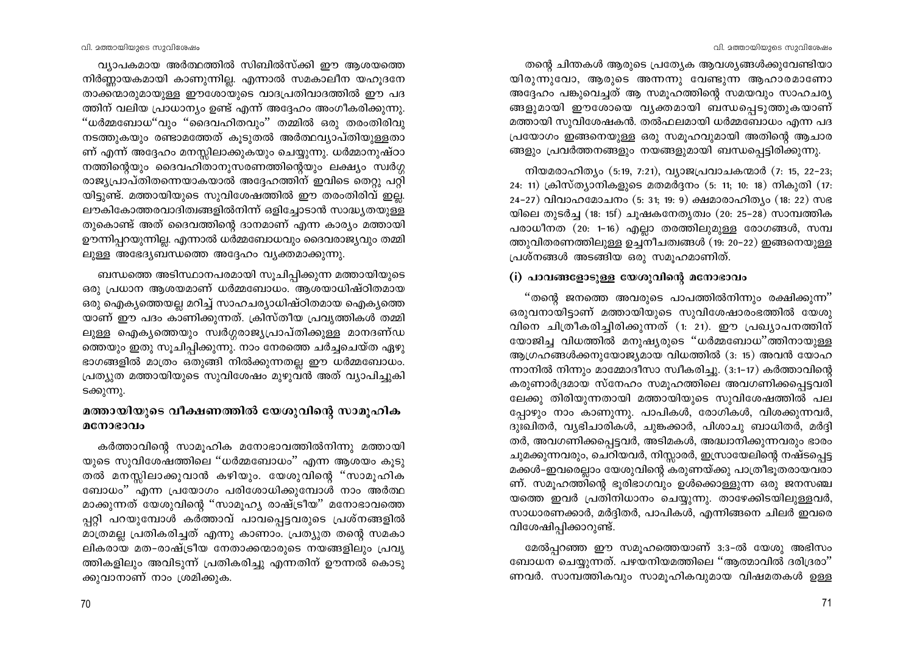വി. മത്തായിയുടെ സുവിശേഷം

വ്യാപകമായ അർത്ഥത്തിൽ സിബിൽസ്ക്കി ഈ ആശയത്തെ നിർണ്ണായകമായി കാണുന്നില്ല. എന്നാൽ സമകാലീന യഹൂദനേ താക്കന്മാരുമായുള്ള ഈശോയുടെ വാദപ്രതിവാദത്തിൽ ഈ പദ ത്തിന് വലിയ പ്രാധാന്യം ഉണ്ട് എന്ന് അദ്ദേഹം അംഗീകരിക്കുന്നു. "ധർമ്മബോധ"വും "ദൈവഹിതവും" തമ്മിൽ ഒരു തരംതിരിവു നടത്തുകയും രണ്ടാമത്തേത് കൂടുതൽ അർത്ഥവ്യാപ്തിയുള്ളതാ ണ് എന്ന് അദ്ദേഹം മനസ്സിലാക്കുകയും ചെയ്യുന്നു. ധർമ്മാനുഷ്ഠാ നത്തിന്റെയും ദൈവഹിതാനുസരണത്തിന്റെയും ലക്ഷ്യം സ്വർഗ രാജ്യപ്രാപ്തിതന്നെയാകയാൽ അദ്ദേഹത്തിന് ഇവിടെ തെറ്റു പറ്റി യിട്ടുണ്ട്. മത്തായിയുടെ സുവിശേഷത്തിൽ ഈ തരംതിരിവ് ഇല്ല. ലൗകികോത്തരവാദിത്വങ്ങളിൽനിന്ന് ഒളിച്ചോടാൻ സാദ്ധ്യതയുള്ള തുകൊണ്ട് അത് ദൈവത്തിന്റെ ദാനമാണ് എന്ന കാര്യം മത്തായി ഊന്നിപ്പറയുന്നില്ല. എന്നാൽ ധർമ്മബോധവും ദൈവരാജ്യവും തമ്മി ലുള്ള അഭേദ്യബന്ധത്തെ അദ്ദേഹം വ്യക്തമാക്കുന്നു.

ബന്ധത്തെ അടിസ്ഥാനപരമായി സൂചിപ്പിക്കുന്ന മത്തായിയുടെ ഒരു പ്രധാന ആശയമാണ് ധർമ്മബോധം. ആശയാധിഷ്ഠിതമായ ഒരു ഐകൃത്തെയല്ല മറിച്ച് സാഹചര്യാധിഷ്ഠിതമായ ഐകൃത്തെ യാണ് ഈ പദം കാണിക്കുന്നത്. ക്രിസ്തീയ പ്രവൃത്തികൾ തമ്മി ലുള്ള ഐക്യത്തെയും സ്വർഗ്ഗരാജ്യപ്രാപ്തിക്കുള്ള മാനദണ്ഡ ത്തെയും ഇതു സൂചിപ്പിക്കുന്നു. നാം നേരത്തെ ചർച്ചചെയ്ത ഏഴു ഭാഗങ്ങളിൽ മാത്രം ഒതുങ്ങി നിൽക്കുന്നതല്ല ഈ ധർമ്മബോധം. പ്രത്യുത മത്തായിയുടെ സുവിശേഷം മുഴുവൻ അത് വ്യാപിച്ചുകി ടക്കുന്നു.

## മത്തായിയുടെ വീക്ഷണത്തിൽ യേശുവിന്റെ സാമൂഹിക മനോഭാവം

കർത്താവിന്റെ സാമൂഹിക മനോഭാവത്തിൽനിന്നു മത്തായി യുടെ സുവിശേഷത്തിലെ ''ധർമ്മബോധം'' എന്ന ആശയം കൂടു തൽ മനസ്സിലാക്കുവാൻ കഴിയും. യേശുവിന്റെ "സാമൂഹിക ബോധം" എന്ന പ്രയോഗം പരിശോധിക്കുമ്പോൾ നാം അർത്ഥ മാക്കുന്നത് യേശുവിന്റെ ''സാമൂഹ്യ രാഷ്ട്രീയ'' മനോഭാവത്തെ പ്പറ്റി പറയുമ്പോൾ കർത്താവ് പാവപ്പെട്ടവരുടെ പ്രശ്നങ്ങളിൽ മാത്രമല്ല പ്രതികരിച്ചത് എന്നു കാണാം. പ്രത്യുത തന്റെ സമകാ ലികരായ മത-രാഷ്ട്രീയ നേതാക്കന്മാരുടെ നയങ്ങളിലും പ്രവൃ ത്തികളിലും അവിടുന്ന് പ്രതികരിച്ചു എന്നതിന് ഊന്നൽ കൊടു ക്കുവാനാണ് നാം ശ്രമിക്കുക.

തന്റെ ചിന്തകൾ ആരുടെ പ്രത്യേക ആവശ്യങ്ങൾക്കുവേണ്ടിയാ യിരുന്നുവോ, ആരുടെ അന്നന്നു വേണ്ടുന്ന ആഹാരമാണോ അദ്ദേഹം പങ്കുവെച്ചത് ആ സമുഹത്തിന്റെ സമയവും സാഹചര്യ ങ്ങളുമായി ഈശോയെ വ്യക്തമായി ബന്ധപെടുത്തുകയാണ് മത്തായി സുവിശേഷകൻ. തൽഫലമായി ധർമ്മബോധം എന്ന പദ പ്രയോഗം ഇങ്ങനെയുള്ള ഒരു സമൂഹവുമായി അതിന്റെ ആചാര ങ്ങളും പ്രവർത്തനങ്ങളും നയങ്ങളുമായി ബന്ധപ്പെട്ടിരിക്കുന്നു.

നിയമരാഹിത്യം (5:19, 7:21), വ്യാജപ്രവാചകന്മാർ (7: 15, 22-23; 24: 11) ക്രിസ്ത്യാനികളുടെ മതമർദ്ദനം (5: 11; 10: 18) നികുതി (17: 24-27) വിവാഹമോചനം (5: 31; 19: 9) ക്ഷമാരാഹിത്യം (18: 22) സഭ യിലെ തുടർച്ച (18: 15f) ചുഷകനേതൃത്വം (20: 25–28) സാമ്പത്തിക പരാധീനത (20: 1-16) എല്ലാ തരത്തിലുമുള്ള രോഗങ്ങൾ, സമ്പ ത്തുവിതരണത്തിലുള്ള ഉച്ചനീചത്വങ്ങൾ (19: 20-22) ഇങ്ങനെയുള്ള പ്രശ്നങ്ങൾ അടങ്ങിയ ഒരു സമുഹമാണിത്.

## (i) പാവങ്ങളോടുള്ള യേശുവിന്റെ മനോഭാവം

''തന്റെ ജനത്തെ അവരുടെ പാപത്തിൽനിന്നും രക്ഷിക്കുന്ന'' ഒരുവനായിട്ടാണ് മത്തായിയുടെ സുവിശേഷാരംഭത്തിൽ യേശു വിനെ ചിത്രീകരിച്ചിരിക്കുന്നത് (1: 21). ഈ പ്രഖ്യാപനത്തിന് യോജിച്ച വിധത്തിൽ മനുഷ്യരുടെ ''ധർമ്മബോധ''ത്തിനായുള്ള ആഗ്രഹങ്ങൾക്കനുയോജ്യമായ വിധത്തിൽ (3: 15) അവൻ യോഹ ന്നാനിൽ നിന്നും മാമ്മോദീസാ സ്വീകരിച്ചു. (3:1-17) കർത്താവിന്റെ കരുണാർദ്രമായ സ്നേഹം സമുഹത്തിലെ അവഗണിക്കപ്പെട്ടവരി ലേക്കു തിരിയുന്നതായി മത്തായിയുടെ സുവിശേഷത്തിൽ പല പ്പോഴും നാം കാണുന്നു. പാപികൾ, രോഗികൾ, വിശക്കുന്നവർ, ദുഃഖിതർ, വ്യഭിചാരികൾ, ചുങ്കക്കാർ, പിശാചു ബാധിതർ, മർദ്ദി തർ, അവഗണിക്കപ്പെട്ടവർ, അടിമകൾ, അദ്ധ്വാനിക്കുന്നവരും ഭാരം ചുമക്കുന്നവരും, ചെറിയവർ, നിസ്സാരർ, ഇസ്രായേലിന്റെ നഷ്ടപ്പെട്ട മക്കൾ-ഇവരെല്ലാം യേശുവിന്റെ കരുണയ്ക്കു പാത്രീഭൂതരായവരാ ണ്. സമൂഹത്തിന്റെ ഭൂരിഭാഗവും ഉൾക്കൊള്ളുന്ന ഒരു ജനസഞ്ച യത്തെ ഇവർ പ്രതിനിധാനം ചെയ്യുന്നു. താഴേക്കിടയിലുള്ളവർ, സാധാരണക്കാർ, മർദ്ദിതർ, പാപികൾ, എന്നിങ്ങനെ ചിലർ ഇവരെ വിശേഷിപ്പിക്കാറുണ്ട്.

മേൽപ്പറഞ്ഞ ഈ സമുഹത്തെയാണ് 3:3-ൽ യേശു അഭിസം ബോധന ചെയ്യുന്നത്. പഴയനിയമത്തിലെ "ആത്മാവിൽ ദരിദ്രരാ" ണവർ. സാമ്പത്തികവും സാമുഹികവുമായ വിഷമതകൾ ഉള്ള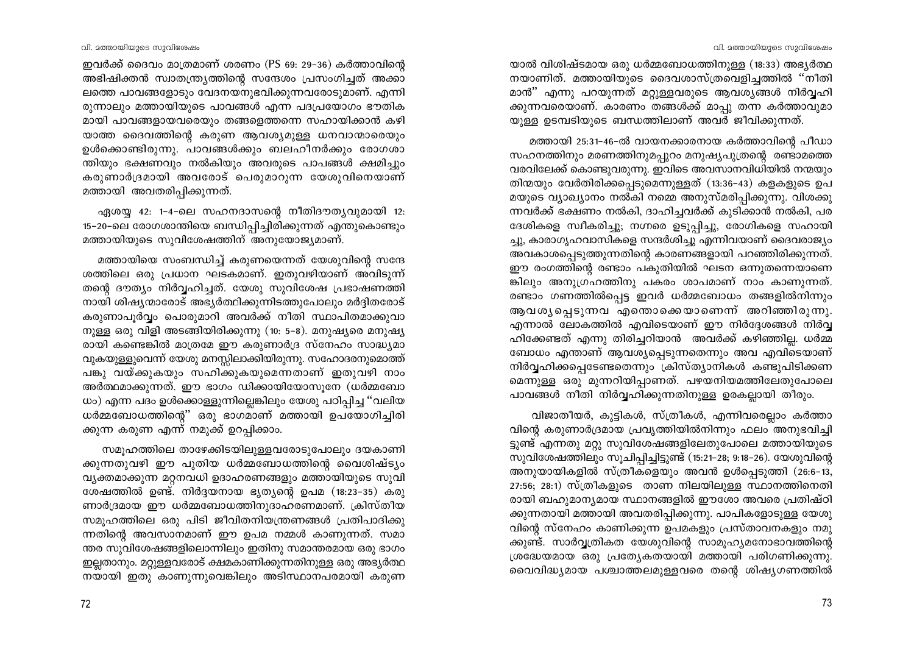യാൽ വിശിഷ്ടമായ ഒരു ധർമ്മബോധത്തിനുള്ള (18:33) അഭ്യർത്ഥ നയാണിത്. മത്തായിയുടെ ദൈവശാസ്ത്രവെളിച്ചത്തിൽ "നീതി മാൻ" എന്നു പറയുന്നത് മറ്റുള്ളവരുടെ ആവശ്യങ്ങൾ നിർവ്വഹി ക്കുന്നവരെയാണ്. കാരണം തങ്ങൾക്ക് മാപ്പു തന്ന കർത്താവുമാ യുള്ള ഉടമ്പടിയുടെ ബന്ധത്തിലാണ് അവർ ജീവിക്കുന്നത്.

മത്തായി 25:31-46-ൽ വായനക്കാരനായ കർത്താവിന്റെ പീഡാ സഹനത്തിനും മരണത്തിനുമപ്പുറം മനുഷ്യപുത്രന്റെ രണ്ടാമത്തെ വരവിലേക്ക് കൊണ്ടുവരുന്നു. ഇവിടെ അവസാനവിധിയിൽ നന്മയും തിന്മയും വേർതിരിക്കപ്പെടുമെന്നുള്ളത് (13:36–43) കളകളുടെ ഉപ മയുടെ വ്യാഖ്യാനം നൽകി നമ്മെ അനുസ്മരിപ്പിക്കുന്നു. വിശക്കു ന്നവർക്ക് ഭക്ഷണം നൽകി, ദാഹിച്ചവർക്ക് കുടിക്കാൻ നൽകി, പര ദേശികളെ സ്വീകരിച്ചു; നഗ്നരെ ഉടുപ്പിച്ചു, രോഗികളെ സഹായി ച്ചു, കാരാഗൃഹവാസികളെ സന്ദർശിച്ചു എന്നിവയാണ് ദൈവരാജ്യം അവകാശപ്പെടുത്തുന്നതിന്റെ കാരണങ്ങളായി പറഞ്ഞിരിക്കുന്നത്. ഈ രംഗത്തിന്റെ രണ്ടാം പകുതിയിൽ ഘടന ഒന്നുതന്നെയാണെ ങ്കിലും അനുഗ്രഹത്തിനു പകരം ശാപമാണ് നാം കാണുന്നത്. രണ്ടാം ഗണത്തിൽപ്പെട്ട ഇവർ ധർമ്മബോധം തങ്ങളിൽനിന്നും ആവശ്യപ്പെടുന്നവ എന്തൊക്കെയാണെന്ന് അറിഞ്ഞിരുന്നു. എന്നാൽ ലോകത്തിൽ എവിടെയാണ് ഈ നിർദ്ദേശങ്ങൾ നിർവ്വ ഹിക്കേണ്ടത് എന്നു തിരിച്ചറിയാൻ അവർക്ക് കഴിഞ്ഞില്ല. ധർമ്മ ബോധം എന്താണ് ആവശ്യപ്പെടുന്നതെന്നും അവ എവിടെയാണ് നിർവ്വഹിക്കപ്പെടേണ്ടതെന്നും ക്രിസ്ത്യാനികൾ കണ്ടുപിടിക്കണ മെന്നുള്ള ഒരു മുന്നറിയിപ്പാണത്. പഴയനിയമത്തിലേതുപോലെ പാവങ്ങൾ നീതി നിർവ്വഹിക്കുന്നതിനുള്ള ഉരകല്ലായി തീരും.

വിജാതീയർ, കുട്ടികൾ, സ്ത്രീകൾ, എന്നിവരെല്ലാം കർത്താ വിന്റെ കരുണാർദ്രമായ പ്രവൃത്തിയിൽനിന്നും ഫലം അനുഭവിച്ചി ട്ടുണ്ട് എന്നതു മറ്റു സുവിശേഷങ്ങളിലേതുപോലെ മത്തായിയുടെ സുവിശേഷത്തിലും സൂചിപ്പിച്ചിട്ടുണ്ട് (15:21–28; 9:18–26). യേശുവിന്റെ അനുയായികളിൽ സ്ത്രീകളെയും അവൻ ഉൾപ്പെടുത്തി (26:6–13, 27:56; 28:1) സ്ത്രീകളുടെ താണ നിലയിലുള്ള സ്ഥാനത്തിനെതി രായി ബഹുമാന്യമായ സ്ഥാനങ്ങളിൽ ഈശോ അവരെ പ്രതിഷ്ഠി ക്കുന്നതായി മത്തായി അവതരിപ്പിക്കുന്നു. പാപികളോടുള്ള യേശു വിന്റെ സ്നേഹം കാണിക്കുന്ന ഉപമകളും പ്രസ്താവനകളും നമു ക്കുണ്ട്. സാർവ്വത്രികത യേശുവിന്റെ സാമൂഹ്യമനോഭാവത്തിന്റെ ശ്രദ്ധേയമായ ഒരു പ്രത്യേകതയായി മത്തായി പരിഗണിക്കുന്നു. വൈവിദ്ധ്യമായ പശ്ചാത്തലമുള്ളവരെ തന്റെ ശിഷ്യഗണത്തിൽ

വി. മത്തായിയുടെ സുവിശേഷം

ഇവർക്ക് ദൈവം മാത്രമാണ് ശരണം (PS 69: 29–36) കർത്താവിന്റെ അഭിഷിക്തൻ സ്വാതന്ത്ര്യത്തിന്റെ സന്ദേശം പ്രസംഗിച്ചത് അക്കാ ലത്തെ പാവങ്ങളോടും വേദനയനുഭവിക്കുന്നവരോടുമാണ്. എന്നി രുന്നാലും മത്തായിയുടെ പാവങ്ങൾ എന്ന പദപ്രയോഗം ഭൗതിക മായി പാവങ്ങളായവരെയും തങ്ങളെത്തന്നെ സഹായിക്കാൻ കഴി യാത്ത ദൈവത്തിന്റെ കരുണ ആവശ്യമുള്ള ധനവാന്മാരെയും ഉൾക്കൊണ്ടിരുന്നു. പാവങ്ങൾക്കും ബലഹീനർക്കും രോഗശാ ന്തിയും ഭക്ഷണവും നൽകിയും അവരുടെ പാപങ്ങൾ ക്ഷമിച്ചും കരുണാർദ്രമായി അവരോട് പെരുമാറുന്ന യേശുവിനെയാണ് മത്തായി അവതരിപ്പിക്കുന്നത്.

ഏശയ്യ 42: 1-4-ലെ സഹനദാസന്റെ നീതിദൗത്യവുമായി 12: 15–20–ലെ രോഗശാന്തിയെ ബന്ധിപ്പിച്ചിരിക്കുന്നത് എന്തുകൊണ്ടും മത്തായിയുടെ സുവിശേഷത്തിന് അനുയോജ്യമാണ്.

മത്തായിയെ സംബന്ധിച്ച് കരുണയെന്നത് യേശുവിന്റെ സന്ദേ ശത്തിലെ ഒരു പ്രധാന ഘടകമാണ്. ഇതുവഴിയാണ് അവിടുന്ന് തന്റെ ദൗത്യം നിർവ്വഹിച്ചത്. യേശു സുവിശേഷ പ്രഭാഷണത്തി നായി ശിഷ്യന്മാരോട് അഭ്യർത്ഥിക്കുന്നിടത്തുപോലും മർദ്ദിതരോട് കരുണാപൂർവ്വം പൊരുമാറി അവർക്ക് നീതി സ്ഥാപിതമാക്കുവാ നുള്ള ഒരു വിളി അടങ്ങിയിരിക്കുന്നു (10: 5-8). മനുഷ്യരെ മനുഷ്യ രായി കണ്ടെങ്കിൽ മാത്രമേ ഈ കരുണാർദ്ര സ്നേഹം സാദ്ധ്യമാ വുകയുള്ളുവെന്ന് യേശു മനസ്സിലാക്കിയിരുന്നു. സഹോദരനുമൊത്ത് പങ്കു വയ്ക്കുകയും സഹിക്കുകയുമെന്നതാണ് ഇതുവഴി നാം അർത്ഥമാക്കുന്നത്. ഈ ഭാഗം ഡിക്കായിയോസൂനേ (ധർമ്മബോ wo) എന്ന പദം ഉൾക്കൊള്ളുന്നില്ലെങ്കിലും യേശു പഠിപ്പിച്ച "വലിയ ധർമ്മബോധത്തിന്റെ" ഒരു ഭാഗമാണ് മത്തായി ഉപയോഗിച്ചിരി ക്കുന്ന കരുണ എന്ന് നമുക്ക് ഉറപ്പിക്കാം.

സമുഹത്തിലെ താഴേക്കിടയിലുള്ളവരോടുപോലും ദയകാണി ക്കുന്നതുവഴി ഈ പുതിയ ധർമ്മബോധത്തിന്റെ വൈശിഷ്ട്യം വ്യക്തമാക്കുന്ന മറ്റനവധി ഉദാഹരണങ്ങളും മത്തായിയുടെ സുവി ശേഷത്തിൽ ഉണ്ട്. നിർദ്ദയനായ ഭൃത്യന്റെ ഉപമ (18:23-35) കരു ണാർദ്രമായ ഈ ധർമ്മബോധത്തിനുദാഹരണമാണ്. ക്രിസ്തീയ സമൂഹത്തിലെ ഒരു പിടി ജീവിതനിയന്ത്രണങ്ങൾ പ്രതിപാദിക്കു ന്നതിന്റെ അവസാനമാണ് ഈ ഉപമ നമ്മൾ കാണുന്നത്. സമാ ന്തര സുവിശേഷങ്ങളിലൊന്നിലും ഇതിനു സമാന്തരമായ ഒരു ഭാഗം ഇല്ലതാനും. മറ്റുള്ളവരോട് ക്ഷമകാണിക്കുന്നതിനുള്ള ഒരു അഭ്യർത്ഥ നയായി ഇതു കാണുന്നുവെങ്കിലും അടിസ്ഥാനപരമായി കരുണ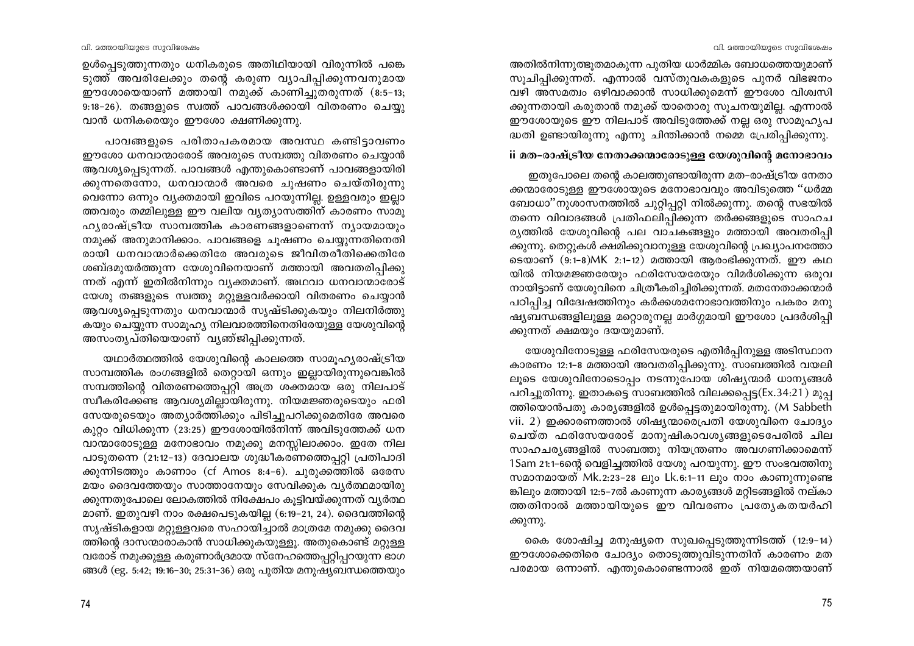അതിൽനിന്നുത്ഭൂതമാകുന്ന പുതിയ ധാർമ്മിക ബോധത്തെയുമാണ് സുചിപ്പിക്കുന്നത്. എന്നാൽ വസ്തുവകകളുടെ പുനർ വിഭജനം വഴി അസമത്വം ഒഴിവാക്കാൻ സാധിക്കുമെന്ന് ഈശോ വിശ്വസി ക്കുന്നതായി കരുതാൻ നമുക്ക് യാതൊരു സൂചനയുമില്ല. എന്നാൽ ഈശോയുടെ ഈ നിലപാട് അവിടുത്തേക്ക് നല്ല ഒരു സാമൂഹൃപ ദ്ധതി ഉണ്ടായിരുന്നു എന്നു ചിന്തിക്കാൻ നമ്മെ പ്രേരിപ്പിക്കുന്നു.

#### ii മത-രാഷ്ട്രീയ നേതാക്കന്മാരോടുള്ള യേശുവിന്റെ മനോഭാവം

ഇതുപോലെ തന്റെ കാലത്തുണ്ടായിരുന്ന മത–രാഷ്ട്രീയ നേതാ ക്കന്മാരോടുള്ള ഈശോയുടെ മനോഭാവവും അവിടുത്തെ "ധർമ്മ ബോധാ"നുശാസനത്തിൽ ചുറ്റിപ്പറ്റി നിൽക്കുന്നു. തന്റെ സഭയിൽ തന്നെ വിവാദങ്ങൾ പ്രതിഫലിപ്പിക്കുന്ന തർക്കങ്ങളുടെ സാഹച ര്യത്തിൽ യേശുവിന്റെ പല വാചകങ്ങളും മത്തായി അവതരിപ്പി ക്കുന്നു. തെറ്റുകൾ ക്ഷമിക്കുവാനുള്ള യേശുവിന്റെ പ്രഖ്യാപനത്തോ ടെയാണ് (9:1-8)MK 2:1-12) മത്തായി ആരംഭിക്കുന്നത്. ഈ കഥ യിൽ നിയമജ്ഞരേയും ഫരിസേയരേയും വിമർശിക്കുന്ന ഒരുവ നായിട്ടാണ് യേശുവിനെ ചിത്രീകരിച്ചിരിക്കുന്നത്. മതനേതാക്കന്മാർ പഠിപ്പിച്ച വിദ്വേഷത്തിനും കർക്കശമനോഭാവത്തിനും പകരം മനു ഷ്യബന്ധങ്ങളിലുള്ള മറ്റൊരുനല്ല മാർഗ്ഗമായി ഈശോ പ്രദർശിപ്പി ക്കുന്നത് ക്ഷമയും ദയയുമാണ്.

യേശുവിനോടുള്ള ഫരിസേയരുടെ എതിർപ്പിനുള്ള അടിസ്ഥാന കാരണം 12:1-8 മത്തായി അവതരിപ്പിക്കുന്നു. സാബത്തിൽ വയലി ലൂടെ യേശുവിനോടൊപ്പം നടന്നുപോയ ശിഷ്യന്മാർ ധാന്യങ്ങൾ പറിച്ചുതിന്നു. ഇതാകട്ടെ സാബത്തിൽ വിലക്കപ്പെട്ട(Ex.34:21) മുപ്പ ത്തിയൊൻപതു കാര്യങ്ങളിൽ ഉൾപ്പെട്ടതുമായിരുന്നു. (M Sabbeth vii. 2) ഇക്കാരണത്താൽ ശിഷ്യന്മാരെപ്രതി യേശുവിനെ ചോദ്യം ചെയ്ത ഫരിസേയരോട് മാനുഷികാവശ്യങ്ങളുടെപേരിൽ ചില സാഹചര്യങ്ങളിൽ സാബത്തു നിയന്ത്രണം അവഗണിക്കാമെന്ന് 1Sam 21:1-6ന്റെ വെളിച്ചത്തിൽ യേശു പറയുന്നു. ഈ സംഭവത്തിനു സമാനമായത് Mk.2:23-28 ലും Lk.6:1-11 ലും നാം കാണുന്നുണ്ടെ ങ്കിലും മത്തായി 12:5–7ൽ കാണുന്ന കാര്യങ്ങൾ മറ്റിടങ്ങളിൽ നല്കാ ത്തതിനാൽ മത്തായിയുടെ ഈ വിവരണം പ്രത്യേകതയർഹി ക്കുന്നു.

കൈ ശോഷിച്ച മനുഷ്യനെ സുഖപ്പെടുത്തുന്നിടത്ത് (12:9-14) ഈശോക്കെതിരെ ചോദ്യം തൊടുത്തുവിടുന്നതിന് കാരണം മത പരമായ ഒന്നാണ്. എന്തുകൊണ്ടെന്നാൽ ഇത് നിയമത്തെയാണ്

വി. മത്തായിയുടെ സുവിശേഷം

ഉൾപ്പെടുത്തുന്നതും ധനികരുടെ അതിഥിയായി വിരുന്നിൽ പങ്കെ ടുത്ത് അവരിലേക്കും തന്റെ കരുണ വ്യാപിപ്പിക്കുന്നവനുമായ ഈശോയെയാണ് മത്തായി നമുക്ക് കാണിച്ചുതരുന്നത് (8:5-13; 9:18-26). തങ്ങളുടെ സ്വത്ത് പാവങ്ങൾക്കായി വിതരണം ചെയ്യു വാൻ ധനികരെയും ഈശോ ക്ഷണിക്കുന്നു.

പാവങ്ങളുടെ പരിതാപകരമായ അവസ്ഥ കണ്ടിട്ടാവണം ഈശോ ധനവാന്മാരോട് അവരുടെ സമ്പത്തു വിതരണം ചെയ്യാൻ ആവശ്യപ്പെടുന്നത്. പാവങ്ങൾ എന്തുകൊണ്ടാണ് പാവങ്ങളായിരി ക്കുന്നതെന്നോ, ധനവാന്മാർ അവരെ ചൂഷണം ചെയ്തിരുന്നു വെന്നോ ഒന്നും വ്യക്തമായി ഇവിടെ പറയുന്നില്ല. ഉള്ളവരും ഇല്ലാ ത്തവരും തമ്മിലുള്ള ഈ വലിയ വൃത്യാസത്തിന് കാരണം സാമു ഹൃരാഷ്ട്രീയ സാമ്പത്തിക കാരണങ്ങളാണെന്ന് ന്യായമായും നമുക്ക് അനുമാനിക്കാം. പാവങ്ങളെ ചുഷണം ചെയ്യുന്നതിനെതി രായി ധനവാന്മാർക്കെതിരേ അവരുടെ ജീവിതരീതിക്കെതിരേ ശബ്ദമുയർത്തുന്ന യേശുവിനെയാണ് മത്തായി അവതരിപ്പിക്കു ന്നത് എന്ന് ഇതിൽനിന്നും വ്യക്തമാണ്. അഥവാ ധനവാന്മാരോട് യേശു തങ്ങളുടെ സ്വത്തു മറ്റുള്ളവർക്കായി വിതരണം ചെയ്യാൻ ആവശ്യപ്പെടുന്നതും ധനവാന്മാർ സൃഷ്ടിക്കുകയും നിലനിർത്തു കയും ചെയ്യന്ന സാമൂഹ്യ നിലവാരത്തിനെതിരേയുള്ള യേശുവിന്റെ അസംതൃപ്തിയെയാണ് വൃഞ്ജിപ്പിക്കുന്നത്.

യഥാർത്ഥത്തിൽ യേശുവിന്റെ കാലത്തെ സാമൂഹ്യരാഷ്ട്രീയ സാമ്പത്തിക രംഗങ്ങളിൽ തെറ്റായി ഒന്നും ഇല്ലായിരുന്നുവെങ്കിൽ സമ്പത്തിന്റെ വിതരണത്തെപ്പറ്റി അത്ര ശക്തമായ ഒരു നിലപാട് സ്വീകരിക്കേണ്ട ആവശ്യമില്ലായിരുന്നു. നിയമജ്ഞരുടെയും ഫരി സേയരുടെയും അത്യാർത്തിക്കും പിടിച്ചുപറിക്കുമെതിരേ അവരെ കുറ്റം വിധിക്കുന്ന (23:25) ഈശോയിൽനിന്ന് അവിടുത്തേക്ക് ധന വാന്മാരോടുള്ള മനോഭാവം നമുക്കു മനസ്സിലാക്കാം. ഇതേ നില പാടുതന്നെ (21:12-13) ദേവാലയ ശുദ്ധീകരണത്തെപ്പറ്റി പ്രതിപാദി ക്കുന്നിടത്തും കാണാം (cf Amos 8:4-6). ചുരുക്കത്തിൽ ഒരേസ മയം ദൈവത്തേയും സാത്താനേയും സേവിക്കുക വൃർത്ഥമായിരു ക്കുന്നതുപോലെ ലോകത്തിൽ നിക്ഷേപം കൂട്ടിവയ്ക്കുന്നത് വ്യർത്ഥ മാണ്. ഇതുവഴി നാം രക്ഷപെടുകയില്ല (6:19–21, 24). ദൈവത്തിന്റെ സൃഷ്ടികളായ മറ്റുള്ളവരെ സഹായിച്ചാൽ മാത്രമേ നമുക്കു ദൈവ ത്തിന്റെ ദാസന്മാരാകാൻ സാധിക്കുകയുള്ളൂ. അതുകൊണ്ട് മറ്റുള്ള വരോട് നമുക്കുള്ള കരുണാർദ്രമായ സ്നേഹത്തെപ്പറ്റിപ്പറയുന്ന ഭാഗ ങ്ങൾ (eg. 5:42; 19:16-30; 25:31-36) ഒരു പുതിയ മനുഷ്യബന്ധത്തെയും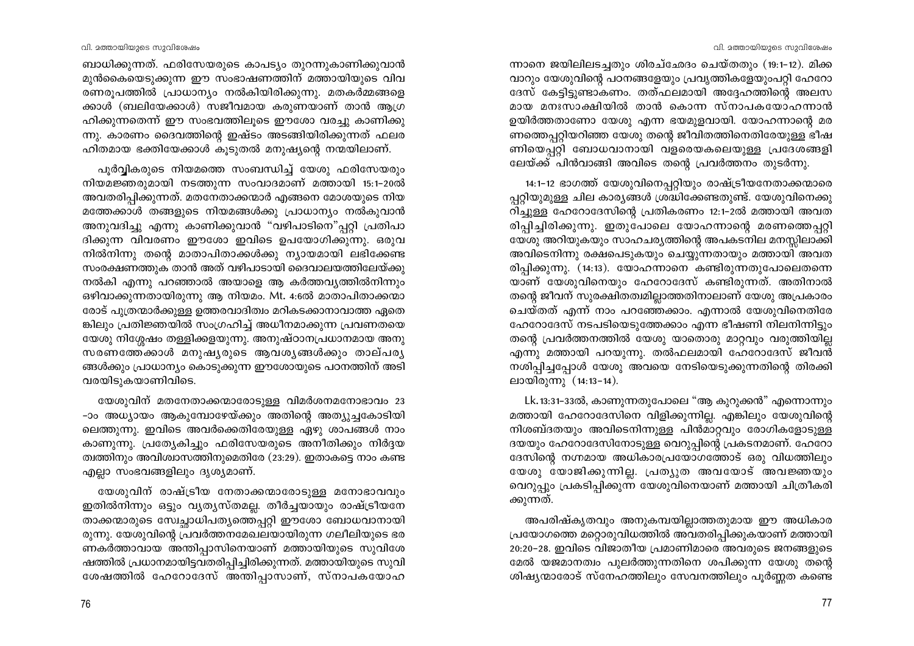ന്നാനെ ജയിലിലടച്ചതും ശിരച്ഛേദം ചെയ്തതും (19:1-12). മിക്ക വാറും യേശുവിന്റെ പഠനങ്ങളേയും പ്രവൃത്തികളേയുംപറ്റി ഹേറോ ദേസ് കേട്ടിട്ടുണ്ടാകണം. തത്ഫലമായി അദ്ദേഹത്തിന്റെ അലസ മായ മനഃസാക്ഷിയിൽ താൻ കൊന്ന സ്നാപകയോഹന്നാൻ ഉയിർത്തതാണോ യേശു എന്ന ഭയമുളവായി. യോഹന്നാന്റെ മര ണത്തെപ്പറ്റിയറിഞ്ഞ യേശു തന്റെ ജീവിതത്തിനെതിരേയുള്ള ഭീഷ ണിയെപ്പറ്റി ബോധവാനായി വളരെയകലെയുള്ള പ്രദേശങ്ങളി ലേയ്ക്ക് പിൻവാങ്ങി അവിടെ തന്റെ പ്രവർത്തനം തുടർന്നു.

14:1-12 ഭാഗത്ത് യേശുവിനെപ്പറ്റിയും രാഷ്ട്രീയനേതാക്കന്മാരെ പ്പറ്റിയുമുള്ള ചില കാര്യങ്ങൾ ശ്രദ്ധിക്കേണ്ടതുണ്ട്. യേശുവിനെക്കു റിച്ചുള്ള ഹേറോദേസിന്റെ പ്രതികരണം 12:1–2ൽ മത്തായി അവത രിപ്പിച്ചിരിക്കുന്നു. ഇതുപോലെ യോഹന്നാന്റെ മരണത്തെപ്പറ്റി യേശു അറിയുകയും സാഹചര്യത്തിന്റെ അപകടനില മനസ്സിലാക്കി അവിടെനിന്നു രക്ഷപെടുകയും ചെയ്യുന്നതായും മത്തായി അവത രിപ്പിക്കുന്നു. (14:13). യോഹന്നാനെ കണ്ടിരുന്നതുപോലെതന്നെ യാണ് യേശുവിനെയും ഹേറോദേസ് കണ്ടിരുന്നത്. അതിനാൽ തന്റെ ജീവന് സുരക്ഷിതത്വമില്ലാത്തതിനാലാണ് യേശു അപ്രകാരം ചെയ്തത് എന്ന് നാം പറഞ്ഞേക്കാം. എന്നാൽ യേശുവിനെതിരേ ഹേറോദേസ് നടപടിയെടുത്തേക്കാം എന്ന ഭീഷണി നിലനിന്നിട്ടും തന്റെ പ്രവർത്തനത്തിൽ യേശു യാതൊരു മാറ്റവും വരുത്തിയില്ല എന്നു മത്തായി പറയുന്നു. തൽഫലമായി ഹേറോദേസ് ജീവൻ നശിപ്പിച്ചപ്പോൾ യേശു അവയെ നേടിയെടുക്കുന്നതിന്റെ തിരക്കി ലായിരുന്നു (14:13-14).

Lk.13:31-33ൽ, കാണുന്നതുപോലെ "ആ കുറുക്കൻ" എന്നൊന്നും മത്തായി ഹേറോദേസിനെ വിളിക്കുന്നില്ല. എങ്കിലും യേശുവിന്റെ നിശബ്ദതയും അവിടെനിന്നുള്ള പിൻമാറ്റവും രോഗികളോടുള്ള ദയയും ഹേറോദേസിനോടുള്ള വെറുപ്പിന്റെ പ്രകടനമാണ്. ഹേറോ ദേസിന്റെ നഗ്നമായ അധികാരപ്രയോഗത്തോട് ഒരു വിധത്തിലും യേശു യോജിക്കുന്നില്ല. പ്രത്യുത അവയോട് അവജ്ഞയും വെറുപ്പും പ്രകടിപ്പിക്കുന്ന യേശുവിനെയാണ് മത്തായി ചിത്രീകരി ക്കുന്നത്.

അപരിഷ്കൃതവും അനുകമ്പയില്ലാത്തതുമായ ഈ അധികാര പ്രയോഗത്തെ മറ്റൊരുവിധത്തിൽ അവതരിപ്പിക്കുകയാണ് മത്തായി 20:20-28. ഇവിടെ വിജാതീയ പ്രമാണിമാരെ അവരുടെ ജനങ്ങളുടെ മേൽ യജമാനത്വം പുലർത്തുന്നതിനെ ശപിക്കുന്ന യേശു തന്റെ ശിഷ്യന്മാരോട് സ്നേഹത്തിലും സേവനത്തിലും പൂർണ്ണത കണ്ടെ

വി. മത്തായിയുടെ സുവിശേഷം

ബാധിക്കുന്നത്. ഫരിസേയരുടെ കാപട്യം തുറന്നുകാണിക്കുവാൻ മുൻകൈയെടുക്കുന്ന ഈ സംഭാഷണത്തിന് മത്തായിയുടെ വിവ രണരുപത്തിൽ പ്രാധാന്യം നൽകിയിരിക്കുന്നു. മതകർമ്മങ്ങളെ ക്കാൾ (ബലിയേക്കാൾ) സജീവമായ കരുണയാണ് താൻ ആഗ്ര ഹിക്കുന്നതെന്ന് ഈ സംഭവത്തിലൂടെ ഈശോ വരച്ചു കാണിക്കു ന്നു. കാരണം ദൈവത്തിന്റെ ഇഷ്ടം അടങ്ങിയിരിക്കുന്നത് ഫലര ഹിതമായ ഭക്തിയേക്കാൾ കൂടുതൽ മനുഷ്യന്റെ നന്മയിലാണ്.

പൂർവ്വികരുടെ നിയമത്തെ സംബന്ധിച്ച് യേശു ഫരിസേയരും നിയമജ്ഞരുമായി നടത്തുന്ന സംവാദമാണ് മത്തായി 15:1-20ൽ അവതരിപ്പിക്കുന്നത്. മതനേതാക്കന്മാർ എങ്ങനെ മോശയുടെ നിയ മത്തേക്കാൾ തങ്ങളുടെ നിയമങ്ങൾക്കു പ്രാധാന്യം നൽകുവാൻ അനുവദിച്ചു എന്നു കാണിക്കുവാൻ "വഴിപാടിനെ"പ്പറ്റി പ്രതിപാ ദിക്കുന്ന വിവരണം ഈശോ ഇവിടെ ഉപയോഗിക്കുന്നു. ഒരുവ നിൽനിന്നു തന്റെ മാതാപിതാക്കൾക്കു ന്യായമായി ലഭിക്കേണ്ട സംരക്ഷണത്തുക താൻ അത് വഴിപാടായി ദൈവാലയത്തിലേയ്ക്കു നൽകി എന്നു പറഞ്ഞാൽ അയാളെ ആ കർത്തവൃത്തിൽനിന്നും ഒഴിവാക്കുന്നതായിരുന്നു ആ നിയമം. Mt. 4:6ൽ മാതാപിതാക്കന്മാ രോട് പുത്രന്മാർക്കുള്ള ഉത്തരവാദിത്വം മറികടക്കാനാവാത്ത ഏതെ ങ്കിലും പ്രതിജ്ഞയിൽ സംഗ്രഹിച്ച് അധീനമാക്കുന്ന പ്രവണതയെ യേശു നിശ്ശേഷം തള്ളിക്കളയുന്നു. അനുഷ്ഠാനപ്രധാനമായ അനു സരണത്തേക്കാൾ മനുഷ്യരുടെ ആവശ്യങ്ങൾക്കും താല്പര്യ ങ്ങൾക്കും പ്രാധാന്യം കൊടുക്കുന്ന ഈശോയുടെ പഠനത്തിന് അടി വരയിടുകയാണിവിടെ.

യേശുവിന് മതനേതാക്കന്മാരോടുള്ള വിമർശനമനോഭാവം 23 -ാം അധ്യായം ആകുമ്പോഴേയ്ക്കും അതിന്റെ അത്യുച്ചകോടിയി ലെത്തുന്നു. ഇവിടെ അവർക്കെതിരേയുള്ള ഏഴു ശാപങ്ങൾ നാം കാണുന്നു. പ്രത്യേകിച്ചും ഫരിസേയരുടെ അനീതിക്കും നിർദ്ദയ ത്വത്തിനും അവിശ്വാസത്തിനുമെതിരേ (23:29). ഇതാകട്ടെ നാം കണ്ട എല്ലാ സംഭവങ്ങളിലും ദൃശ്യമാണ്.

യേശുവിന് രാഷ്ട്രീയ നേതാക്കന്മാരോടുള്ള മനോഭാവവും ഇതിൽനിന്നും ഒട്ടും വൃതൃസ്തമല്ല. തീർച്ചയായും രാഷ്ട്രീയനേ താക്കന്മാരുടെ സ്വേച്ഛാധിപതൃത്തെപ്പറ്റി ഈശോ ബോധവാനായി രുന്നു. യേശുവിന്റെ പ്രവർത്തനമേഖലയായിരുന്ന ഗലീലിയുടെ ഭര ണകർത്താവായ അന്തിപ്പാസിനെയാണ് മത്തായിയുടെ സുവിശേ ഷത്തിൽ പ്രധാനമായിട്ടവതരിപ്പിച്ചിരിക്കുന്നത്. മത്തായിയുടെ സുവി ശേഷത്തിൽ ഹേറോദേസ് അന്തിപ്പാസാണ്, സ്നാപകയോഹ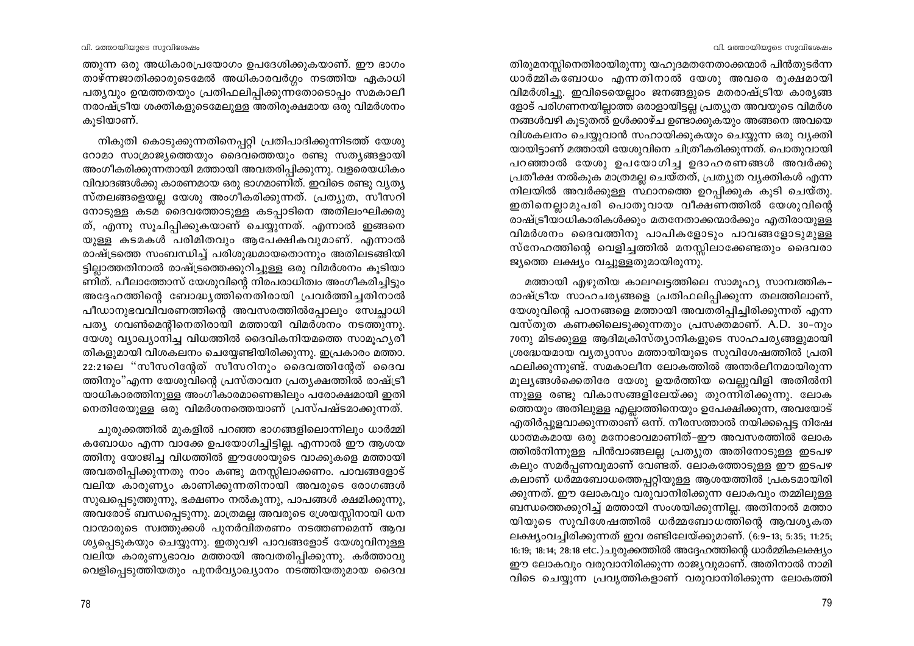തിരുമനസ്സിനെതിരായിരുന്നു യഹൂദമതനേതാക്കന്മാർ പിൻതുടർന്ന ധാർമ്മിക്ബോധം എന്നതിനാൽ യേശു അവരെ രുക്ഷമായി വിമർശിച്ചു. ഇവിടെയെല്ലാം ജനങ്ങളുടെ മതരാഷ്ട്രീയ കാര്യങ്ങ ളോട് പരിഗണനയില്ലാത്ത ഒരാളായിട്ടല്ല പ്രത്യുത അവയുടെ വിമർശ നങ്ങൾവഴി കൂടുതൽ ഉൾക്കാഴ്ച ഉണ്ടാക്കുകയും അങ്ങനെ അവയെ വിശകലനം ചെയ്യുവാൻ സഹായിക്കുകയും ചെയ്യുന്ന ഒരു വ്യക്തി യായിട്ടാണ് മത്തായി യേശുവിനെ ചിത്രീകരിക്കുന്നത്. പൊതുവായി പറഞ്ഞാൽ യേശു ഉപയോഗിച്ച ഉദാഹരണങ്ങൾ അവർക്കു പ്രതീക്ഷ നൽകുക മാത്രമല്ല ചെയ്തത്, പ്രത്യുത വ്യക്തികൾ എന്ന നിലയിൽ അവർക്കുള്ള സ്ഥാനത്തെ ഉറപ്പിക്കുക കൂടി ചെയ്തു. ഇതിനെല്ലാമുപരി പൊതുവായ വീക്ഷണത്തിൽ യേശുവിന്റെ രാഷ്ട്രീയാധികാരികൾക്കും മതനേതാക്കന്മാർക്കും എതിരായുള്ള വിമർശനം ദൈവത്തിനു പാപികളോടും പാവങ്ങളോടുമുള്ള സ്നേഹത്തിന്റെ വെളിച്ചത്തിൽ മനസ്സിലാക്കേണ്ടതും ദൈവരാ ജ്യത്തെ ലക്ഷ്യം വച്ചുള്ളതുമായിരുന്നു.

മത്തായി എഴുതിയ കാലഘട്ടത്തിലെ സാമുഹ്യ സാമ്പത്തിക-രാഷ്ട്രീയ സാഹചര്യങ്ങളെ പ്രതിഫലിപ്പിക്കുന്ന തലത്തിലാണ്, യേശുവിന്റെ പഠനങ്ങളെ മത്തായി അവതരിപ്പിച്ചിരിക്കുന്നത് എന്ന വസ്തുത കണക്കിലെടുക്കുന്നതും പ്രസക്തമാണ്. A.D. 30-നും 70നു മിടക്കുള്ള ആദിമക്രിസ്ത്യാനികളുടെ സാഹചര്യങ്ങളുമായി ശ്രദ്ധേയമായ വ്യത്യാസം മത്തായിയുടെ സുവിശേഷത്തിൽ പ്രതി ഫലിക്കുന്നുണ്ട്. സമകാലീന ലോകത്തിൽ അന്തർലീനമായിരുന്ന മൂല്യങ്ങൾക്കെതിരേ യേശു ഉയർത്തിയ വെല്ലുവിളി അതിൽനി ന്നുള്ള രണ്ടു വികാസങ്ങളിലേയ്ക്കു തുറന്നിരിക്കുന്നു. ലോക ത്തെയും അതിലുള്ള എല്ലാത്തിനെയും ഉപേക്ഷിക്കുന്ന, അവയോട് എതിർപ്പുളവാക്കുന്നതാണ് ഒന്ന്. നീരസത്താൽ നയിക്കപ്പെട്ട നിഷേ ധാത്മകമായ ഒരു മനോഭാവമാണിത്-ഈ അവസരത്തിൽ ലോക ത്തിൽനിന്നുള്ള പിൻവാങ്ങലല്ല പ്രത്യുത അതിനോടുള്ള ഇടപഴ കലും സമർപ്പണവുമാണ് വേണ്ടത്. ലോകത്തോടുള്ള ഈ ഇടപഴ കലാണ് ധർമ്മബോധത്തെപ്പറ്റിയുള്ള ആശയത്തിൽ പ്രകടമായിരി ക്കുന്നത്. ഈ ലോകവും വരുവാനിരിക്കുന്ന ലോകവും തമ്മിലുള്ള ബന്ധത്തെക്കുറിച്ച് മത്തായി സംശയിക്കുന്നില്ല. അതിനാൽ മത്താ യിയുടെ സുവിശേഷത്തിൽ ധർമ്മബോധത്തിന്റെ ആവശ്യകത ലക്ഷ്യംവച്ചിരിക്കുന്നത് ഇവ രണ്ടിലേയ്ക്കുമാണ്. (6:9–13; 5:35; 11:25; 16:19; 18:14; 28:18 etc.)ചുരുക്കത്തിൽ അദ്ദേഹത്തിന്റെ ധാർമ്മികലക്ഷ്യം ഈ ലോകവും വരുവാനിരിക്കുന്ന രാജ്യവുമാണ്. അതിനാൽ നാമി വിടെ ചെയ്യുന്ന പ്രവൃത്തികളാണ് വരുവാനിരിക്കുന്ന ലോകത്തി

വി. മത്തായിയുടെ സുവിശേഷം

ത്തുന്ന ഒരു അധികാരപ്രയോഗം ഉപദേശിക്കുകയാണ്. ഈ ഭാഗം താഴ്ന്നജാതിക്കാരുടെമേൽ അധികാരവർഗ്ഗം നടത്തിയ ഏകാധി പതൃവും ഉന്മത്തതയും പ്രതിഫലിപ്പിക്കുന്നതോടൊപ്പം സമകാലീ നരാഷ്ട്രീയ ശക്തികളുടെമേലുള്ള അതിരൂക്ഷമായ ഒരു വിമർശനം കൂടിയാണ്.

നികുതി കൊടുക്കുന്നതിനെപ്പറ്റി പ്രതിപാദിക്കുന്നിടത്ത് യേശു റോമാ സാമ്രാജ്യത്തെയും ദൈവത്തെയും രണ്ടു സത്യങ്ങളായി അംഗീകരിക്കുന്നതായി മത്തായി അവതരിപ്പിക്കുന്നു. വളരെയധികം വിവാദങ്ങൾക്കു കാരണമായ ഒരു ഭാഗമാണിത്. ഇവിടെ രണ്ടു വ്യത്യ സ്തലങ്ങളെയല്ല യേശു അംഗീകരിക്കുന്നത്. പ്രത്യുത, സീസറി നോടുള്ള കടമ ദൈവത്തോടുള്ള കടപ്പാടിനെ അതിലംഘിക്കരു ത്, എന്നു സൂചിപ്പിക്കുകയാണ് ചെയ്യുന്നത്. എന്നാൽ ഇങ്ങനെ യുള്ള കടമകൾ പരിമിതവും ആപേക്ഷികവുമാണ്. എന്നാൽ രാഷ്ട്രത്തെ സംബന്ധിച്ച് പരിശുദ്ധമായതൊന്നും അതിലടങ്ങിയി ട്ടില്ലാത്തതിനാൽ രാഷ്ട്രത്തെക്കുറിച്ചുള്ള ഒരു വിമർശനം കൂടിയാ ണിത്. പീലാത്തോസ് യേശുവിന്റെ നിരപരാധിത്വം അംഗീകരിച്ചിട്ടും അദ്ദേഹത്തിന്റെ ബോദ്ധ്യത്തിനെതിരായി പ്രവർത്തിച്ചതിനാൽ പീഡാനുഭവവിവരണത്തിന്റെ അവസരത്തിൽപ്പോലും സേച്ഛാധി പത്യ ഗവൺമെന്റിനെതിരായി മത്തായി വിമർശനം നടത്തുന്നു. യേശു വ്യാഖ്യാനിച്ച വിധത്തിൽ ദൈവികനിയമത്തെ സാമൂഹ്യരീ തികളുമായി വിശകലനം ചെയ്യേണ്ടിയിരിക്കുന്നു. ഇപ്രകാരം മത്താ. 22:21ലെ "സീസറിന്റേത് സീസറിനും ദൈവത്തിന്റേത് ദൈവ ത്തിനും"എന്ന യേശുവിന്റെ പ്രസ്താവന പ്രത്യക്ഷത്തിൽ രാഷ്ട്രീ യാധികാരത്തിനുള്ള അംഗീകാരമാണെങ്കിലും പരോക്ഷമായി ഇതി നെതിരേയുള്ള ഒരു വിമർശനത്തെയാണ് പ്രസ്പഷ്ടമാക്കുന്നത്.

ചുരുക്കത്തിൽ മുകളിൽ പറഞ്ഞ ഭാഗങ്ങളിലൊന്നിലും ധാർമ്മി കബോധം എന്ന വാക്കേ ഉപയോഗിച്ചിട്ടില്ല. എന്നാൽ ഈ ആശയ ത്തിനു യോജിച്ച വിധത്തിൽ ഈശോയുടെ വാക്കുകളെ മത്തായി അവതരിപ്പിക്കുന്നതു നാം കണ്ടു മനസ്സിലാക്കണം. പാവങ്ങളോട് വലിയ കാരുണ്യം കാണിക്കുന്നതിനായി അവരുടെ രോഗങ്ങൾ സുഖപ്പെടുത്തുന്നു, ഭക്ഷണം നൽകുന്നു, പാപങ്ങൾ ക്ഷമിക്കുന്നു, അവരോട് ബന്ധപ്പെടുന്നു. മാത്രമല്ല അവരുടെ ശ്രേയസ്സിനായി ധന വാന്മാരുടെ സ്വത്തുക്കൾ പുനർവിതരണം നടത്തണമെന്ന് ആവ ശ്യപ്പെടുകയും ചെയ്യുന്നു. ഇതുവഴി പാവങ്ങളോട് യേശുവിനുള്ള വലിയ കാരുണ്യഭാവം മത്തായി അവതരിപ്പിക്കുന്നു. കർത്താവു വെളിപ്പെടുത്തിയതും പുനർവ്യാഖ്യാനം നടത്തിയതുമായ ദൈവ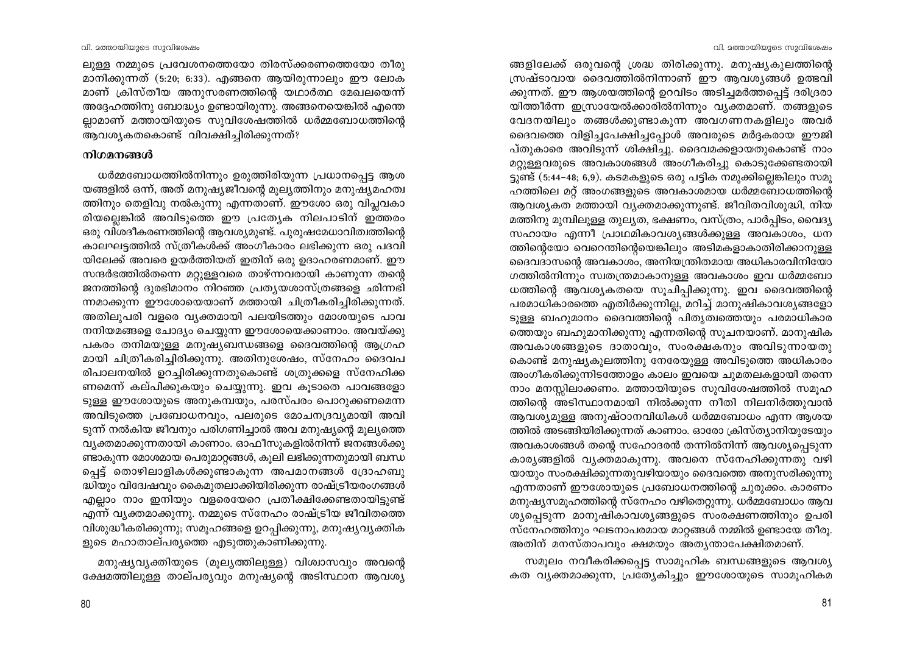ങ്ങളിലേക്ക് ഒരുവന്റെ ശ്രദ്ധ തിരിക്കുന്നു. മനുഷ്യകുലത്തിന്റെ സ്രഷ്ടാവായ ദൈവത്തിൽനിന്നാണ് ഈ ആവശ്യങ്ങൾ ഉത്ഭവി ക്കുന്നത്. ഈ ആശയത്തിന്റെ ഉറവിടം അടിച്ചമർത്തപ്പെട്ട് ദരിദ്രരാ യിത്തീർന്ന ഇസ്രായേൽക്കാരിൽനിന്നും വ്യക്തമാണ്. തങ്ങളുടെ വേദനയിലും തങ്ങൾക്കുണ്ടാകുന്ന അവഗണനകളിലും അവർ ദൈവത്തെ വിളിച്ചപേക്ഷിച്ചപ്പോൾ അവരുടെ മർദ്ദകരായ ഈജി പ്തുകാരെ അവിടുന്ന് ശിക്ഷിച്ചു. ദൈവമക്കളായതുകൊണ്ട് നാം മറ്റുള്ളവരുടെ അവകാശങ്ങൾ അംഗീകരിച്ചു കൊടുക്കേണ്ടതായി ട്ടുണ്ട് (5:44–48; 6,9). കടമകളുടെ ഒരു പട്ടിക നമുക്കില്ലെങ്കിലും സമു ഹത്തിലെ മറ്റ് അംഗങ്ങളുടെ അവകാശമായ ധർമ്മബോധത്തിന്റെ ആവശ്യകത മത്തായി വ്യക്തമാക്കുന്നുണ്ട്. ജീവിതവിശുദ്ധി, നിയ മത്തിനു മുമ്പിലുള്ള തുല്യത, ഭക്ഷണം, വസ്ത്രം, പാർപ്പിടം, വൈദ്യ സഹായം എന്നീ പ്രാഥമികാവശ്യങ്ങൾക്കുള്ള അവകാശം, ധന ത്തിന്റെയോ വെറെന്തിന്റെയെങ്കിലും അടിമകളാകാതിരിക്കാനുള്ള ദൈവദാസന്റെ അവകാശം, അനിയന്ത്രിതമായ അധികാരവിനിയോ ഗത്തിൽനിന്നും സ്വതന്ത്രമാകാനുള്ള അവകാശം ഇവ ധർമ്മബോ ധത്തിന്റെ ആവശ്യകതയെ സൂചിപ്പിക്കുന്നു. ഇവ ദൈവത്തിന്റെ പരമാധികാരത്തെ എതിർക്കുന്നില്ല, മറിച്ച് മാനുഷികാവശ്യങ്ങളോ ടുള്ള ബഹുമാനം ദൈവത്തിന്റെ പിതൃത്വത്തെയും പരമാധികാര ത്തെയും ബഹുമാനിക്കുന്നു എന്നതിന്റെ സൂചനയാണ്. മാനുഷിക അവകാശങ്ങളുടെ ദാതാവും, സംരക്ഷകനും അവിടുന്നായതു കൊണ്ട് മനുഷ്യകുലത്തിനു നേരേയുള്ള അവിടുത്തെ അധികാരം അംഗീകരിക്കുന്നിടത്തോളം കാലം ഇവയെ ചുമതലകളായി തന്നെ നാം മനസ്സിലാക്കണം. മത്തായിയുടെ സുവിശേഷത്തിൽ സമൂഹ ത്തിന്റെ അടിസ്ഥാനമായി നിൽക്കുന്ന നീതി നിലനിർത്തുവാൻ ആവശ്യമുള്ള അനുഷ്ഠാനവിധികൾ ധർമ്മബോധം എന്ന ആശയ ത്തിൽ അടങ്ങിയിരിക്കുന്നത് കാണാം. ഓരോ ക്രിസ്ത്യാനിയുടേയും അവകാശങ്ങൾ തന്റെ സഹോദരൻ തന്നിൽനിന്ന് ആവശ്യപ്പെടുന്ന കാര്യങ്ങളിൽ വ്യക്തമാകുന്നു. അവനെ സ്നേഹിക്കുന്നതു വഴി യായും സംരക്ഷിക്കുന്നതുവഴിയായും ദൈവത്തെ അനുസരിക്കുന്നു എന്നതാണ് ഈശോയുടെ പ്രബോധനത്തിന്റെ ചുരുക്കം. കാരണം മനുഷ്യസമൂഹത്തിന്റെ സ്നേഹം വഴിതെറ്റുന്നു. ധർമ്മബോധം ആവ ശ്യപ്പെടുന്ന മാനുഷികാവശ്യങ്ങളുടെ സംരക്ഷണത്തിനും ഉപരി സ്നേഹത്തിനും ഘടനാപരമായ മാറ്റങ്ങൾ നമ്മിൽ ഉണ്ടായേ തീരു. അതിന് മനസ്താപവും ക്ഷമയും അതൃന്താപേക്ഷിതമാണ്.

സമൂലം നവീകരിക്കപ്പെട്ട സാമൂഹിക ബന്ധങ്ങളുടെ ആവശ്യ കത വ്യക്തമാക്കുന്ന, പ്രത്യേകിച്ചും ഈശോയുടെ സാമൂഹികമ

ലൂള്ള നമ്മുടെ പ്രവേശനത്തെയോ തിരസ്ക്കരണത്തെയോ തീരു മാനിക്കുന്നത് (5:20; 6:33). എങ്ങനെ ആയിരുന്നാലും ഈ ലോക മാണ് ക്രിസ്തീയ അനുസരണത്തിന്റെ യഥാർത്ഥ മേഖലയെന്ന് അദ്ദേഹത്തിനു ബോദ്ധ്യം ഉണ്ടായിരുന്നു. അങ്ങനെയെങ്കിൽ എന്തെ ല്ലാമാണ് മത്തായിയുടെ സുവിശേഷത്തിൽ ധർമ്മബോധത്തിന്റെ ആവശ്യകതകൊണ്ട് വിവക്ഷിച്ചിരിക്കുന്നത്?

#### നിഗമനങ്ങൾ

ധർമ്മബോധത്തിൽനിന്നും ഉരുത്തിരിയുന്ന പ്രധാനപ്പെട്ട ആശ യങ്ങളിൽ ഒന്ന്, അത് മനുഷ്യജീവന്റെ മുല്യത്തിനും മനുഷ്യമഹത്വ ത്തിനും തെളിവു നൽകുന്നു എന്നതാണ്. ഈശോ ഒരു വിപ്ലവകാ രിയല്ലെങ്കിൽ അവിടുത്തെ ഈ പ്രത്യേക നിലപാടിന് ഇത്തരം ഒരു വിശദീകരണത്തിന്റെ ആവശ്യമുണ്ട്. പുരുഷമേധാവിത്വത്തിന്റെ കാലഘട്ടത്തിൽ സ്ത്രീകൾക്ക് അംഗീകാരം ലഭിക്കുന്ന ഒരു പദവി യിലേക്ക് അവരെ ഉയർത്തിയത് ഇതിന് ഒരു ഉദാഹരണമാണ്. ഈ സന്ദർഭത്തിൽതന്നെ മറ്റുള്ളവരെ താഴ്ന്നവരായി കാണുന്ന തന്റെ ജനത്തിന്റെ ദുരഭിമാനം നിറഞ്ഞ പ്രത്യയശാസ്ത്രങ്ങളെ ഛിന്നഭി ന്നമാക്കുന്ന ഈശോയെയാണ് മത്തായി ചിത്രീകരിച്ചിരിക്കുന്നത്. അതിലുപരി വളരെ വ്യക്തമായി പലയിടത്തും മോശയുടെ പാവ നനിയമങ്ങളെ ചോദ്യം ചെയ്യുന്ന ഈശോയെക്കാണാം. അവയ്ക്കു പകരം തനിമയുള്ള മനുഷ്യബന്ധങ്ങളെ ദൈവത്തിന്റെ ആഗ്രഹ മായി ചിത്രീകരിച്ചിരിക്കുന്നു. അതിനുശേഷം, സ്നേഹം ദൈവപ രിപാലനയിൽ ഉറച്ചിരിക്കുന്നതുകൊണ്ട് ശത്രുക്കളെ സ്നേഹിക്ക ണമെന്ന് കല്പിക്കുകയും ചെയ്യുന്നു. ഇവ കൂടാതെ പാവങ്ങളോ ടുള്ള ഈശോയുടെ അനുകമ്പയും, പരസ്പരം പൊറുക്കണമെന്ന അവിടുത്തെ പ്രബോധനവും, പലരുടെ മോചനദ്രവ്യമായി അവി ടുന്ന് നൽകിയ ജീവനും പരിഗണിച്ചാൽ അവ മനുഷ്യന്റെ മൂല്യത്തെ വ്യക്തമാക്കുന്നതായി കാണാം. ഓഫീസുകളിൽനിന്ന് ജനങ്ങൾക്കു ണ്ടാകുന്ന മോശമായ പെരുമാറ്റങ്ങൾ, കൂലി ലഭിക്കുന്നതുമായി ബന്ധ പ്പെട്ട് തൊഴിലാളികൾക്കുണ്ടാകുന്ന അപമാനങ്ങൾ ദ്രോഹബു ദ്ധിയും വിദ്വേഷവും കൈമുതലാക്കിയിരിക്കുന്ന രാഷ്ട്രീയരംഗങ്ങൾ എല്ലാം നാം ഇനിയും വളരെയേറെ പ്രതീക്ഷിക്കേണ്ടതായിട്ടുണ്ട് എന്ന് വ്യക്തമാക്കുന്നു. നമ്മുടെ സ്നേഹം രാഷ്ട്രീയ ജീവിതത്തെ വിശുദ്ധീകരിക്കുന്നു; സമുഹങ്ങളെ ഉറപ്പിക്കുന്നു, മനുഷ്യവൃക്തിക ളുടെ മഹാതാല്പര്യത്തെ എടുത്തുകാണിക്കുന്നു.

മനുഷ്യവ്യക്തിയുടെ (മുല്യത്തിലുള്ള) വിശ്വാസവും അവന്റെ ക്ഷേമത്തിലുള്ള താല്പര്യവും മനുഷ്യന്റെ അടിസ്ഥാന ആവശ്യ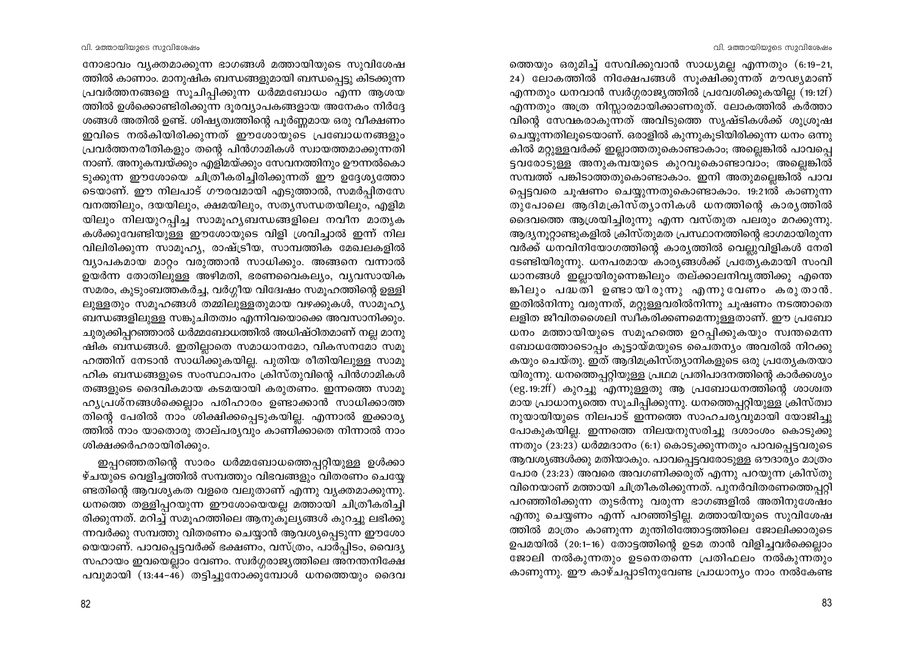ത്തെയും ഒരുമിച്ച് സേവിക്കുവാൻ സാധ്യമല്ല എന്നതും (6:19–21, 24) ലോകത്തിൽ നിക്ഷേപങ്ങൾ സുക്ഷിക്കുന്നത് മൗഢ്യമാണ് എന്നതും ധനവാൻ സ്വർഗ്ഗരാജ്യത്തിൽ പ്രവേശിക്കുകയില്ല (19:12f) എന്നതും അത്ര നിസ്സാരമായിക്കാണരുത്. ലോകത്തിൽ കർത്താ വിന്റെ സേവകരാകുന്നത് അവിടുത്തെ സൃഷ്ടികൾക്ക് ശുശ്രൂഷ ചെയ്യുന്നതിലുടെയാണ്. ഒരാളിൽ കുന്നുകൂടിയിരിക്കുന്ന ധനം ഒന്നു കിൽ മറ്റുള്ളവർക്ക് ഇല്ലാത്തതുകൊണ്ടാകാം; അല്ലെങ്കിൽ പാവപ്പെ ട്ടവരോടുള്ള അനുകമ്പയുടെ കുറവുകൊണ്ടാവാം; അല്ലെങ്കിൽ സമ്പത്ത് പങ്കിടാത്തതുകൊണ്ടാകാം. ഇനി അതുമല്ലെങ്കിൽ പാവ പ്പെട്ടവരെ ചൂഷണം ചെയ്യുന്നതുകൊണ്ടാകാം. 19:21ൽ കാണുന്ന തുപോലെ ആദിമക്രിസ്ത്യാനികൾ ധനത്തിന്റെ കാര്യത്തിൽ ദൈവത്തെ ആശ്രയിച്ചിരുന്നു എന്ന വസ്തുത പലരും മറക്കുന്നു. ആദ്യനുറ്റാണ്ടുകളിൽ ക്രിസ്തുമത പ്രസ്ഥാനത്തിന്റെ ഭാഗമായിരുന്ന വർക്ക് ധനവിനിയോഗത്തിന്റെ കാര്യത്തിൽ വെല്ലുവിളികൾ നേരി ടേണ്ടിയിരുന്നു. ധനപരമായ കാര്യങ്ങൾക്ക് പ്രത്യേകമായി സംവി ധാനങ്ങൾ ഇല്ലായിരുന്നെങ്കിലും തല്ക്കാലനിവൃത്തിക്കു എന്തെ ങ്കിലും പദ്ധതി ഉണ്ടായിരുന്നു എന്നുവേണം കരുതാൻ. ഇതിൽനിന്നു വരുന്നത്, മറ്റുള്ളവരിൽനിന്നു ചൂഷണം നടത്താതെ ലളിത ജീവിതശൈലി സ്വീകരിക്കണമെന്നുള്ളതാണ്. ഈ പ്രബോ ധനം മത്തായിയുടെ സമൂഹത്തെ ഉറപ്പിക്കുകയും സ്വന്തമെന്ന ബോധത്തോടൊപ്പം കുട്ടായ്മയുടെ ചൈതന്യം അവരിൽ നിറക്കു കയും ചെയ്തു. ഇത് ആദിമക്രിസ്ത്യാനികളുടെ ഒരു പ്രത്യേകതയാ യിരുന്നു. ധനത്തെപ്പറ്റിയുള്ള പ്രഥമ പ്രതിപാദനത്തിന്റെ കാർക്കശ്യം (eg.19:2ff) കുറച്ചു എന്നുള്ളതു ആ പ്രബോധനത്തിന്റെ ശാശ്വത മായ പ്രാധാന്യത്തെ സൂചിപ്പിക്കുന്നു. ധനത്തെപ്പറ്റിയുള്ള ക്രിസ്ത്വാ നുയായിയുടെ നിലപാട് ഇന്നത്തെ സാഹചര്യവുമായി യോജിച്ചു പോകുകയില്ല. ഇന്നത്തെ നിലയനുസരിച്ചു ദശാംശം കൊടുക്കു ന്നതും (23:23) ധർമ്മദാനം (6:1) കൊടുക്കുന്നതും പാവപ്പെട്ടവരുടെ ആവശ്യങ്ങൾക്കു മതിയാകും. പാവപ്പെട്ടവരോടുള്ള ഔദാര്യം മാത്രം പോര (23:23) അവരെ അവഗണിക്കരുത് എന്നു പറയുന്ന ക്രിസ്തു വിനെയാണ് മത്തായി ചിത്രീകരിക്കുന്നത്. പുനർവിതരണത്തെപ്പറ്റി പറഞ്ഞിരിക്കുന്ന തുടർന്നു വരുന്ന ഭാഗങ്ങളിൽ അതിനുശേഷം എന്തു ചെയ്യണം എന്ന് പറഞ്ഞിട്ടില്ല. മത്തായിയുടെ സുവിശേഷ ത്തിൽ മാത്രം കാണുന്ന മുന്തിരിത്തോട്ടത്തിലെ ജോലിക്കാരുടെ ഉപമയിൽ (20:1-16) തോട്ടത്തിന്റെ ഉടമ താൻ വിളിച്ചവർക്കെല്ലാം ജോലി നൽകുന്നതും ഉടനെതന്നെ പ്രതിഫലം നൽകുന്നതും കാണുന്നു. ഈ കാഴ്ചപ്പാടിനുവേണ്ട പ്രാധാന്യം നാം നൽകേണ്ട

വി. മത്തായിയുടെ സുവിശേഷം

നോഭാവം വ്യക്തമാക്കുന്ന ഭാഗങ്ങൾ മത്തായിയുടെ സുവിശേഷ ത്തിൽ കാണാം. മാനുഷിക ബന്ധങ്ങളുമായി ബന്ധപ്പെട്ടു കിടക്കുന്ന പ്രവർത്തനങ്ങളെ സുചിപ്പിക്കുന്ന ധർമ്മബോധം എന്ന ആശയ ത്തിൽ ഉൾക്കൊണ്ടിരിക്കുന്ന ദൂരവ്യാപകങ്ങളായ അനേകം നിർദ്ദേ ശങ്ങൾ അതിൽ ഉണ്ട്. ശിഷ്യത്വത്തിന്റെ പൂർണ്ണമായ ഒരു വീക്ഷണം ഇവിടെ നൽകിയിരിക്കുന്നത് ഈശോയുടെ പ്രബോധനങ്ങളും പ്രവർത്തനരീതികളും തന്റെ പിൻഗാമികൾ സ്വായത്തമാക്കുന്നതി നാണ്. അനുകമ്പയ്ക്കും എളിമയ്ക്കും സേവനത്തിനും ഊന്നൽകൊ ടുക്കുന്ന ഈശോയെ ചിത്രീകരിച്ചിരിക്കുന്നത് ഈ ഉദ്ദേശ്യത്തോ ടെയാണ്. ഈ നിലപാട് ഗൗരവമായി എടുത്താൽ, സമർപ്പിതസേ വനത്തിലും, ദയയിലും, ക്ഷമയിലും, സതൃസന്ധതയിലും, എളിമ യിലും നിലയുറപ്പിച്ച സാമൂഹ്യബന്ധങ്ങളിലെ നവീന മാതൃക കൾക്കുവേണ്ടിയുള്ള ഈശോയുടെ വിളി ശ്രവിച്ചാൽ ഇന്ന് നില വിലിരിക്കുന്ന സാമൂഹ്യ, രാഷ്ട്രീയ, സാമ്പത്തിക മേഖലകളിൽ വ്യാപകമായ മാറ്റം വരുത്താൻ സാധിക്കും. അങ്ങനെ വന്നാൽ ഉയർന്ന തോതിലുള്ള അഴിമതി, ഭരണവൈകല്യം, വ്യവസായിക സമരം, കുടുംബത്തകർച്ച, വർഗ്ഗീയ വിദ്വേഷം സമൂഹത്തിന്റെ ഉള്ളി ലുള്ളതും സമൂഹങ്ങൾ തമ്മിലുള്ളതുമായ വഴക്കുകൾ, സാമൂഹൃ ബന്ധങ്ങളിലുള്ള സങ്കുചിതത്വം എന്നിവയൊക്കെ അവസാനിക്കും. ചുരുക്കിപ്പറഞ്ഞാൽ ധർമ്മബോധത്തിൽ അധിഷ്ഠിതമാണ് നല്ല മാനു ഷിക ബന്ധങ്ങൾ. ഇതില്ലാതെ സമാധാനമോ, വികസനമോ സമു ഹത്തിന് നേടാൻ സാധിക്കുകയില്ല. പുതിയ രീതിയിലുള്ള സാമൂ ഹിക ബന്ധങ്ങളുടെ സംസ്ഥാപനം ക്രിസ്തുവിന്റെ പിൻഗാമികൾ തങ്ങളുടെ ദൈവികമായ കടമയായി കരുതണം. ഇന്നത്തെ സാമൂ ഹ്യപ്രശ്നങ്ങൾക്കെല്ലാം പരിഹാരം ഉണ്ടാക്കാൻ സാധിക്കാത്ത തിന്റെ പേരിൽ നാം ശിക്ഷിക്കപ്പെടുകയില്ല. എന്നാൽ ഇക്കാര്യ ത്തിൽ നാം യാതൊരു താല്പര്യവും കാണിക്കാതെ നിന്നാൽ നാം ശിക്ഷക്കർഹരായിരിക്കും.

ഇപ്പറഞ്ഞതിന്റെ സാരം ധർമ്മബോധത്തെപ്പറ്റിയുള്ള ഉൾക്കാ ഴ്ചയുടെ വെളിച്ചത്തിൽ സമ്പത്തും വിഭവങ്ങളും വിതരണം ചെയ്യേ ണ്ടതിന്റെ ആവശ്യകത വളരെ വലുതാണ് എന്നു വ്യക്തമാക്കുന്നു. ധനത്തെ തള്ളിപ്പറയുന്ന ഈശോയെയല്ല മത്തായി ചിത്രീകരിച്ചി രിക്കുന്നത്. മറിച്ച് സമൂഹത്തിലെ ആനുകൂല്യങ്ങൾ കുറച്ചു ലഭിക്കു ന്നവർക്കു സമ്പത്തു വിതരണം ചെയ്യാൻ ആവശ്യപ്പെടുന്ന ഈശോ യെയാണ്. പാവപ്പെട്ടവർക്ക് ഭക്ഷണം, വസ്ത്രം, പാർപ്പിടം, വൈദ്യ സഹായം ഇവയെല്ലാം വേണം. സ്വർഗ്ഗരാജ്യത്തിലെ അനന്തനിക്ഷേ പവുമായി (13:44-46) തട്ടിച്ചുനോക്കുമ്പോൾ ധനത്തെയും ദൈവ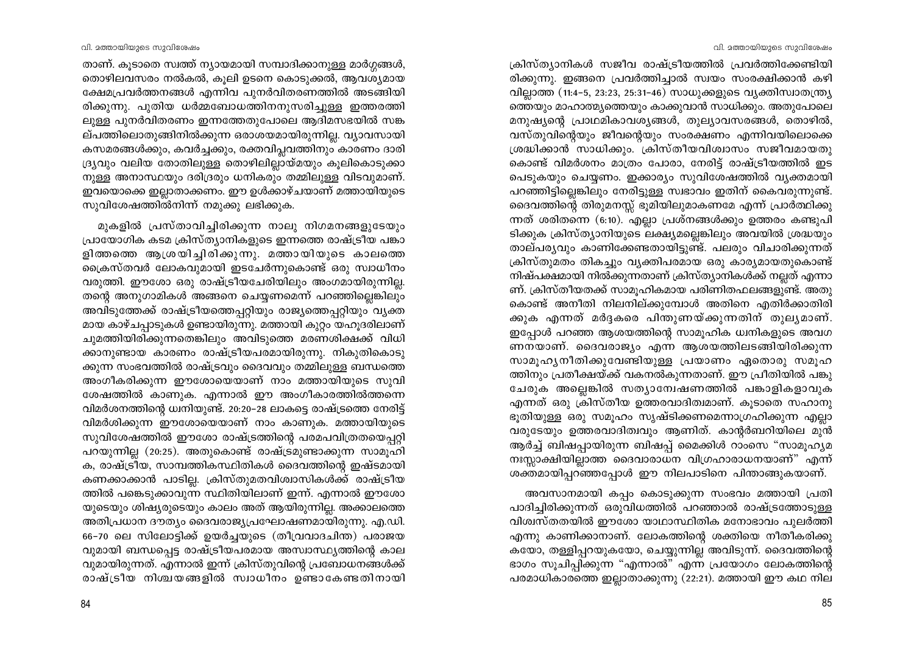ക്രിസ്ത്യാനികൾ സജീവ രാഷ്ട്രീയത്തിൽ പ്രവർത്തിക്കേണ്ടിയി രിക്കുന്നു. ഇങ്ങനെ പ്രവർത്തിച്ചാൽ സ്വയം സംരക്ഷിക്കാൻ കഴി വില്ലാത്ത (11:4–5, 23:23, 25:31–46) സാധുക്കളുടെ വ്യക്തിസ്വാതന്ത്ര്യ ത്തെയും മാഹാത്മ്യത്തെയും കാക്കുവാൻ സാധിക്കും. അതുപോലെ മനുഷ്യന്റെ പ്രാഥമികാവശ്യങ്ങൾ, തുല്യാവസരങ്ങൾ, തൊഴിൽ, വസ്തുവിന്റെയും ജീവന്റെയും സംരക്ഷണം എന്നിവയിലൊക്കെ ശ്രദ്ധിക്കാൻ സാധിക്കും. ക്രിസ്തീയവിശ്വാസം സജീവമായതു കൊണ്ട് വിമർശനം മാത്രം പോരാ, നേരിട്ട് രാഷ്ട്രീയത്തിൽ ഇട പെടുകയും ചെയ്യണം. ഇക്കാര്യം സുവിശേഷത്തിൽ വ്യക്തമായി പറഞ്ഞിട്ടില്ലെങ്കിലും നേരിട്ടുള്ള സ്വഭാവം ഇതിന് കൈവരുന്നുണ്ട്. ദൈവത്തിന്റെ തിരുമനസ്സ് ഭൂമിയിലുമാകണമേ എന്ന് പ്രാർത്ഥിക്കു ന്നത് ശരിതന്നെ (6:10). എല്ലാ പ്രശ്നങ്ങൾക്കും ഉത്തരം കണ്ടുപി ടിക്കുക ക്രിസ്ത്യാനിയുടെ ലക്ഷ്യമല്ലെങ്കിലും അവയിൽ ശ്രദ്ധയും താല്പര്യവും കാണിക്കേണ്ടതായിട്ടുണ്ട്. പലരും വിചാരിക്കുന്നത് ക്രിസ്തുമതം തികച്ചും വ്യക്തിപരമായ ഒരു കാര്യമായതുകൊണ്ട് നിഷ്പക്ഷമായി നിൽക്കുന്നതാണ് ക്രിസ്ത്യാനികൾക്ക് നല്ലത് എന്നാ ണ്. ക്രിസ്തീയതക്ക് സാമൂഹികമായ പരിണിതഫലങ്ങളുണ്ട്. അതു കൊണ്ട് അനീതി നിലനില്ക്കുമ്പോൾ അതിനെ എതിർക്കാതിരി ക്കുക എന്നത് മർദ്ദകരെ പിന്തുണയ്ക്കുന്നതിന് തുലൃമാണ്. ഇപ്പോൾ പറഞ്ഞ ആശയത്തിന്റെ സാമൂഹിക ധ്വനികളുടെ അവഗ ണനയാണ്. ദൈവരാജ്യം എന്ന ആശയത്തിലടങ്ങിയിരിക്കുന്ന സാമുഹൃനീതിക്കുവേണ്ടിയുള്ള പ്രയാണം ഏതൊരു സമുഹ ത്തിനും പ്രതീക്ഷയ്ക്ക് വകനൽകുന്നതാണ്. ഈ പ്രീതിയിൽ പങ്കു ചേരുക അല്ലെങ്കിൽ സത്യാന്വേഷണത്തിൽ പങ്കാളികളാവുക എന്നത് ഒരു ക്രിസ്തീയ ഉത്തരവാദിത്വമാണ്. കൂടാതെ സഹാനു ഭൂതിയുള്ള ഒരു സമൂഹം സൃഷ്ടിക്കണമെന്നാഗ്രഹിക്കുന്ന എല്ലാ വരുടേയും ഉത്തരവാദിത്വവും ആണിത്. കാന്റർബറിയിലെ മുൻ ആർച്ച് ബിഷപ്പായിരുന്ന ബിഷപ്പ് മൈക്കിൾ റാംസെ "സാമൂഹ്യമ നഃസ്ലാക്ഷിയില്ലാത്ത ദൈവാരാധന വിഗ്രഹാരാധനയാണ്" എന്ന് ശക്തമായിപ്പറഞ്ഞപ്പോൾ ഈ നിലപാടിനെ പിന്താങ്ങുകയാണ്.

അവസാനമായി കപ്പം കൊടുക്കുന്ന സംഭവം മത്തായി പ്രതി പാദിച്ചിരിക്കുന്നത് ഒരുവിധത്തിൽ പറഞ്ഞാൽ രാഷ്ട്രത്തോടുള്ള വിശ്വസ്തതയിൽ ഈശോ യാഥാസ്ഥിതിക മനോഭാവം പുലർത്തി എന്നു കാണിക്കാനാണ്. ലോകത്തിന്റെ ശക്തിയെ നീതീകരിക്കു കയോ, തള്ളിപ്പറയുകയോ, ചെയ്യുന്നില്ല അവിടുന്ന്. ദൈവത്തിന്റെ ഭാഗം സൂചിപ്പിക്കുന്ന "എന്നാൽ" എന്ന പ്രയോഗം ലോകത്തിന്റെ പരമാധികാരത്തെ ഇല്ലാതാക്കുന്നു (22:21). മത്തായി ഈ കഥ നില

വി. മത്തായിയുടെ സുവിശേഷം

താണ്. കൂടാതെ സ്വത്ത് ന്യായമായി സമ്പാദിക്കാനുള്ള മാർഗ്ഗങ്ങൾ, തൊഴിലവസരം നൽകൽ, കുലി ഉടനെ കൊടുക്കൽ, ആവശ്യമായ ക്ഷേമപ്രവർത്തനങ്ങൾ എന്നിവ പുനർവിതരണത്തിൽ അടങ്ങിയി രിക്കുന്നു. പൂതിയ ധർമ്മബോധത്തിനനുസരിച്ചുള്ള ഇത്തരത്തി ലുള്ള പുനർവിതരണം ഇന്നത്തേതുപോലെ ആദിമസഭയിൽ സങ്ക ല്പത്തിലൊതുങ്ങിനിൽക്കുന്ന ഒരാശയമായിരുന്നില്ല. വ്യാവസായി കസമരങ്ങൾക്കും, കവർച്ചക്കും, രക്തവിപ്ലവത്തിനും കാരണം ദാരി ദ്ര്യവും വലിയ തോതിലുള്ള തൊഴിലില്ലായ്മയും കൂലികൊടുക്കാ നുള്ള അനാസ്ഥയും ദരിദ്രരും ധനികരും തമ്മിലുള്ള വിടവുമാണ്. ഇവയൊക്കെ ഇല്ലാതാക്കണം. ഈ ഉൾക്കാഴ്ചയാണ് മത്തായിയുടെ സുവിശേഷത്തിൽനിന്ന് നമുക്കു ലഭിക്കുക.

മുകളിൽ പ്രസ്താവിച്ചിരിക്കുന്ന നാലു നിഗമനങ്ങളുടേയും പ്രായോഗിക കടമ ക്രിസ്ത്യാനികളുടെ ഇന്നത്തെ രാഷ്ട്രീയ പങ്കാ ളിത്തത്തെ ആശ്രയിച്ചിരിക്കുന്നു. മത്തായിയുടെ കാലത്തെ ക്രൈസ്തവർ ലോകവുമായി ഇടചേർന്നുകൊണ്ട് ഒരു സ്വാധീനം വരുത്തി. ഈശോ ഒരു രാഷ്ട്രീയചേരിയിലും അംഗമായിരുന്നില്ല. തന്റെ അനുഗാമികൾ അങ്ങനെ ചെയ്യണമെന്ന് പറഞ്ഞില്ലെങ്കിലും അവിടുത്തേക്ക് രാഷ്ട്രീയത്തെപ്പറ്റിയും രാജ്യത്തെപ്പറ്റിയും വ്യക്ത മായ കാഴ്ചപ്പാടുകൾ ഉണ്ടായിരുന്നു. മത്തായി കുറ്റം യഹുദരിലാണ് ചുമത്തിയിരിക്കുന്നതെങ്കിലും അവിടുത്തെ മരണശിക്ഷക്ക് വിധി ക്കാനുണ്ടായ കാരണം രാഷ്ട്രീയപരമായിരുന്നു. നികുതികൊടു ക്കുന്ന സംഭവത്തിൽ രാഷ്ട്രവും ദൈവവും തമ്മിലുള്ള ബന്ധത്തെ അംഗീകരിക്കുന്ന ഈശോയെയാണ് നാം മത്തായിയുടെ സുവി ശേഷത്തിൽ കാണുക. എന്നാൽ ഈ അംഗീകാരത്തിൽത്തന്നെ വിമർശനത്തിന്റെ ധ്വനിയുണ്ട്. 20:20–28 ലാകട്ടെ രാഷ്ട്രത്തെ നേരിട്ട് വിമർശിക്കുന്ന ഈശോയെയാണ് നാം കാണുക. മത്തായിയുടെ സുവിശേഷത്തിൽ ഈശോ രാഷ്ട്രത്തിന്റെ പരമപവിത്രതയെപ്പറ്റി പറയുന്നില്ല (20:25). അതുകൊണ്ട് രാഷ്ട്രമുണ്ടാക്കുന്ന സാമൂഹി ക, രാഷ്ട്രീയ, സാമ്പത്തികസ്ഥിതികൾ ദൈവത്തിന്റെ ഇഷ്ടമായി കണക്കാക്കാൻ പാടില്ല. ക്രിസ്തുമതവിശ്വാസികൾക്ക് രാഷ്ട്രീയ ത്തിൽ പങ്കെടുക്കാവുന്ന സ്ഥിതിയിലാണ് ഇന്ന്. എന്നാൽ ഈശോ യുടെയും ശിഷ്യരുടെയും കാലം അത് ആയിരുന്നില്ല. അക്കാലത്തെ അതിപ്രധാന ദൗത്യം ദൈവരാജ്യപ്രഘോഷണമായിരുന്നു. എ.ഡി. 66-70 ലെ സിലോട്ടിക്ക് ഉയർച്ചയുടെ (തീവ്രവാദചിന്ത) പരാജയ വുമായി ബന്ധപ്പെട്ട രാഷ്ട്രീയപരമായ അസ്വാസ്ഥ്യത്തിന്റെ കാല വുമായിരുന്നത്. എന്നാൽ ഇന്ന് ക്രിസ്തുവിന്റെ പ്രബോധനങ്ങൾക്ക് രാഷ്ട്രീയ നിശ്ചയങ്ങളിൽ സ്വാധീനം ഉണ്ടാകേണ്ടതിനായി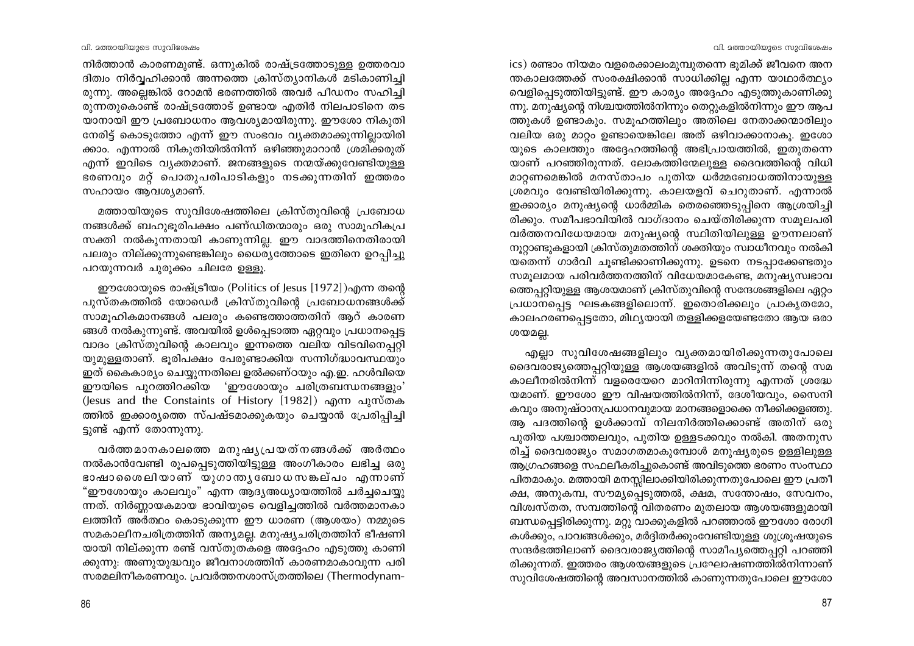ics) രണ്ടാം നിയമം വളരെക്കാലംമുമ്പുതന്നെ ഭൂമിക്ക് ജീവനെ അന ന്തകാലത്തേക്ക് സംരക്ഷിക്കാൻ സാധിക്കില്ല എന്ന യാഥാർത്ഥ്യം വെളിപ്പെടുത്തിയിട്ടുണ്ട്. ഈ കാര്യം അദ്ദേഹം എടുത്തുകാണിക്കു ന്നു. മനുഷ്യന്റെ നിശ്ചയത്തിൽനിന്നും തെറ്റുകളിൽനിന്നും ഈ ആപ ത്തുകൾ ഉണ്ടാകും. സമൂഹത്തിലും അതിലെ നേതാക്കന്മാരിലും വലിയ ഒരു മാറ്റം ഉണ്ടായെങ്കിലേ അത് ഒഴിവാക്കാനാകു. ഇശോ യുടെ കാലത്തും അദ്ദേഹത്തിന്റെ അഭിപ്രായത്തിൽ, ഇതുതന്നെ യാണ് പറഞ്ഞിരുന്നത്. ലോകത്തിന്മേലുള്ള ദൈവത്തിന്റെ വിധി മാറ്റണമെങ്കിൽ മനസ്താപം പുതിയ ധർമ്മബോധത്തിനായുള്ള ശ്രമവും വേണ്ടിയിരിക്കുന്നു. കാലയളവ് ചെറുതാണ്. എന്നാൽ ഇക്കാര്യം മനുഷ്യന്റെ ധാർമ്മിക തെരഞ്ഞെടുപ്പിനെ ആശ്രയിച്ചി രിക്കും. സമീപഭാവിയിൽ വാഗ്ദാനം ചെയ്തിരിക്കുന്ന സമുലപരി വർത്തനവിധേയമായ മനുഷ്യന്റെ സ്ഥിതിയിലുള്ള ഊന്നലാണ് 'നൂറ്റാണ്ടുകളായി ക്രിസ്തുമതത്തിന് ശക്തിയും സ്വാധീനവും നൽകി യതെന്ന് ഗാർവി ചുണ്ടിക്കാണിക്കുന്നു. ഉടനെ നടപ്പാക്കേണ്ടതും സമൂലമായ പരിവർത്തനത്തിന് വിധേയമാകേണ്ട, മനുഷ്യസ്വഭാവ ത്തെപ്പറ്റിയുള്ള ആശയമാണ് ക്രിസ്തുവിന്റെ സന്ദേശങ്ങളിലെ ഏറ്റം പ്രധാനപ്പെട്ട ഘടകങ്ങളിലൊന്ന്. ഇതൊരിക്കലും പ്രാകൃതമോ, കാലഹരണപ്പെട്ടതോ, മിഥ്യയായി തള്ളിക്കളയേണ്ടതോ ആയ ഒരാ ശയമല്ല.

എല്ലാ സുവിശേഷങ്ങളിലും വൃക്തമായിരിക്കുന്നതുപോലെ ദൈവരാജ്യത്തെപ്പറ്റിയുള്ള ആശയങ്ങളിൽ അവിടുന്ന് തന്റെ സമ കാലീനരിൽനിന്ന് വളരെയേറെ മാറിനിന്നിരുന്നു എന്നത് ശ്രദ്ധേ യമാണ്. ഈശോ ഈ വിഷയത്തിൽനിന്ന്, ദേശീയവും, സൈനി കവും അനുഷ്ഠാനപ്രധാനവുമായ മാനങ്ങളൊക്കെ നീക്കിക്കളഞ്ഞു. ആ പദത്തിന്റെ ഉൾക്കാമ്പ് നിലനിർത്തിക്കൊണ്ട് അതിന് ഒരു പുതിയ പശ്ചാത്തലവും, പുതിയ ഉള്ളടക്കവും നൽകി. അതനുസ രിച്ച് ദൈവരാജ്യം സമാഗതമാകുമ്പോൾ മനുഷ്യരുടെ ഉള്ളിലുള്ള ആഗ്രഹങ്ങളെ സഫലീകരിച്ചുകൊണ്ട് അവിടുത്തെ ഭരണം സംസ്ഥാ പിതമാകും. മത്തായി മനസ്സിലാക്കിയിരിക്കുന്നതുപോലെ ഈ പ്രതീ ക്ഷ, അനുകമ്പ, സൗമൃപ്പെടുത്തൽ, ക്ഷമ, സന്തോഷം, സേവനം, വിശ്വസ്തത, സമ്പത്തിന്റെ വിതരണം മുതലായ ആശയങ്ങളുമായി ബന്ധപ്പെട്ടിരിക്കുന്നു. മറ്റു വാക്കുകളിൽ പറഞ്ഞാൽ ഈശോ രോഗി കൾക്കും, പാവങ്ങൾക്കും, മർദ്ദിതർക്കുംവേണ്ടിയുള്ള ശുശ്രൂഷയുടെ സന്ദർഭത്തിലാണ് ദൈവരാജ്യത്തിന്റെ സാമീപ്യത്തെപ്പറ്റി പറഞ്ഞി രിക്കുന്നത്. ഇത്തരം ആശയങ്ങളുടെ പ്രഘോഷണത്തിൽനിന്നാണ് സുവിശേഷത്തിന്റെ അവസാനത്തിൽ കാണുന്നതുപോലെ ഈശോ

വി. മത്തായിയുടെ സുവിശേഷം

നിർത്താൻ കാരണമുണ്ട്. ഒന്നുകിൽ രാഷ്ട്രത്തോടുള്ള ഉത്തരവാ ദിത്വം നിർവ്വഹിക്കാൻ അന്നത്തെ ക്രിസ്ത്യാനികൾ മടികാണിച്ചി രുന്നു. അല്ലെങ്കിൽ റോമൻ ഭരണത്തിൽ അവർ പീഡനം സഹിച്ചി രുന്നതുകൊണ്ട് രാഷ്ട്രത്തോട് ഉണ്ടായ എതിർ നിലപാടിനെ തട യാനായി ഈ പ്രബോധനം ആവശ്യമായിരുന്നു. ഈശോ നികുതി നേരിട്ട് കൊടുത്തോ എന്ന് ഈ സംഭവം വ്യക്തമാക്കുന്നില്ലായിരി ക്കാം. എന്നാൽ നികുതിയിൽനിന്ന് ഒഴിഞ്ഞുമാറാൻ ശ്രമിക്കരുത് എന്ന് ഇവിടെ വ്യക്തമാണ്. ജനങ്ങളുടെ നന്മയ്ക്കുവേണ്ടിയുള്ള ഭരണവും മറ്റ് പൊതുപരിപാടികളും നടക്കുന്നതിന് ഇത്തരം സഹായം അവശ്യമാണ്.

മത്തായിയുടെ സുവിശേഷത്തിലെ ക്രിസ്തുവിന്റെ പ്രബോധ നങ്ങൾക്ക് ബഹുഭൂരിപക്ഷം പണ്ഡിതന്മാരും ഒരു സാമൂഹികപ്ര സക്തി നൽകുന്നതായി കാണുന്നില്ല. ഈ വാദത്തിനെതിരായി പലരും നില്ക്കുന്നുണ്ടെങ്കിലും ധൈര്യത്തോടെ ഇതിനെ ഉറപിച്ചു പറയുന്നവർ ചുരുക്കം ചിലരേ ഉള്ളൂ.

ഈശോയുടെ രാഷ്ട്രീയം (Politics of Jesus [1972])എന്ന തന്റെ പുസ്തകത്തിൽ യോഡെർ ക്രിസ്തുവിന്റെ പ്രബോധനങ്ങൾക്ക് സാമുഹികമാനങ്ങൾ പലരും കണ്ടെത്താത്തതിന് ആറ് കാരണ ങ്ങൾ നൽകുന്നുണ്ട്. അവയിൽ ഉൾപ്പെടാത്ത ഏറ്റവും പ്രധാനപ്പെട്ട വാദം ക്രിസ്തുവിന്റെ കാലവും ഇന്നത്തെ വലിയ വിടവിനെപ്റ്റി യുമുള്ളതാണ്. ഭൂരിപക്ഷം പേരുണ്ടാക്കിയ സന്നിഗ്ദ്ധാവസ്ഥയും ഇത് കൈകാര്യം ചെയ്യുന്നതിലെ ഉൽക്കണ്ഠയും എ.ഇ. ഹൾവിയെ ഈയിടെ പുറത്തിറക്കിയ 'ഈശോയും ചരിത്രബന്ധനങ്ങളും' (Jesus and the Constaints of History [1982]) എന്ന പുസ്തക ത്തിൽ ഇക്കാര്യത്തെ സ്പഷ്ടമാക്കുകയും ചെയ്യാൻ പ്രേരിപ്പിച്ചി ട്ടുണ്ട് എന്ന് തോന്നുന്നു.

വർത്തമാനകാലത്തെ മനുഷൃപ്രയത്നങ്ങൾക്ക് അർത്ഥം നൽകാൻവേണ്ടി രൂപപ്പെടുത്തിയിട്ടുള്ള അംഗീകാരം ലഭിച്ച ഒരു ഭാഷാശൈലിയാണ് യുഗാന്തൃബോധസങ്കല്പം എന്നാണ് "ഈശോയും കാലവും" എന്ന ആദ്യഅധ്യായത്തിൽ ചർച്ചചെയ്യു ന്നത്. നിർണ്ണായകമായ ഭാവിയുടെ വെളിച്ചത്തിൽ വർത്തമാനകാ ലത്തിന് അർത്ഥം കൊടുക്കുന്ന ഈ ധാരണ (ആശയം) നമ്മുടെ സമകാലീനചരിത്രത്തിന് അന്യമല്ല. മനുഷ്യചരിത്രത്തിന് ഭീഷണി യായി നില്ക്കുന്ന രണ്ട് വസ്തുതകളെ അദ്ദേഹം എടുത്തു കാണി ക്കുന്നു: അണുയുദ്ധവും ജീവനാശത്തിന് കാരണമാകാവുന്ന പരി സരമലിനീകരണവും. പ്രവർത്തനശാസ്ത്രത്തിലെ (Thermodynam-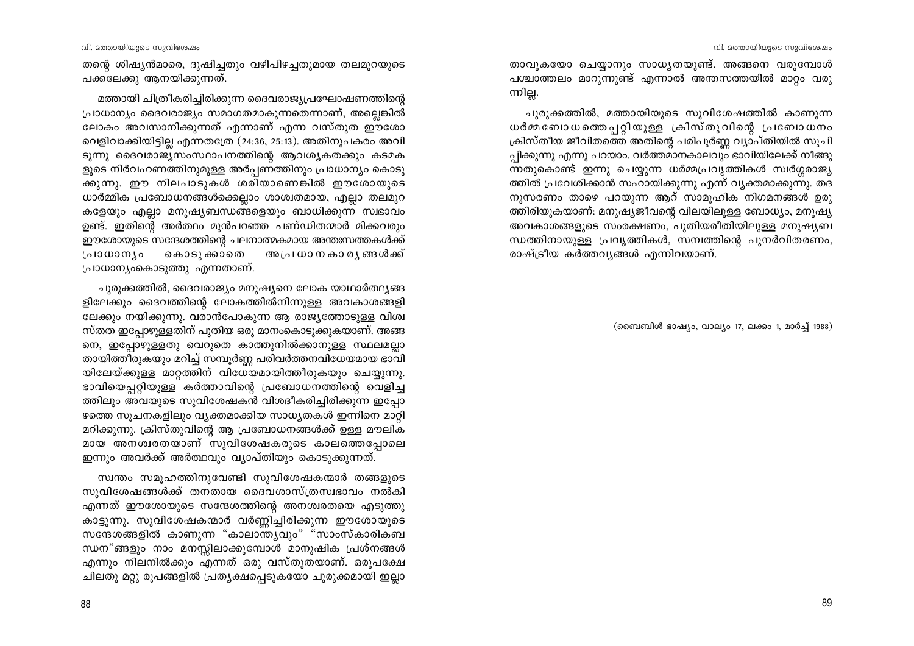തന്റെ ശിഷ്യൻമാരെ, ദുഷിച്ചതും വഴിപിഴച്ചതുമായ തലമുറയുടെ പക്കലേക്കു ആനയിക്കുന്നത്.

മത്തായി ചിത്രീകരിച്ചിരിക്കുന്ന ദൈവരാജ്യപ്രഘോഷണത്തിന്റെ പ്രാധാന്യം ദൈവരാജ്യം സമാഗതമാകുന്നതെന്നാണ്, അല്ലെങ്കിൽ ലോകം അവസാനിക്കുന്നത് എന്നാണ് എന്ന വസ്തുത ഈശോ വെളിവാക്കിയിട്ടില്ല എന്നതത്രേ (24:36, 25:13). അതിനുപകരം അവി ടുന്നു ദൈവരാജ്യസംസ്ഥാപനത്തിന്റെ ആവശ്യകതക്കും കടമക ളുടെ നിർവഹണത്തിനുമുള്ള അർപ്പണത്തിനും പ്രാധാന്യം കൊടു ക്കുന്നു. ഈ നിലപാടുകൾ ശരിയാണെങ്കിൽ ഈശോയുടെ ധാർമ്മിക പ്രബോധനങ്ങൾക്കെല്ലാം ശാശ്വതമായ, എല്ലാ തലമുറ കളേയും എല്ലാ മനുഷ്യബന്ധങ്ങളെയും ബാധിക്കുന്ന സ്വഭാവം ഉണ്ട്. ഇതിന്റെ അർത്ഥം മുൻപറഞ്ഞ പണ്ഡിതന്മാർ മിക്കവരും ഈശോയുടെ സന്ദേശത്തിന്റെ ചലനാത്മകമായ അന്തഃസത്തകൾക്ക് കൊടു ക്കാതെ അപ്രധാനകാര്യങ്ങൾക്ക് പ്രാധാന്യം പ്രാധാന്യംകൊടുത്തു എന്നതാണ്.

ചുരുക്കത്തിൽ, ദൈവരാജ്യം മനുഷ്യനെ ലോക യാഥാർത്ഥ്യങ്ങ ളിലേക്കും ദൈവത്തിന്റെ ലോകത്തിൽനിന്നുള്ള അവകാശങ്ങളി ലേക്കും നയിക്കുന്നു. വരാൻപോകുന്ന ആ രാജ്യത്തോടുള്ള വിശ്വ സ്തത ഇപ്പോഴുള്ളതിന് പുതിയ ഒരു മാനംകൊടുക്കുകയാണ്. അങ്ങ നെ, ഇപ്പോഴുള്ളതു വെറുതെ കാത്തുനിൽക്കാനുള്ള സ്ഥലമല്ലാ തായിത്തിരുകയും മറിച്ച് സമ്പൂർണ്ണ പരിവർത്തനവിധേയമായ ഭാവി യിലേയ്ക്കുള്ള മാറ്റത്തിന് വിധേയമായിത്തീരുകയും ചെയ്യുന്നു. ഭാവിയെപ്പറ്റിയുള്ള കർത്താവിന്റെ പ്രബോധനത്തിന്റെ വെളിച്ച ത്തിലും അവയുടെ സുവിശേഷകൻ വിശദീകരിച്ചിരിക്കുന്ന ഇപ്പോ ഴത്തെ സൂചനകളിലും വ്യക്തമാക്കിയ സാധ്യതകൾ ഇന്നിനെ മാറ്റി മറിക്കുന്നു. ക്രിസ്തുവിന്റെ ആ പ്രബോധനങ്ങൾക്ക് ഉള്ള മൗലിക മായ അനശ്വരതയാണ് സുവിശേഷകരുടെ കാലത്തെപ്പോലെ ഇന്നും അവർക്ക് അർത്ഥവും വ്യാപ്തിയും കൊടുക്കുന്നത്.

സ്വന്തം സമൂഹത്തിനുവേണ്ടി സുവിശേഷകന്മാർ തങ്ങളുടെ സുവിശേഷങ്ങൾക്ക് തനതായ ദൈവശാസ്ത്രസ്വഭാവം നൽകി എന്നത് ഈശോയുടെ സന്ദേശത്തിന്റെ അനശ്വരതയെ എടുത്തു കാട്ടുന്നു. സുവിശേഷകന്മാർ വർണ്ണിച്ചിരിക്കുന്ന ഈശോയുടെ സന്ദേശങ്ങളിൽ കാണുന്ന "കാലാന്ത്യവും" "സാംസ്കാരികബ ന്ധന"ങ്ങളും നാം മനസ്സിലാക്കുമ്പോൾ മാനുഷിക പ്രശ്നങ്ങൾ എന്നും നിലനിൽക്കും എന്നത് ഒരു വസ്തുതയാണ്. ഒരുപക്ഷേ ചിലതു മറ്റു രൂപങ്ങളിൽ പ്രത്യക്ഷപ്പെടുകയോ ചുരുക്കമായി ഇല്ലാ

താവുകയോ ചെയ്യാനും സാധ്യതയുണ്ട്. അങ്ങനെ വരുമ്പോൾ പശ്ചാത്തലം മാറുന്നുണ്ട് എന്നാൽ അന്തസത്തയിൽ മാറ്റം വരു ന്നില്ല.

ചുരുക്കത്തിൽ, മത്തായിയുടെ സുവിശേഷത്തിൽ കാണുന്ന ധർമ്മബോധത്തെപ്പറ്റിയുള്ള ക്രിസ്തുവിന്റെ പ്രബോധനം ക്രിസ്തീയ ജീവിതത്തെ അതിന്റെ പരിപൂർണ്ണ വ്യാപ്തിയിൽ സൂചി പ്പിക്കുന്നു എന്നു പറയാം. വർത്തമാനകാലവും ഭാവിയിലേക്ക് നീങ്ങു ന്നതുകൊണ്ട് ഇന്നു ചെയ്യുന്ന ധർമ്മപ്രവൃത്തികൾ സ്വർഗ്ഗരാജ്യ ത്തിൽ പ്രവേശിക്കാൻ സഹായിക്കുന്നു എന്ന് വ്യക്തമാക്കുന്നു. തദ നുസരണം താഴെ പറയുന്ന ആറ് സാമുഹിക നിഗമനങ്ങൾ ഉരു ത്തിരിയുകയാണ്: മനുഷ്യജീവന്റെ വിലയിലുള്ള ബോധ്യം, മനുഷ്യ അവകാശങ്ങളുടെ സംരക്ഷണം, പുതിയരീതിയിലുള്ള മനുഷ്യബ ന്ധത്തിനായുള്ള പ്രവൃത്തികൾ, സമ്പത്തിന്റെ പുനർവിതരണം, രാഷ്ട്രീയ കർത്തവ്യങ്ങൾ എന്നിവയാണ്.

(ബൈബിൾ ഭാഷ്യം, വാല്യം 17, ലക്കം 1, മാർച്ച് 1988)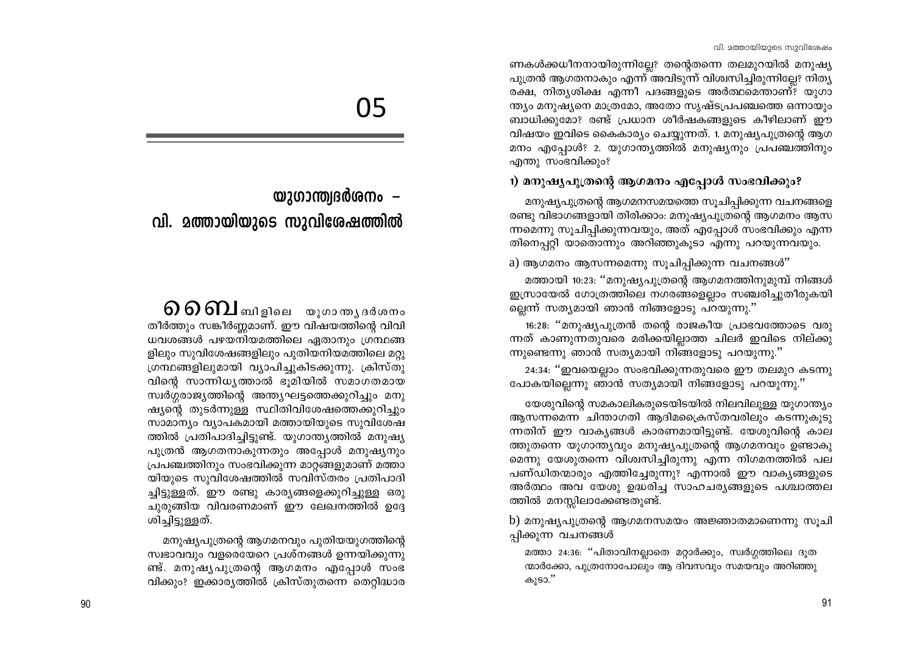ണകൾക്കധീനനായിരുന്നില്ലേ? തന്റെതന്നെ തലമുറയിൽ മനുഷ്യ പുത്രൻ ആഗതനാകും എന്ന് അവിടുന്ന് വിശ്വസിച്ചിരുന്നില്ലേ? നിത∖ രക്ഷ, നിതൃശിക്ഷ എന്നീ പദങ്ങളുടെ അർത്ഥമെന്താണ്? യുഗാ ന്ത്യം മനുഷ്യനെ മാത്രമോ, അതോ സൃഷ്ടപ്രപഞ്ചത്തെ ഒന്നായും ബാധിക്കുമോ? രണ്ട് പ്രധാന ശീർഷകങ്ങളുടെ കീഴിലാണ് ഈ വിഷയം ഇവിടെ കൈകാര്യം ചെയ്യുന്നത്. 1. മനുഷ്യപുത്രന്റെ ആഗ മനം എപ്പോൾ? 2. യുഗാന്ത്യത്തിൽ മനുഷ്യനും പ്രപഞ്ചത്തിനും എന്തു സംഭവിക്കും?

# 1) മനുഷ്യപുത്രന്റെ ആഗമനം എപ്പോൾ സംഭവിക്കും?

മനുഷ്യപുത്രന്റെ ആഗമനസമയത്തെ സുചിപ്പിക്കുന്ന വചനങ്ങളെ രണ്ടു വിഭാഗങ്ങളായി തിരിക്കാം: മനുഷ്യപുത്രന്റെ ആഗമനം ആസ ന്നമെന്നു സുചിപ്പിക്കുന്നവയും, അത് എപ്പോൾ സംഭവിക്കും എന്ന തിനെപ്പറ്റി യാതൊന്നും അറിഞ്ഞുകൂടാ എന്നു പറയുന്നവയും.

a) ആഗമനം ആസന്നമെന്നു സുചിപ്പിക്കുന്ന വചനങ്ങൾ''

മത്തായി 10:23: ''മനുഷ്യപുത്രന്റെ ആഗമനത്തിനുമുമ്പ് നിങ്ങൾ ഇസ്രായേൽ ഗോത്രത്തിലെ നഗരങ്ങളെല്ലാം സഞ്ചരിച്ചുതീരുകയി ല്ലെന്ന് സത്യമായി ഞാൻ നിങ്ങളോടു പറയുന്നു."

16:28: ''മനുഷ്യപുത്രൻ തന്റെ രാജകീയ പ്രാഭവത്തോടെ വരു ന്നത് കാണുന്നതുവരെ മരിക്കയില്ലാത്ത ചിലർ ഇവിടെ നില്ക്കു ന്നുണ്ടെന്നു ഞാൻ സത്യമായി നിങ്ങളോടു പറയുന്നു."

24:34: ''ഇവയെല്ലാം സംഭവിക്കുന്നതുവരെ ഈ തലമുറ കടന്നു പോകയില്ലെന്നു ഞാൻ സത്യമായി നിങ്ങളോടു പറയുന്നു."

യേശുവിന്റെ സമകാലികരുടെയിടയിൽ നിലവിലുള്ള യുഗാന്ത്യം ആസന്നമെന്ന ചിന്താഗതി ആദിമപ്രൈസ്തവരിലും കടന്നുകൂടു ന്നതിന് ഈ വാകൃങ്ങൾ കാരണമായിട്ടുണ്ട്. യേശുവിന്റെ കാല ത്തുതന്നെ യുഗാന്ത്യവും മനുഷ്യപുത്രന്റെ ആഗമനവും ഉണ്ടാകു മെന്നു യേശുതന്നെ വിശ്വസിച്ചിരുന്നു എന്ന നിഗമനത്തിൽ പല പണ്ഡിതന്മാരും എത്തിച്ചേരുന്നു? എന്നാൽ ഈ വാകൃങ്ങളുടെ അർത്ഥം അവ യേശു ഉദ്ധരിച്ച സാഹചര്യങ്ങളുടെ പശ്ചാത്തല ത്തിൽ മനസ്സിലാക്കേണ്ടതുണ്ട്.

b) മനുഷ്യപുത്രന്റെ ആഗമനസമയം അജ്ഞാതമാണെന്നു സൂചി പ്പിക്കുന്ന വചനങ്ങൾ

മത്താ 24:36: "പിതാവിനല്ലാതെ മറ്റാർക്കും, സ്വർഗ്ഗത്തിലെ ദൂത ന്മാർക്കോ, പുത്രനോപോലും ആ ദിവസവും സമയവും അറിഞ്ഞു കൂടാ.''

# 05

# യുഗാന്ത്വദർശനം –

# വി. മത്തായിയുടെ സുവിശേഷത്തിൽ

തീർത്തും സങ്കീർണ്ണമാണ്. ഈ വിഷയത്തിന്റെ വിവി ധവശങ്ങൾ പഴയനിയമത്തിലെ ഏതാനും ഗ്രന്ഥങ്ങ ളിലും സുവിശേഷങ്ങളിലും പുതിയനിയമത്തിലെ മറ്റു ഗ്രന്ഥങ്ങളിലുമായി വ്യാപിച്ചുകിടക്കുന്നു. ക്രിസ്തു വിന്റെ സാന്നിധൃത്താൽ ഭൂമിയിൽ സമാഗതമായ സ്ഥർഗ്ഗരാജ്യത്തിന്റെ അന്ത്യഘട്ടത്തെക്കുറിച്ചും മനു ഷ്യന്റെ തുടർന്നുള്ള സ്ഥിതിവിശേഷത്തെക്കുറിച്ചും സാമാന്യം വ്യാപകമായി മത്തായിയുടെ സുവിശേഷ ത്തിൽ പ്രതിപാദിച്ചിട്ടുണ്ട്. യുഗാന്ത്യത്തിൽ മനുഷ്യ പുത്രൻ ആഗതനാകുന്നതും അപ്പോൾ മനുഷ്യനും പ്രപഞ്ചത്തിനും സംഭവിക്കുന്ന മാറ്റങ്ങളുമാണ് മത്താ യിയുടെ സുവിശേഷത്തിൽ സവിസ്തരം പ്രതിപാദി ച്ചിട്ടുള്ളത്. ഈ രണ്ടു കാര്യങ്ങളെക്കുറിച്ചുള്ള ഒരു ചുരുങ്ങിയ വിവരണമാണ് ഈ ലേഖനത്തിൽ ഉദ്ദേ ശിച്ചിട്ടുള്ളത്.

മനുഷ്യപുത്രന്റെ ആഗമനവും പുതിയയുഗത്തിന്റെ സ്വഭാവവും വളരെയേറെ പ്രശ്നങ്ങൾ ഉന്നയിക്കുന്നു ണ്ട്. മനുഷ്യപുത്രന്റെ ആഗമനം എപ്പോൾ സംഭ വിക്കും? ഇക്കാര്യത്തിൽ ക്രിസ്തുതന്നെ തെറ്റിദ്ധാര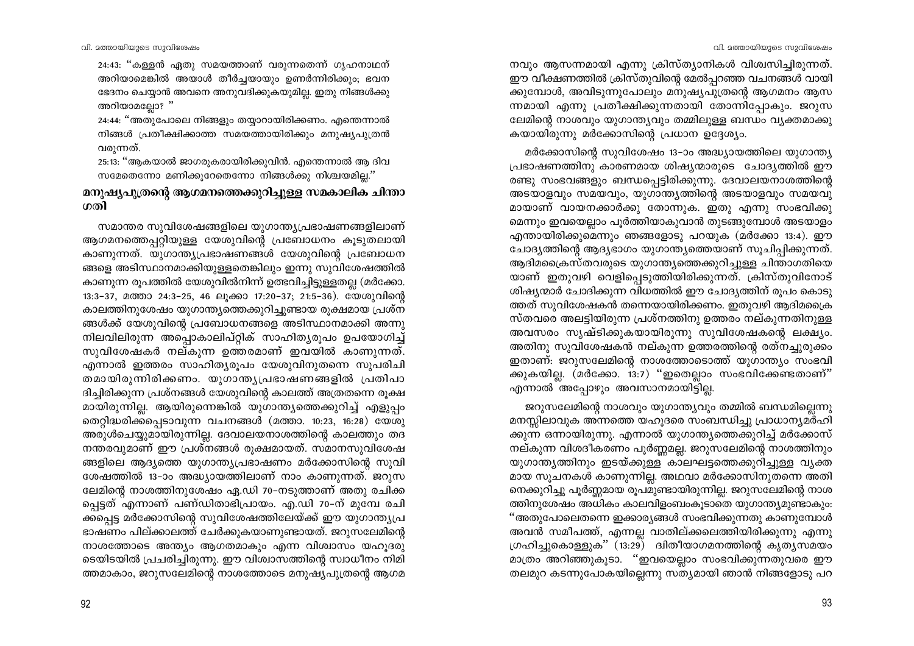24:43: "കള്ളൻ ഏതു സമയത്താണ് വരുന്നതെന്ന് ഗൃഹനാഥന് അറിയാമെങ്കിൽ അയാൾ തീർച്ചയായും ഉണർന്നിരിക്കും; ഭവന ഭേദനം ചെയ്യാൻ അവനെ അനുവദിക്കുകയുമില്ല. ഇതു നിങ്ങൾക്കു അറിയാമല്ലോ? ''

24:44: "അതുപോലെ നിങ്ങളും തയ്യാറായിരിക്കണം. എന്തെന്നാൽ നിങ്ങൾ പ്രതീക്ഷിക്കാത്ത സമയത്തായിരിക്കും മനുഷ്യപുത്രൻ വരുന്നത്.

25:13: ''ആകയാൽ ജാഗരൂകരായിരിക്കുവിൻ. എന്തെന്നാൽ ആ ദിവ സമേതെന്നോ മണിക്കുറേതെന്നോ നിങ്ങൾക്കു നിശ്ചയമില്ല."

#### മനുഷ്യപുത്രന്റെ ആഗമനത്തെക്കുറിച്ചുള്ള സമകാലിക ചിന്താ ശതി

സമാന്തര സുവിശേഷങ്ങളിലെ യുഗാന്ത്യപ്രഭാഷണങ്ങളിലാണ് ആഗമനത്തെപ്പറ്റിയുള്ള യേശുവിന്റെ പ്രബോധനം കൂടുതലായി കാണുന്നത്. യുഗാന്ത്യപ്രഭാഷണങ്ങൾ യേശുവിന്റെ പ്രബോധന ങ്ങളെ അടിസ്ഥാനമാക്കിയുള്ളതെങ്കിലും ഇന്നു സുവിശേഷത്തിൽ കാണുന്ന രൂപത്തിൽ യേശുവിൽനിന്ന് ഉത്ഭവിച്ചിട്ടുള്ളതല്ല (മർക്കോ. 13:3-37, മത്താ 24:3-25, 46 ലൂക്കാ 17:20-37; 21:5-36). യേശുവിന്റെ കാലത്തിനുശേഷം യുഗാന്ത്യത്തെക്കുറിച്ചുണ്ടായ രൂക്ഷമായ പ്രശ്ന ങ്ങൾക്ക് യേശുവിന്റെ പ്രബോധനങ്ങളെ അടിസ്ഥാനമാക്കി അന്നു നിലവിലിരുന്ന അപ്പൊകാലിപ്റ്റിക് സാഹിതൃരൂപം ഉപയോഗിച്ച് സുവിശേഷകർ നല്കുന്ന ഉത്തരമാണ് ഇവയിൽ കാണുന്നത്. എന്നാൽ ഇത്തരം സാഹിത്യരുപം യേശുവിനുതന്നെ സുപരിചി തമായിരുന്നിരിക്കണം. യുഗാന്ത്യപ്രഭാഷണങ്ങളിൽ പ്രതിപാ ദിച്ചിരിക്കുന്ന പ്രശ്നങ്ങൾ യേശുവിന്റെ കാലത്ത് അത്രതന്നെ രുക്ഷ മായിരുന്നില്ല. ആയിരുന്നെങ്കിൽ യുഗാന്ത്യത്തെക്കുറിച്ച് എളുപ്പം തെറ്റിദ്ധരിക്കപ്പെടാവുന്ന വചനങ്ങൾ (മത്താ. 10:23, 16:28) യേശു അരുൾചെയ്യുമായിരുന്നില്ല. ദേവാലയനാശത്തിന്റെ കാലത്തും തദ നന്തരവുമാണ് ഈ പ്രശ്നങ്ങൾ രൂക്ഷമായത്. സമാനസുവിശേഷ ങ്ങളിലെ ആദ്യത്തെ യുഗാന്ത്യപ്രഭാഷണം മർക്കോസിന്റെ സുവി ശേഷത്തിൽ 13–ാം അദ്ധ്യായത്തിലാണ് നാം കാണുന്നത്. ജറുസ ലേമിന്റെ നാശത്തിനുശേഷം ഏ.ഡി 70–നടുത്താണ് അതു രചിക്ക പ്പെട്ടത് എന്നാണ് പണ്ഡിതാഭിപ്രായം. എ.ഡി 70–ന് മുമ്പേ രചി ക്കപ്പെട്ട മർക്കോസിന്റെ സുവിശേഷത്തിലേയ്ക്ക് ഈ യുഗാന്ത്യപ്ര ഭാഷണം പില്ക്കാലത്ത് ചേർക്കുകയാണുണ്ടായത്. ജറുസലേമിന്റെ നാശത്തോടെ അന്ത്യം ആഗതമാകും എന്ന വിശ്വാസം യഹൂദരു ടെയിടയിൽ പ്രചരിച്ചിരുന്നു. ഈ വിശ്വാസത്തിന്റെ സ്വാധീനം നിമി ത്തമാകാം, ജറുസലേമിന്റെ നാശത്തോടെ മനുഷ്യപുത്രന്റെ ആഗമ

നവും ആസന്നമായി എന്നു ക്രിസ്ത്യാനികൾ വിശ്വസിച്ചിരുന്നത്. ഈ വീക്ഷണത്തിൽ ക്രിസ്തുവിന്റെ മേൽപ്പറഞ്ഞ വചനങ്ങൾ വായി ക്കുമ്പോൾ, അവിടുന്നുപോലും മനുഷ്യപുത്രന്റെ ആഗമനം ആസ ന്നമായി എന്നു പ്രതീക്ഷിക്കുന്നതായി തോന്നിപ്പോകും. ജറുസ ലേമിന്റെ നാശവും യുഗാന്ത്യവും തമ്മിലുള്ള ബന്ധം വ്യക്തമാക്കു കയായിരുന്നു മർക്കോസിന്റെ പ്രധാന ഉദ്ദേശ്യം.

മർക്കോസിന്റെ സുവിശേഷം 13-ാം അദ്ധ്യായത്തിലെ യൂഗാന്ത്യ പ്രഭാഷണത്തിനു കാരണമായ ശിഷ്യന്മാരുടെ ചോദ്യത്തിൽ ഈ രണ്ടു സംഭവങ്ങളും ബന്ധപ്പെട്ടിരിക്കുന്നു. ദേവാലയനാശത്തിന്റെ അടയാളവും സമയവും, യുഗാന്ത്യത്തിന്റെ അടയാളവും സമയവു മായാണ് വായനക്കാർക്കു തോന്നുക. ഇതു എന്നു സംഭവിക്കു മെന്നും ഇവയെല്ലാം പൂർത്തിയാകുവാൻ തുടങ്ങുമ്പോൾ അടയാളം എന്തായിരിക്കുമെന്നും ഞങ്ങളോടു പറയുക (മർക്കോ 13:4). ഈ ചോദ്യത്തിന്റെ ആദ്യഭാഗം യുഗാന്ത്യത്തെയാണ് സൂചിപ്പിക്കുന്നത്. ആദിമപ്രൈസ്തവരുടെ യുഗാന്ത്യത്തെക്കുറിച്ചുള്ള ചിന്താഗതിയെ യാണ് ഇതുവഴി വെളിപ്പെടുത്തിയിരിക്കുന്നത്. ക്രിസ്തുവിനോട് ശിഷ്യന്മാർ ചോദിക്കുന്ന വിധത്തിൽ ഈ ചോദ്യത്തിന് രൂപം കൊടു ത്തത് സുവിശേഷകൻ തന്നെയായിരിക്കണം. ഇതുവഴി ആദിമക്രൈ സ്തവരെ അലടിയിരുന്ന പ്രശ്നത്തിനു ഉത്തരം നല്കുന്നതിനുള്ള അവസരം സൃഷ്ടിക്കുകയായിരുന്നു സുവിശേഷകന്റെ ലക്ഷ്യം. അതിനു സുവിശേഷകൻ നല്കുന്ന ഉത്തരത്തിന്റെ രത്നച്ചുരുക്കം ഇതാണ്: ജറുസലേമിന്റെ നാശത്തോടൊത്ത് യുഗാന്ത്യം സംഭവി ക്കുകയില്ല. (മർക്കോ. 13:7) "ഇതെല്ലാം സംഭവിക്കേണ്ടതാണ്" എന്നാൽ അപ്പോഴും അവസാനമായിട്ടില്ല.

ജറുസലേമിന്റെ നാശവും യുഗാന്ത്യവും തമ്മിൽ ബന്ധമില്ലെന്നു മനസ്സിലാവുക അന്നത്തെ യഹൂദരെ സംബന്ധിച്ചു പ്രാധാന്യമർഹി ക്കുന്ന ഒന്നായിരുന്നു. എന്നാൽ യുഗാന്ത്യത്തെക്കുറിച്ച് മർക്കോസ് നല്കുന്ന വിശദീകരണം പൂർണ്ണമല്ല. ജറുസലേമിന്റെ നാശത്തിനും യുഗാന്ത്യത്തിനും ഇടയ്ക്കുള്ള കാലഘട്ടത്തെക്കുറിച്ചുള്ള വ്യക്ത മായ സൂചനകൾ കാണുന്നില്ല. അഥവാ മർക്കോസിനുതന്നെ അതി നെക്കുറിച്ചു പൂർണ്ണമായ രൂപമുണ്ടായിരുന്നില്ല. ജറുസലേമിന്റെ നാശ ത്തിനുശേഷം അധികം കാലവിളംബംകൂടാതെ യുഗാന്ത്യമുണ്ടാകും: ''അതുപോലെതന്നെ ഇക്കാര്യങ്ങൾ സംഭവിക്കുന്നതു കാണുമ്പോൾ അവൻ സമീപത്ത്, എന്നല്ല വാതില്ക്കലെത്തിയിരിക്കുന്നു എന്നു ഗ്രഹിച്ചുകൊള്ളുക്' (13:29) ദ്വിതീയാഗമനത്തിന്റെ കൃതൃസമയം മാത്രം അറിഞ്ഞുകൂടാ. "ഇവയെല്ലാം സംഭവിക്കുന്നതുവരെ ഈ തലമുറ കടന്നുപോകയില്ലെന്നു സത്യമായി ഞാൻ നിങ്ങളോടു പറ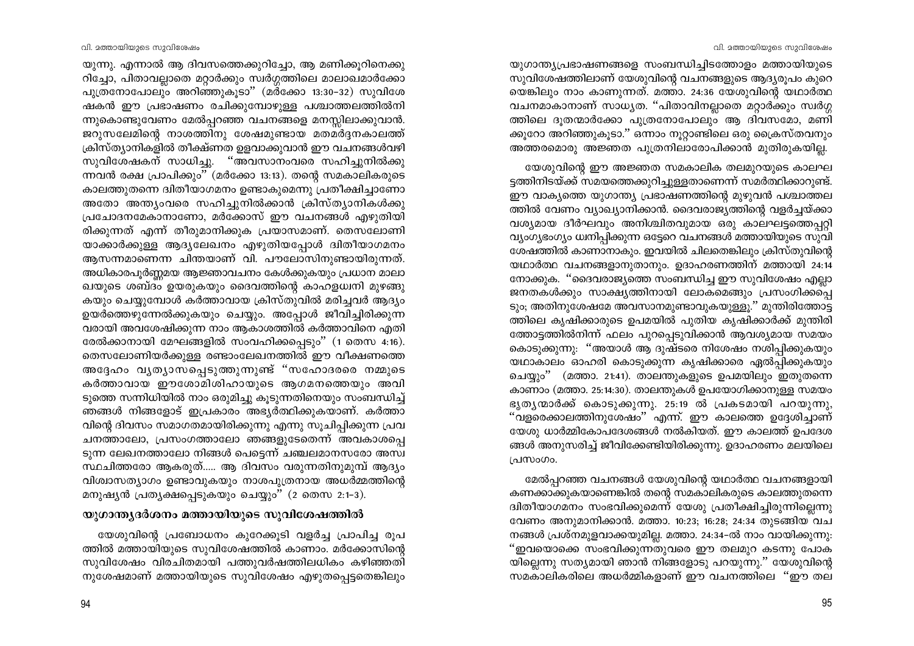യുഗാന്ത്യപ്രഭാഷണങ്ങളെ സംബന്ധിച്ചിടത്തോളം മത്തായിയുടെ സുവിശേഷത്തിലാണ് യേശുവിന്റെ വചനങ്ങളുടെ ആദ്യരൂപം കൂറെ യെങ്കിലും നാം കാണുന്നത്. മത്താ. 24:36 യേശുവിന്റെ യഥാർത്ഥ വചനമാകാനാണ് സാധ്യത. ''പിതാവിനല്ലാതെ മറ്റാർക്കും സ്വർഗ്ഗ ത്തിലെ ദൂതന്മാർക്കോ പുത്രനോപോലും ആ ദിവസമോ, മണി ക്കൂറോ അറിഞ്ഞുകൂടാ.'' ഒന്നാം നൂറ്റാണ്ടിലെ ഒരു ക്രൈസ്തവനും അത്തരമൊരു അജ്ഞത പുത്രനിലാരോപിക്കാൻ മുതിരുകയില്ല.

യേശുവിന്റെ ഈ അജ്ഞത സമകാലിക തലമുറയുടെ കാലഘ ട്ടത്തിനിടയ്ക്ക് സമയത്തെക്കുറിച്ചുള്ളതാണെന്ന് സമർത്ഥിക്കാറുണ്ട്. ഈ വാക്യത്തെ യുഗാന്ത്യ പ്രഭാഷണത്തിന്റെ മുഴുവൻ പശ്ചാത്തല ത്തിൽ വേണം വ്യാഖ്യാനിക്കാൻ. ദൈവരാജ്യത്തിന്റെ വളർച്ചയ്ക്കാ വശ്യമായ ദീർഘവും അനിശ്ചിതവുമായ ഒരു കാലഘട്ടത്തെപ്പറ്റി വ്യംഗ്യഭംഗ്യം ധ്വനിപ്പിക്കുന്ന ഒട്ടേറെ വചനങ്ങൾ മത്തായിയുടെ സുവി ശേഷത്തിൽ കാണാനാകും. ഇവയിൽ ചിലതെങ്കിലും ക്രിസ്തുവിന്റെ യഥാർത്ഥ വചനങ്ങളാനുതാനും. ഉദാഹരണത്തിന് മത്തായി 24:14 നോക്കുക. ''ദൈവരാജ്യത്തെ സംബന്ധിച്ച ഈ സുവിശേഷം എല്ലാ ജനതകൾക്കും സാക്ഷ്യത്തിനായി ലോകമെങ്ങും പ്രസംഗിക്കപ്പെ ടും; അതിനുശേഷമേ അവസാനമുണ്ടാവുകയുള്ളു.'' മുന്തിരിത്തോട്ട ത്തിലെ കൃഷിക്കാരുടെ ഉപമയിൽ പുതിയ കൃഷിക്കാർക്ക് മുന്തിരി ത്തോട്ടത്തിൽനിന്ന് ഫലം പുറപ്പെടുവിക്കാൻ ആവശ്യമായ സമയം കൊടുക്കുന്നു: ''അയാൾ ആ ദുഷ്ടരെ നിശേഷം നശിപ്പിക്കുകയും യഥാകാലം ഓഹരി കൊടുക്കുന്ന കൃഷിക്കാരെ ഏൽപ്പിക്കുകയും ചെയ്യും" (മത്താ. 21:41). താലന്തുകളുടെ ഉപമയിലും ഇതുതന്നെ കാണാം (മത്താ. 25:14:30). താലന്തുകൾ ഉപയോഗിക്കാനുള്ള സമയം ഭൂത്യന്മാർക്ക് കൊടുക്കുന്നു. 25:19 ൽ പ്രകടമായി പറയുന്നു, ''വളരെക്കാലത്തിനുശേഷം'' എന്ന്. ഈ കാലത്തെ ഉദ്ദേശിച്ചാണ് യേശു ധാർമ്മികോപദേശങ്ങൾ നൽകിയത്. ഈ കാലത്ത് ഉപദേശ ങ്ങൾ അനുസരിച്ച് ജീവിക്കേണ്ടിയിരിക്കുന്നു. ഉദാഹരണം മലയിലെ പ്രസംഗം.

മേൽപ്പറഞ്ഞ വചനങ്ങൾ യേശുവിന്റെ യഥാർത്ഥ വചനങ്ങളായി കണക്കാക്കുകയാണെങ്കിൽ തന്റെ സമകാലികരുടെ കാലത്തുതന്നെ ദ്വിതീയാഗമനം സംഭവിക്കുമെന്ന് യേശു പ്രതീക്ഷിച്ചിരുന്നില്ലെന്നു വേണം അനുമാനിക്കാൻ. മത്താ. 10:23; 16:28; 24:34 തുടങ്ങിയ വച നങ്ങൾ പ്രശ്നമുളവാക്കയുമില്ല. മത്താ. 24:34-ൽ നാം വായിക്കുന്നു: ''ഇവയൊക്കെ സംഭവിക്കുന്നതുവരെ ഈ തലമുറ കടന്നു പോക യില്ലെന്നു സത്യമായി ഞാൻ നിങ്ങളോടു പറയുന്നു." യേശുവിന്റെ സമകാലികരിലെ അധർമ്മികളാണ് ഈ വചനത്തിലെ "ഈ തല

വി. മത്തായിയുടെ സുവിശേഷം

യുന്നു. എന്നാൽ ആ ദിവസത്തെക്കുറിച്ചോ, ആ മണിക്കൂറിനെക്കു റിച്ചോ, പിതാവല്ലാതെ മറ്റാർക്കും സ്വർഗ്ഗത്തിലെ മാലാഖമാർക്കോ പുത്രനോപോലും അറിഞ്ഞുകൂടാ" (മർക്കോ 13:30-32) സുവിശേ ഷകൻ ഈ പ്രഭാഷണം രചിക്കുമ്പോഴുള്ള പശ്ചാത്തലത്തിൽനി ന്നുകൊണ്ടുവേണം മേൽപ്പറഞ്ഞ വചനങ്ങളെ മനസ്സിലാക്കുവാൻ. ജറുസലേമിന്റെ നാശത്തിനു ശേഷമുണ്ടായ മതമർദ്ദനകാലത്ത് ക്രിസ്ത്യാനികളിൽ തീക്ഷ്ണത ഉളവാക്കുവാൻ ഈ വചനങ്ങൾവഴി സുവിശേഷകന് സാധിച്ചു. "അവസാനംവരെ സഹിച്ചുനിൽക്കു ന്നവൻ രക്ഷ പ്രാപിക്കും'' (മർക്കോ 13:13). തന്റെ സമകാലികരുടെ കാലത്തുതന്നെ ദ്വിതീയാഗമനം ഉണ്ടാകുമെന്നു പ്രതീക്ഷിച്ചാണോ അതോ അന്ത്യംവരെ സഹിച്ചുനിൽക്കാൻ ക്രിസ്ത്യാനികൾക്കു പ്രചോദനമേകാനാണോ, മർക്കോസ് ഈ വചനങ്ങൾ എഴുതിയി രിക്കുന്നത് എന്ന് തീരുമാനിക്കുക പ്രയാസമാണ്. തെസലോണി യാക്കാർക്കുള്ള ആദൃലേഖനം എഴുതിയപ്പോൾ ദ്വിതീയാഗമനം ആസന്നമാണെന്ന ചിന്തയാണ് വി. പൗലോസിനുണ്ടായിരുന്നത്. അധികാരപൂർണ്ണമയ ആജ്ഞാവചനം കേൾക്കുകയും പ്രധാന മാലാ ഖയുടെ ശബ്ദം ഉയരുകയും ദൈവത്തിന്റെ കാഹളധ്വനി മുഴങ്ങു കയും ചെയ്യുമ്പോൾ കർത്താവായ ക്രിസ്തുവിൽ മരിച്ചവർ ആദ്യം ഉയർത്തെഴുന്നേൽക്കുകയും ചെയ്യും. അപ്പോൾ ജീവിച്ചിരിക്കുന്ന വരായി അവശേഷിക്കുന്ന നാം ആകാശത്തിൽ കർത്താവിനെ എതി രേൽക്കാനായി മേഘങ്ങളിൽ സംവഹിക്കപ്പെടും'' (1 തെസ 4:16). തെസലോണിയർക്കുള്ള രണ്ടാംലേഖനത്തിൽ ഈ വീക്ഷണത്തെ അദ്ദേഹം വൃത്യാസപ്പെടുത്തുന്നുണ്ട് "സഹോദരരെ നമ്മുടെ കർത്താവായ ഈശോമിശിഹായുടെ ആഗമനത്തെയും അവി ടുത്തെ സന്നിധിയിൽ നാം ഒരുമിച്ചു കൂടുന്നതിനെയും സംബന്ധിച്ച് ഞങ്ങൾ നിങ്ങളോട് ഇപ്രകാരം അഭ്യർത്ഥിക്കുകയാണ്. കർത്താ വിന്റെ ദിവസം സമാഗതമായിരിക്കുന്നു എന്നു സൂചിപ്പിക്കുന്ന പ്രവ ചനത്താലോ, പ്രസംഗത്താലോ ഞങ്ങളുടേതെന്ന് അവകാശപ്പെ ടുന്ന ലേഖനത്താലോ നിങ്ങൾ പെട്ടെന്ന് ചഞ്ചലമാനസരോ അസ്വ സ്ഥചിത്തരോ ആകരുത്..... ആ ദിവസം വരുന്നതിനുമുമ്പ് ആദ്യം വിശ്വാസത്യാഗം ഉണ്ടാവുകയും നാശപുത്രനായ അധർമ്മത്തിന്റെ മനുഷ്യൻ പ്രത്യക്ഷപ്പെടുകയും ചെയ്യും" (2 തെസ 2:1-3).

#### യുഗാന്ത്യദർശനം മത്തായിയുടെ സുവിശേഷത്തിൽ

യേശുവിന്റെ പ്രബോധനം കുറേക്കൂടി വളർച്ച പ്രാപിച്ച രൂപ ത്തിൽ മത്തായിയുടെ സുവിശേഷത്തിൽ കാണാം. മർക്കോസിന്റെ സുവിശേഷം വിരചിതമായി പത്തുവർഷത്തിലധികം കഴിഞ്ഞതി നുശേഷമാണ് മത്തായിയുടെ സുവിശേഷം എഴുതപ്പെട്ടതെങ്കിലും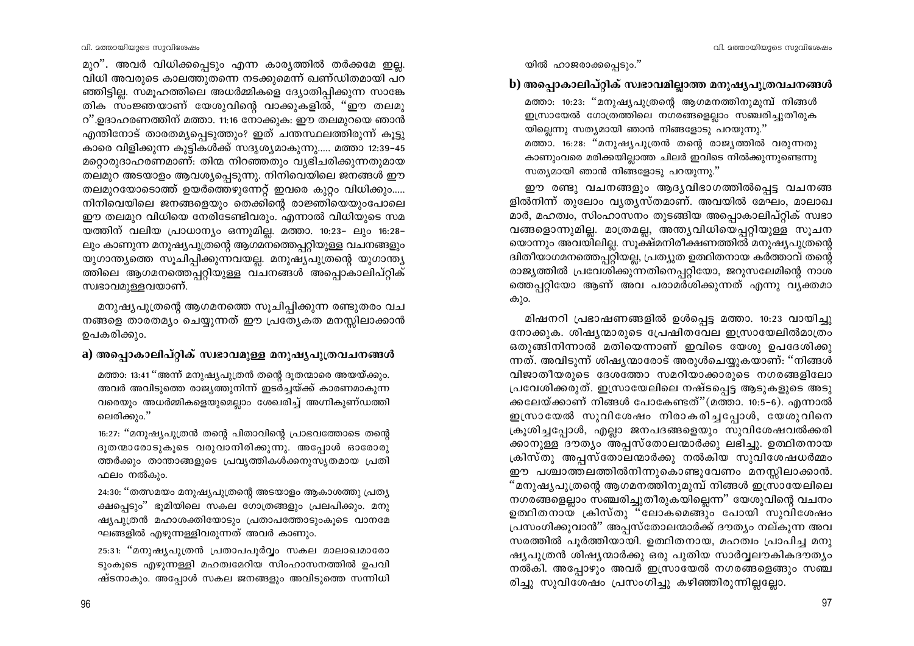മുറ". അവർ വിധിക്കപ്പെടും എന്ന കാര്യത്തിൽ തർക്കമേ ഇല്ല. വിധി അവരുടെ കാലത്തുതന്നെ നടക്കുമെന്ന് ഖണ്ഡിതമായി പറ ഞ്ഞിട്ടില്ല. സമൂഹത്തിലെ അധർമ്മികളെ ദ്യോതിപ്പിക്കുന്ന സാങ്കേ തിക സംജ്ഞയാണ് യേശുവിന്റെ വാക്കുകളിൽ, ''ഈ തലമു റ്'.ഉദാഹരണത്തിന് മത്താ. 11:16 നോക്കുക: ഈ തലമുറയെ ഞാൻ എന്തിനോട് താരതമ്യപ്പെടുത്തും? ഇത് ചന്തസ്ഥലത്തിരുന്ന് കൂട്ടു കാരെ വിളിക്കുന്ന കുട്ടികൾക്ക് സദൃശ്യമാകുന്നു..... മത്താ 12:39–45 മറ്റൊരുദാഹരണമാണ്: തിന്മ നിറഞ്ഞതും വ്യഭിചരിക്കുന്നതുമായ തലമുറ അടയാളം ആവശ്യപ്പെടുന്നു. നിനിവെയിലെ ജനങ്ങൾ ഈ തലമുറയോടൊത്ത് ഉയർത്തെഴുന്നേറ്റ് ഇവരെ കുറ്റം വിധിക്കും..... നിനിവെയിലെ ജനങ്ങളെയും തെക്കിന്റെ രാജ്ഞിയെയുംപോലെ ഈ തലമുറ വിധിയെ നേരിടേണ്ടിവരും. എന്നാൽ വിധിയുടെ സമ യത്തിന് വലിയ പ്രാധാന്യം ഒന്നുമില്ല. മത്താ. 10:23- ലും 16:28-ലും കാണുന്ന മനുഷ്യപുത്രന്റെ ആഗമനത്തെപ്പറ്റിയുള്ള വചനങ്ങളും യുഗാന്ത്യത്തെ സുചിപ്പിക്കുന്നവയല്ല. മനുഷ്യപുത്രന്റെ യുഗാന്ത്യ ത്തിലെ ആഗമനത്തെപ്പറ്റിയുള്ള വചനങ്ങൾ അപ്പൊകാലിപ്റ്റിക് സ്വഭാവമുള്ളവയാണ്.

മനുഷ്യപുത്രന്റെ ആഗമനത്തെ സൂചിപ്പിക്കുന്ന രണ്ടുതരം വച നങ്ങളെ താരതമ്യം ചെയ്യുന്നത് ഈ പ്രത്യേകത മനസ്സിലാക്കാൻ ഉപകരിക്കും.

### a) അപ്പൊകാലിപ്റ്റിക് സ്വഭാവമുള്ള മനുഷൃപുത്രവചനങ്ങൾ

മത്താ: 13:41 ''അന്ന് മനുഷ്യപുത്രൻ തന്റെ ദൂതന്മാരെ അയയ്ക്കും. അവർ അവിടുത്തെ രാജ്യത്തുനിന്ന് ഇടർച്ചയ്ക്ക് കാരണമാകുന്ന വരെയും അധർമ്മികളെയുമെല്ലാം ശേഖരിച്ച് അഗ്നികുണ്ഡത്തി ലെരിക്കും.''

16:27: ''മനുഷ്യപുത്രൻ തന്റെ പിതാവിന്റെ പ്രാഭവത്തോടെ തന്റെ ദൂതന്മാരോടുകൂടെ വരുവാനിരിക്കുന്നു. അപ്പോൾ ഓരോരു ത്തർക്കും താന്താങ്ങളുടെ പ്രവൃത്തികൾക്കനുസൃതമായ പ്രതി ഫലം നൽകും.

24:30: ''തത്സമയം മനുഷ്യപുത്രന്റെ അടയാളം ആകാശത്തു പ്രത്യ ക്ഷപ്പെടും'' ഭൂമിയിലെ സകല ഗോത്രങ്ങളും പ്രലപിക്കും. മനു ഷ്യപുത്രൻ മഹാശക്തിയോടും പ്രതാപത്തോടുംകൂടെ വാനമേ ഘങ്ങളിൽ എഴുന്നള്ളിവരുന്നത് അവർ കാണും.

25:31: "മനുഷ്യപുത്രൻ പ്രതാപപൂർവ്വം സകല മാലാഖമാരോ ടുംകൂടെ എഴുന്നള്ളി മഹത്വമേറിയ സിംഹാസനത്തിൽ ഉപവി ഷ്ടനാകും. അപ്പോൾ സകല ജനങ്ങളും അവിടുത്തെ സന്നിധി യിൽ ഹാജരാക്കപ്പെടും."

## b) അപ്പൊകാലിപ്റ്റിക് സ്വഭാവമില്ലാത്ത മനുഷ്യപുത്രവചനങ്ങൾ

മത്താ: 10:23: ''മനുഷ്യപുത്രന്റെ ആഗമനത്തിനുമുമ്പ് നിങ്ങൾ ഇസ്രായേൽ ഗോത്രത്തിലെ നഗരങ്ങളെല്ലാം സഞ്ചരിച്ചുതീരുക യില്ലെന്നു സത്യമായി ഞാൻ നിങ്ങളോടു പറയുന്നു." മത്താ. 16:28: "മനുഷ്യപുത്രൻ തന്റെ രാജ്യത്തിൽ വരുന്നതു കാണുംവരെ മരിക്കയില്ലാത്ത ചിലർ ഇവിടെ നിൽക്കുന്നുണ്ടെന്നു സത്യമായി ഞാൻ നിങ്ങളോടു പറയുന്നു."

ഈ രണ്ടു വചനങ്ങളും ആദൃവിഭാഗത്തിൽപ്പെട്ട വചനങ്ങ ളിൽനിന്ന് തുലോം വ്യത്യസ്തമാണ്. അവയിൽ മേഘം, മാലാഖ മാർ, മഹത്വം, സിംഹാസനം തുടങ്ങിയ അപ്പൊകാലിപ്റ്റിക് സ്വഭാ വങ്ങളൊന്നുമില്ല. മാത്രമല്ല, അന്ത്യവിധിയെപ്പറ്റിയുള്ള സുചന യൊന്നും അവയിലില്ല. സുക്ഷ്മനിരീക്ഷണത്തിൽ മനുഷ്യപുത്രന്റെ ദ്വിതീയാഗമനത്തെപ്പറ്റിയല്ല, പ്രത്യുത ഉത്ഥിതനായ കർത്താവ് തന്റെ രാജ്യത്തിൽ പ്രവേശിക്കുന്നതിനെപ്പറ്റിയോ, ജറുസലേമിന്റെ നാശ് ത്തെപ്പറ്റിയോ ആണ് അവ പരാമർശിക്കുന്നത് എന്നു വ്യക്തമാ കും.

മിഷനറി പ്രഭാഷണങ്ങളിൽ ഉൾപ്പെട്ട മത്താ. 10:23 വായിച്ചു നോക്കുക. ശിഷ്യന്മാരുടെ പ്രേഷിതവേല ഇസ്രായേലിൽമാത്രം ഒതുങ്ങിനിന്നാൽ മതിയെന്നാണ് ഇവിടെ യേശു ഉപദേശിക്കു ന്നത്. അവിടുന്ന് ശിഷ്യന്മാരോട് അരുൾചെയ്യുകയാണ്: ''നിങ്ങൾ വിജാതീയരുടെ ദേശത്തോ സമറിയാക്കാരുടെ നഗരങ്ങളിലോ പ്രവേശിക്കരുത്. ഇസ്രായേലിലെ നഷ്ടപ്പെട്ട ആടുകളുടെ അടു ക്കലേയ്ക്കാണ് നിങ്ങൾ പോകേണ്ടത്''(മത്താ. 10:5-6). എന്നാൽ ഇസ്രായേൽ സുവിശേഷം നിരാകരിച്ചപ്പോൾ, യേശുവിനെ ക്രൂശിച്ചപ്പോൾ, എല്ലാ ജനപദങ്ങളെയും സുവിശേഷവൽക്കരി ക്കാനുള്ള ദൗത്യം അപ്പസ്തോലന്മാർക്കു ലഭിച്ചു. ഉത്ഥിതനായ ക്രിസ്തു അപ്പസ്തോലന്മാർക്കു നൽകിയ സുവിശേഷധർമ്മം ഈ പശ്ചാത്തലത്തിൽനിന്നുകൊണ്ടുവേണം മനസ്സിലാക്കാൻ. "മനുഷ്യപുത്രന്റെ ആഗമനത്തിനുമുമ്പ് നിങ്ങൾ ഇസ്രായേലിലെ നഗരങ്ങളെല്ലാം സഞ്ചരിച്ചുതീരുകയില്ലെന്ന്' യേശുവിന്റെ വചനം ഉത്ഥിതനായ ക്രിസ്തു "ലോകമെങ്ങും പോയി സുവിശേഷം പ്രസംഗിക്കുവാൻ'' അപ്പസ്തോലന്മാർക്ക് ദൗത്യം നല്കുന്ന അവ സരത്തിൽ പൂർത്തിയായി. ഉത്ഥിതനായ, മഹത്വം പ്രാപിച്ച മനു ഷ്യപുത്രൻ ശിഷ്യന്മാർക്കു ഒരു പുതിയ സാർവ്വലൗകികദൗത്യം നൽകി. അപ്പോഴും അവർ ഇസ്രായേൽ നഗരങ്ങളെങ്ങും സഞ്ച രിച്ചു സുവിശേഷം പ്രസംഗിച്ചു കഴിഞ്ഞിരുന്നില്ലല്ലോ.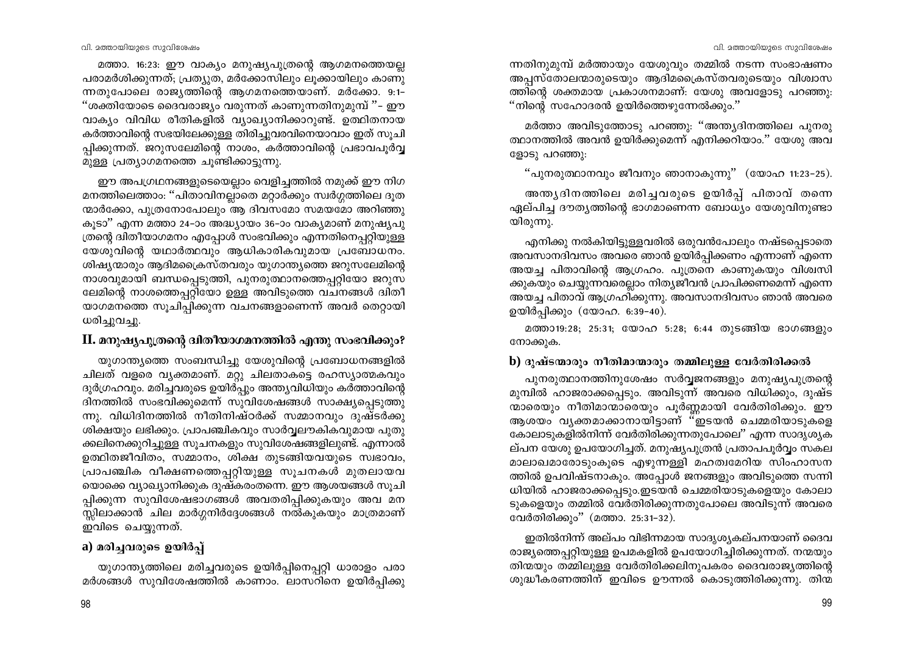മത്താ. 16:23: ഈ വാക്യം മനുഷ്യപുത്രന്റെ ആഗമനത്തെയല്ല പരാമർശിക്കുന്നത്; പ്രത്യുത, മർക്കോസിലും ലൂക്കായിലും കാണു് ന്നതുപോലെ രാജ്യത്തിന്റെ ആഗമനത്തെയാണ്. മർക്കോ. 9:1-''ശക്തിയോടെ ദൈവരാജ്യം വരുന്നത് കാണുന്നതിനുമുമ്പ് ''- ഈ വാക്യം വിവിധ രീതികളിൽ വ്യാഖ്യാനിക്കാറുണ്ട്. ഉത്ഥിതനായ കർത്താവിന്റെ സഭയിലേക്കുള്ള തിരിച്ചുവരവിനെയാവാം ഇത് സൂചി പ്പിക്കുന്നത്. ജറുസലേമിന്റെ നാശം, കർത്താവിന്റെ പ്രഭാവപൂർവ്വ മുള്ള പ്രത്യാഗമനത്തെ ചൂണ്ടിക്കാട്ടുന്നു.

ഈ അപഗ്രഥനങ്ങളുടെയെല്ലാം വെളിച്ചത്തിൽ നമുക്ക് ഈ നിഗ മനത്തിലെത്താം: ''പിതാവിനല്ലാതെ മറ്റാർക്കും സ്വർഗ്ഗത്തിലെ ദൂത ന്മാർക്കോ, പുത്രനോപോലും ആ ദിവസമോ സമയമോ അറിഞ്ഞു കൂടാ'' എന്ന മത്താ 24–ാം അദ്ധ്യായം 36–ാം വാക്യമാണ് മനുഷ്യപു ത്രന്റെ ദ്വിതീയാഗമനം എപ്പോൾ സംഭവിക്കും എന്നതിനെപ്പറ്റിയുള്ള യേശുവിന്റെ യഥാർത്ഥവും ആധികാരികവുമായ പ്രബോധനം. ശിഷ്യന്മാരും ആദിമക്രൈസ്തവരും യുഗാന്ത്യത്തെ ജറുസലേമിന്റെ നാശവുമായി ബന്ധപ്പെടുത്തി, പുനരുത്ഥാനത്തെപ്പറ്റിയോ ജറുസ ലേമിന്റെ നാശത്തെപ്പറ്റിയോ ഉള്ള അവിടുത്തെ വചനങ്ങൾ ദ്വിതീ യാഗമനത്തെ സുചിപ്പിക്കുന്ന വചനങ്ങളാണെന്ന് അവർ തെറ്റായി ധരിച്ചുവച്ചു.

## II. മനുഷ്യപുത്രന്റെ ദിതീയാഗമനത്തിൽ എന്തു സംഭവിക്കും?

യുഗാന്ത്യത്തെ സംബന്ധിച്ചു യേശുവിന്റെ പ്രബോധനങ്ങളിൽ ചിലത് വളരെ വൃക്തമാണ്. മറ്റു ചിലതാകട്ടെ രഹസ്യാത്മകവും ദുർഗ്രഹവും. മരിച്ചവരുടെ ഉയിർപ്പും അന്ത്യവിധിയും കർത്താവിന്റെ ദിനത്തിൽ സംഭവിക്കുമെന്ന് സുവിശേഷങ്ങൾ സാക്ഷ്യപ്പെടുത്തു ന്നു. വിധിദിനത്തിൽ നീതിനിഷ്ഠർക്ക് സമ്മാനവും ദുഷ്ടർക്കു ശിക്ഷയും ലഭിക്കും. പ്രാപഞ്ചികവും സാർവ്വലൗകികവുമായ പുതു ക്കലിനെക്കുറിച്ചുള്ള സൂചനകളും സുവിശേഷങ്ങളിലുണ്ട്. എന്നാൽ ഉത്ഥിതജീവിതം, സമ്മാനം, ശിക്ഷ തുടങ്ങിയവയുടെ സ്വഭാവം, പ്രാപഞ്ചിക വീക്ഷണത്തെപ്പറ്റിയുള്ള സൂചനകൾ മുതലായവ യൊക്കെ വ്യാഖ്യാനിക്കുക ദുഷ്കരംതന്നെ. ഈ ആശയങ്ങൾ സൂചി പ്പിക്കുന്ന സുവിശേഷഭാഗങ്ങൾ അവതരിപ്പിക്കുകയും അവ മന സ്സിലാക്കാൻ ചില മാർഗ്ഗനിർദ്ദേശങ്ങൾ നൽകുകയും മാത്രമാണ് ഇവിടെ ചെയ്യുന്നത്.

## a) മരിച്ചവരുടെ ഉയിർപ്പ്

യുഗാന്ത്യത്തിലെ മരിച്ചവരുടെ ഉയിർപ്പിനെപ്പറ്റി ധാരാളം പരാ മർശങ്ങൾ സുവിശേഷത്തിൽ കാണാം. ലാസറിനെ ഉയിർപ്പിക്കു

ന്നതിനുമുമ്പ് മർത്തായും യേശുവും തമ്മിൽ നടന്ന സംഭാഷണം അപസ്തോലന്മാരുടെയും ആദിമക്രൈസ്തവരുടെയും വിശ്വാസ ത്തിന്റെ ശക്തമായ പ്രകാശനമാണ്: യേശു അവളോടു പറഞ്ഞു: ''നിന്റെ സഹോദരൻ ഉയിർത്തെഴുന്നേൽക്കും.''

മർത്താ അവിടുത്തോടു പറഞ്ഞു: ''അന്ത്യദിനത്തിലെ പുനരു ത്ഥാനത്തിൽ അവൻ ഉയിർക്കുമെന്ന് എനിക്കറിയാം.'' യേശു അവ ളോടു പറഞ്ഞു:

"പുനരുത്ഥാനവും ജീവനും ഞാനാകുന്നു" (യോഹ 11:23-25).

അന്ത്യദിനത്തിലെ മരിച്ചവരുടെ ഉയിർപ്പ് പിതാവ് തന്നെ ഏല്പിച്ച ദൗത്യത്തിന്റെ ഭാഗമാണെന്ന ബോധ്യം യേശുവിനുണ്ടാ യിരുന്നു.

എനിക്കു നൽകിയിട്ടുള്ളവരിൽ ഒരുവൻപോലും നഷ്ടപ്പെടാതെ അവസാനദിവസം അവരെ ഞാൻ ഉയിർപ്പിക്കണം എന്നാണ് എന്നെ അയച്ച പിതാവിന്റെ ആഗ്രഹം. പുത്രനെ കാണുകയും വിശ്വസി ക്കുകയും ചെയ്യുന്നവരെല്ലാം നിത്യജീവൻ പ്രാപിക്കണമെന്ന് എന്നെ അയച്ച പിതാവ് ആഗ്രഹിക്കുന്നു. അവസാനദിവസം ഞാൻ അവരെ ഉയിർപ്പിക്കും (യോഹ. 6:39-40).

മത്താ19:28; 25:31; യോഹ 5:28; 6:44 തുടങ്ങിയ ഭാഗങ്ങളും നോക്കുക.

#### b) ദുഷ്ടന്മാരും നീതിമാന്മാരും തമ്മിലുള്ള വേർതിരിക്കൽ

പുനരുത്ഥാനത്തിനുശേഷം സർവ്വജനങ്ങളും മനുഷ്യപുത്രന്റെ മുമ്പിൽ ഹാജരാക്കപ്പെടും. അവിടുന്ന് അവരെ വിധിക്കും, ദുഷ്ട ന്മാരെയും നീതിമാന്മാരെയും പൂർണ്ണമായി വേർതിരിക്കും. ഈ ആശയം വൃക്തമാക്കാനായിട്ടാണ് "ഇടയൻ ചെമ്മരിയാടുകളെ കോലാടുകളിൽനിന്ന് വേർതിരിക്കുന്നതുപോലെ'' എന്ന സാദൃശ്യക ല്പന യേശു ഉപയോഗിച്ചത്. മനുഷ്യപുത്രൻ പ്രതാപപൂർവ്വം സകല മാലാഖമാരോടുംകൂടെ എഴുന്നള്ളി മഹത്വമേറിയ സിംഹാസന ത്തിൽ ഉപവിഷ്ടനാകും. അപ്പോൾ ജനങ്ങളും അവിടുത്തെ സന്നി ധിയിൽ ഹാജരാക്കപ്പെടും.ഇടയൻ ചെമ്മരിയാടുകളെയും കോലാ ടുകളെയും തമ്മിൽ വേർതിരിക്കുന്നതുപോലെ അവിടുന്ന് അവരെ വേർതിരിക്കും'' (മത്താ. 25:31-32).

ഇതിൽനിന്ന് അല്പം വിഭിന്നമായ സാദൃശ്യകല്പനയാണ് ദൈവ രാജ്യത്തെപ്പറ്റിയുള്ള ഉപമകളിൽ ഉപയോഗിച്ചിരിക്കുന്നത്. നന്മയും തിന്മയും തമ്മിലുള്ള വേർതിരിക്കലിനുപകരം ദൈവരാജ്യത്തിന്റെ ശുദ്ധീകരണത്തിന് ഇവിടെ ഊന്നൽ കൊടുത്തിരിക്കുന്നു. തിന്മ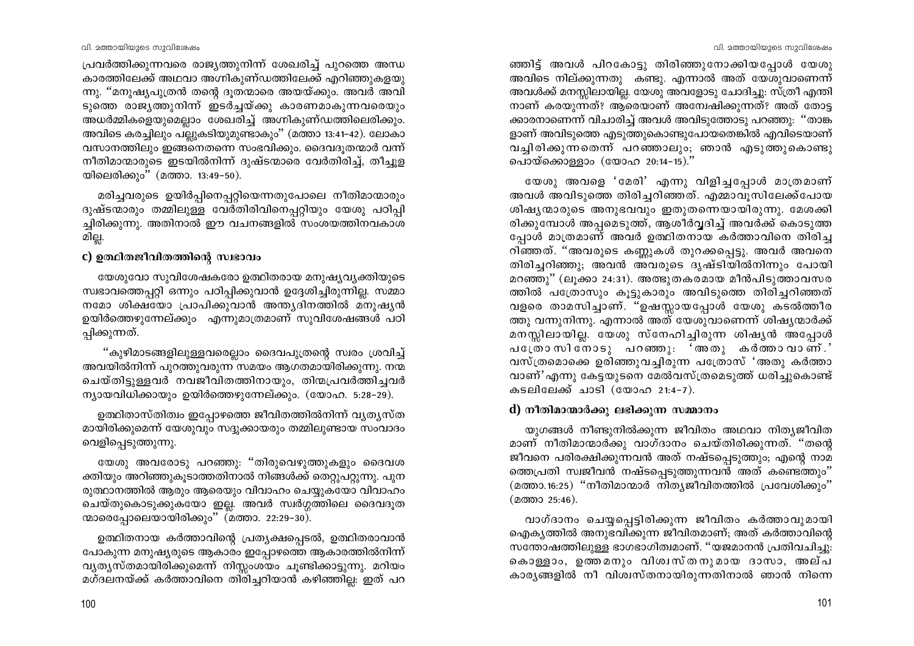വി. മത്തായിയുടെ സുവിശേഷം

പ്രവർത്തിക്കുന്നവരെ രാജ്യത്തുനിന്ന് ശേഖരിച്ച് പുറത്തെ അന്ധ കാരത്തിലേക്ക് അഥവാ അഗ്നികുണ്ഡത്തിലേക്ക് എറിഞ്ഞുകളയു ന്നു. ''മനുഷ്യപുത്രൻ തന്റെ ദൂതന്മാരെ അയയ്ക്കും. അവർ അവി ടുത്തെ രാജൃത്തുനിന്ന് ഇടർച്ചയ്ക്കു കാരണമാകുന്നവരെയും അധർമ്മികളെയുമെല്ലാം ശേഖരിച്ച് അഗ്നികുണ്ഡത്തിലെരിക്കും. അവിടെ കരച്ചിലും പല്ലുകടിയുമുണ്ടാകും'' (മത്താ 13:41-42). ലോകാ വസാനത്തിലും ഇങ്ങനെതന്നെ സംഭവിക്കും. ദൈവദുതന്മാർ വന്ന് നീതിമാന്മാരുടെ ഇടയിൽനിന്ന് ദുഷ്ടന്മാരെ വേർതിരിച്ച്, തീച്ചുള യിലെരിക്കും" (മത്താ.  $13:49-50$ ).

മരിച്ചവരുടെ ഉയിർപ്പിനെപ്പറ്റിയെന്നതുപോലെ നീതിമാന്മാരും ദുഷ്ടന്മാരും തമ്മിലുള്ള വേർതിരിവിനെപ്പറ്റിയും യേശു പഠിപ്പി ച്ചിരിക്കുന്നു. അതിനാൽ ഈ വചനങ്ങളിൽ സംശയത്തിനവകാശ മില്ല.

#### c) ഉത്ഥിതജീവിതത്തിന്റെ സ്വഭാവം

യേശുവോ സുവിശേഷകരോ ഉത്ഥിതരായ മനുഷ്യവ്യക്തിയുടെ സ്വഭാവത്തെപ്പറ്റി ഒന്നും പഠിപ്പിക്കുവാൻ ഉദ്ദേശിച്ചിരുന്നില്ല. സമ്മാ നമോ ശിക്ഷയോ പ്രാപിക്കുവാൻ അന്ത്യദിനത്തിൽ മനുഷ്യൻ ഉയിർത്തെഴുന്നേല്ക്കും എന്നുമാത്രമാണ് സുവിശേഷങ്ങൾ പഠി പ്പിക്കുന്നത്.

"കുഴിമാടങ്ങളിലുള്ളവരെല്ലാം ദൈവപുത്രന്റെ സ്വരം ശ്രവിച്ച് അവയിൽനിന്ന് പുറത്തുവരുന്ന സമയം ആഗതമായിരിക്കുന്നു. നന്മ ചെയ്തിട്ടുള്ളവർ നവജീവിതത്തിനായും, തിന്മപ്രവർത്തിച്ചവർ ന്യായവിധിക്കായും ഉയിർത്തെഴുന്നേല്ക്കും. (യോഹ. 5:28–29).

ഉത്ഥിതാസ്തിത്വം ഇപ്പോഴത്തെ ജീവിതത്തിൽനിന്ന് വ്യത്യസ്ത മായിരിക്കുമെന്ന് യേശുവും സദ്ദുക്കായരും തമ്മിലുണ്ടായ സംവാദം വെളിപ്പെടുത്തുന്നു.

യേശു അവരോടു പറഞ്ഞു: "തിരുവെഴുത്തുകളും ദൈവശ ക്തിയും അറിഞ്ഞുകൂടാത്തതിനാൽ നിങ്ങൾക്ക് തെറ്റുപറ്റുന്നു. പുന രുത്ഥാനത്തിൽ ആരും ആരെയും വിവാഹം ചെയ്യുകയോ വിവാഹം ചെയ്തുകൊടുക്കുകയോ ഇല്ല. അവർ സ്വർഗ്ഗത്തിലെ ദൈവദൂത ന്മാരെപ്പോലെയായിരിക്കും'' (മത്താ. 22:29-30).

ഉത്ഥിതനായ കർത്താവിന്റെ പ്രത്യക്ഷപ്പെടൽ, ഉത്ഥിതരാവാൻ പോകുന്ന മനുഷ്യരുടെ ആകാരം ഇപ്പോഴത്തെ ആകാരത്തിൽനിന്ന് വ്യത്യസ്തമായിരിക്കുമെന്ന് നിസ്സംശയം ചൂണ്ടിക്കാട്ടുന്നു. മറിയം മഗ്ദലനയ്ക്ക് കർത്താവിനെ തിരിച്ചറിയാൻ കഴിഞ്ഞില്ല: ഇത് പറ

ഞ്ഞിട്ട് അവൾ പിറകോട്ടു തിരിഞ്ഞുനോക്കിയപ്പോൾ യേശു അവിടെ നില്ക്കുന്നതു കണ്ടു. എന്നാൽ അത് യേശുവാണെന്ന് അവൾക്ക് മനസ്സിലായില്ല. യേശു അവളോടു ചോദിച്ചു: സ്ത്രീ എന്തി നാണ് കരയുന്നത്? ആരെയാണ് അന്വേഷിക്കുന്നത്? അത് തോട്ട ക്കാരനാണെന്ന് വിചാരിച്ച് അവൾ അവിടുത്തോടു പറഞ്ഞു: ''താങ്ക ളാണ് അവിടുത്തെ എടുത്തുകൊണ്ടുപോയതെങ്കിൽ എവിടെയാണ് വച്ചിരിക്കുന്നതെന്ന് പറഞ്ഞാലും; ഞാൻ എടുത്തുകൊണ്ടു പൊയ്ക്കൊള്ളാം (യോഹ 20:14-15)."

യേശു അവളെ 'മേരി' എന്നു വിളിച്ചപ്പോൾ മാത്രമാണ് അവൾ അവിടുത്തെ തിരിച്ചറിഞ്ഞത്. എമ്മാവൂസിലേക്ക്പോയ ശിഷ്യന്മാരുടെ അനുഭവവും ഇതുതന്നെയായിരുന്നു. മേശക്കി രിക്കുമ്പോൾ അപ്പമെടുത്ത്, ആശീർവ്വദിച്ച് അവർക്ക് കൊടുത്ത പ്പോൾ മാത്രമാണ് അവർ ഉത്ഥിതനായ കർത്താവിനെ തിരിച്ച റിഞ്ഞത്. ''അവരുടെ കണ്ണുകൾ തുറക്കപ്പെട്ടു. അവർ അവനെ തിരിച്ചറിഞ്ഞു; അവൻ അവരുടെ ദൃഷ്ടിയിൽനിന്നും പോയി മറഞ്ഞു'' (ലൂക്കാ 24:31). അത്ഭുതകരമായ മീൻപിടുത്താവസര ത്തിൽ പത്രോസും കൂട്ടുകാരും അവിടുത്തെ തിരിച്ചറിഞ്ഞത് വളരെ താമസിച്ചാണ്. "ഉഷസ്സായപ്പോൾ യേശു കടൽത്തീര ത്തു വന്നുനിന്നു. എന്നാൽ അത് യേശുവാണെന്ന് ശിഷ്യന്മാർക്ക് മനസ്സിലായില്ല. യേശു സ്നേഹിച്ചിരുന്ന ശിഷ്യൻ അപ്പോൾ പത്രോസിനോടു പറഞ്ഞു: 'അതു കർത്താവാണ്.' വസ്ത്രമൊക്കെ ഉരിഞ്ഞുവച്ചിരുന്ന പത്രോസ് 'അതു കർത്താ വാണ്'എന്നു കേട്ടയുടനെ മേൽവസ്ത്രമെടുത്ത് ധരിച്ചുകൊണ്ട് കടലിലേക്ക് ചാടി (യോഹ 21:4-7).

### d) നീതിമാന്മാർക്കു ലഭിക്കുന്ന സമ്മാനം

യുഗങ്ങൾ നീണ്ടുനിൽക്കുന്ന ജീവിതം അഥവാ നിത്യജീവിത മാണ് നീതിമാന്മാർക്കു വാഗ്ദാനം ചെയ്തിരിക്കുന്നത്. "തന്റെ ജീവനെ പരിരക്ഷിക്കുന്നവൻ അത് നഷ്ടപ്പെടുത്തും; എന്റെ നാമ ത്തെപ്രതി സ്വജീവൻ നഷ്ടപ്പെടുത്തുന്നവൻ അത് കണ്ടെത്തും'' (മത്താ.16:25) "നീതിമാന്മാർ നിതൃജീവിതത്തിൽ പ്രവേശിക്കും" (മത്താ 25:46).

വാഗ്ദാനം ചെയ്യപ്പെട്ടിരിക്കുന്ന ജീവിതം കർത്താവുമായി ഐക്യത്തിൽ അനുഭവിക്കുന്ന ജീവിതമാണ്; അത് കർത്താവിന്റെ സന്തോഷത്തിലുള്ള ഭാഗഭാഗിത്വമാണ്. ''യജമാനൻ പ്രതിവചിച്ചു: കൊള്ളാം, ഉത്തമനും വിശ്വസ്തനുമായ ദാസാ, അല്പ കാര്യങ്ങളിൽ നീ വിശ്വസ്തനായിരുന്നതിനാൽ ഞാൻ നിന്നെ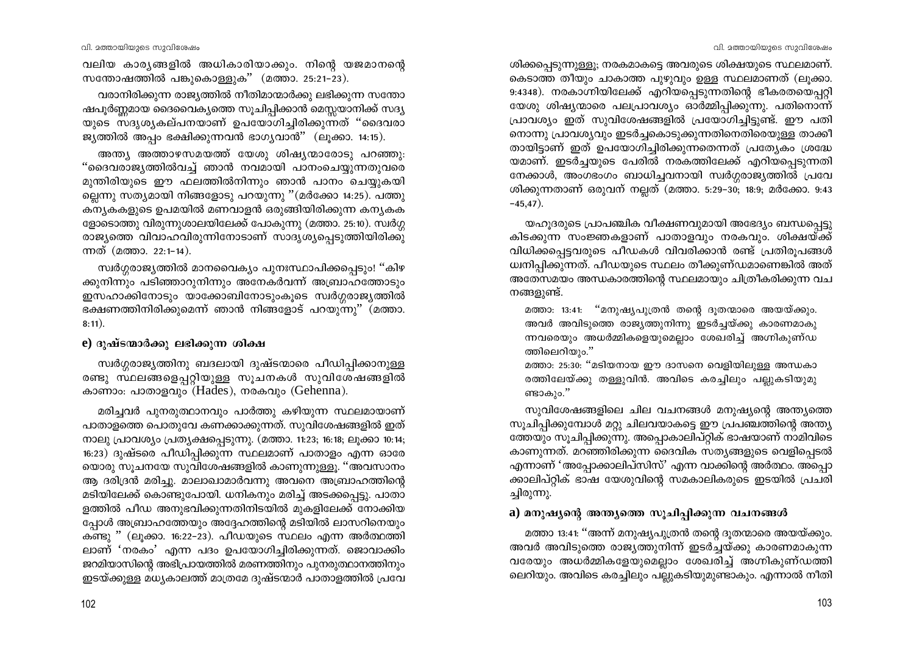വി. മത്തായിയുടെ സുവിശേഷം

വലിയ കാര്യങ്ങളിൽ അധികാരിയാക്കും. നിന്റെ യജമാനന്റെ സന്തോഷത്തിൽ പങ്കുകൊള്ളുക്" (മത്താ. 25:21-23).

വരാനിരിക്കുന്ന രാജ്യത്തിൽ നീതിമാന്മാർക്കു ലഭിക്കുന്ന സന്തോ ഷപൂർണ്ണമായ ദൈവൈക്യത്തെ സൂചിപ്പിക്കാൻ മെസ്സയാനിക്ക് സദ്യ യുടെ സദൃശ്യകല്പനയാണ് ഉപയോഗിച്ചിരിക്കുന്നത് "ദൈവരാ ജ്യത്തിൽ അപം ഭക്ഷിക്കുന്നവൻ ഭാഗ്യവാൻ" (ലുക്കാ. 14:15).

അന്ത്യ അത്താഴസമയത്ത് യേശു ശിഷ്യന്മാരോടു പറഞ്ഞു: "ദൈവരാജ്യത്തിൽവച്ച് ഞാൻ നവമായി പാനംചെയ്യുന്നതുവരെ മുന്തിരിയുടെ ഈ ഫലത്തിൽനിന്നും ഞാൻ പാനം ചെയ്യുകയി ല്ലെന്നു സത്യമായി നിങ്ങളോടു പറയുന്നു "(മർക്കോ 14:25). പത്തു കന്യകകളുടെ ഉപമയിൽ മണവാളൻ ഒരുങ്ങിയിരിക്കുന്ന കന്യകക ളോടൊത്തു വിരുന്നുശാലയിലേക്ക് പോകുന്നു (മത്താ. 25:10). സ്വർഗ്ഗ രാജ്യത്തെ വിവാഹവിരുന്നിനോടാണ് സാദൃശ്യപ്പെടുത്തിയിരിക്കു ന്നത് (മത്താ. 22:1-14).

്സ്വർഗ്ഗരാജ്യത്തിൽ മാനവൈക്യം പുനഃസ്ഥാപിക്കപ്പെടും! ''കിഴ ക്കുനിന്നും പടിഞ്ഞാറുനിന്നും അനേകർവന്ന് അബ്രാഹത്തോടും ഇസഹാക്കിനോടും യാക്കോബിനോടുംകൂടെ സ്വർഗ്ഗരാജ്യത്തിൽ ഭക്ഷണത്തിനിരിക്കുമെന്ന് ഞാൻ നിങ്ങളോട് പറയുന്നു" (മത്താ.  $8:11$ ).

#### e) ദുഷ്ടന്മാർക്കു ലഭിക്കുന്ന ശിക്ഷ

സ്ഥർഗ്ഗരാജ്യത്തിനു ബദലായി ദുഷ്ടന്മാരെ പീഡിപ്പിക്കാനുള്ള രണ്ടു സ്ഥലങ്ങളെപ്പറ്റിയുള്ള സൂചനകൾ സുവിശേഷങ്ങളിൽ കാണാം: പാതാളവും (Hades), നരകവും (Gehenna).

മരിച്ചവർ പുനരുത്ഥാനവും പാർത്തു കഴിയുന്ന സ്ഥലമായാണ് പാതാളത്തെ പൊതുവേ കണക്കാക്കുന്നത്. സുവിശേഷങ്ങളിൽ ഇത് നാലു പ്രാവശ്യം പ്രത്യക്ഷപ്പെടുന്നു. (മത്താ. 11:23; 16:18; ലൂക്കാ 10:14; 16:23) ദുഷ്ടരെ പീഡിപ്പിക്കുന്ന സ്ഥലമാണ് പാതാളം എന്ന ഓരേ യൊരു സുചനയേ സുവിശേഷങ്ങളിൽ കാണുന്നുള്ളു. ''അവസാനം ആ ദരിദ്രൻ മരിച്ചു. മാലാഖാമാർവന്നു അവനെ അബ്രാഹത്തിന്റെ മടിയിലേക്ക് കൊണ്ടുപോയി. ധനികനും മരിച്ച് അടക്കപ്പെട്ടു. പാതാ ളത്തിൽ പീഡ അനുഭവിക്കുന്നതിനിടയിൽ മുകളിലേക്ക് നോക്കിയ പ്പോൾ അബ്രാഹത്തേയും അദ്ദേഹത്തിന്റെ മടിയിൽ ലാസറിനെയും കണ്ടു " (ലൂക്കാ. 16:22-23). പീഡയുടെ സ്ഥലം എന്ന അർത്ഥത്തി ലാണ് 'നരകം' എന്ന പദം ഉപയോഗിച്ചിരിക്കുന്നത്. ജൊവാക്കിം ജറമിയാസിന്റെ അഭിപ്രായത്തിൽ മരണത്തിനും പുനരുത്ഥാനത്തിനും ഇടയ്ക്കുള്ള മധ്യകാലത്ത് മാത്രമേ ദുഷ്ടന്മാർ പാതാളത്തിൽ പ്രവേ

ശിക്കപ്പെടുന്നുള്ളൂ; നരകമാകട്ടെ അവരുടെ ശിക്ഷയുടെ സ്ഥലമാണ്. കെടാത്ത തീയും ചാകാത്ത പുഴുവും ഉള്ള സ്ഥലമാണത് (ലുക്കാ. 9:4348). നരകാഗ്നിയിലേക്ക് എറിയപ്പെടുന്നതിന്റെ ഭീകരതയെപ്പറ്റി യേശു ശിഷ്യന്മാരെ പലപ്രാവശ്യം ഓർമ്മിപ്പിക്കുന്നു. പതിനൊന്ന് പ്രാവശ്യം ഇത് സുവിശേഷങ്ങളിൽ പ്രയോഗിച്ചിട്ടുണ്ട്. ഈ പതി നൊന്നു പ്രാവശ്യവും ഇടർച്ചകൊടുക്കുന്നതിനെതിരെയുള്ള താക്കീ തായിട്ടാണ് ഇത് ഉപയോഗിച്ചിരിക്കുന്നതെന്നത് പ്രത്യേകം ശ്രദ്ധേ യമാണ്. ഇടർച്ചയുടെ പേരിൽ നരകത്തിലേക്ക് എറിയപ്പെടുന്നതി നേക്കാൾ, അംഗഭംഗം ബാധിച്ചവനായി സ്വർഗ്ഗരാജ്യത്തിൽ പ്രവേ ശിക്കുന്നതാണ് ഒരുവന് നല്ലത് (മത്താ. 5:29-30; 18:9; മർക്കോ. 9:43  $-45,47$ ).

യഹൂദരുടെ പ്രാപഞ്ചിക വീക്ഷണവുമായി അഭേദ്യം ബന്ധപ്പെട്ടു കിടക്കുന്ന സംജ്ഞകളാണ് പാതാളവും നരകവും. ശിക്ഷയ്ക്ക് വിധിക്കപ്പെട്ടവരുടെ പീഡകൾ വിവരിക്കാൻ രണ്ട് പ്രതിരൂപങ്ങൾ ധ്വനിപ്പിക്കുന്നത്. പീഡയുടെ സ്ഥലം തീക്കുണ്ഡമാണെങ്കിൽ അത് അതേസമയം അന്ധകാരത്തിന്റെ സ്ഥലമായും ചിത്രീകരിക്കുന്ന വച നങ്ങളുണ്ട്.

മത്താ: 13:41: "മനുഷ്യപുത്രൻ തന്റെ ദൂതന്മാരെ അയയ്ക്കും. അവർ അവിടുത്തെ രാജ്യത്തുനിന്നു ഇടർച്ചയ്ക്കു കാരണമാകു ന്നവരെയും അധർമ്മികളെയുമെല്ലാം ശേഖരിച്ച് അഗ്നികുണ്ഡ ത്തിലെറിയും.''

മത്താ: 25:30: "മടിയനായ ഈ ദാസനെ വെളിയിലുള്ള അന്ധകാ രത്തിലേയ്ക്കു തള്ളുവിൻ. അവിടെ കരച്ചിലും പല്ലുകടിയുമു ണ്ടാകും.''

സുവിശേഷങ്ങളിലെ ചില വചനങ്ങൾ മനുഷ്യന്റെ അന്ത്യത്തെ സൂചിപ്പിക്കുമ്പോൾ മറ്റു ചിലവയാകട്ടെ ഈ പ്രപഞ്ചത്തിന്റെ അന്ത്യ ത്തേയും സൂചിപ്പിക്കുന്നു. അപ്പൊകാലിപ്റ്റിക് ഭാഷയാണ് നാമിവിടെ കാണുന്നത്. മറഞ്ഞിരിക്കുന്ന ദൈവിക സത്യങ്ങളുടെ വെളിപ്പെടൽ എന്നാണ് 'അപ്പോക്കാലിപ്സിസ്' എന്ന വാക്കിന്റെ അർത്ഥം. അപ്പൊ ക്കാലിപ്റ്റിക് ഭാഷ യേശുവിന്റെ സമകാലികരുടെ ഇടയിൽ പ്രചരി ച്ചിരുന്നു.

#### a) മനുഷ്യന്റെ അന്ത്യത്തെ സൂചിപ്പിക്കുന്ന വചനങ്ങൾ

മത്താ 13:41: ''അന്ന് മനുഷ്യപുത്രൻ തന്റെ ദൂതന്മാരെ അയയ്ക്കും. അവർ അവിടുത്തെ രാജ്യത്തുനിന്ന് ഇടർച്ചയ്ക്കു കാരണമാകുന്ന വരേയും അധർമ്മികളേയുമെല്ലാം ശേഖരിച്ച് അഗ്നികുണ്ഡത്തി ലെറിയും. അവിടെ കരച്ചിലും പല്ലുകടിയുമുണ്ടാകും. എന്നാൽ നീതി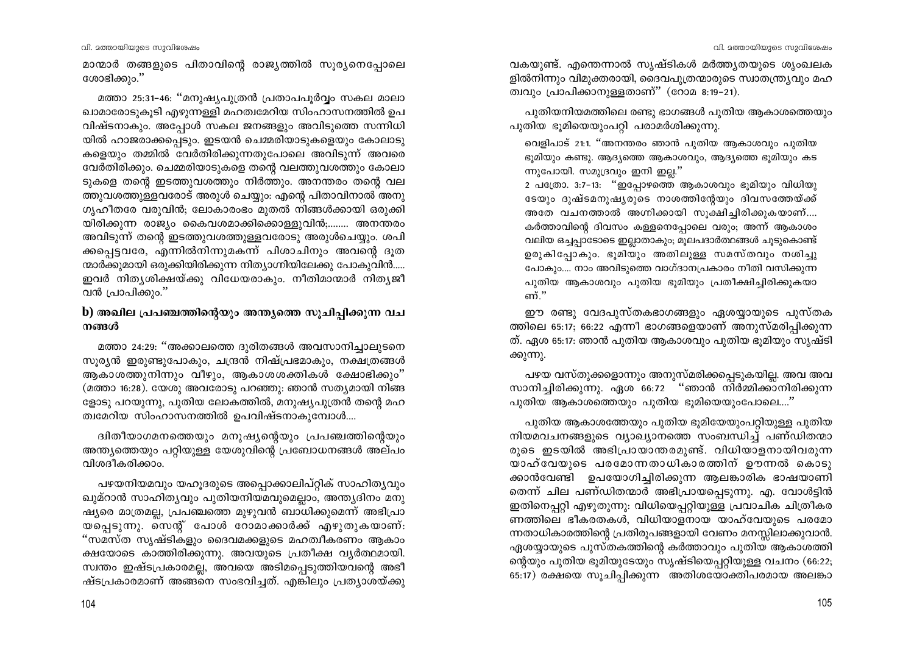മാന്മാർ തങ്ങളുടെ പിതാവിന്റെ രാജ്യത്തിൽ സൂര്യനെപ്പോലെ ശോഭിക്കും.''

മത്താ 25:31-46: ''മനുഷ്യപുത്രൻ പ്രതാപപൂർവ്വം സകല മാലാ ഖാമാരോടുകൂടി എഴുന്നള്ളി മഹത്വമേറിയ സിംഹാസനത്തിൽ ഉപ വിഷ്ടനാകും. അപ്പോൾ സകല ജനങ്ങളും അവിടുത്തെ സന്നിധി യിൽ ഹാജരാക്കപ്പെടും. ഇടയൻ ചെമ്മരിയാടുകളെയും കോലാടു കളെയും തമ്മിൽ വേർതിരിക്കുന്നതുപോലെ അവിടുന്ന് അവരെ വേർതിരിക്കും. ചെമ്മരിയാടുകളെ തന്റെ വലത്തുവശത്തും കോലാ ടുകളെ തന്റെ ഇടത്തുവശത്തും നിർത്തും. അനന്തരം തന്റെ വല ത്തുവശത്തുള്ളവരോട് അരുൾ ചെയ്യും: എന്റെ പിതാവിനാൽ അനു ഗൃഹീതരേ വരുവിൻ; ലോകാരംഭം മുതൽ നിങ്ങൾക്കായി ഒരുക്കി യിരിക്കുന്ന രാജ്യം കൈവശമാക്കിക്കൊള്ളുവിൻ;........ അനന്തരം അവിടുന്ന് തന്റെ ഇടത്തുവശത്തുള്ളവരോടു അരുൾചെയ്യും. ശപി ക്കപ്പെട്ടവരേ, എന്നിൽനിന്നുമകന്ന് പിശാചിനും അവന്റെ ദൂത ന്മാർക്കുമായി ഒരുക്കിയിരിക്കുന്ന നിത്യാഗ്നിയിലേക്കു പോകുവിൻ..... ഇവർ നിതൃശിക്ഷയ്ക്കു വിധേയരാകും. നീതിമാന്മാർ നിതൃജീ വൻ പ്രാപിക്കും."

#### b) അഖില പ്രപഞ്ചത്തിന്റെയും അന്ത്യത്തെ സൂചിപ്പിക്കുന്ന വച നങ്ങൾ

മത്താ 24:29: ''അക്കാലത്തെ ദുരിതങ്ങൾ അവസാനിച്ചാലുടനെ സുര്യൻ ഇരുണ്ടുപോകും, ചന്ദ്രൻ നിഷ്പ്രഭമാകും, നക്ഷത്രങ്ങൾ ആകാശത്തുനിന്നും വീഴും, ആകാശശക്തികൾ ക്ഷോഭിക്കും" (മത്താ 16:28). യേശു അവരോടു പറഞ്ഞു: ഞാൻ സത്യമായി നിങ്ങ ളോടു പറയുന്നു, പുതിയ ലോകത്തിൽ, മനുഷ്യപുത്രൻ തന്റെ മഹ ത്വമേറിയ സിംഹാസനത്തിൽ ഉപവിഷ്ടനാകുമ്പോൾ....

ദ്വിതീയാഗമനത്തെയും മനുഷ്യന്റെയും പ്രപഞ്ചത്തിന്റെയും അന്ത്യത്തെയും പറ്റിയുള്ള യേശുവിന്റെ പ്രബോധനങ്ങൾ അല്പം വിശദീകരിക്കാം.

പഴയനിയമവും യഹൂദരുടെ അപ്പൊക്കാലിപ്റ്റിക് സാഹിതൃവും ഖുമ്റാൻ സാഹിത്യവും പുതിയനിയമവുമെല്ലാം, അന്ത്യദിനം മനു ഷ്യരെ മാത്രമല്ല, പ്രപഞ്ചത്തെ മുഴുവൻ ബാധിക്കുമെന്ന് അഭിപ്രാ യപ്പെടുന്നു. സെന്റ് പോൾ റോമാക്കാർക്ക് എഴുതുകയാണ്: "സമസ്ത സൃഷ്ടികളും ദൈവമക്കളുടെ മഹത്വീകരണം ആകാം ക്ഷയോടെ കാത്തിരിക്കുന്നു. അവയുടെ പ്രതീക്ഷ വൃർത്ഥമായി. സ്വന്തം ഇഷ്ടപ്രകാരമല്ല, അവയെ അടിമപ്പെടുത്തിയവന്റെ അഭീ ഷ്ടപ്രകാരമാണ് അങ്ങനെ സംഭവിച്ചത്. എങ്കിലും പ്രത്യാശയ്ക്കു

വകയുണ്ട്. എന്തെന്നാൽ സൃഷ്ടികൾ മർത്ത്യതയുടെ ശൃംഖലക ളിൽനിന്നും വിമുക്തരായി, ദൈവപുത്രന്മാരുടെ സ്വാതന്ത്ര്യവും മഹ ത്വവും പ്രാപിക്കാനുള്ളതാണ്" (റോമ 8:19-21).

പൂതിയനിയമത്തിലെ രണ്ടു ഭാഗങ്ങൾ പുതിയ ആകാശത്തെയും പുതിയ ഭൂമിയെയുംപറ്റി പരാമർശിക്കുന്നു.

വെളിപാട് 21:1. ''അനന്തരം ഞാൻ പുതിയ ആകാശവും പുതിയ ഭുമിയും കണ്ടു. ആദ്യത്തെ ആകാശവും, ആദ്യത്തെ ഭൂമിയും കട ന്നുപോയി. സമുദ്രവും ഇനി ഇല്ല."

2 പത്രോ. 3:7-13: "ഇപ്പോഴത്തെ ആകാശവും ഭൂമിയും വിധിയു ടേയും ദുഷ്ടമനുഷൃരുടെ നാശത്തിന്റേയും ദിവസത്തേയ്ക്ക് അതേ വചനത്താൽ അഗ്നിക്കായി സൂക്ഷിച്ചിരിക്കുകയാണ്.... കർത്താവിന്റെ ദിവസം കള്ളനെപ്പോലെ വരും; അന്ന് ആകാശം വലിയ ഒച്ചപ്പാടോടെ ഇല്ലാതാകും; മൂലപദാർത്ഥങ്ങൾ ചൂടുകൊണ്ട് ഉരുകിപ്പോകും. ഭൂമിയും അതിലുള്ള സമസ്തവും നശിച്ചു പോകും.... നാം അവിടുത്തെ വാഗ്ദാനപ്രകാരം നീതി വസിക്കുന്ന പുതിയ ആകാശവും പുതിയ ഭൂമിയും പ്രതീക്ഷിച്ചിരിക്കുകയാ ണ്."

ഈ രണ്ടു വേദപുസ്തകഭാഗങ്ങളും ഏശയ്യായുടെ പുസ്തക ത്തിലെ 65:17; 66:22 എന്നീ ഭാഗങ്ങളെയാണ് അനുസ്മരിപ്പിക്കുന്ന ത്. ഏശ 65:17: ഞാൻ പുതിയ ആകാശവും പുതിയ ഭൂമിയും സൃഷ്ടി ക്കുന്നു.

പഴയ വസ്തുക്കളൊന്നും അനുസ്മരിക്കപ്പെടുകയില്ല. അവ അവ സാനിച്ചിരിക്കുന്നു. ഏശ 66:72 "ഞാൻ നിർമ്മിക്കാനിരിക്കുന്ന പുതിയ ആകാശത്തെയും പുതിയ ഭൂമിയെയുംപോലെ....''

പുതിയ ആകാശത്തേയും പുതിയ ഭുമിയേയുംപറ്റിയുള്ള പുതിയ ്നിയമവചനങ്ങളുടെ വ്യാഖ്യാനത്തെ സംബന്ധിച്ച് പണ്ഡിതന്മാ രുടെ ഇടയിൽ അഭിപ്രായാന്തരമുണ്ട്. വിധിയാളനായിവരുന്ന യാഹ്വേയുടെ പരമോന്നതാധികാരത്തിന് ഊന്നൽ കൊടു ക്കാൻവേണ്ടി ഉപയോഗിച്ചിരിക്കുന്ന ആലങ്കാരിക ഭാഷയാണി തെന്ന് ചില പണ്ഡിതന്മാർ അഭിപ്രായപ്പെടുന്നു. എ. വോൾട്ടിൻ ഇതിനെപ്പറ്റി എഴുതുന്നു: വിധിയെപ്പറ്റിയുള്ള പ്രവാചിക ചിത്രീകര ണത്തിലെ ഭീകരതകൾ, വിധിയാളനായ യാഹ്വേയുടെ പരമോ ന്നതാധികാരത്തിന്റെ പ്രതിരൂപങ്ങളായി വേണം മനസ്സിലാക്കുവാൻ. ഏശയ്യായുടെ പുസ്തകത്തിന്റെ കർത്താവും പുതിയ ആകാശത്തി ന്റെയും പുതിയ ഭൂമിയുടേയും സൃഷ്ടിയെപ്പറ്റിയുള്ള വചനം (66:22; 65:17) രക്ഷയെ സൂചിപ്പിക്കുന്ന അതിശയോക്തിപരമായ അലങ്കാ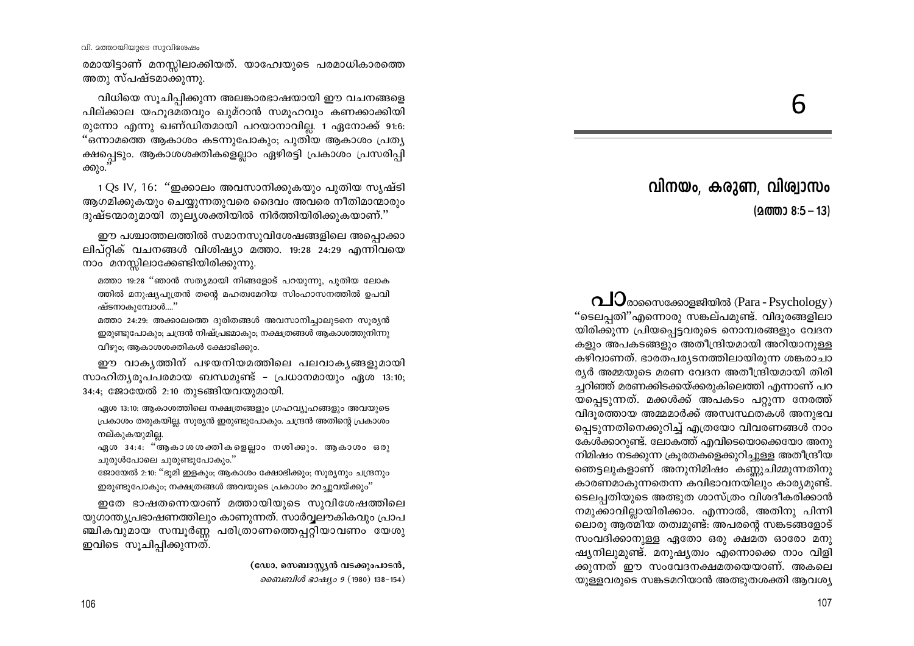രമായിട്ടാണ് മനസ്സിലാക്കിയത്. യാഹ്വേയുടെ പരമാധികാരത്തെ അതു സ്പഷ്ടമാക്കുന്നു.

വിധിയെ സുചിപ്പിക്കുന്ന അലങ്കാരഭാഷയായി ഈ വചനങ്ങളെ പില്ക്കാല യഹുദമതവും ഖുമ്റാൻ സമുഹവും കണക്കാക്കിയി രുന്നോ എന്നു ഖണ്ഡിതമായി പറയാനാവില്ല. 1 ഏനോക്ക് 91:6: "ഒന്നാമത്തെ ആകാശം കടന്നുപോകും; പുതിയ ആകാശം പ്രത്യ ക്ഷപ്പെടും. ആകാശശക്തികളെല്ലാം ഏഴിരട്ടി പ്രകാശം പ്രസരിപ്പി ക്കും.'

1 Qs IV, 16: "ഇക്കാലം അവസാനിക്കുകയും പുതിയ സൃഷ്ടി ആഗമിക്കുകയും ചെയ്യുന്നതുവരെ ദൈവം അവരെ നീതിമാന്മാരും ദുഷ്ടന്മാരുമായി തുല്യശക്തിയിൽ നിർത്തിയിരിക്കുകയാണ്."

ഈ പശ്ചാത്തലത്തിൽ സമാനസുവിശേഷങ്ങളിലെ അപ്പൊക്കാ ലിപ്റ്റിക് വചനങ്ങൾ വിശിഷ്യാ മത്താ. 19:28 24:29 എന്നിവയെ നാം മനസ്സിലാക്കേണ്ടിയിരിക്കുന്നു.

മത്താ 19:28 ''ഞാൻ സത്യമായി നിങ്ങളോട് പറയുന്നു, പുതിയ ലോക ത്തിൽ മനുഷ്യപുത്രൻ തന്റെ മഹത്വമേറിയ സിംഹാസനത്തിൽ ഉപവി ഷ്ടനാകുമ്പോൾ....''

മത്താ 24:29: അക്കാലത്തെ ദുരിതങ്ങൾ അവസാനിച്ചാലുടനെ സൂര്യൻ ഇരുണ്ടുപോകും; ചന്ദ്രൻ നിഷ്പ്രഭമാകും; നക്ഷത്രങ്ങൾ ആകാശത്തുനിന്നു വീഴും; ആകാശശക്തികൾ ക്ഷോഭിക്കും.

ഈ വാകൃത്തിന് പഴയനിയമത്തിലെ പലവാകൃങ്ങളുമായി സാഹിത്യരൂപപരമായ ബന്ധമുണ്ട് - പ്രധാനമായും ഏശ 13:10; 34:4; ജോയേൽ 2:10 തുടങ്ങിയവയുമായി.

ഏശ 13:10: ആകാശത്തിലെ നക്ഷത്രങ്ങളും ഗ്രഹവ്യൂഹങ്ങളും അവയുടെ പ്രകാശം തരുകയില്ല. സൂര്യൻ ഇരുണ്ടുപോകും. ചന്ദ്രൻ അതിന്റെ പ്രകാശം നല്കുകയുമില്ല.

ഏശ 34:4: "ആകാശശക്തികളെല്ലാം നശിക്കും. ആകാശം ഒരു ചുരുൾപോലെ ചുരുണ്ടുപോകും."

ജോയേൽ 2:10: ''ഭൂമി ഇളകും; ആകാശം ക്ഷോഭിക്കും; സൂര്യനും ചന്ദ്രനും ഇരുണ്ടുപോകും; നക്ഷത്രങ്ങൾ അവയുടെ പ്രകാശം മറച്ചുവയ്ക്കും''

ഇതേ ഭാഷതന്നെയാണ് മത്തായിയുടെ സുവിശേഷത്തിലെ യുഗാന്ത്യപ്രഭാഷണത്തിലും കാണുന്നത്. സാർവ്വലൗകികവും പ്രാപ ഞ്ചികവുമായ സമ്പൂർണ്ണ പരിത്രാണത്തെപ്പറ്റിയാവണം യേശു ഇവിടെ സൂചിപ്പിക്കുന്നത്.

> (ഡോ. സെബാസ്റ്റ്യൻ വടക്കുംപാടൻ, ബൈബിൾ ഭാഷ്യം 9 (1980) 138-154)

# 6

# വിനയം, കരുണ, വിശ്വാസം (2000)  $8:5 - 13$ )

 $\Omega$ ാണൈക്കോളജിയിൽ (Para - Psychology) "ടെലപ്പതി"എന്നൊരു സങ്കല്പമുണ്ട്. വിദുരങ്ങളിലാ യിരിക്കുന്ന പ്രിയപ്പെട്ടവരുടെ നൊമ്പരങ്ങളും വേദന കളും അപകടങ്ങളും അതീന്ദ്രിയമായി അറിയാനുള്ള കഴിവാണത്. ഭാരതപര്യടനത്തിലായിരുന്ന ശങ്കരാചാ ര്യർ അമ്മയുടെ മരണ വേദന അതീന്ദ്രിയമായി തിരി ച്ചറിഞ്ഞ് മരണക്കിടക്കയ്ക്കരുകിലെത്തി എന്നാണ് പറ യപ്പെടുന്നത്. മക്കൾക്ക് അപകടം പറ്റുന്ന നേരത്ത് വിദൂരത്തായ അമ്മമാർക്ക് അസ്വസ്ഥതകൾ അനുഭവ പ്പെടുന്നതിനെക്കുറിച്ച് എത്രയോ വിവരണങ്ങൾ നാം കേൾക്കാറുണ്ട്. ലോകത്ത് എവിടെയൊക്കെയോ അനു നിമിഷം നടക്കുന്ന ക്രൂരതകളെക്കുറിച്ചുള്ള അതീന്ദ്രീയ ഞെട്ടലുകളാണ് അനുനിമിഷം കണ്ണുചിമ്മുന്നതിനു കാരണമാകുന്നതെന്ന കവിഭാവനയിലും കാര്യമുണ്ട്. ടെലപ്പതിയുടെ അത്ഭുത ശാസ്ത്രം വിശദീകരിക്കാൻ നമുക്കാവില്ലായിരിക്കാം. എന്നാൽ, അതിനു പിന്നി ലൊരു ആത്മീയ തത്വമുണ്ട്: അപരന്റെ സങ്കടങ്ങളോട് സംവദിക്കാനുള്ള ഏതോ ഒരു ക്ഷമത ഓരോ മനു ഷ്യനിലുമുണ്ട്. മനുഷ്യത്വം എന്നൊക്കെ നാം വിളി ക്കുന്നത് ഈ സംവേദനക്ഷമതയെയാണ്. അകലെ യുള്ളവരുടെ സങ്കടമറിയാൻ അത്ഭുതശക്തി ആവശ്യ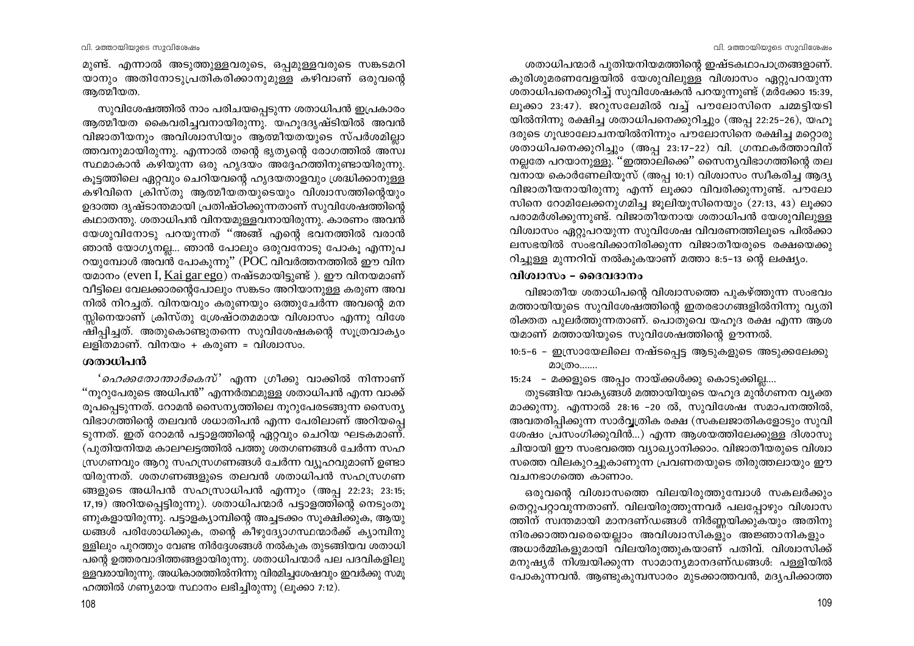ശതാധിപന്മാർ പുതിയനിയമത്തിന്റെ ഇഷ്ടകഥാപാത്രങ്ങളാണ്. കൂരിശുമരണവേളയിൽ യേശുവിലുള്ള വിശ്വാസം ഏറ്റുപറയുന്ന ശതാധിപനെക്കുറിച്ച് സുവിശേഷകൻ പറയുന്നുണ്ട് (മർക്കോ 15:39, ലൂക്കാ 23:47). ജറുസലേമിൽ വച്ച് പൗലോസിനെ ചമ്മട്ടിയടി യിൽനിന്നു രക്ഷിച്ച ശതാധിപനെക്കുറിച്ചും (അപ്പ 22:25–26), യഹൂ ദരുടെ ഗൂഢാലോചനയിൽനിന്നും പൗലോസിനെ രക്ഷിച്ച മറ്റൊരു ശതാധിപനെക്കുറിച്ചും (അപ്പ 23:17-22) വി. ഗ്രന്ഥകർത്താവിന് നല്ലതേ പറയാനുള്ളൂ. ''ഇത്താലിക്കെ'' സൈന്യവിഭാഗത്തിന്റെ തല വനായ കൊർണേലിയുസ് (അപ്പ 10:1) വിശ്വാസം സ്വീകരിച്ച ആദ്യ വിജാതീയനായിരുന്നു എന്ന് ലുക്കാ വിവരിക്കുന്നുണ്ട്. പൗലോ സിനെ റോമിലേക്കനുഗമിച്ച ജുലിയുസിനെയും (27:13, 43) ലുക്കാ പരാമർശിക്കുന്നുണ്ട്. വിജാതീയനായ ശതാധിപൻ യേശുവിലുള്ള വിശ്വാസം ഏറ്റുപറയുന്ന സുവിശേഷ വിവരണത്തിലൂടെ പിൽക്കാ ലസഭയിൽ സംഭവിക്കാനിരിക്കുന്ന വിജാതീയരുടെ രക്ഷയെക്കു റിച്ചുള്ള മുന്നറിവ് നൽകുകയാണ് മത്താ 8:5–13 ന്റെ ലക്ഷ്യം.

#### വിശ്വാസം – ദൈവദാനം

വിജാതീയ ശതാധിപന്റെ വിശ്വാസത്തെ പുകഴ്ത്തുന്ന സംഭവം മത്തായിയുടെ സുവിശേഷത്തിന്റെ ഇതരഭാഗങ്ങളിൽനിന്നു വ്യതി രിക്തത പുലർത്തുന്നതാണ്. പൊതുവെ യഹുദ രക്ഷ എന്ന ആശ യമാണ് മത്തായിയുടെ സുവിശേഷത്തിന്റെ ഊന്നൽ.

10:5-6 - ഇസ്രായേലിലെ നഷ്ടപ്പെട്ട ആടുകളുടെ അടുക്കലേക്കു മാത്രം......

15:24 - മക്കളുടെ അപ്പം നായ്ക്കൾക്കു കൊടുക്കില്ല....

തുടങ്ങിയ വാകൃങ്ങൾ മത്തായിയുടെ യഹുദ മുൻഗണന വൃക്ത മാക്കുന്നു. എന്നാൽ 28:16 -20 ൽ, സുവിശേഷ സമാപനത്തിൽ, അവതരിപ്പിക്കുന്ന സാർവ്വത്രിക രക്ഷ (സകലജാതികളോടും സുവി ശേഷം പ്രസംഗിക്കുവിൻ...) എന്ന ആശയത്തിലേക്കുള്ള ദിശാസു ചിയായി ഈ സംഭവത്തെ വ്യാഖ്യാനിക്കാം. വിജാതീയരുടെ വിശ്വാ സത്തെ വിലകുറച്ചുകാണുന്ന പ്രവണതയുടെ തിരുത്തലായും ഈ വചനഭാഗത്തെ കാണാം.

ഒരുവന്റെ വിശ്വാസത്തെ വിലയിരുത്തുമ്പോൾ സകലർക്കും തെറ്റുപറ്റാവുന്നതാണ്. വിലയിരുത്തുന്നവർ പലപ്പോഴും വിശ്വാസ ത്തിന് സ്വന്തമായി മാനദണ്ഡങ്ങൾ നിർണ്ണയിക്കുകയും അതിനു നിരക്കാത്തവരെയെല്ലാം അവിശ്വാസികളും അജ്ഞാനികളും അധാർമ്മികളുമായി വിലയിരുത്തുകയാണ് പതിവ്. വിശ്വാസിക്ക് മനുഷ്യർ നിശ്ചയിക്കുന്ന സാമാന്യമാനദണ്ഡങ്ങൾ: പള്ളിയിൽ പോകുന്നവൻ. ആണ്ടുകുമ്പസാരം മുടക്കാത്തവൻ, മദ്യപിക്കാത്ത

വി. മത്തായിയുടെ സുവിശേഷം

മുണ്ട്. എന്നാൽ അടുത്തുള്ളവരുടെ, ഒപ്പമുള്ളവരുടെ സങ്കടമറി യാനും അതിനോടുപ്രതികരിക്കാനുമുള്ള കഴിവാണ് ഒരുവന്റെ ആത്മീയത.

സുവിശേഷത്തിൽ നാം പരിചയപെടുന്ന ശതാധിപൻ ഇപ്രകാരം ആത്മീയത കൈവരിച്ചവനായിരുന്നു. യഹൂദദൃഷ്ടിയിൽ അവൻ വിജാതീയനും അവിശ്വാസിയും ആത്മീയതയുടെ സ്പർശമില്ലാ ത്തവനുമായിരുന്നു. എന്നാൽ തന്റെ ഭൃത്യന്റെ രോഗത്തിൽ അസ്വ സ്ഥമാകാൻ കഴിയുന്ന ഒരു ഹൃദയം അദ്ദേഹത്തിനുണ്ടായിരുന്നു. കൂട്ടത്തിലെ ഏറ്റവും ചെറിയവന്റെ ഹൃദയതാളവും ശ്രദ്ധിക്കാനുള്ള കഴിവിനെ ക്രിസ്തു ആത്മീയതയുടെയും വിശ്വാസത്തിന്റെയും ഉദാത്ത ദൃഷ്ടാന്തമായി പ്രതിഷ്ഠിക്കുന്നതാണ് സുവിശേഷത്തിന്റെ കഥാതന്തു. ശതാധിപൻ വിനയമുള്ളവനായിരുന്നു. കാരണം അവൻ യേശുവിനോടു പറയുന്നത് ''അങ്ങ് എന്റെ ഭവനത്തിൽ വരാൻ ഞാൻ യോഗ്യനല്ല... ഞാൻ പോലും ഒരുവനോടു പോകു എന്നുപ റയുമ്പോൾ അവൻ പോകുന്നു" (POC വിവർത്തനത്തിൽ ഈ വിന യമാനം (even I, Kai gar ego) നഷ്ടമായിട്ടുണ്ട്). ഈ വിനയമാണ് വീട്ടിലെ വേലക്കാരന്റെപോലും സങ്കടം അറിയാനുള്ള കരുണ അവ നിൽ നിറച്ചത്. വിനയവും കരുണയും ഒത്തുചേർന്ന അവന്റെ മന സ്സിനെയാണ് ക്രിസ്തു ശ്രേഷ്ഠതമമായ വിശ്വാസം എന്നു വിശേ ഷിപ്പിച്ചത്. അതുകൊണ്ടുതന്നെ സുവിശേഷകന്റെ സുത്രവാക്യം ലളിതമാണ്. വിനയം + കരുണ = വിശ്വാസം.

#### ശതാധിപൻ

*'ഹെക്കതോന്താർകെസ്*' എന്ന ഗ്രീക്കു വാക്കിൽ നിന്നാണ് ''നുറുപേരുടെ അധിപൻ'' എന്നർത്ഥമുളള ശതാധിപൻ എന്ന വാക്ക് രുപപ്പെടുന്നത്. റോമൻ സൈന്യത്തിലെ നുറുപേരടങ്ങുന്ന സൈന്യ വിഭാഗത്തിന്റെ തലവൻ ശധാതിപൻ എന്ന പേരിലാണ് അറിയപ്പെ ടുന്നത്. ഇത് റോമൻ പട്ടാളത്തിന്റെ ഏറ്റവും ചെറിയ ഘടകമാണ്. (പുതിയനിയമ കാലഘട്ടത്തിൽ പത്തു ശതഗണങ്ങൾ ചേർന്ന സഹ സ്രഗണവും ആറു സഹസ്രഗണങ്ങൾ ചേർന്ന വ്യൂഹവുമാണ് ഉണ്ടാ യിരുന്നത്. ശതഗണങ്ങളുടെ തലവൻ ശതാധിപൻ സഹസ്രഗണ ങ്ങളുടെ അധിപൻ സഹസ്രാധിപൻ എന്നും (അപ്പ 22:23; 23:15; 17,19) അറിയപ്പെട്ടിരുന്നു). ശതാധിപന്മാർ പട്ടാളത്തിന്റെ നെടുംതൂ ണുകളായിരുന്നു. പട്ടാളക്യാമ്പിന്റെ അച്ചടക്കം സൂക്ഷിക്കുക, ആയു ധങ്ങൾ പരിശോധിക്കുക, തന്റെ കീഴുദ്യോഗസ്ഥന്മാർക്ക് ക്യാമ്പിനു ള്ളിലും പുറത്തും വേണ്ട നിർദ്ദേശങ്ങൾ നൽകുക തുടങ്ങിയവ ശതാധി പന്റെ ഉത്തരവാദിത്തങ്ങളായിരുന്നു. ശതാധിപന്മാർ പല പദവികളിലു ള്ളവരായിരുന്നു. അധികാരത്തിൽനിന്നു വിരമിച്ചശേഷവും ഇവർക്കു സമൂ ഹത്തിൽ ഗണ്യമായ സ്ഥാനം ലഭിച്ചിരുന്നു (ലൂക്കാ 7:12).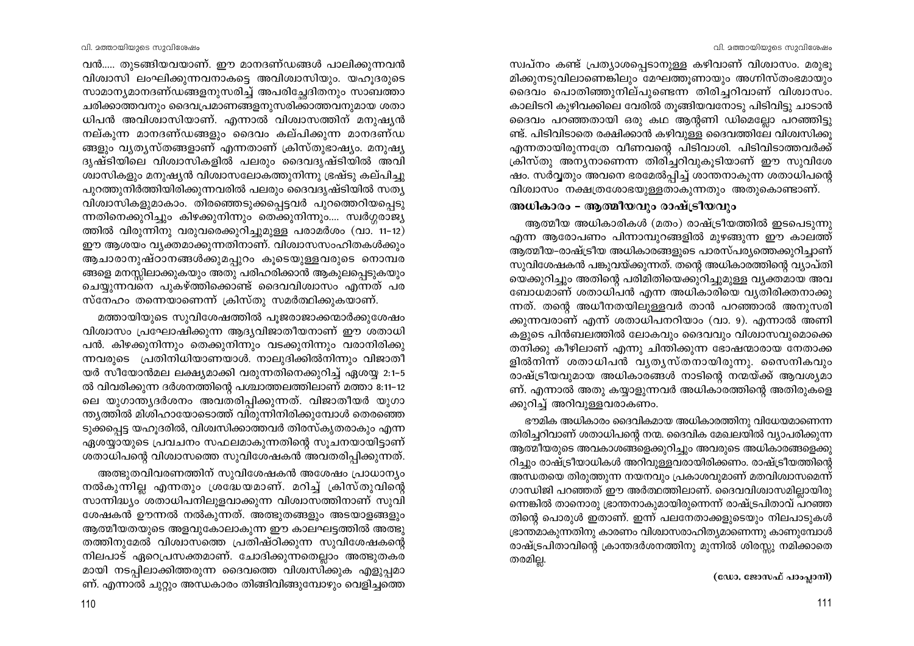സ്വപ്നം കണ്ട് പ്രത്യാശപ്പെടാനുള്ള കഴിവാണ് വിശ്വാസം. മരുഭു മിക്കുനടുവിലാണെങ്കിലും മേഘത്തുണായും അഗ്നിസ്തംഭമായും ദൈവം പൊതിഞ്ഞുനില്പുണ്ടെന്ന തിരിച്ചറിവാണ് വിശ്വാസം. കാലിടറി കുഴിവക്കിലെ വേരിൽ തൂങ്ങിയവനോടു പിടിവിട്ടു ചാടാൻ ദൈവം പറഞ്ഞതായി ഒരു കഥ ആന്റണി ഡിമെല്ലോ പറഞ്ഞിട്ടു ണ്ട്. പിടിവിടാതെ രക്ഷിക്കാൻ കഴിവുള്ള ദൈവത്തിലേ വിശ്വസിക്കൂ എന്നതായിരുന്നത്രേ വീണവന്റെ പിടിവാശി. പിടിവിടാത്തവർക്ക് ക്രിസ്തു അന്യനാണെന്ന തിരിച്ചറിവുകൂടിയാണ് ഈ സുവിശേ ഷം. സർവ്വതും അവനെ ഭരമേൽപ്പിച്ച് ശാന്തനാകുന്ന ശതാധിപന്റെ വിശ്വാസം നക്ഷത്രശോഭയുള്ളതാകുന്നതും അതുകൊണ്ടാണ്.

## അധികാരം - ആത്മീയവും രാഷ്ട്രീയവും

ആത്മീയ അധികാരികൾ (മതം) രാഷ്ട്രീയത്തിൽ ഇടപെടുന്നു എന്ന ആരോപണം പിന്നാമ്പുറങ്ങളിൽ മുഴങ്ങുന്ന ഈ കാലത്ത് ആത്മീയ-രാഷ്ട്രീയ അധികാരങ്ങളുടെ പാരസ്പര്യത്തെക്കുറിച്ചാണ് സുവിശേഷകൻ പങ്കുവയ്ക്കുന്നത്. തന്റെ അധികാരത്തിന്റെ വ്യാപ്തി യെക്കുറിച്ചും അതിന്റെ പരിമിതിയെക്കുറിച്ചുമുള്ള വ്യക്തമായ അവ ബോധമാണ് ശതാധിപൻ എന്ന അധികാരിയെ വ്യതിരിക്തനാക്കു ന്നത്. തന്റെ അധീനതയിലുള്ളവർ താൻ പറഞ്ഞാൽ അനുസരി ക്കുന്നവരാണ് എന്ന് ശതാധിപനറിയാം (വാ. 9). എന്നാൽ അണി കളുടെ പിൻബലത്തിൽ ലോകവും ദൈവവും വിശ്വാസവുമൊക്കെ തനിക്കു കീഴിലാണ് എന്നു ചിന്തിക്കുന്ന ഭോഷന്മാരായ നേതാക്ക ളിൽനിന്ന് ശതാധിപൻ വ്യത്യസ്തനായിരുന്നു. സൈനികവും രാഷ്ട്രീയവുമായ അധികാരങ്ങൾ നാടിന്റെ നന്മയ്ക്ക് ആവശ്യമാ ണ്. എന്നാൽ അതു കയ്യാളുന്നവർ അധികാരത്തിന്റെ അതിരുകളെ ക്കുറിച്ച് അറിവുള്ളവരാകണം.

ഭൗമിക അധികാരം ദൈവികമായ അധികാരത്തിനു വിധേയമാണെന്ന തിരിച്ചറിവാണ് ശതാധിപന്റെ നന്മ. ദൈവിക മേഖലയിൽ വ്യാപരിക്കുന്ന ആത്മീയരുടെ അവകാശങ്ങളെക്കുറിച്ചും അവരുടെ അധികാരങ്ങളെക്കു റിച്ചും രാഷ്ട്രീയാധികൾ അറിവുള്ളവരായിരിക്കണം. രാഷ്ട്രീയത്തിന്റെ അന്ധതയെ തിരുത്തുന്ന നയനവും പ്രകാശവുമാണ് മതവിശ്വാസമെന്ന് ഗാന്ധിജി പറഞ്ഞത് ഈ അർത്ഥത്തിലാണ്. ദൈവവിശ്വാസമില്ലായിരു ന്നെങ്കിൽ താനൊരു ഭ്രാന്തനാകുമായിരുന്നെന്ന് രാഷ്ട്രപിതാവ് പറഞ്ഞ തിന്റെ പൊരുൾ ഇതാണ്. ഇന്ന് പലനേതാക്കളുടെയും നിലപാടുകൾ ഭ്രാന്തമാകുന്നതിനു കാരണം വിശ്വാസരാഹിത്യമാണെന്നു കാണുമ്പോൾ രാഷ്ട്രപിതാവിന്റെ ക്രാന്തദർശനത്തിനു മുന്നിൽ ശിരസ്സു നമിക്കാതെ തരമില്ല.

(ഡോ. ജോസഫ് പാംപ്ലാനി)

വി. മത്തായിയുടെ സുവിശേഷം

വൻ..... തുടങ്ങിയവയാണ്. ഈ മാനദണ്ഡങ്ങൾ പാലിക്കുന്നവൻ വിശ്വാസി ലംഘിക്കുന്നവനാകട്ടെ അവിശ്വാസിയും. യഹുദരുടെ സാമാന്യമാനദണ്ഡങ്ങളനുസരിച്ച് അപരിച്ചേദിതനും സാബത്താ ചരിക്കാത്തവനും ദൈവപ്രമാണങ്ങളനുസരിക്കാത്തവനുമായ ശതാ ധിപൻ അവിശ്വാസിയാണ്. എന്നാൽ വിശ്വാസത്തിന് മനുഷ്യൻ നല്കുന്ന മാനദണ്ഡങ്ങളും ദൈവം കല്പിക്കുന്ന മാനദണ്ഡ ങ്ങളും വൃതൃസ്തങ്ങളാണ് എന്നതാണ് ക്രിസ്തുഭാഷ്യം. മനുഷ്യ ദൃഷ്ടിയിലെ വിശ്വാസികളിൽ പലരും ദൈവദൃഷ്ടിയിൽ അവി ശ്വാസികളും മനുഷ്യൻ വിശ്വാസലോകത്തുനിന്നു ഭ്രഷ്ടു കല്പിച്ചു പുറത്തുനിർത്തിയിരിക്കുന്നവരിൽ പലരും ദൈവദൃഷ്ടിയിൽ സതൃ വിശ്വാസികളുമാകാം. തിരഞ്ഞെടുക്കപ്പെട്ടവർ പുറത്തെറിയപ്പെടു ന്നതിനെക്കുറിച്ചും കിഴക്കുനിന്നും തെക്കുനിന്നും.... സ്വർഗ്ഗരാജ്യ ത്തിൽ വിരുന്നിനു വരുവരെക്കുറിച്ചുമുള്ള പരാമർശം (വാ. 11-12) ഈ ആശയം വ്യക്തമാക്കുന്നതിനാണ്. വിശ്വാസസംഹിതകൾക്കും ആചാരാനുഷ്ഠാനങ്ങൾക്കുമപ്പുറം കൂടെയുള്ളവരുടെ നൊമ്പര ങ്ങളെ മനസ്സിലാക്കുകയും അതു പരിഹരിക്കാൻ ആകുലപ്പെടുകയും ചെയ്യുന്നവനെ പുകഴ്ത്തിക്കൊണ്ട് ദൈവവിശ്വാസം എന്നത് പര സ്നേഹം തന്നെയാണെന്ന് ക്രിസ്തു സമർത്ഥിക്കുകയാണ്.

മത്തായിയുടെ സുവിശേഷത്തിൽ പുജരാജാക്കന്മാർക്കുശേഷം വിശ്വാസം പ്രഘോഷിക്കുന്ന ആദ്യവിജാതീയനാണ് ഈ ശതാധി പൻ. കിഴക്കുനിന്നും തെക്കുനിന്നും വടക്കുനിന്നും വരാനിരിക്കു ന്നവരുടെ പ്രതിനിധിയാണയാൾ. നാലുദിക്കിൽനിന്നും വിജാതീ യർ സീയോൻമല ലക്ഷ്യമാക്കി വരുന്നതിനെക്കുറിച്ച് ഏശയ്യ 2:1–5 ൽ വിവരിക്കുന്ന ദർശനത്തിന്റെ പശ്ചാത്തലത്തിലാണ് മത്താ 8:11-12 ലെ യുഗാന്ത്യദർശനം അവതരിപ്പിക്കുന്നത്. വിജാതീയർ യുഗാ ന്ത്യത്തിൽ മിശിഹായോടൊത്ത് വിരുന്നിനിരിക്കുമ്പോൾ തെരഞ്ഞെ ടുക്കപ്പെട്ട യഹുദരിൽ, വിശ്വസിക്കാത്തവർ തിരസ്കൃതരാകും എന്ന ഏശയ്യായുടെ പ്രവചനം സഫലമാകുന്നതിന്റെ സൂചനയായിട്ടാണ് ശതാധിപന്റെ വിശ്വാസത്തെ സുവിശേഷകൻ അവതരിപ്പിക്കുന്നത്.

അത്ഭുതവിവരണത്തിന് സുവിശേഷകൻ അശേഷം പ്രാധാന്യം നൽകുന്നില്ല എന്നതും ശ്രദ്ധേയമാണ്. മറിച്ച് ക്രിസ്തുവിന്റെ സാന്നിദ്ധ്യം ശതാധിപനിലുളവാക്കുന്ന വിശ്വാസത്തിനാണ് സുവി ശേഷകൻ ഊന്നൽ നൽകുന്നത്. അത്ഭുതങ്ങളും അടയാളങ്ങളും ആത്മീയതയുടെ അളവുകോലാകുന്ന ഈ കാലഘട്ടത്തിൽ അത്ഭു തത്തിനുമേൽ വിശ്വാസത്തെ പ്രതിഷ്ഠിക്കുന്ന സുവിശേഷകന്റെ .<br>നിലപാട് ഏറെപ്രസക്തമാണ്. ചോദിക്കുന്നതെല്ലാം അത്ഭുതകര മായി നടപ്പിലാക്കിത്തരുന്ന ദൈവത്തെ വിശ്വസിക്കുക എളുപ്പമാ ണ്. എന്നാൽ ചുറ്റും അന്ധകാരം തിങ്ങിവിങ്ങുമ്പോഴും വെളിച്ചത്തെ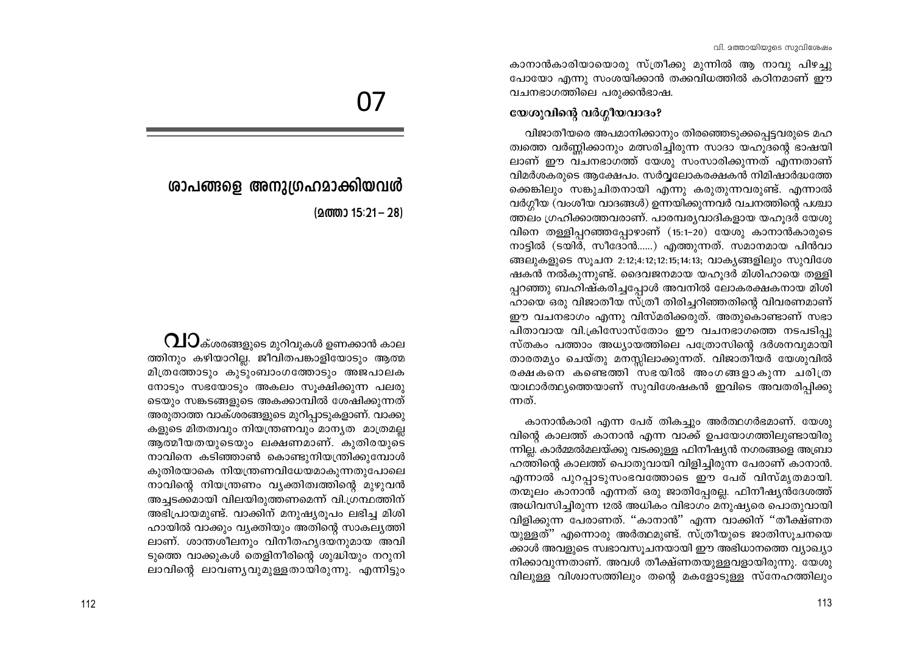കാനാൻകാരിയായൊരു സ്ത്രീക്കു മുന്നിൽ ആ നാവു പിഴച്ചു പോയോ എന്നു സംശയിക്കാൻ തക്കവിധത്തിൽ കഠിനമാണ് ഈ വചനഭാഗത്തിലെ പരുക്കൻഭാഷ.

### യേശുവിന്റെ വർഗ്ഗീയവാദം?

വിജാതീയരെ അപമാനിക്കാനും തിരഞ്ഞെടുക്കപ്പെട്ടവരുടെ മഹ ത്വത്തെ വർണ്ണിക്കാനും മത്സരിച്ചിരുന്ന സാദാ യഹുദന്റെ ഭാഷയി ലാണ് ഈ വചനഭാഗത്ത് യേശു സംസാരിക്കുന്നത് എന്നതാണ് വിമർശകരുടെ ആക്ഷേപം. സർവ്വലോകരക്ഷകൻ നിമിഷാർദ്ധത്തേ ക്കെങ്കിലും സങ്കുചിതനായി എന്നു കരുതുന്നവരുണ്ട്. എന്നാൽ വർഗ്ഗീയ (വംശീയ വാദങ്ങൾ) ഉന്നയിക്കുന്നവർ വചനത്തിന്റെ പശ്ചാ ത്തലം ഗ്രഹിക്കാത്തവരാണ്. പാരമ്പര്യവാദികളായ യഹുദർ യേശു വിനെ തള്ളിപ്പറഞ്ഞപ്പോഴാണ് (15:1–20) യേശു കാനാൻകാരുടെ നാട്ടിൽ (ടയിർ, സീദോൻ......) എത്തുന്നത്. സമാനമായ പിൻവാ ങ്ങലുകളുടെ സുചന 2:12;4:12;12:15;14:13; വാകൃങ്ങളിലും സുവിശേ ഷകൻ നൽകുന്നുണ്ട്. ദൈവജനമായ യഹൂദർ മിശിഹായെ തള്ളി പ്പറഞ്ഞു ബഹിഷ്കരിച്ചപ്പോൾ അവനിൽ ലോകരക്ഷകനായ മിശി ഹായെ ഒരു വിജാതീയ സ്ത്രീ തിരിച്ചറിഞ്ഞതിന്റെ വിവരണമാണ് ഈ വചനഭാഗം എന്നു വിസ്മരിക്കരുത്. അതുകൊണ്ടാണ് സഭാ പിതാവായ വി.ക്രിസോസ്തോം ഈ വചനഭാഗത്തെ നടപടിപ്പു സ്തകം പത്താം അധ്യായത്തിലെ പത്രോസിന്റെ ദർശനവുമായി താരതമ്യം ചെയ്തു മനസ്സിലാക്കുന്നത്. വിജാതീയർ യേശുവിൽ രക്ഷകനെ കണ്ടെത്തി സഭയിൽ അംഗങ്ങളാകുന്ന ചരിത്ര യാഥാർത്ഥ്യത്തെയാണ് സുവിശേഷകൻ ഇവിടെ അവതരിപ്പിക്കു ന്നത്.

കാനാൻകാരി എന്ന പേര് തികച്ചും അർത്ഥഗർഭമാണ്. യേശു വിന്റെ കാലത്ത് കാനാൻ എന്ന വാക്ക് ഉപയോഗത്തിലുണ്ടായിരു ന്നില്ല. കാർമ്മൽമലയ്ക്കു വടക്കുള്ള ഫിനീഷ്യൻ നഗരങ്ങളെ അബ്രാ ഹത്തിന്റെ കാലത്ത് പൊതുവായി വിളിച്ചിരുന്ന പേരാണ് കാനാൻ. എന്നാൽ പുറപ്പാടുസംഭവത്തോടെ ഈ പേര് വിസ്മൃതമായി. തന്മൂലം കാനാൻ എന്നത് ഒരു ജാതിപ്പേരല്ല. ഫിനീഷ്യൻദേശത്ത് അധിവസിച്ചിരുന്ന 12ൽ അധികം വിഭാഗം മനുഷ്യരെ പൊതുവായി വിളിക്കുന്ന പേരാണത്. ''കാനാൻ'' എന്ന വാക്കിന് ''തീക്ഷ്ണത യുള്ളത്'' എന്നൊരു അർത്ഥമുണ്ട്. സ്ത്രീയുടെ ജാതിസൂചനയെ ക്കാൾ അവളുടെ സ്വഭാവസുചനയായി ഈ അഭിധാനത്തെ വ്യാഖ്യാ നിക്കാവുന്നതാണ്. അവൾ തീക്ഷ്ണതയുള്ളവളായിരുന്നു. യേശു വിലുള്ള വിശ്വാസത്തിലും തന്റെ മകളോടുള്ള സ്നേഹത്തിലും

# 07

# <u> ശാപങ്ങളെ അനുഗ്രഹമാക്കിയവൾ</u> (2000) 15:21 - 28)

 $\Omega$ ാക്ശരങ്ങളുടെ മുറിവുകൾ ഉണക്കാൻ കാല ത്തിനും കഴിയാറില്ല. ജീവിതപങ്കാളിയോടും ആത്മ മിത്രത്തോടും കുടുംബാംഗത്തോടും അജപാലക നോടും സഭയോടും അകലം സുക്ഷിക്കുന്ന പലരു ടെയും സങ്കടങ്ങളുടെ അകക്കാമ്പിൽ ശേഷിക്കുന്നത് അരുതാത്ത വാക്ശരങ്ങളുടെ മുറിപ്പാടുകളാണ്. വാക്കു കളുടെ മിതത്വവും നിയന്ത്രണവും മാന്യത\_മാത്രമല്ല ആത്മീയതയുടെയും ലക്ഷണമാണ്. കുതിരയുടെ നാവിനെ കടിഞ്ഞാൺ കൊണ്ടുനിയന്ത്രിക്കുമ്പോൾ കുതിരയാകെ നിയന്ത്രണവിധേയമാകുന്നതുപോലെ നാവിന്റെ നിയന്ത്രണം വ്യക്തിത്വത്തിന്റെ മുഴുവൻ അച്ചടക്കമായി വിലയിരുത്തണമെന്ന് വി.ഗ്രന്ഥത്തിന് അഭിപ്രായമുണ്ട്. വാക്കിന് മനുഷ്യരുപം ലഭിച്ച മിശി ഹായിൽ വാക്കും വ്യക്തിയും അതിന്റെ സാകല്യത്തി ലാണ്. ശാന്തശീലനും വിനീതഹൃദയനുമായ അവി ടുത്തെ വാക്കുകൾ തെളിനീരിന്റെ ശുദ്ധിയും നറുനി ലാവിന്റെ ലാവണ്യവുമുള്ളതായിരുന്നു. എന്നിട്ടും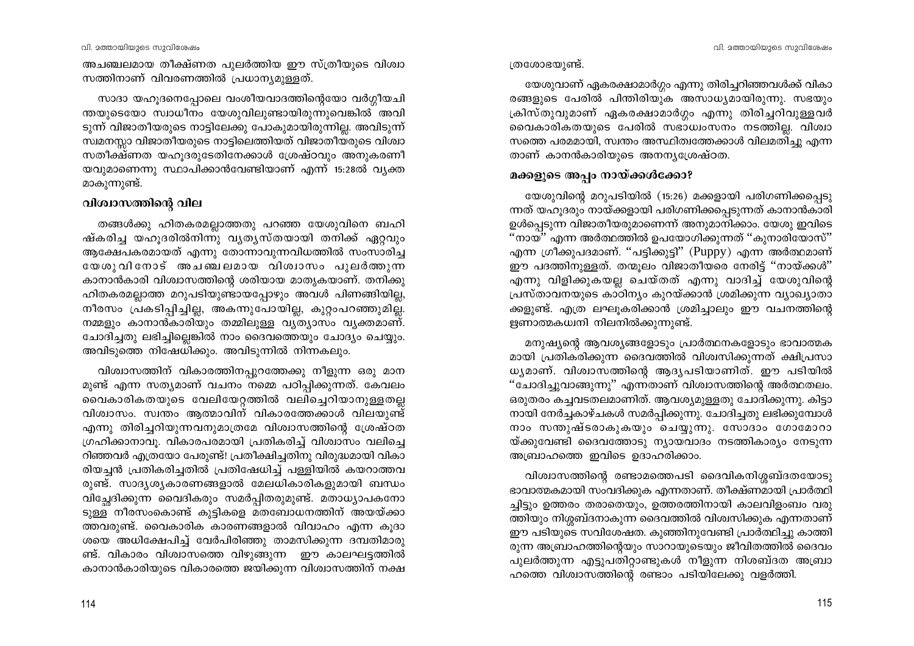അചഞ്ചലമായ തീക്ഷ്ണത പുലർത്തിയ ഈ സ്ത്രീയുടെ വിശ്വാ സത്തിനാണ് വിവരണത്തിൽ പ്രധാന്യമുള്ളത്.

സാദാ യഹൂദനെപ്പോലെ വംശീയവാദത്തിന്റെയോ വർഗ്ഗീയചി ന്തയുടെയോ സ്വാധീനം യേശുവിലുണ്ടായിരുന്നുവെങ്കിൽ അവി ടുന്ന് വിജാതീയരുടെ നാട്ടിലേക്കു പോകുമായിരുന്നില്ല. അവിടുന്ന് സ്ഥമനസ്സാ വിജാതീയരുടെ നാട്ടിലെത്തിയത് വിജാതീയരുടെ വിശ്വാ സതീക്ഷ്ണത യഹുദരുടേതിനേക്കാൾ ശ്രേഷ്ഠവും അനുകരണീ യവുമാണെന്നു സ്ഥാപിക്കാൻവേണ്ടിയാണ് എന്ന് 15:28ൽ വ്യക്ത മാകുന്നുണ്ട്.

## വിശ്വാസത്തിന്റെ വില

തങ്ങൾക്കു ഹിതകരമല്ലാത്തതു പറഞ്ഞ യേശുവിനെ ബഹി ഷ്കരിച്ച യഹൂദരിൽനിന്നു വൃതൃസ്തയായി തനിക്ക് ഏറ്റവും ആക്ഷേപകരമായത് എന്നു തോന്നാവുന്നവിധത്തിൽ സംസാരിച്ച യേശുവിനോട് അചഞ്ചലമായ വിശ്വാസം പുലർത്തുന്ന കാനാൻകാരി വിശ്വാസത്തിന്റെ ശരിയായ മാതൃകയാണ്. തനിക്കു ഹിതകരമല്ലാത്ത മറുപടിയുണ്ടായപ്പോഴും അവൾ പിണങ്ങിയില്ല, നീരസം പ്രകടിപ്പിച്ചില്ല, അകന്നുപോയില്ല, കുറ്റംപറഞ്ഞുമില്ല. നമ്മളും കാനാൻകാരിയും തമ്മിലുള്ള വ്യത്യാസം വ്യക്തമാണ്. ചോദിച്ചതു ലഭിച്ചില്ലെങ്കിൽ നാം ദൈവത്തെയും ചോദ്യം ചെയ്യും. അവിടുത്തെ നിഷേധിക്കും. അവിടുന്നിൽ നിന്നകലും.

വിശ്വാസത്തിന് വികാരത്തിനപ്പുറത്തേക്കു നീളുന്ന ഒരു മാന മുണ്ട് എന്ന സത്യമാണ് വചനം നമ്മെ പഠിപ്പിക്കുന്നത്. കേവലം വൈകാരികതയുടെ വേലിയേറ്റത്തിൽ വലിച്ചെറിയാനുള്ളതല്ല വിശ്വാസം. സ്വന്തം ആത്മാവിന് വികാരത്തേക്കാൾ വിലയുണ്ട് എന്നു തിരിച്ചറിയുന്നവനുമാത്രമേ വിശ്വാസത്തിന്റെ ശ്രേഷ്ഠത ഗ്രഹിക്കാനാവു. വികാരപരമായി പ്രതികരിച്ച് വിശ്വാസം വലിച്ചെ റിഞ്ഞവർ എത്രയോ പേരുണ്ട്! പ്രതീക്ഷിച്ചതിനു വിരുദ്ധമായി വികാ രിയച്ചൻ പ്രതികരിച്ചതിൽ പ്രതിഷേധിച്ച് പള്ളിയിൽ കയറാത്തവ രുണ്ട്. സാദൃശൃകാരണങ്ങളാൽ മേലധികാരികളുമായി ബന്ധം വിച്ഛേദിക്കുന്ന വൈദികരും സമർപ്പിതരുമുണ്ട്. മതാധ്യാപകനോ ടുള്ള നീരസംകൊണ്ട് കുട്ടികളെ മതബോധനത്തിന് അയയ്ക്കാ ത്തവരുണ്ട്. വൈകാരിക കാരണങ്ങളാൽ വിവാഹം എന്ന കൂദാ ശയെ അധിക്ഷേപിച്ച് വേർപിരിഞ്ഞു താമസിക്കുന്ന ദമ്പതിമാരു ണ്ട്. വികാരം വിശ്വാസത്തെ വിഴുങ്ങുന്ന ഈ കാലഘട്ടത്തിൽ കാനാൻകാരിയുടെ വികാരത്തെ ജയിക്കുന്ന വിശ്വാസത്തിന് നക്ഷ

## ത്രശോഭയുണ്ട്.

യേശുവാണ് ഏകരക്ഷാമാർഗ്ഗം എന്നു തിരിച്ചറിഞ്ഞവൾക്ക് വികാ രങ്ങളുടെ പേരിൽ പിന്തിരിയുക അസാധ്യമായിരുന്നു. സഭയും ക്രിസ്തുവുമാണ് ഏകരക്ഷാമാർഗ്ഗം എന്നു തിരിച്ചറിവുള്ളവർ വൈകാരികതയുടെ പേരിൽ സഭാധ്വംസനം നടത്തില്ല. വിശ്വാ സത്തെ പരമമായി, സ്വന്തം അസ്ഥിത്വത്തേക്കാൾ വിലമതിച്ചു എന്ന താണ് കാനൻകാരിയുടെ അനന്യശ്രേഷ്ഠത.

## മക്കളുടെ അപ്പം നായ്ക്കൾക്കോ?

യേശുവിന്റെ മറുപടിയിൽ (15:26) മക്കളായി പരിഗണിക്കപ്പെടു ന്നത് യഹൂദരും നായ്ക്കളായി പരിഗണിക്കപ്പെടുന്നത് കാനാൻകാരി ഉൾപ്പെടുന്ന വിജാതീയരുമാണെന്ന് അനുമാനിക്കാം. യേശു ഇവിടെ ''നായ'' എന്ന അർത്ഥത്തിൽ ഉപയോഗിക്കുന്നത് ''കുനാരിയോസ്'' എന്ന ഗ്രീക്കുപദമാണ്. ''പട്ടിക്കുട്ടി'' (Puppy) എന്ന അർത്ഥമാണ് ഈ പദത്തിനുള്ളത്. തന്മൂലം വിജാതീയരെ നേരിട്ട് ''നായ്ക്കൾ'' എന്നു വിളിക്കുകയല്ല ചെയ്തത് എന്നു വാദിച്ച് യേശുവിന്റെ പ്രസ്താവനയുടെ കാഠിന്യം കുറയ്ക്കാൻ ശ്രമിക്കുന്ന വ്യാഖ്യാതാ ക്കളുണ്ട്. എത്ര ലഘൂകരിക്കാൻ ശ്രമിച്ചാലും ഈ വചനത്തിന്റെ ഋണാത്മകധ്വനി നിലനിൽക്കുന്നുണ്ട്.

മനുഷ്യന്റെ ആവശ്യങ്ങളോടും പ്രാർത്ഥനകളോടും ഭാവാത്മക മായി പ്രതികരിക്കുന്ന ദൈവത്തിൽ വിശ്വസിക്കുന്നത് ക്ഷിപ്രസാ ധ്യമാണ്. വിശ്വാസത്തിന്റെ ആദ്യപടിയാണിത്. ഈ പടിയിൽ ''ചോദിച്ചുവാങ്ങുന്നു'' എന്നതാണ് വിശ്വാസത്തിന്റെ അർത്ഥതലം. ഒരുതരം കച്ചവടതലമാണിത്. ആവശ്യമുള്ളതു ചോദിക്കുന്നു. കിട്ടാ നായി നേർച്ചകാഴ്ചകൾ സമർപ്പിക്കുന്നു. ചോദിച്ചതു ലഭിക്കുമ്പോൾ നാം സന്തുഷ്ടരാകുകയും ചെയ്യുന്നു. സോദാം ഗോമോറാ യ്ക്കുവേണ്ടി ദൈവത്തോടു ന്യായവാദം നടത്തികാര്യം നേടുന്ന അബ്രാഹത്തെ ഇവിടെ ഉദാഹരിക്കാം.

വിശ്വാസത്തിന്റെ രണ്ടാമത്തെപടി ദൈവികനിശ്ശബ്ദതയോടു ഭാവാത്മകമായി സംവദിക്കുക എന്നതാണ്. തീക്ഷ്ണമായി പ്രാർത്ഥി ച്ചിട്ടും ഉത്തരം തരാതെയും, ഉത്തരത്തിനായി കാലവിളംബം വരു ത്തിയും നിശ്ശബ്ദനാകുന്ന ദൈവത്തിൽ വിശ്വസിക്കുക എന്നതാണ് ഈ പടിയുടെ സവിശേഷത. കുഞ്ഞിനുവേണ്ടി പ്രാർത്ഥിച്ചു കാത്തി രുന്ന അബ്രാഹത്തിന്റെയും സാറായുടെയും ജീവിതത്തിൽ ദൈവം പുലർത്തുന്ന എട്ടുപതിറ്റാണ്ടുകൾ നീളുന്ന നിശബ്ദത അബ്രാ ഹത്തെ വിശ്വാസത്തിന്റെ രണ്ടാം പടിയിലേക്കു വളർത്തി.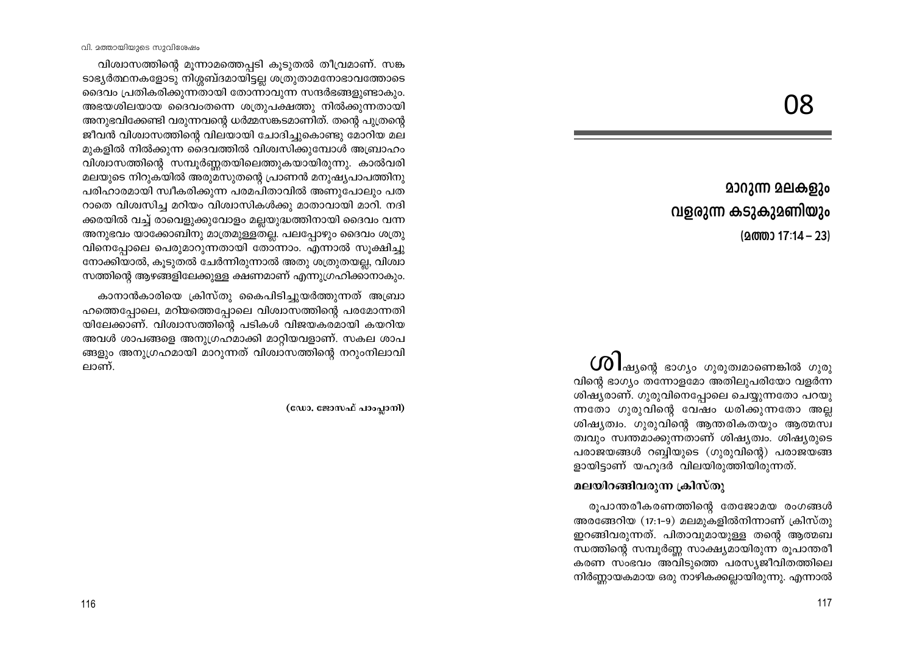# 08

മാറുന്ന മലകളും വളരുന്ന കടുകുമണിയും (2000) 17:14 - 23)

 $\omega$ l എന്റെ ഭാഗ്യം ഗുരുത്വമാണെങ്കിൽ ഗുരു വിന്റെ ഭാഗ്യം തന്നോളമോ അതിലുപരിയോ വളർന്ന ശിഷ്യരാണ്. ഗുരുവിനെപ്പോലെ ചെയ്യുന്നതോ പറയു ന്നതോ ഗുരുവിന്റെ വേഷം ധരിക്കുന്നതോ അല്ല ശിഷ്യത്വം. ഗുരുവിന്റെ ആന്തരികതയും ആത്മസ്വ ത്വവും സ്വന്തമാക്കുന്നതാണ് ശിഷ്യത്വം. ശിഷ്യരുടെ പരാജയങ്ങൾ റബ്ബിയുടെ (ഗുരുവിന്റെ) പരാജയങ്ങ ളായിട്ടാണ് യഹുദർ വിലയിരുത്തിയിരുന്നത്.

### മലയിറങ്ങിവരുന്ന ക്രിസ്തു

രൂപാന്തരീകരണത്തിന്റെ തേജോമയ രംഗങ്ങൾ അരങ്ങേറിയ (17:1-9) മലമുകളിൽനിന്നാണ് ക്രിസ്തു ഇറങ്ങിവരുന്നത്. പിതാവുമായുള്ള തന്റെ ആത്മബ ന്ധത്തിന്റെ സമ്പൂർണ്ണ സാക്ഷ്യമായിരുന്ന രൂപാന്തരീ കരണ സംഭവം അവിടുത്തെ പരസ്യജീവിതത്തിലെ നിർണ്ണായകമായ ഒരു നാഴികക്കല്ലായിരുന്നു. എന്നാൽ

വി. മത്തായിയുടെ സുവിശേഷം

വിശ്വാസത്തിന്റെ മൂന്നാമത്തെപ്പടി കൂടുതൽ തീവ്രമാണ്. സങ്ക ടാഭ്യർത്ഥനകളോടു നിശ്ശബ്ദമായിട്ടല്ല ശത്രുതാമനോഭാവത്തോടെ ദൈവം പ്രതികരിക്കുന്നതായി തോന്നാവുന്ന സന്ദർഭങ്ങളുണ്ടാകും. അഭയശിലയായ ദൈവംതന്നെ ശത്രുപക്ഷത്തു നിൽക്കുന്നതായി അനുഭവിക്കേണ്ടി വരുന്നവന്റെ ധർമ്മസങ്കടമാണിത്. തന്റെ പുത്രന്റെ ജീവൻ വിശ്വാസത്തിന്റെ വിലയായി ചോദിച്ചുകൊണ്ടു മോറിയ മല മുകളിൽ നിൽക്കുന്ന ദൈവത്തിൽ വിശ്വസിക്കുമ്പോൾ അബ്രാഹം വിശ്വാസത്തിന്റെ സമ്പൂർണ്ണതയിലെത്തുകയായിരുന്നു. കാൽവരി മലയുടെ നിറുകയിൽ അരുമസുതന്റെ പ്രാണൻ മനുഷ്യപാപത്തിനു പരിഹാരമായി സ്വീകരിക്കുന്ന പരമപിതാവിൽ അണുപോലും പത റാതെ വിശ്വസിച്ച മറിയം വിശ്വാസികൾക്കു മാതാവായി മാറി. നദി ക്കരയിൽ വച്ച് രാവെളുക്കുവോളം മല്ലയുദ്ധത്തിനായി ദൈവം വന്ന അനുഭവം യാക്കോബിനു മാത്രമുള്ളതല്ല. പലപ്പോഴും ദൈവം ശത്രു വിനെപ്പോലെ പെരുമാറുന്നതായി തോന്നാം. എന്നാൽ സൂക്ഷിച്ചു നോക്കിയാൽ, കൂടുതൽ ചേർന്നിരുന്നാൽ അതു ശത്രുതയല്ല, വിശ്വാ സത്തിന്റെ ആഴങ്ങളിലേക്കുള്ള ക്ഷണമാണ് എന്നുഗ്രഹിക്കാനാകും.

കാനാൻകാരിയെ ക്രിസ്തു കൈപിടിച്ചുയർത്തുന്നത് അബ്രാ ഹത്തെപ്പോലെ, മറിയത്തെപ്പോലെ വിശ്വാസത്തിന്റെ പരമോന്നതി യിലേക്കാണ്. വിശ്വാസത്തിന്റെ പടികൾ വിജയകരമായി കയറിയ അവൾ ശാപങ്ങളെ അനുഗ്രഹമാക്കി മാറ്റിയവളാണ്. സകല ശാപ ങ്ങളും അനുഗ്രഹമായി മാറുന്നത് വിശ്വാസത്തിന്റെ നറുംനിലാവി ലാണ്.

(ഡോ. ജോസഫ് പാംപ്ലാനി)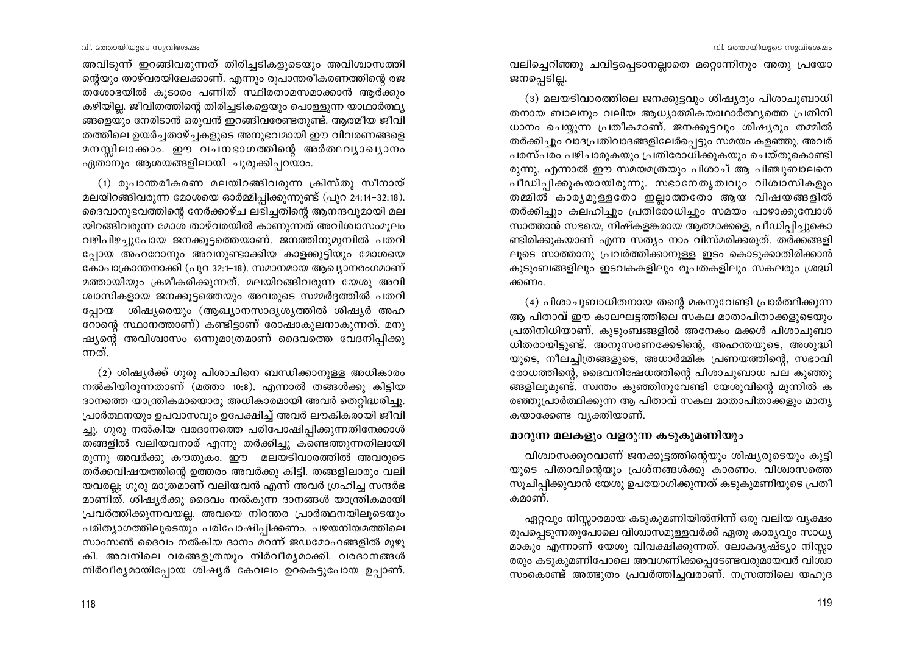അവിടുന്ന് ഇറങ്ങിവരുന്നത് തിരിച്ചടികളുടെയും അവിശ്വാസത്തി ന്റെയും താഴ്വരയിലേക്കാണ്. എന്നും രൂപാന്തരീകരണത്തിന്റെ രജ തശോഭയിൽ കുടാരം പണിത് സ്ഥിരതാമസമാക്കാൻ ആർക്കും കഴിയില്ല. ജീവിതത്തിന്റെ തിരിച്ചടികളെയും പൊള്ളുന്ന യാഥാർത്ഥ്യ ങ്ങളെയും നേരിടാൻ ഒരുവൻ ഇറങ്ങിവരേണ്ടതുണ്ട്. ആത്മീയ ജീവി തത്തിലെ ഉയർച്ചതാഴ്ച്ചകളുടെ അനുഭവമായി ഈ വിവരണങ്ങളെ മനസ്സിലാക്കാം. ഈ വചനഭാഗത്തിന്റെ അർത്ഥവ്യാഖ്യാനം ഏതാനും ആശയങ്ങളിലായി ചുരുക്കിപ്പറയാം.

(1) രൂപാന്തരീകരണ മലയിറങ്ങിവരുന്ന ക്രിസ്തു സീനായ് മലയിറങ്ങിവരുന്ന മോശയെ ഓർമ്മിപ്പിക്കുന്നുണ്ട് (പുറ 24:14–32:18). ദൈവാനുഭവത്തിന്റെ നേർക്കാഴ്ച ലഭിച്ചതിന്റെ ആനന്ദവുമായി മല യിറങ്ങിവരുന്ന മോശ താഴ്വരയിൽ കാണുന്നത് അവിശ്വാസംമൂലം വഴിപിഴച്ചുപോയ ജനക്കുട്ടത്തെയാണ്. ജനത്തിനുമുമ്പിൽ പതറി പോയ അഹറോനും അവനുണ്ടാക്കിയ കാളക്കുട്ടിയും മോശയെ കോപാക്രാന്തനാക്കി (പുറ 32:1-18). സമാനമായ ആഖ്യാനരംഗമാണ് മത്തായിയും ക്രമീകരിക്കുന്നത്. മലയിറങ്ങിവരുന്ന യേശു അവി ശ്വാസികളായ ജനക്കുട്ടത്തെയും അവരുടെ സമ്മർദ്ദത്തിൽ പതറി പ്പോയ ശിഷ്യരെയും (ആഖ്യാനസാദൃശ്യത്തിൽ ശിഷ്യർ അഹ റോന്റെ സ്ഥാനത്താണ്) കണ്ടിട്ടാണ് രോഷാകുലനാകുന്നത്. മനു ഷ്യന്റെ അവിശ്വാസം ഒന്നുമാത്രമാണ് ദൈവത്തെ വേദനിപ്പിക്കു ന്നത്.

(2) ശിഷ്യർക്ക് ഗുരു പിശാചിനെ ബന്ധിക്കാനുള്ള അധികാരം നൽകിയിരുന്നതാണ് (മത്താ 10:8). എന്നാൽ തങ്ങൾക്കു കിട്ടിയ ദാനത്തെ യാന്ത്രികമായൊരു അധികാരമായി അവർ തെറ്റിദ്ധരിച്ചു. പ്രാർത്ഥനയും ഉപവാസവും ഉപേക്ഷിച്ച് അവർ ലൗകികരായി ജീവി ച്ചു. ഗുരു നൽകിയ വരദാനത്തെ പരിപോഷിപ്പിക്കുന്നതിനേക്കാൾ തങ്ങളിൽ വലിയവനാര് എന്നു തർക്കിച്ചു കണ്ടെത്തുന്നതിലായി രുന്നു അവർക്കു കൗതുകം. ഈ മലയടിവാരത്തിൽ അവരുടെ തർക്കവിഷയത്തിന്റെ ഉത്തരം അവർക്കു കിട്ടി. തങ്ങളിലാരും വലി യവരല്ല; ഗുരു മാത്രമാണ് വലിയവൻ എന്ന് അവർ ഗ്രഹിച്ച സന്ദർഭ മാണിത്. ശിഷ്യർക്കു ദൈവം നൽകുന്ന ദാനങ്ങൾ യാന്ത്രികമായി പ്രവർത്തിക്കുന്നവയല്ല. അവയെ നിരന്തര പ്രാർത്ഥനയിലൂടെയും പരിത്യാഗത്തിലൂടെയും പരിപോഷിപ്പിക്കണം. പഴയനിയമത്തിലെ സാംസൺ ദൈവം നൽകിയ ദാനം മറന്ന് ജഡമോഹങ്ങളിൽ മുഴു കി. അവനിലെ വരങ്ങളത്രയും നിർവീര്യമാക്കി. വരദാനങ്ങൾ നിർവീര്യമായിപ്പോയ ശിഷ്യർ കേവലം ഉറകെട്ടുപോയ ഉപ്പാണ്.

വലിച്ചെറിഞ്ഞു ചവിട്ടപ്പെടാനല്ലാതെ മറ്റൊന്നിനും അതു പ്രയോ ജനപ്പെടില്ല.

(3) മലയടിവാരത്തിലെ ജനക്കുട്ടവും ശിഷ്യരും പിശാചുബാധി തനായ ബാലനും വലിയ ആധ്യാത്മികയാഥാർത്ഥ്യത്തെ പ്രതിനി ധാനം ചെയ്യുന്ന പ്രതീകമാണ്. ജനക്കുട്ടവും ശിഷ്യരും തമ്മിൽ തർക്കിച്ചും വാദപ്രതിവാദങ്ങളിലേർപ്പെട്ടും സമയം കളഞ്ഞു. അവർ പരസ്പരം പഴിചാരുകയും പ്രതിരോധിക്കുകയും ചെയ്തുകൊണ്ടി രുന്നു. എന്നാൽ ഈ സമയമത്രയും പിശാച് ആ പിഞ്ചുബാലനെ പീഡിപ്പിക്കുകയായിരുന്നു. സഭാനേതൃത്വവും വിശ്വാസികളും തമ്മിൽ കാര്യമുള്ളതോ ഇല്ലാത്തതോ ആയ വിഷയങ്ങളിൽ തർക്കിച്ചും കലഹിച്ചും പ്രതിരോധിച്ചും സമയം പാഴാക്കുമ്പോൾ സാത്താൻ സഭയെ, നിഷ്കളങ്കരായ ആത്മാക്കളെ, പീഡിപ്പിച്ചുകൊ ണ്ടിരിക്കുകയാണ് എന്ന സത്യം നാം വിസ്മരിക്കരുത്. തർക്കങ്ങളി ലൂടെ സാത്താനു പ്രവർത്തിക്കാനുള്ള ഇടം കൊടുക്കാതിരിക്കാൻ കുടുംബങ്ങളിലും ഇടവകകളിലും രൂപതകളിലും സകലരും ശ്രദ്ധി ക്കണം.

(4) പിശാചുബാധിതനായ തന്റെ മകനുവേണ്ടി പ്രാർത്ഥിക്കുന്ന ആ പിതാവ് ഈ കാലഘട്ടത്തിലെ സകല മാതാപിതാക്കളുടെയും പ്രതിനിധിയാണ്. കുടുംബങ്ങളിൽ അനേകം മക്കൾ പിശാചുബാ ധിതരായിട്ടുണ്ട്. അനുസരണക്കേടിന്റെ, അഹന്തയുടെ, അശുദ്ധി യുടെ, നീലച്ചിത്രങ്ങളുടെ, അധാർമ്മിക പ്രണയത്തിന്റെ, സഭാവി രോധത്തിന്റെ, ദൈവനിഷേധത്തിന്റെ പിശാചുബാധ പല കുഞ്ഞു ങ്ങളിലുമുണ്ട്. സ്വന്തം കുഞ്ഞിനുവേണ്ടി യേശുവിന്റെ മുന്നിൽ ക രഞ്ഞുപ്രാർത്ഥിക്കുന്ന ആ പിതാവ് സകല മാതാപിതാക്കളും മാതൃ കയാക്കേണ്ട വ്യക്തിയാണ്.

## മാറുന്ന മലകളും വളരുന്ന കടുകുമണിയും

വിശ്വാസക്കുറവാണ് ജനക്കൂട്ടത്തിന്റെയും ശിഷ്യരുടെയും കുട്ടി യുടെ പിതാവിന്റെയും പ്രശ്നങ്ങൾക്കു കാരണം. വിശ്വാസത്തെ സൂചിപ്പിക്കുവാൻ യേശു ഉപയോഗിക്കുന്നത് കടുകുമണിയുടെ പ്രതീ കമാണ്.

ഏറ്റവും നിസ്സാരമായ കടുകുമണിയിൽനിന്ന് ഒരു വലിയ വൃക്ഷം രൂപപ്പെടുന്നതുപോലെ വിശ്വാസമുള്ളവർക്ക് ഏതു കാര്യവും സാധ്യ മാകും എന്നാണ് യേശു വിവക്ഷിക്കുന്നത്. ലോകദൃഷ്ട്യാ നിസ്സാ രരും കടുകുമണിപോലെ അവഗണിക്കപ്പെടേണ്ടവരുമായവർ വിശ്വാ സംകൊണ്ട് അത്ഭുതം പ്രവർത്തിച്ചവരാണ്. നസ്രത്തിലെ യഹൂദ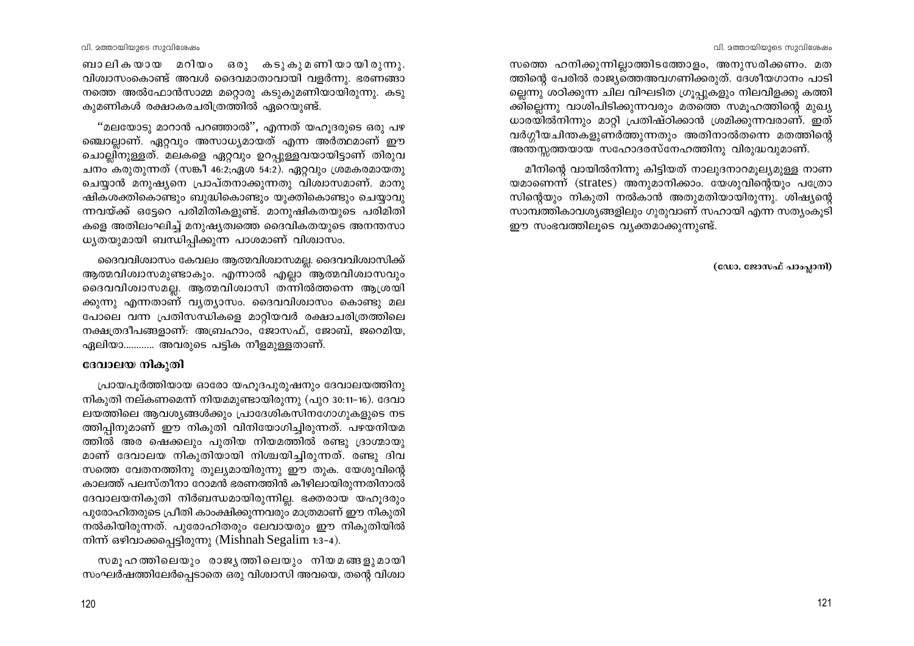സത്തെ ഹനിക്കുന്നില്ലാത്തിടത്തോളം, അനുസരിക്കണം. മത ത്തിന്റെ പേരിൽ രാജ്യത്തെഅവഗണിക്കരുത്. ദേശീയഗാനം പാടി ്ലെന്നു ശഠിക്കുന്ന ചില വിഘടിത ഗ്രൂപ്പുകളും നിലവിളക്കു കത്തി ക്കില്ലെന്നു വാശിപിടിക്കുന്നവരും മതത്തെ സമൂഹത്തിന്റെ മുഖ്യ ധാരയിൽനിന്നും മാറ്റി പ്രതിഷ്ഠിക്കാൻ ശ്രമിക്കുന്നവരാണ്. ഇത് വർഗ്ഗീയചിന്തകളുണർത്തുന്നതും അതിനാൽതന്നെ മതത്തിന്റെ അന്തസ്സത്തയായ സഹോദരസ്നേഹത്തിനു വിരുദ്ധവുമാണ്.

മീനിന്റെ വായിൽനിന്നു കിട്ടിയത് നാലുദനാറമൂല്യമുള്ള നാണ യമാണെന്ന് (strates) അനുമാനിക്കാം. യേശുവിന്റെയും പത്രോ സിന്റെയും നികുതി നൽകാൻ അതുമതിയായിരുന്നു. ശിഷ്യന്റെ സാമ്പത്തികാവശ്യങ്ങളിലും ഗുരുവാണ് സഹായി എന്ന സത്യംകുടി ഈ സംഭവത്തിലൂടെ വ്യക്തമാക്കുന്നുണ്ട്.

(ഡോ. ജോസഫ് പാംപ്ലാനി)

വി. മത്തായിയുടെ സുവിശേഷം

ബാലികയായ മറിയം ഒരു കടുകുമണിയായിരുന്നു. വിശ്വാസംകൊണ്ട് അവൾ ദൈവമാതാവായി വളർന്നു. ഭരണങ്ങാ നത്തെ അൽഫോൻസാമ്മ മറ്റൊരു കടുകുമണിയായിരുന്നു. കടു കുമണികൾ രക്ഷാകരചരിത്രത്തിൽ ഏറെയുണ്ട്.

"മലയോടു മാറാൻ പറഞ്ഞാൽ", എന്നത് യഹുദരുടെ ഒരു പഴ ഞ്ചൊല്ലാണ്. ഏറ്റവും അസാധ്യമായത് എന്ന അർത്ഥമാണ് ഈ ചൊല്ലിനുള്ളത്. മലകളെ ഏറ്റവും ഉറപ്പുള്ളവയായിട്ടാണ് തിരുവ ചനം കരുതുന്നത് (സങ്കീ 46:2;ഏശ 54:2). ഏറ്റവും ശ്രമകരമായതു ചെയ്യാൻ മനുഷ്യനെ പ്രാപ്തനാക്കുന്നതു വിശ്വാസമാണ്. മാനു ഷികശക്തികൊണ്ടും ബുദ്ധികൊണ്ടും യുക്തികൊണ്ടും ചെയ്യാവു ന്നവയ്ക്ക് ഒട്ടേറെ പരിമിതികളുണ്ട്. മാനുഷികതയുടെ പരിമിതി കളെ അതിലംഘിച്ച് മനുഷ്യത്വത്തെ ദൈവികതയുടെ അനന്തസാ ധ്യതയുമായി ബന്ധിപ്പിക്കുന്ന പാശമാണ് വിശ്വാസം.

ദൈവവിശ്വാസം കേവലം ആത്മവിശ്വാസമല്ല. ദൈവവിശ്വാസിക്ക് ആത്മവിശ്വാസമുണ്ടാകും. എന്നാൽ എല്ലാ ആത്മവിശ്വാസവും ദൈവവിശ്വാസമല്ല. ആത്മവിശ്വാസി തന്നിൽത്തന്നെ ആശ്രയി ക്കുന്നു എന്നതാണ് വൃത്യാസം. ദൈവവിശ്വാസം കൊണ്ടു മല പോലെ വന്ന പ്രതിസന്ധികളെ മാറ്റിയവർ രക്ഷാചരിത്രത്തിലെ നക്ഷത്രദീപങ്ങളാണ്: അബ്രഹാം, ജോസഫ്, ജോബ്, ജറെമിയ, ഏലിയാ............ അവരുടെ പട്ടിക നീളമുള്ളതാണ്.

#### ദേവാലയ നികുതി

പ്രായപൂർത്തിയായ ഓരോ യഹൂദപുരുഷനും ദേവാലയത്തിനു നികുതി നല്കണമെന്ന് നിയമമുണ്ടായിരുന്നു (പുറ 30:11-16). ദേവാ ലയത്തിലെ ആവശ്യങ്ങൾക്കും പ്രാദേശികസിനഗോഗുകളുടെ നട ത്തിപ്പിനുമാണ് ഈ നികുതി വിനിയോഗിച്ചിരുന്നത്. പഴയനിയമ ത്തിൽ അര ഷെക്കലും പുതിയ നിയമത്തിൽ രണ്ടു ദ്രാഗ്മായു മാണ് ദേവാലയ നികുതിയായി നിശ്ചയിച്ചിരുന്നത്. രണ്ടു ദിവ സത്തെ വേതനത്തിനു തുല്യമായിരുന്നു ഈ തുക. യേശുവിന്റെ കാലത്ത് പലസ്തീനാ റോമൻ ഭരണത്തിൻ കീഴിലായിരുന്നതിനാൽ ദേവാലയനികുതി നിർബന്ധമായിരുന്നില്ല. ഭക്തരായ യഹൂദരും പുരോഹിതരുടെ പ്രീതി കാംക്ഷിക്കുന്നവരും മാത്രമാണ് ഈ നികുതി നൽകിയിരുന്നത്. പുരോഹിതരും ലേവായരും ഈ നികുതിയിൽ നിന്ന് ഒഴിവാക്കപ്പെട്ടിരുന്നു (Mishnah Segalim 1:3-4).

സമൂഹത്തിലെയും രാജ്യത്തിലെയും നിയമങ്ങളുമായി സംഘർഷത്തിലേർപ്പെടാതെ ഒരു വിശ്വാസി അവയെ, തന്റെ വിശ്വാ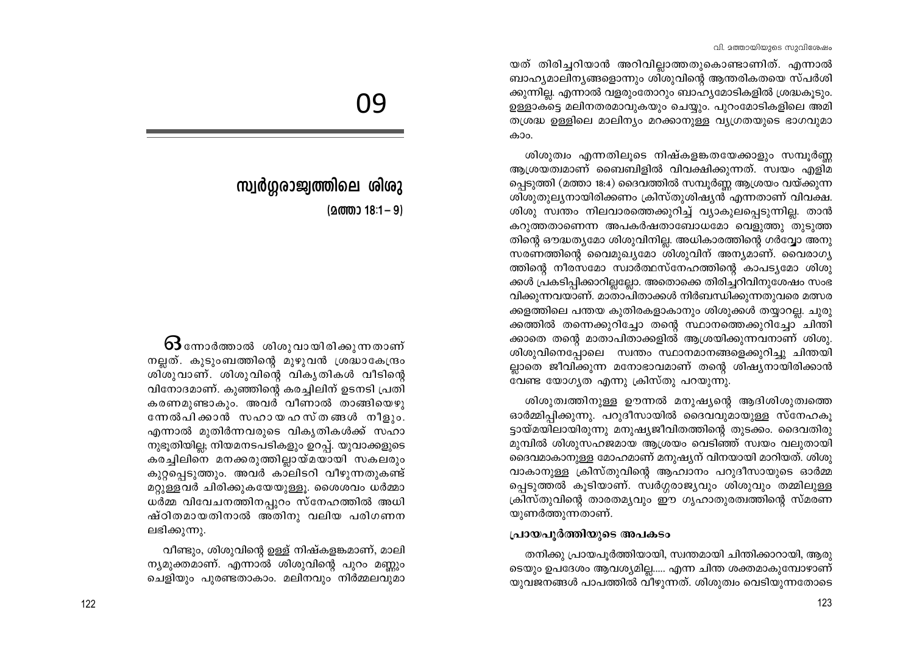യത് തിരിച്ചറിയാൻ അറിവില്ലാത്തതുകൊണ്ടാണിത്. എന്നാൽ ്ബാഹ്യമാലിന്യങ്ങളൊന്നും ശിശുവിന്റെ ആന്തരികതയെ സ്പർശി ക്കുന്നില്ല. എന്നാൽ വളരുംതോറും ബാഹൃമോടികളിൽ ശ്രദ്ധകൂടും. ഉള്ളാകട്ടെ മലിനതരമാവുകയും ചെയ്യും. പുറംമോടികളിലെ അമി തശ്രദ്ധ ഉള്ളിലെ മാലിന്യം മറക്കാനുള്ള വ്യഗ്രതയുടെ ഭാഗവുമാ കാം.

ശിശുത്വം എന്നതിലുടെ നിഷ്കളങ്കതയേക്കാളും സമ്പൂർണ്ണ ആശ്രയത്വമാണ് ബൈബിളിൽ വിവക്ഷിക്കുന്നത്. സ്വയം എളിമ പ്പെടുത്തി (മത്താ 18:4) ദൈവത്തിൽ സമ്പൂർണ്ണ ആശ്രയം വയ്ക്കുന്ന ശിശുതുല്യനായിരിക്കണം ക്രിസ്തുശിഷ്യൻ എന്നതാണ് വിവക്ഷ. ശിശു സ്വന്തം നിലവാരത്തെക്കുറിച്ച് വ്യാകുലപ്പെടുന്നില്ല. താൻ കറുത്തതാണെന്ന അപകർഷതാബോധമോ വെളുത്തു തുടുത്ത തിന്റെ ഔദ്ധത്യമോ ശിശുവിനില്ല. അധികാരത്തിന്റെ ഗർവ്വോ അനു സരണത്തിന്റെ വൈമുഖ്യമോ ശിശുവിന് അന്യമാണ്. വൈരാഗ്യ ത്തിന്റെ നീരസമോ സ്വാർത്ഥസ്നേഹത്തിന്റെ കാപട്യമോ ശിശു ക്കൾ പ്രകടിപ്പിക്കാറില്ലല്ലോ. അതൊക്കെ തിരിച്ചറിവിനുശേഷം സംഭ വിക്കുന്നവയാണ്. മാതാപിതാക്കൾ നിർബന്ധിക്കുന്നതുവരെ മത്സര ക്കളത്തിലെ പന്തയ കുതിരകളാകാനും ശിശുക്കൾ തയ്യാറല്ല. ചുരു ക്കത്തിൽ തന്നെക്കുറിച്ചോ തന്റെ സ്ഥാനത്തെക്കുറിച്ചോ ചിന്തി ക്കാതെ തന്റെ മാതാപിതാക്കളിൽ ആശ്രയിക്കുന്നവനാണ് ശിശു. ശിശുവിനെപ്പോലെ സ്വന്തം സ്ഥാനമാനങ്ങളെക്കുറിച്ചു ചിന്തയി ല്ലാതെ ജീവിക്കുന്ന മനോഭാവമാണ് തന്റെ ശിഷ്യനായിരിക്കാൻ calme യോഗൃത എന്നു ക്രിസ്തു പറയുന്നു.

ശിശുത്വത്തിനുള്ള ഊന്നൽ മനുഷ്യന്റെ ആദിശിശുത്വത്തെ ഓർമ്മിപ്പിക്കുന്നു. പറുദീസായിൽ ദൈവവുമായുള്ള സ്നേഹകൂ ട്ടായ്മയിലായിരുന്നു മനുഷ്യജീവിതത്തിന്റെ തുടക്കം. ദൈവതിരു മുമ്പിൽ ശിശുസഹജമായ ആശ്രയം വെടിഞ്ഞ് സ്വയം വലുതായി ദൈവമാകാനുള്ള മോഹമാണ് മനുഷ്യന് വിനയായി മാറിയത്. ശിശു വാകാനുള്ള ക്രിസ്തുവിന്റെ ആഹ്വാനം പറുദീസായുടെ ഓർമ്മ പ്പെടുത്തൽ കൂടിയാണ്. സ്വർഗ്ഗരാജ്യവും ശിശുവും തമ്മിലുള്ള ക്രിസ്തുവിന്റെ താരതമ്യവും ഈ ഗൃഹാതുരത്വത്തിന്റെ സ്മരണ യുണർത്തുന്നതാണ്.

#### പ്രായപൂർത്തിയുടെ അപകടം

തനിക്കു പ്രായപൂർത്തിയായി, സ്വന്തമായി ചിന്തിക്കാറായി, ആരു ടെയും ഉപദേശം ആവശ്യമില്ല..... എന്ന ചിന്ത ശക്തമാകുമ്പോഴാണ് യുവജനങ്ങൾ പാപത്തിൽ വീഴുന്നത്. ശിശുത്വം വെടിയുന്നതോടെ

# 09

# സ്വർഗ്ഗരാജ്വത്തിലെ ശിശു (മത്താ 18:1 – 9)

 $\mathbf{\delta}$ േന്നാർത്താൽ ശിശുവായിരിക്കുന്നതാണ് നല്ലത്. കുടുംബത്തിന്റെ മുഴുവൻ ശ്രദ്ധാകേന്ദ്രം ശിശുവാണ്. ശിശുവിന്റെ വികൃതികൾ വീടിന്റെ വിനോദമാണ്. കുഞ്ഞിന്റെ കരച്ചിലിന് ഉടനടി പ്രതി കരണമുണ്ടാകും. അവർ വീണാൽ താങ്ങിയെഴു ന്നേൽപിക്കാൻ സഹായഹസ്തങ്ങൾ നീളും. എന്നാൽ മുതിർന്നവരുടെ വികൃതികൾക്ക് സഹാ നുഭൂതിയില്ല; നിയമനടപടികളും ഉറപ്പ്. യുവാക്കളുടെ കരച്ചിലിനെ മനക്കരുത്തില്ലായ്മയായി സകലരും കുറ്റപ്പെടുത്തും. അവർ കാലിടറി വീഴുന്നതുകണ്ട് മറ്റുള്ളവർ ചിരിക്കുകയേയുള്ളൂ. ശൈശവം ധർമ്മാ ധർമ്മ വിവേചനത്തിനപ്പുറം സ്നേഹത്തിൽ അധി ഷ്ഠിതമായതിനാൽ അതിനു വലിയ പരിഗണന ലഭിക്കുന്നു.

വീണ്ടും, ശിശുവിന്റെ ഉള്ള് നിഷ്കളങ്കമാണ്, മാലി ന്യമുക്തമാണ്. എന്നാൽ ശിശുവിന്റെ പുറം മണ്ണും ചെളിയും പുരണ്ടതാകാം. മലിനവും നിർമ്മലവുമാ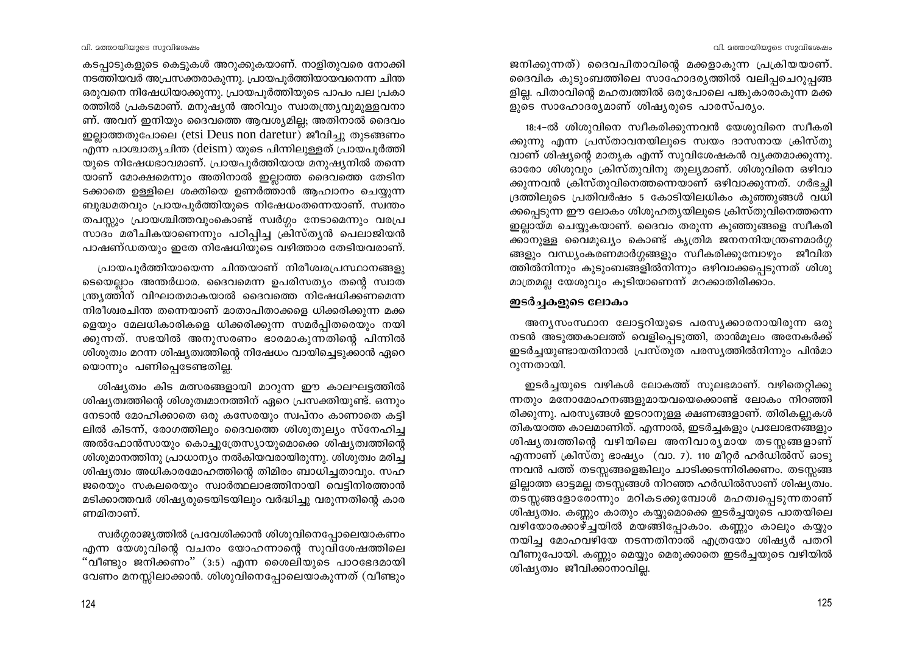വി. മത്തായിയുടെ സുവിശേഷം

കടപ്പാടുകളുടെ കെട്ടുകൾ അറുക്കുകയാണ്. നാളിതുവരെ നോക്കി നടത്തിയവർ അപ്രസക്തരാകുന്നു. പ്രായപൂർത്തിയായവനെന്ന ചിന്ത ഒരുവനെ നിഷേധിയാക്കുന്നു. പ്രായപൂർത്തിയുടെ പാപം പല പ്രകാ രത്തിൽ പ്രകടമാണ്. മനുഷ്യൻ അറിവും സ്വാതന്ത്ര്യവുമുള്ളവനാ ണ്. അവന് ഇനിയും ദൈവത്തെ ആവശ്യമില്ല; അതിനാൽ ദൈവം ഇല്ലാത്തതുപോലെ (etsi Deus non daretur) ജീവിച്ചു തുടങ്ങണം എന്ന പാശ്ചാതൃചിന്ത (deism) യുടെ പിന്നിലുള്ളത് പ്രായപൂർത്തി യുടെ നിഷേധഭാവമാണ്. പ്രായപൂർത്തിയായ മനുഷ്യനിൽ തന്നെ യാണ് മോക്ഷമെന്നും അതിനാൽ ഇല്ലാത്ത ദൈവത്തെ തേടിന ടക്കാതെ ഉള്ളിലെ ശക്തിയെ ഉണർത്താൻ ആഹ്വാനം ചെയ്യുന്ന ബുദ്ധമതവും പ്രായപൂർത്തിയുടെ നിഷേധംതന്നെയാണ്. സ്വന്തം തപസ്സും പ്രായശ്ചിത്തവുംകൊണ്ട് സ്വർഗ്ഗം നേടാമെന്നും വരപ്ര സാദം മരീചികയാണെന്നും പഠിപ്പിച്ച ക്രിസ്തൃൻ പെലാജിയൻ പാഷണ്ഡതയും ഇതേ നിഷേധിയുടെ വഴിത്താര തേടിയവരാണ്.

പ്രായപൂർത്തിയായെന്ന ചിന്തയാണ് നിരീശ്വരപ്രസ്ഥാനങ്ങളു ടെയെല്ലാം അന്തർധാര. ദൈവമെന്ന ഉപരിസത്യം തന്റെ സ്വാത ന്ത്ര്യത്തിന് വിഘാതമാകയാൽ ദൈവത്തെ നിഷേധിക്കണമെന്ന നിരീശ്വരചിന്ത തന്നെയാണ് മാതാപിതാക്കളെ ധിക്കരിക്കുന്ന മക്ക ളെയും മേലധികാരികളെ ധിക്കരിക്കുന്ന സമർപ്പിതരെയും നയി ക്കുന്നത്. സഭയിൽ അനുസരണം ഭാരമാകുന്നതിന്റെ പിന്നിൽ ശിശുത്വം മറന്ന ശിഷ്യത്വത്തിന്റെ നിഷേധം വായിച്ചെടുക്കാൻ ഏറെ യൊന്നും പണിപ്പെടേണ്ടതില്ല.

ശിഷ്യത്വം കിട മത്സരങ്ങളായി മാറുന്ന ഈ കാലഘട്ടത്തിൽ ശിഷ്യത്വത്തിന്റെ ശിശുത്വമാനത്തിന് ഏറെ പ്രസക്തിയുണ്ട്. ഒന്നും നേടാൻ മോഹിക്കാതെ ഒരു കസേരയും സ്വപ്നം കാണാതെ കട്ടി ലിൽ കിടന്ന്, രോഗത്തിലും ദൈവത്തെ ശിശുതുല്യം സ്നേഹിച്ച അൽഫോൻസായും കൊച്ചുത്രേസ്യായുമൊക്കെ ശിഷ്യത്വത്തിന്റെ ശിശുമാനത്തിനു പ്രാധാന്യം നൽകിയവരായിരുന്നു. ശിശുത്വം മരിച്ച ശിഷ്യത്വം അധികാരമോഹത്തിന്റെ തിമിരം ബാധിച്ചതാവും. സഹ ജരെയും സകലരെയും സ്വാർത്ഥലാഭത്തിനായി വെട്ടിനിരത്താൻ മടിക്കാത്തവർ ശിഷ്യരുടെയിടയിലും വർദ്ധിച്ചു വരുന്നതിന്റെ കാര ണമിതാണ്.

സ്വർഗ്ഗരാജ്യത്തിൽ പ്രവേശിക്കാൻ ശിശുവിനെപ്പോലെയാകണം എന്ന യേശുവിന്റെ വചനം യോഹന്നാന്റെ സുവിശേഷത്തിലെ "വീണ്ടും ജനിക്കണം" (3:5) എന്ന ശൈലിയുടെ പാഠഭേദമായി വേണം മനസ്സിലാക്കാൻ. ശിശുവിനെപ്പോലെയാകുന്നത് (വീണ്ടും

ജനിക്കുന്നത്) ദൈവപിതാവിന്റെ മക്കളാകുന്ന പ്രക്രിയയാണ്. ദൈവിക കൂടുംബത്തിലെ സാഹോദര്യത്തിൽ വലിപ്പചെറുപ്പങ്ങ ളില്ല. പിതാവിന്റെ മഹത്വത്തിൽ ഒരുപോലെ പങ്കുകാരാകുന്ന മക്ക ളുടെ സാഹോദര്യമാണ് ശിഷ്യരുടെ പാരസ്പര്യം.

18:4-ൽ ശിശുവിനെ സ്വീകരിക്കുന്നവൻ യേശുവിനെ സ്വീകരി ക്കുന്നു എന്ന പ്രസ്താവനയിലൂടെ സ്വയം ദാസനായ ക്രിസ്തു വാണ് ശിഷ്യന്റെ മാതൃക എന്ന് സുവിശേഷകൻ വ്യക്തമാക്കുന്നു. ഓരോ ശിശുവും ക്രിസ്തുവിനു തുല്യമാണ്. ശിശുവിനെ ഒഴിവാ ക്കുന്നവൻ ക്രിസ്തുവിനെത്തന്നെയാണ് ഒഴിവാക്കുന്നത്. ഗർഭച്ചി ദ്രത്തിലൂടെ പ്രതിവർഷം 5 കോടിയിലധികം കുഞ്ഞുങ്ങൾ വധി ക്കപ്പെടുന്ന ഈ ലോകം ശിശുഹത്യയിലൂടെ ക്രിസ്തുവിനെത്തന്നെ ഇല്ലായ്മ ചെയ്യുകയാണ്. ദൈവം തരുന്ന കുഞ്ഞുങ്ങളെ സ്വീകരി ക്കാനുള്ള വൈമുഖ്യം കൊണ്ട് കൃത്രിമ ജനനനിയന്ത്രണമാർഗ്ഗ ങ്ങളും വന്ധ്യംകരണമാർഗ്ഗങ്ങളും സ്വീകരിക്കുമ്പോഴും ജീവിത ത്തിൽനിന്നും കുടുംബങ്ങളിൽനിന്നും ഒഴിവാക്കപ്പെടുന്നത് ശിശു മാത്രമല്ല യേശുവും കൂടിയാണെന്ന് മറക്കാതിരിക്കാം.

## ഇടർച്ചകളുടെ ലോകം

അന്യസംസ്ഥാന ലോട്ടറിയുടെ പരസ്യക്കാരനായിരുന്ന ഒരു നടൻ അടുത്തകാലത്ത് വെളിപ്പെടുത്തി, താൻമൂലം അനേകർക്ക് ഇടർച്ചയുണ്ടായതിനാൽ പ്രസ്തുത പരസ്യത്തിൽനിന്നും പിൻമാ റുന്നതായി.

ഇടർച്ചയുടെ വഴികൾ ലോകത്ത് സുലഭമാണ്. വഴിതെറ്റിക്കു ന്നതും മനോമോഹനങ്ങളുമായവയെക്കൊണ്ട് ലോകം നിറഞ്ഞി രിക്കുന്നു. പരസ്യങ്ങൾ ഇടറാനുള്ള ക്ഷണങ്ങളാണ്. തിരികല്ലുകൾ തികയാത്ത കാലമാണിത്. എന്നാൽ, ഇടർച്ചകളും പ്രലോഭനങ്ങളും ശിഷ്യത്വത്തിന്റെ വഴിയിലെ അനിവാര്യമായ തടസ്സങ്ങളാണ് എന്നാണ് ക്രിസ്തു ഭാഷ്യം (വാ. 7). 110 മീറ്റർ ഹർഡിൽസ് ഓടു ന്നവൻ പത്ത് തടസ്സങ്ങളെങ്കിലും ചാടിക്കടന്നിരിക്കണം. തടസ്സങ്ങ ളില്ലാത്ത ഓട്ടമല്ല തടസ്സങ്ങൾ നിറഞ്ഞ ഹർഡിൽസാണ് ശിഷ്യത്വം. തടസ്സങ്ങളോരോന്നും മറികടക്കുമ്പോൾ മഹത്വപ്പെടുന്നതാണ് ശിഷ്യത്വം. കണ്ണും കാതും കയ്യുമൊക്കെ ഇടർച്ചയുടെ പാതയിലെ വഴിയോരക്കാഴ്ച്ചയിൽ മയങ്ങിപ്പോകാം. കണ്ണും കാലും കയ്യും നയിച്ച മോഹവഴിയേ നടന്നതിനാൽ എത്രയോ ശിഷ്യർ പതറി വീണുപോയി. കണ്ണും മെയ്യും മെരുക്കാതെ ഇടർച്ചയുടെ വഴിയിൽ ശിഷ്യത്വം ജീവിക്കാനാവില്ല.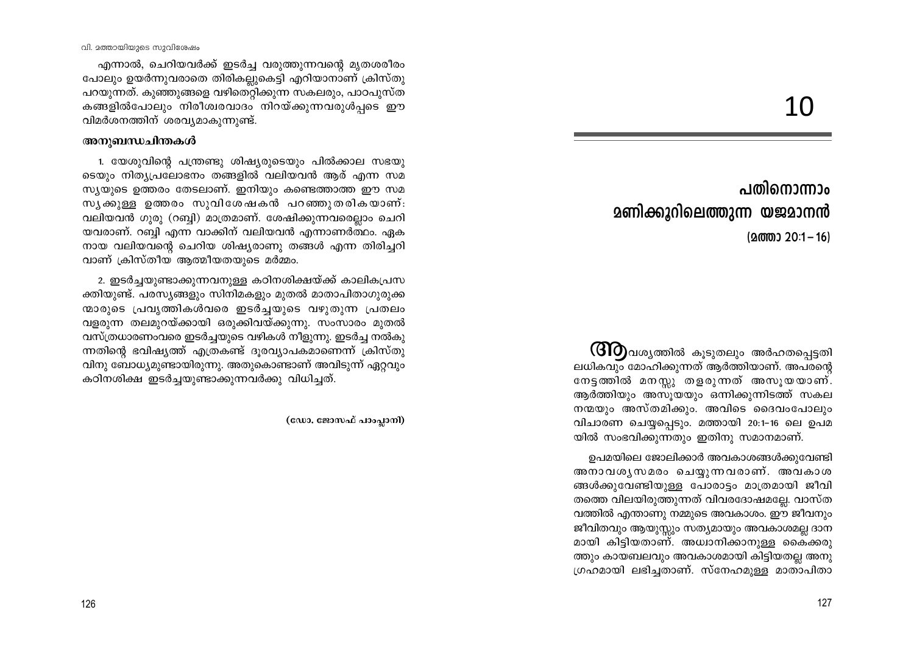എന്നാൽ, ചെറിയവർക്ക് ഇടർച്ച വരുത്തുന്നവന്റെ മൃതശരീരം പോലും ഉയർന്നുവരാതെ തിരികല്ലുകെട്ടി എറിയാനാണ് ക്രിസ്തു പറയുന്നത്. കുഞ്ഞുങ്ങളെ വഴിതെറ്റിക്കുന്ന സകലരും, പാഠപുസ്ത കങ്ങളിൽപോലും നിരീശ്വരവാദം നിറയ്ക്കുന്നവരുൾപടെ ഈ വിമർശനത്തിന് ശരവ്യമാകുന്നുണ്ട്.

#### അനുബന്ധചിന്തകൾ

1. യേശുവിന്റെ പന്ത്രണ്ടു ശിഷ്യരുടെയും പിൽക്കാല സഭയു ടെയും നിത്യപ്രലോഭനം തങ്ങളിൽ വലിയവൻ ആര് എന്ന സമ സ്യയുടെ ഉത്തരം തേടലാണ്. ഇനിയും കണ്ടെത്താത്ത ഈ സമ സൃക്കുള്ള ഉത്തരം സുവിശേഷകൻ പറഞ്ഞുതരികയാണ്: വലിയവൻ ഗുരു (റബ്ബി) മാത്രമാണ്. ശേഷിക്കുന്നവരെല്ലാം ചെറി യവരാണ്. റബ്ബി എന്ന വാക്കിന് വലിയവൻ എന്നാണർത്ഥം. ഏക നായ വലിയവന്റെ ചെറിയ ശിഷ്യരാണു തങ്ങൾ എന്ന തിരിച്ചറി വാണ് ക്രിസ്തീയ ആത്മീയതയുടെ മർമ്മം.

2. ഇടർച്ചയുണ്ടാക്കുന്നവനുള്ള കഠിനശിക്ഷയ്ക്ക് കാലികപ്രസ ക്തിയുണ്ട്. പരസ്യങ്ങളും സിനിമകളും മുതൽ മാതാപിതാഗുരുക്ക ന്മാരുടെ പ്രവൃത്തികൾവരെ ഇടർച്ചയുടെ വഴുതുന്ന പ്രതലം വളരുന്ന തലമുറയ്ക്കായി ഒരുക്കിവയ്ക്കുന്നു. സംസാരം മുതൽ വസ്ത്രധാരണംവരെ ഇടർച്ചയുടെ വഴികൾ നീളുന്നു. ഇടർച്ച നൽകു ന്നതിന്റെ ഭവിഷ്യത്ത് എത്രകണ്ട് ദൂരവ്യാപകമാണെന്ന് ക്രിസ്തു വിനു ബോധ്യമുണ്ടായിരുന്നു. അതുകൊണ്ടാണ് അവിടുന്ന് ഏറ്റവും കഠിനശിക്ഷ ഇടർച്ചയുണ്ടാക്കുന്നവർക്കു വിധിച്ചത്.

(ഡോ. ജോസഫ് പാംപ്ലാനി)

# 10

പതിനൊന്നാം **മണിക്കൂറിലെത്തുന്ന യജമാനൻ** 

 $(2000)$  20:1 - 16)

(GIO)വശ്യത്തിൽ കൂടുതലും അർഹതപ്പെട്ടതി ലധികവും മോഹിക്കുന്നത് ആർത്തിയാണ്. അപരന്റെ നേട്ടത്തിൽ മനസ്സു തളരുന്നത് അസൂയയാണ്. ആർത്തിയും അസൂയയും ഒന്നിക്കുന്നിടത്ത് സകല നന്മയും അസ്തമിക്കും. അവിടെ ദൈവംപോലും വിചാരണ ചെയ്യപ്പെടും. മത്തായി 20:1-16 ലെ ഉപമ യിൽ സംഭവിക്കുന്നതും ഇതിനു സമാനമാണ്.

ഉപമയിലെ ജോലിക്കാർ അവകാശങ്ങൾക്കുവേണ്ടി അനാവശൃസമരം ചെയ്യുന്നവരാണ്. അവകാശ ങ്ങൾക്കുവേണ്ടിയുള്ള പോരാട്ടം മാത്രമായി ജീവി തത്തെ വിലയിരുത്തുന്നത് വിവരദോഷമല്ലേ. വാസ്ത വത്തിൽ എന്താണു നമ്മുടെ അവകാശം. ഈ ജീവനും ജീവിതവും ആയുസ്സും സത്യമായും അവകാശമല്ല ദാന മായി കിട്ടിയതാണ്. അധ്വാനിക്കാനുള്ള കൈക്കരു ത്തും കായബലവും അവകാശമായി കിട്ടിയതല്ല അനു ഗ്രഹമായി ലഭിച്ചതാണ്. സ്നേഹമുള്ള മാതാപിതാ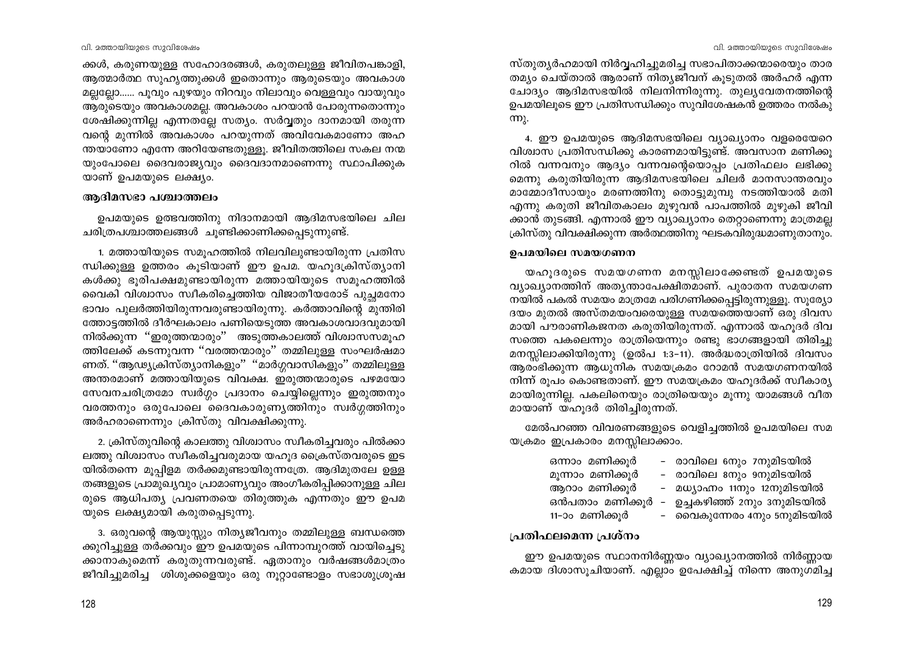ക്കൾ, കരുണയുള്ള സഹോദരങ്ങൾ, കരുതലുള്ള ജീവിതപങ്കാളി, ആത്മാർത്ഥ സുഹൃത്തുക്കൾ ഇതൊന്നും ആരുടെയും അവകാശ മല്ലല്ലോ...... പുവും പുഴയും നിറവും നിലാവും വെള്ളവും വായുവും ആരുടെയും അവകാശമല്ല. അവകാശം പറയാൻ പോരുന്നതൊന്നും ശേഷിക്കുന്നില്ല എന്നതല്ലേ സത്യം. സർവ്വതും ദാനമായി തരുന്ന വന്റെ മുന്നിൽ അവകാശം പറയുന്നത് അവിവേകമാണോ അഹ ന്തയാണോ എന്നേ അറിയേണ്ടതുള്ളൂ. ജീവിതത്തിലെ സകല നന്മ യുംപോലെ ദൈവരാജ്യവും ദൈവദാനമാണെന്നു സ്ഥാപിക്കുക യാണ് ഉപമയുടെ ലക്ഷ്യം.

#### ആദിമസഭാ പശ്ചാത്തലം

ഉപമയുടെ ഉത്ഭവത്തിനു നിദാനമായി ആദിമസഭയിലെ ചില ചരിത്രപശ്ചാത്തലങ്ങൾ ചൂണ്ടിക്കാണിക്കപ്പെടുന്നുണ്ട്.

1. മത്തായിയുടെ സമുഹത്തിൽ നിലവിലുണ്ടായിരുന്ന പ്രതിസ ന്ധിക്കുള്ള ഉത്തരം കൂടിയാണ് ഈ ഉപമ. യഹൂദക്രിസ്ത്യാനി കൾക്കു ഭൂരിപക്ഷമുണ്ടായിരുന്ന മത്തായിയുടെ സമൂഹത്തിൽ വൈകി വിശ്വാസം സ്വീകരിച്ചെത്തിയ വിജാതീയരോട് പുച്ഛമനോ ഭാവം പുലർത്തിയിരുന്നവരുണ്ടായിരുന്നു. കർത്താവിന്റെ മുന്തിരി ത്തോട്ടത്തിൽ ദീർഘകാലം പണിയെടുത്ത അവകാശവാദവുമായി നിൽക്കുന്ന ''ഇരുത്തന്മാരും'' അടുത്തകാലത്ത് വിശ്വാസസമൂഹ ത്തിലേക്ക് കടന്നുവന്ന ''വരത്തന്മാരും'' തമ്മിലുള്ള സംഘർഷമാ ണത്. ''ആഢ്യക്രിസ്ത്യാനികളും'' ''മാർഗ്ഗവാസികളും'' തമ്മിലുള്ള അന്തരമാണ് മത്തായിയുടെ വിവക്ഷ. ഇരുത്തന്മാരുടെ പഴമയോ സേവനചരിത്രമോ സ്വർഗ്ഗം പ്രദാനം ചെയ്യില്ലെന്നും ഇരുത്തനും വരത്തനും ഒരുപോലെ ദൈവകാരുണ്യത്തിനും സ്വർഗ്ഗത്തിനും അർഹരാണെന്നും ക്രിസ്തു വിവക്ഷിക്കുന്നു.

2. ക്രിസ്തുവിന്റെ കാലത്തു വിശ്വാസം സ്വീകരിച്ചവരും പിൽക്കാ ലത്തു വിശ്വാസം സ്വീകരിച്ചവരുമായ യഹൂദ ക്രൈസ്തവരുടെ ഇട യിൽതന്നെ മൂപ്പിളമ തർക്കമുണ്ടായിരുന്നത്രേ. ആദിമുതലേ ഉള്ള തങ്ങളുടെ പ്രാമുഖ്യവും പ്രാമാണ്യവും അംഗീകരിപ്പിക്കാനുള്ള ചില രുടെ ആധിപത്യ പ്രവണതയെ തിരുത്തുക എന്നതും ഈ ഉപമ യുടെ ലക്ഷ്യമായി കരുതപ്പെടുന്നു.

3. ഒരുവന്റെ ആയുസ്സും നിത്യജീവനും തമ്മിലുള്ള ബന്ധത്തെ ക്കുറിച്ചുള്ള തർക്കവും ഈ ഉപമയുടെ പിന്നാമ്പുറത്ത് വായിച്ചെടു ക്കാനാകുമെന്ന് കരുതുന്നവരുണ്ട്. ഏതാനും വർഷങ്ങൾമാത്രം ജീവിച്ചുമരിച്ച ശിശുക്കളെയും ഒരു നൂറ്റാണ്ടോളം സഭാശുശ്രൂഷ സ്തുതൃർഹമായി നിർവ്വഹിച്ചുമരിച്ച സഭാപിതാക്കന്മാരെയും താര തമ്യം ചെയ്താൽ ആരാണ് നിതൃജീവന് കൂടുതൽ അർഹർ എന്ന ചോദ്യം ആദിമസഭയിൽ നിലനിന്നിരുന്നു. തുല്യവേതനത്തിന്റെ ഉപമയിലുടെ ഈ പ്രതിസന്ധിക്കും സുവിശേഷകൻ ഉത്തരം നൽകു  $m<sub>λ</sub>$ .

4. ഈ ഉപമയുടെ ആദിമസഭയിലെ വ്യാഖ്യാനം വളരെയേറെ വിശ്വാസ പ്രതിസന്ധിക്കു കാരണമായിട്ടുണ്ട്. അവസാന മണിക്കൂ റിൽ വന്നവനും ആദ്യം വന്നവന്റെയൊപ്പം പ്രതിഫലം ലഭിക്കു മെന്നു കരുതിയിരുന്ന ആദിമസഭയിലെ ചിലർ മാനസാന്തരവും മാമ്മോദീസായും മരണത്തിനു തൊട്ടുമുമ്പു നടത്തിയാൽ മതി എന്നു കരുതി ജീവിതകാലം മുഴുവൻ പാപത്തിൽ മുഴുകി ജീവി ക്കാൻ തുടങ്ങി. എന്നാൽ ഈ വ്യാഖ്യാനം തെറ്റാണെന്നു മാത്രമല്ല ക്രിസ്തു വിവക്ഷിക്കുന്ന അർത്ഥത്തിനു ഘടകവിരുദ്ധമാണുതാനും.

### ഉപമയിലെ സമയഗണന

യഹൂദരുടെ സമയഗണന മനസ്സിലാക്കേണ്ടത് ഉപമയുടെ വ്യാഖ്യാനത്തിന് അതൃന്താപേക്ഷിതമാണ്. പുരാതന സമയഗണ നയിൽ പകൽ സമയം മാത്രമേ പരിഗണിക്കപ്പെട്ടിരുന്നുള്ളൂ. സൂര്യോ ദയം മുതൽ അസ്തമയംവരെയുള്ള സമയത്തെയാണ് ഒരു ദിവസ മായി പൗരാണികജനത കരുതിയിരുന്നത്. എന്നാൽ യഹൂദർ ദിവ സത്തെ പകലെന്നും രാത്രിയെന്നും രണ്ടു ഭാഗങ്ങളായി തിരിച്ചു മനസ്സിലാക്കിയിരുന്നു (ഉൽപ 1:3-11). അർദ്ധരാത്രിയിൽ ദിവസം ആരംഭിക്കുന്ന ആധുനിക സമയക്രമം റോമൻ സമയഗണനയിൽ നിന്ന് രൂപം കൊണ്ടതാണ്. ഈ സമയക്രമം യഹൂദർക്ക് സ്വീകാര്യ മായിരുന്നില്ല. പകലിനെയും രാത്രിയെയും മുന്നു യാമങ്ങൾ വീത മായാണ് യഹൂദർ തിരിച്ചിരുന്നത്.

മേൽപറഞ്ഞ വിവരണങ്ങളുടെ വെളിച്ചത്തിൽ ഉപമയിലെ സമ യക്രമം ഇപ്രകാരം മനസ്സിലാക്കാം.

> ഒന്നാം മണിക്കൂർ മൂന്നാം മണിക്കൂർ

ആറാം മണിക്കുർ

11-ാം മണിക്കുർ

- രാവിലെ 6നും 7നുമിടയിൽ
- രാവിലെ 8നും 9നുമിടയിൽ
	- മധ്യാഹ്നം 11നും 12നുമിടയിൽ
- ഒൻപതാം മണിക്കൂർ ഉച്ചകഴിഞ്ഞ് 2നും 3നുമിടയിൽ
	- വൈകുന്നേരം 4നും 5നുമിടയിൽ
- പ്രതിഫലമെന്ന പ്രശ്നം

ഈ ഉപമയുടെ സ്ഥാനനിർണ്ണയം വ്യാഖ്യാനത്തിൽ നിർണ്ണായ കമായ ദിശാസുചിയാണ്. എല്ലാം ഉപേക്ഷിച്ച് നിന്നെ അനുഗമിച്ച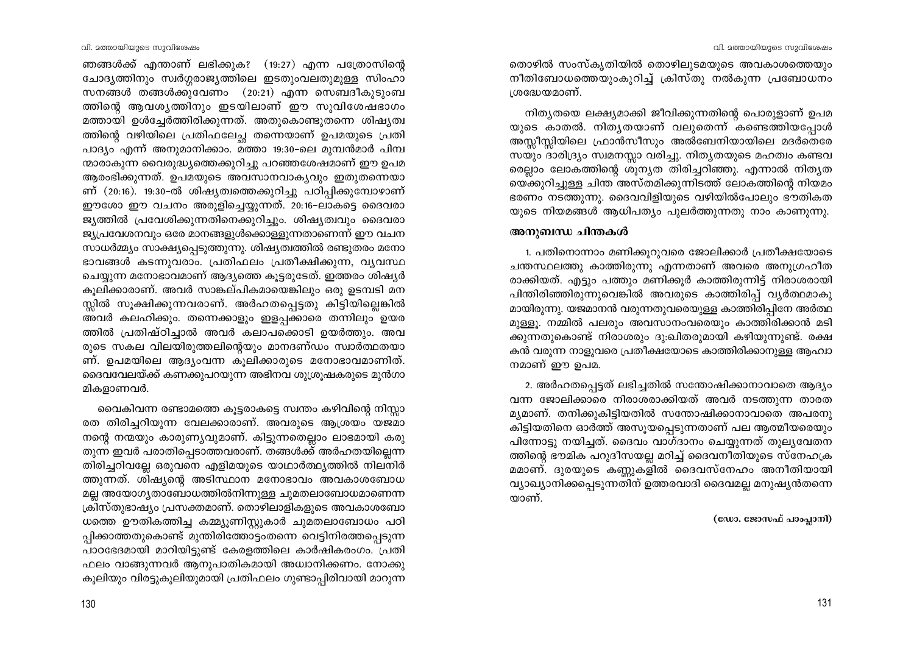ഞങ്ങൾക്ക് എന്താണ് ലഭിക്കുക? (19:27) എന്ന പത്രോസിന്റെ ചോദ്യത്തിനും സ്വർഗ്ഗരാജ്യത്തിലെ ഇടതുംവലതുമുള്ള സിംഹാ സനങ്ങൾ തങ്ങൾക്കുവേണം  $(20:21)$  എന്ന സെബദീകൂടുംബ ത്തിന്റെ ആവശ്യത്തിനും ഇടയിലാണ് ഈ സുവിശേഷഭാഗം മത്തായി ഉൾച്ചേർത്തിരിക്കുന്നത്. അതുകൊണ്ടുതന്നെ ശിഷ്യത്വ ത്തിന്റെ വഴിയിലെ പ്രതിഫലേച്ച തന്നെയാണ് ഉപമയുടെ പ്രതി പാദ്യം എന്ന് അനുമാനിക്കാം. മത്താ 19:30-ലെ മുമ്പൻമാർ പിമ്പ ന്മാരാകുന്ന വൈരുദ്ധ്യത്തെക്കുറിച്ചു പറഞ്ഞശേഷമാണ് ഈ ഉപമ ആരംഭിക്കുന്നത്. ഉപമയുടെ അവസാനവാകൃവും ഇതുതന്നെയാ ണ് (20:16). 19:30-ൽ ശിഷ്യത്വത്തെക്കുറിച്ചു പഠിപ്പിക്കുമ്പോഴാണ് ഈശോ ഈ വചനം അരുളിച്ചെയ്യുന്നത്. 20:16-ലാകട്ടെ ദൈവരാ ജ്യത്തിൽ പ്രവേശിക്കുന്നതിനെക്കുറിച്ചും. ശിഷ്യത്വവും ദൈവരാ ജ്യപ്രവേശനവും ഒരേ മാനങ്ങളുൾക്കൊള്ളുന്നതാണെന്ന് ഈ വചന സാധർമ്മ്യം സാക്ഷ്യപ്പെടുത്തുന്നു. ശിഷ്യത്വത്തിൽ രണ്ടുതരം മനോ ഭാവങ്ങൾ കടന്നുവരാം. പ്രതിഫലം പ്രതീക്ഷിക്കുന്ന, വ്യവസ്ഥ ചെയ്യുന്ന മനോഭാവമാണ് ആദ്യത്തെ കൂട്ടരുടേത്. ഇത്തരം ശിഷ്യർ കൂലിക്കാരാണ്. അവർ സാങ്കല്പികമായെങ്കിലും ഒരു ഉടമ്പടി മന സ്സിൽ സൂക്ഷിക്കുന്നവരാണ്. അർഹതപ്പെട്ടതു കിട്ടിയില്ലെങ്കിൽ അവർ കലഹിക്കും. തന്നെക്കാളും ഇളപ്പക്കാരെ തന്നിലും ഉയര ത്തിൽ പ്രതിഷ്ഠിച്ചാൽ അവർ കലാപക്കൊടി ഉയർത്തും. അവ രുടെ സകല വിലയിരുത്തലിന്റെയും മാനദണ്ഡം സ്വാർത്ഥതയാ ണ്. ഉപമയിലെ ആദ്യംവന്ന കുലിക്കാരുടെ മനോഭാവമാണിത്. ദൈവവേലയ്ക്ക് കണക്കുപറയുന്ന അഭിനവ ശുശ്രൂഷകരുടെ മുൻഗാ മികളാണവർ.

വൈകിവന്ന രണ്ടാമത്തെ കൂട്ടരാകട്ടെ സ്വന്തം കഴിവിന്റെ നിസ്സാ രത തിരിച്ചറിയുന്ന വേലക്കാരാണ്. അവരുടെ ആശ്രയം യജമാ നന്റെ നന്മയും കാരുണ്യവുമാണ്. കിട്ടുന്നതെല്ലാം ലാഭമായി കരു തുന്ന ഇവർ പരാതിപ്പെടാത്തവരാണ്. തങ്ങൾക്ക് അർഹതയില്ലെന്ന തിരിച്ചറിവല്ലേ ഒരുവനെ എളിമയുടെ യാഥാർത്ഥ്യത്തിൽ നിലനിർ ത്തുന്നത്. ശിഷ്യന്റെ അടിസ്ഥാന മനോഭാവം അവകാശബോധ മല്ല അയോഗ്യതാബോധത്തിൽനിന്നുള്ള ചുമതലാബോധമാണെന്ന ക്രിസ്തുഭാഷ്യം പ്രസക്തമാണ്. തൊഴിലാളികളുടെ അവകാശബോ ധത്തെ ഊതികത്തിച്ച കമ്മ്യൂണിസ്റ്റുകാർ ചുമതലാബോധം പഠി പ്പിക്കാത്തതുകൊണ്ട് മുന്തിരിത്തോട്ടംതന്നെ വെട്ടിനിരത്തപ്പെടുന്ന പാഠഭേദമായി മാറിയിട്ടുണ്ട് കേരളത്തിലെ കാർഷികരംഗം. പ്രതി ഫലം വാങ്ങുന്നവർ ആനുപാതികമായി അധ്വാനിക്കണം. നോക്കു കൂലിയും വിരട്ടുകൂലിയുമായി പ്രതിഫലം ഗുണ്ടാപ്പിരിവായി മാറുന്ന

തൊഴിൽ സംസ്കൃതിയിൽ തൊഴിലൂടമയുടെ അവകാശത്തെയും നീതിബോധത്തെയുംകുറിച്ച് ക്രിസ്തു നൽകുന്ന പ്രബോധനം ശ്രദ്ധേയമാണ്.

നിത്യതയെ ലക്ഷ്യമാക്കി ജീവിക്കുന്നതിന്റെ പൊരുളാണ് ഉപമ യുടെ കാതൽ. നിതൃതയാണ് വലുതെന്ന് കണ്ടെത്തിയപ്പോൾ അസ്സീസ്സിയിലെ ഫ്രാൻസീസും അൽബേനിയായിലെ മദർതെരേ സയും ദാരിദ്ര്യം സ്വമനസ്സാ വരിച്ചു. നിത്യതയുടെ മഹത്വം കണ്ടവ രെല്ലാം ലോകത്തിന്റെ ശൂന്യത തിരിച്ചറിഞ്ഞു. എന്നാൽ നിത്യത യെക്കുറിച്ചുള്ള ചിന്ത അസ്തമിക്കുന്നിടത്ത് ലോകത്തിന്റെ നിയമം ഭരണം നടത്തുന്നു. ദൈവവിളിയുടെ വഴിയിൽപോലും ഭൗതികത യുടെ നിയമങ്ങൾ ആധിപത്യം പുലർത്തുന്നതു നാം കാണുന്നു.

### അനുബന്ധ ചിന്തകൾ

1. പതിനൊന്നാം മണിക്കുറുവരെ ജോലിക്കാർ പ്രതീക്ഷയോടെ ചന്തസ്ഥലത്തു കാത്തിരുന്നു എന്നതാണ് അവരെ അനുഗ്രഹീത രാക്കിയത്. എട്ടും പത്തും മണിക്കൂർ കാത്തിരുന്നിട്ട് നിരാശരായി പിന്തിരിഞ്ഞിരുന്നുവെങ്കിൽ അവരുടെ കാത്തിരിപ്പ് വൃർത്ഥമാകു മായിരുന്നു. യജമാനൻ വരുന്നതുവരെയുള്ള കാത്തിരിപ്പിനേ അർത്ഥ മുള്ളു. നമ്മിൽ പലരും അവസാനംവരെയും കാത്തിരിക്കാൻ മടി ക്കുന്നതുകൊണ്ട് നിരാശരും ദു:ഖിതരുമായി കഴിയുന്നുണ്ട്. രക്ഷ കൻ വരുന്ന നാളുവരെ പ്രതീക്ഷയോടെ കാത്തിരിക്കാനുള്ള ആഹ്വാ നമാണ് ഈ ഉപമ.

2. അർഹതപ്പെട്ടത് ലഭിച്ചതിൽ സന്തോഷിക്കാനാവാതെ ആദ്യം വന്ന ജോലിക്കാരെ നിരാശരാക്കിയത് അവർ നടത്തുന്ന താരത മൃമാണ്. തനിക്കുകിട്ടിയതിൽ സന്തോഷിക്കാനാവാതെ അപരനു കിട്ടിയതിനെ ഓർത്ത് അസൂയപ്പെടുന്നതാണ് പല ആത്മീയരെയും പിന്നോട്ടു നയിച്ചത്. ദൈവം വാഗ്ദാനം ചെയ്യുന്നത് തുലൃവേതന ത്തിന്റെ ഭൗമിക പറുദീസയല്ല മറിച്ച് ദൈവനീതിയുടെ സ്നേഹക്ര മമാണ്. ദുരയുടെ കണ്ണുകളിൽ ദൈവസ്നേഹം അനീതിയായി വ്യാഖ്യാനിക്കപ്പെടുന്നതിന് ഉത്തരവാദി ദൈവമല്ല മനുഷ്യൻതന്നെ യാണ്.

(ഡോ. ജോസഫ് പാംപ്ലാനി)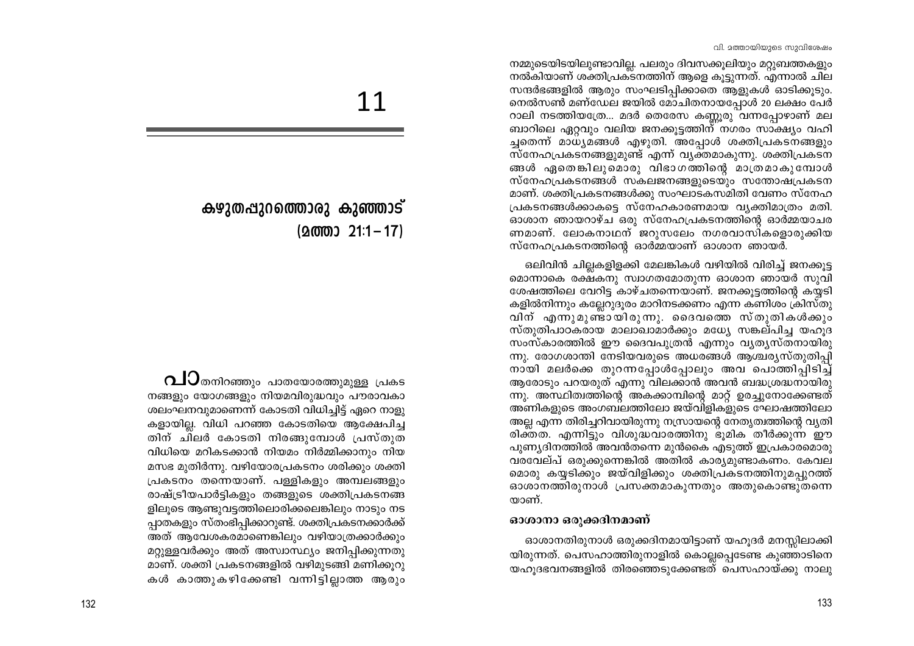നമ്മുടെയിടയിലുണ്ടാവില്ല. പലരും ദിവസക്കൂലിയും മറ്റുബത്തകളും നൽകിയാണ് ശക്തിപ്രക്ടനത്തിന് ആളെ കൂട്ടുന്നത്. എന്നാൽ ചില സന്ദർഭങ്ങളിൽ ആരും സംഘടിപ്പിക്കാതെ ആളുകൾ ഓടിക്കൂടും. നെൽസൺ മണ്ഡേല ജയിൽ മോചിതനായപ്പോൾ 20 ലക്ഷം പേർ റാലി നടത്തിയത്രേ... മദർ തെരേസ കണ്ണൂരു വന്നപ്പോഴാണ് മല ബാറിലെ ഏറ്റവും വലിയ ജനക്കൂട്ടത്തിന് നഗരം സാക്ഷ്യം വഹി ച്ചതെന്ന് മാധ്യമങ്ങൾ എഴുതി. അപ്പോൾ ശക്തിപ്രകടനങ്ങളും സ്നേഹപ്രകടനങ്ങളുമുണ്ട് എന്ന് വ്യക്തമാകുന്നു. ശക്തിപ്രകടന ങ്ങൾ ഏതെങ്കിലുമൊരു വിഭാഗത്തിന്റെ മാത്രമാകുമ്പോൾ സ്നേഹപ്രകടനങ്ങൾ സകലജനങ്ങളുടെയും സന്തോഷപ്രകടന മാണ്. ശക്തിപ്രകടനങ്ങൾക്കു സംഘാടകസമിതി വേണം സ്നേഹ പ്രകടനങ്ങൾക്കാകട്ടെ സ്നേഹകാരണമായ വ്യക്തിമാത്രം മതി. ഓശാന ഞായറാഴ്ച ഒരു സ്നേഹപ്രകടനത്തിന്റെ ഓർമ്മയാചര ണമാണ്. ലോകനാഥന് ജറുസലേം നഗരവാസികളൊരുക്കിയ സ്നേഹപ്രകടനത്തിന്റെ ഓർമ്മയാണ് ഓശാന ഞായർ.

ഒലിവിൻ ചില്ലകളിളക്കി മേലങ്കികൾ വഴിയിൽ വിരിച്ച് ജനക്കുട്ട മൊന്നാകെ രക്ഷകനു സ്വാഗതമോതുന്ന ഓശാന ഞായർ സുവി ശേഷത്തിലെ വേറിട്ട കാഴ്ചതന്നെയാണ്. ജനക്കുട്ടത്തിന്റെ കയ്യടി കളിൽനിന്നും കല്ലേറുദുരം മാറിനടക്കണം എന്ന കണിശം ക്രിസ്തു വിന് എന്നുമുണ്ടായിരുന്നു. ദൈവത്തെ സ്തുതികൾക്കും സ്തുതിപാഠകരായ മാലാഖാമാർക്കും മധ്യേ സങ്കല്പിച്ച യഹുദ സംസ്കാരത്തിൽ ഈ ദൈവപുത്രൻ എന്നും വ്യത്യസ്തനായിരു ന്നു. രോഗശാന്തി നേടിയവരുടെ അധരങ്ങൾ ആശ്ചര്യസ്തുതിപ്പി നായി മലർക്കെ തുറന്നപ്പോൾപ്പോലും അവ പൊത്തിപ്പിടിച് ആരോടും പറയരുത് എന്നു വിലക്കാൻ അവൻ ബദ്ധശ്രദ്ധനായിരു ന്നു. അസ്ഥിത്വത്തിന്റെ അകക്കാമ്പിന്റെ മാറ്റ് ഉരച്ചുനോക്കേണ്ടത് അണികളുടെ അംഗബ്ലത്തിലോ ജയ്വിളികളുടെ ഘോഷത്തിലോ അല്ല എന്ന തിരിച്ചറിവായിരുന്നു നസ്രായന്റെ നേതൃത്വത്തിന്റെ വൃതി രിക്തത. എന്നിട്ടും വിശുദ്ധവാരത്തിനു ഭൂമിക തീർക്കുന്ന ഈ പുണ്യദിനത്തിൽ അവൻതന്നെ മുൻകൈ എടുത്ത് ഇപ്രകാരമൊരു വരവേല്പ് ഒരുക്കുന്നെങ്കിൽ അതിൽ കാര്യമുണ്ടാകണം. കേവല മൊരു കയ്യടിക്കും ജയ്വിളിക്കും ശക്തിപ്രകടനത്തിനുമപ്പുറത്ത് ഓശാനത്തിരുനാൾ പ്രസക്തമാകുന്നതും അതുകൊണ്ടുതന്നെ യാണ്.

#### ഓശാനാ ഒരുക്കദിനമാണ്

ഓശാനതിരുനാൾ ഒരുക്കദിനമായിട്ടാണ് യഹൂദർ മനസ്സിലാക്കി യിരുന്നത്. പെസഹാത്തിരുനാളിൽ കൊല്ലപ്പെടേണ്ട കുഞ്ഞാടിനെ യഹൂദഭവനങ്ങളിൽ തിരഞ്ഞെടുക്കേണ്ടത് പെസഹായ്ക്കു നാലു

# 11

# കഴുതപ്പുറത്തൊരു കുഞ്ഞാട്  $(2000)$   $21:1 - 17)$

 $\Omega$ ി $\omega$ തനിറഞ്ഞും പാതയോരത്തുമുള്ള പ്രകട നങ്ങളും യോഗങ്ങളും നിയമവിരുദ്ധവും പൗരാവകാ ശലംഘനവുമാണെന്ന് കോടതി വിധിച്ചിട്ട് ഏറെ നാളു കളായില്ല. വിധി പറഞ്ഞ കോടതിയെ ആക്ഷേപിച്ച തിന് ചിലർ കോടതി നിരങ്ങുമ്പോൾ പ്രസ്തുത വിധിയെ മറികടക്കാൻ നിയമം നിർമ്മിക്കാനും നിയ മസഭ മുതിർന്നു. വഴിയോരപ്രകടനം ശരിക്കും ശക്തി പ്രകടനം തന്നെയാണ്. പള്ളികളും അമ്പലങ്ങളും രാഷ്ട്രീയപാർട്ടികളും തങ്ങളുടെ ശക്തിപ്രകടനങ്ങ ളിലൂടെ ആണ്ടുവട്ടത്തിലൊരിക്കലെങ്കിലും നാടും നട പ്പാതകളും സ്തംഭിപ്പിക്കാറുണ്ട്. ശക്തിപ്രകടനക്കാർക്ക് അത് ആവേശകരമാണെങ്കിലും വഴിയാത്രക്കാർക്കും മറ്റുള്ളവർക്കും അത് അസ്ഥസ്ഥ്യം ജനിപ്പിക്കുന്നതു മാണ്. ശക്തി പ്രകടനങ്ങളിൽ വഴിമുടങ്ങി മണിക്കൂറു കൾ കാത്തുകഴിക്കേണ്ടി വന്നിട്ടില്ലാത്ത ആരും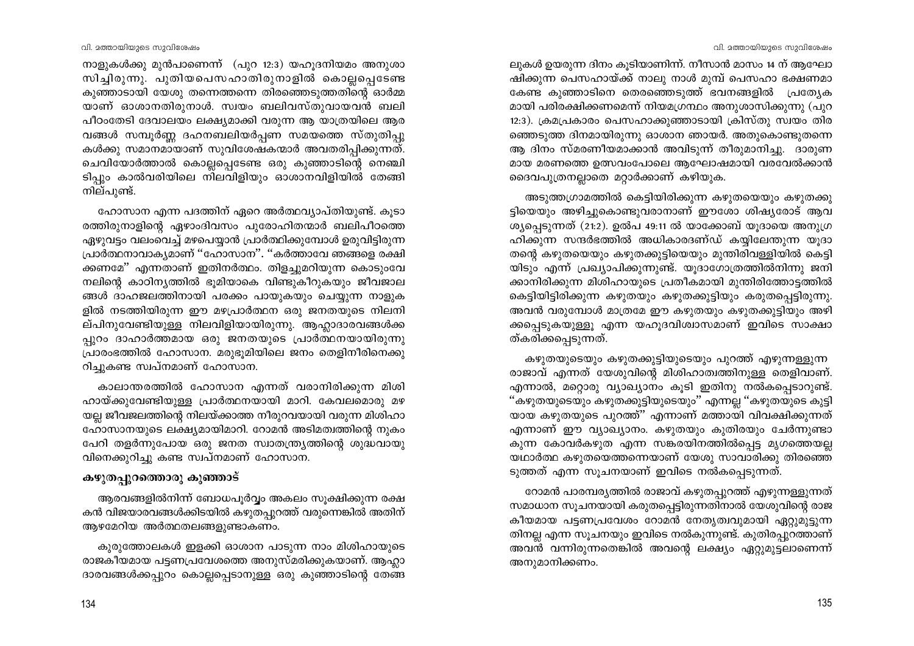ലൂകൾ ഉയരുന്ന ദിനം കൂടിയാണിന്ന്. നീസാൻ മാസം 14 ന് ആഘോ ഷിക്കുന്ന പെസഹായ്ക്ക് നാലു നാൾ മുമ്പ് പെസഹാ ഭക്ഷണമാ കേണ്ട കുഞ്ഞാടിനെ തെരഞ്ഞെടുത്ത് ഭവനങ്ങളിൽ പ്രത്യേക മായി പരിരക്ഷിക്കണമെന്ന് നിയമഗ്രന്ഥം അനുശാസിക്കുന്നു (പുറ 12:3). ക്രമപ്രകാരം പെസഹാക്കുഞ്ഞാടായി ക്രിസ്തു സ്വയം തിര ഞ്ഞെടുത്ത ദിനമായിരുന്നു ഓശാന ഞായർ. അതുകൊണ്ടുതന്നെ ആ ദിനം സ്മരണീയമാക്കാൻ അവിടുന്ന് തീരുമാനിച്ചു. ദാരുണ മായ മരണത്തെ ഉത്സവംപോലെ ആഘോഷമായി വരവേൽക്കാൻ ദൈവപുത്രനല്ലാതെ മറ്റാർക്കാണ് കഴിയുക.

അടുത്തഗ്രാമത്തിൽ കെട്ടിയിരിക്കുന്ന കഴുതയെയും കഴുതക്കു ട്ടിയെയും അഴിച്ചുകൊണ്ടുവരാനാണ് ഈശോ ശിഷ്യരോട് ആവ ശ്യപ്പെടുന്നത് (21:2). ഉൽപ 49:11 ൽ യാക്കോബ് യൂദായെ അനുഗ്ര ഹിക്കുന്ന സന്ദർഭത്തിൽ അധികാരദണ്ഡ് കയ്യിലേന്തുന്ന യുദാ തന്റെ കഴുതയെയും കഴുതക്കുട്ടിയെയും മുന്തിരിവള്ളിയിൽ കെട്ടി യിടും എന്ന് പ്രഖ്യാപിക്കുന്നുണ്ട്. യൂദാഗോത്രത്തിൽനിന്നു ജനി ക്കാനിരിക്കുന്ന മിശിഹായുടെ പ്രതീകമായി മുന്തിരിത്തോട്ടത്തിൽ കെട്ടിയിട്ടിരിക്കുന്ന കഴുതയും കഴുതക്കുട്ടിയും കരുതപ്പെട്ടിരുന്നു. അവൻ വരുമ്പോൾ മാത്രമേ ഈ കഴുതയും കഴുതക്കുട്ടിയും അഴി ക്കപ്പെടുകയുള്ളു എന്ന യഹുദവിശ്വാസമാണ് ഇവിടെ സാക്ഷാ ത്കരിക്കപ്പെടുന്നത്.

കഴുതയുടെയും കഴുതക്കുട്ടിയുടെയും പുറത്ത് എഴുന്നള്ളുന്ന രാജാവ് എന്നത് യേശുവിന്റെ മിശിഹാത്വത്തിനുള്ള തെളിവാണ്. എന്നാൽ, മറ്റൊരു വ്യാഖ്യാനം കൂടി ഇതിനു നൽകപ്പെടാറുണ്ട്. ''കഴുതയുടെയും കഴുതക്കുട്ടിയുടെയും'' എന്നല്ല ''കഴുതയുടെ കുട്ടി യായ കഴുതയുടെ പുറത്ത്'' എന്നാണ് മത്തായി വിവക്ഷിക്കുന്നത് എന്നാണ് ഈ വ്യാഖ്യാനം. കഴുതയും കുതിരയും ചേർന്നുണ്ടാ കുന്ന കോവർകഴുത എന്ന സങ്കരയിനത്തിൽപ്പെട്ട മൃഗത്തെയല്ല യഥാർത്ഥ കഴുതയെത്തന്നെയാണ് യേശു സാവാരിക്കു തിരഞ്ഞെ ടുത്തത് എന്ന സൂചനയാണ് ഇവിടെ നൽകപ്പെടുന്നത്.

റോമൻ പാരമ്പര്യത്തിൽ രാജാവ് കഴുതപ്പുറത്ത് എഴുന്നള്ളുന്നത് സമാധാന സൂചനയായി കരുതപ്പെട്ടിരുന്നതിനാൽ യേശുവിന്റെ രാജ കീയമായ പട്ടണപ്രവേശം റോമൻ നേതൃത്വവുമായി ഏറ്റുമുട്ടുന്ന തിനല്ല എന്ന സൂചനയും ഇവിടെ നൽകുന്നുണ്ട്. കുതിരപ്പുറത്താണ് അവൻ വന്നിരുന്നതെങ്കിൽ അവന്റെ ലക്ഷ്യം ഏറ്റുമുട്ടലാണെന്ന് അനുമാനിക്കണം.

വി. മത്തായിയുടെ സുവിശേഷം

നാളുകൾക്കു മുൻപാണെന്ന് (പുറ 12:3) യഹൂദനിയമം അനുശാ സിച്ചിരുന്നു. പുതിയപെസഹാതിരുനാളിൽ കൊല്ലപ്പെടേണ്ട കുഞ്ഞാടായി യേശു തന്നെത്തന്നെ തിരഞ്ഞെടുത്തതിന്റെ ഓർമ്മ യാണ് ഓശാനതിരുനാൾ. സ്വയം ബലിവസ്തുവായവൻ ബലി പീഠംതേടി ദേവാലയം ലക്ഷ്യമാക്കി വരുന്ന ആ യാത്രയിലെ ആര വങ്ങൾ സമ്പൂർണ്ണ ദഹനബലിയർപ്പണ സമയത്തെ സ്തുതിപ്പു കൾക്കു സമാനമായാണ് സുവിശേഷകന്മാർ അവതരിപ്പിക്കുന്നത്. ചെവിയോർത്താൽ കൊല്ലപ്പെടേണ്ട ഒരു കുഞ്ഞാടിന്റെ നെഞ്ചി ടിപ്പും കാൽവരിയിലെ നിലവിളിയും ഓശാനവിളിയിൽ തേങ്ങി നില്പുണ്ട്.

ഹോസാന എന്ന പദത്തിന് ഏറെ അർത്ഥവ്യാപ്തിയുണ്ട്. കുടാ രത്തിരുനാളിന്റെ ഏഴാംദിവസം പുരോഹിതന്മാർ ബലിപീഠത്തെ ഏഴുവടം വലംവെച്ച് മഴപെയ്യാൻ പ്രാർത്ഥിക്കുമ്പോൾ ഉരുവിട്ടിരുന്ന പ്രാർത്ഥനാവാകൃമാണ് ''ഹോസാന''. ''കർത്താവേ ഞങ്ങളെ രക്ഷി ക്കണമേ" എന്നതാണ് ഇതിനർത്ഥം. തിളച്ചുമറിയുന്ന കൊടുംവേ നലിന്റെ കാഠിന്യത്തിൽ ഭുമിയാകെ വിണ്ടുകീറുകയും ജീവജാല ങ്ങൾ ദാഹജലത്തിനായി പരക്കം പായുകയും ചെയ്യുന്ന നാളുക ളിൽ നടത്തിയിരുന്ന ഈ മഴപ്രാർത്ഥന ഒരു ജനതയുടെ നിലനി ല്പിനുവേണ്ടിയുള്ള നിലവിളിയായിരുന്നു. ആഹ്ലാദാരവങ്ങൾക്ക പ്പുറം ദാഹാർത്തമായ ഒരു ജനതയുടെ പ്രാർത്ഥനയായിരുന്നു പ്രാരംഭത്തിൽ ഹോസാന. മരുഭൂമിയിലെ ജനം തെളിനീരിനെക്കു റിച്ചുകണ്ട സ്വപ്നമാണ് ഹോസാന.

കാലാന്തരത്തിൽ ഹോസാന എന്നത് വരാനിരിക്കുന്ന മിശി ഹായ്ക്കുവേണ്ടിയുള്ള പ്രാർത്ഥനയായി മാറി. കേവലമൊരു മഴ യല്ല ജീവജലത്തിന്റെ നിലയ്ക്കാത്ത നീരുറവയായി വരുന്ന മിശിഹാ ഹോസാനയുടെ ലക്ഷ്യമായിമാറി. റോമൻ അടിമത്വത്തിന്റെ നുകം പേറി തളർന്നുപോയ ഒരു ജനത സ്വാതന്ത്ര്യത്തിന്റെ ശുദ്ധവായു വിനെക്കുറിച്ചു കണ്ട സ്വപ്നമാണ് ഹോസാന.

#### കഴുതപ്പുറത്തൊരു കുഞ്ഞാട്

ആരവങ്ങളിൽനിന്ന് ബോധപൂർവ്വം അകലം സൂക്ഷിക്കുന്ന രക്ഷ കൻ വിജയാരവങ്ങൾക്കിടയിൽ കഴുതപ്പുറത്ത് വരുന്നെങ്കിൽ അതിന് ആഴമേറിയ അർത്ഥതലങ്ങളുണ്ടാകണം.

കുരുത്തോലകൾ ഇളക്കി ഓശാന പാടുന്ന നാം മിശിഹായുടെ രാജകീയമായ പട്ടണപ്രവേശത്തെ അനുസ്മരിക്കുകയാണ്. ആഹ്ലാ ദാരവങ്ങൾക്കപ്പുറം കൊല്ലപ്പെടാനുള്ള ഒരു കുഞ്ഞാടിന്റെ തേങ്ങ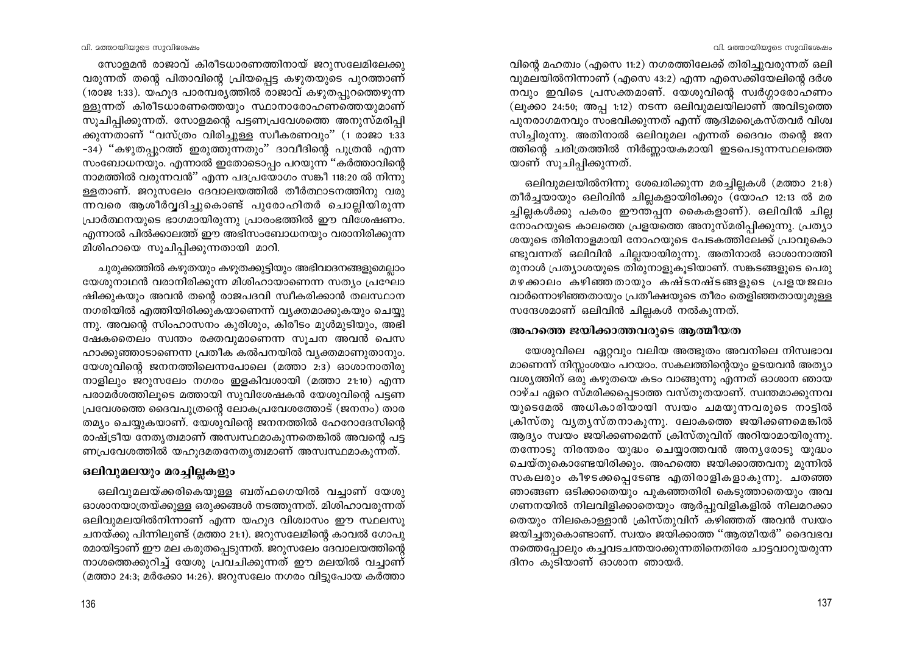വിന്റെ മഹത്വം (എസെ 11:2) നഗരത്തിലേക്ക് തിരിച്ചുവരുന്നത് ഒലി വുമലയിൽനിന്നാണ് (എസെ 43:2) എന്ന എസെക്കിയേലിന്റെ ദർശ നവും ഇവിടെ പ്രസക്തമാണ്. യേശുവിന്റെ സ്വർഗ്ഗാരോഹണം (ലൂക്കാ 24:50; അപ്പ 1:12) നടന്ന ഒലിവുമലയിലാണ് അവിടുത്തെ പുനരാഗമനവും സംഭവിക്കുന്നത് എന്ന് ആദിമപ്രൈസ്തവർ വിശ്വ സിച്ചിരുന്നു. അതിനാൽ ഒലിവുമല എന്നത് ദൈവം തന്റെ ജന ത്തിന്റെ ചരിത്രത്തിൽ നിർണ്ണായകമായി ഇടപെടുന്നസ്ഥലത്തെ യാണ് സൂചിപ്പിക്കുന്നത്.

ഒലിവുമലയിൽനിന്നു ശേഖരിക്കുന്ന മരച്ചില്ലകൾ (മത്താ 21:8) തീർച്ചയായും ഒലിവിൻ ചില്ലകളായിരിക്കും (യോഹ 12:13 ൽ മര ച്ചില്ലകൾക്കു പകരം ഈന്തപ്പന കൈകളാണ്). ഒലിവിൻ ചില്ല നോഹയുടെ കാലത്തെ പ്രളയത്തെ അനുസ്മരിപ്പിക്കുന്നു. പ്രത്യാ ശയുടെ തിരിനാളമായി നോഹയുടെ പേടകത്തിലേക്ക് പ്രാവുകൊ ണ്ടുവന്നത് ഒലിവിൻ ചില്ലയായിരുന്നു. അതിനാൽ ഓശാനാത്തി രുനാൾ പ്രത്യാശയുടെ തിരുനാളുകൂടിയാണ്. സങ്കടങ്ങളുടെ പെരു മഴക്കാലം കഴിഞ്ഞതായും കഷ്ടനഷ്ടങ്ങളുടെ പ്രളയജലം വാർന്നൊഴിഞ്ഞതായും പ്രതീക്ഷയുടെ തീരം തെളിഞ്ഞതായുമുള്ള സന്ദേശമാണ് ഒലിവിൻ ചില്ലകൾ നൽകുന്നത്.

### അഹത്തെ ജയിക്കാത്തവരുടെ ആത്മീയത

യേശുവിലെ ഏറ്റവും വലിയ അത്ഭുതം അവനിലെ നിസ്വഭാവ മാണെന്ന് നിസ്സംശയം പറയാം. സകലത്തിന്റെയും ഉടയവൻ അത്യാ വശ്യത്തിന് ഒരു കഴുതയെ കടം വാങ്ങുന്നു എന്നത് ഓശാന ഞായ റാഴ്ച ഏറെ സ്മരിക്കപ്പെടാത്ത വസ്തുതയാണ്. സ്വന്തമാക്കുന്നവ യുടെമേൽ അധികാരിയായി സ്വയം ചമയുന്നവരുടെ നാട്ടിൽ ക്രിസ്തു വൃതൃസ്തനാകുന്നു. ലോകത്തെ ജയിക്കണമെങ്കിൽ ആദ്യം സ്വയം ജയിക്കണമെന്ന് ക്രിസ്തുവിന് അറിയാമായിരുന്നു. തന്നോടു നിരന്തരം യുദ്ധം ചെയ്യാത്തവൻ അന്യരോടു യുദ്ധം ചെയ്തുകൊണ്ടേയിരിക്കും. അഹത്തെ ജയിക്കാത്തവനു മുന്നിൽ സകലരും കീഴടക്കപ്പെടേണ്ട എതിരാളികളാകുന്നു. ചതഞ്ഞ ഞാങ്ങണ ഒടിക്കാതെയും പുകഞ്ഞതിരി കെടുത്താതെയും അവ ഗണനയിൽ നിലവിളിക്കാതെയും ആർപ്പുവിളികളിൽ നിലമറക്കാ തെയും നിലകൊള്ളാൻ ക്രിസ്തുവിന് കഴിഞ്ഞത് അവൻ സ്വയം ജയിച്ചതുകൊണ്ടാണ്. സ്വയം ജയിക്കാത്ത ''ആത്മീയർ'' ദൈവഭവ നത്തെപ്പോലും കച്ചവടചന്തയാക്കുന്നതിനെതിരേ ചാട്ടവാറുയരുന്ന ദിനം കുടിയാണ് ഓശാന ഞായർ.

വി. മത്തായിയുടെ സുവിശേഷം

സോളമൻ രാജാവ് കിരീടധാരണത്തിനായ് ജറുസലേമിലേക്കു വരുന്നത് തന്റെ പിതാവിന്റെ പ്രിയപ്പെട്ട കഴുതയുടെ പുറത്താണ് (1രാജ 1:33). യഹൂദ പാരമ്പര്യത്തിൽ രാജാവ് കഴുതപ്പുറത്തെഴുന്ന ള്ളുന്നത് കിരീടധാരണത്തെയും സ്ഥാനാരോഹണത്തെയുമാണ് സൂചിപ്പിക്കുന്നത്. സോളമന്റെ പട്ടണപ്രവേശത്തെ അനുസ്മരിപ്പി ക്കുന്നതാണ് ''വസ്ത്രം വിരിച്ചുള്ള സ്വീകരണവും'' (1 രാജാ 1:33 -34) ''കഴുതപ്പുറത്ത് ഇരുത്തുന്നതും'' ദാവീദിന്റെ പുത്രൻ എന്ന സംബോധനയും. എന്നാൽ ഇതോടൊപ്പം പറയുന്ന ''കർത്താവിന്റെ നാമത്തിൽ വരുന്നവൻ" എന്ന പദപ്രയോഗം സങ്കീ 118:20 ൽ നിന്നു ള്ളതാണ്. ജറുസലേം ദേവാലയത്തിൽ തീർത്ഥാടനത്തിനു വരു ന്നവരെ ആശീർവ്വദിച്ചുകൊണ്ട് പുരോഹിതർ ചൊല്ലിയിരുന്ന പ്രാർത്ഥനയുടെ ഭാഗമായിരുന്നു പ്രാരംഭത്തിൽ ഈ വിശേഷണം. <u>എന്നാൽ പിൽക്കാലത്ത് ഈ അഭിസംബോധനയും വരാനിരിക്കുന്ന</u> മിശിഹായെ സൂചിപ്പിക്കുന്നതായി മാറി.

ചുരുക്കത്തിൽ കഴുതയും കഴുതക്കുട്ടിയും അഭിവാദനങ്ങളുമെല്ലാം യേശുനാഥൻ വരാനിരിക്കുന്ന മിശിഹായാണെന്ന സത്യം പ്രഘോ ഷിക്കുകയും അവൻ തന്റെ രാജപദവി സ്ഥീകരിക്കാൻ തലസ്ഥാന നഗരിയിൽ എത്തിയിരിക്കുകയാണെന്ന് വ്യക്തമാക്കുകയും ചെയ്യു ന്നു. അവന്റെ സിംഹാസനം കുരിശും, കിരീടം മുൾമുടിയും, അഭി ഷേകതൈലം സ്വന്തം രക്തവുമാണെന്ന സുചന അവൻ പെസ ഹാക്കുഞ്ഞാടാണെന്ന പ്രതീക കൽപനയിൽ വ്യക്തമാണുതാനും. യേശുവിന്റെ ജനനത്തിലെന്നപോലെ (മത്താ 2:3) ഓശാനാതിരു നാളിലും ജറുസലേം നഗരം ഇളകിവശായി (മത്താ 21:10) എന്ന പരാമർശത്തിലൂടെ മത്തായി സുവിശേഷകൻ യേശുവിന്റെ പട്ടണ പ്രവേശത്തെ ദൈവപുത്രന്റെ ലോകപ്രവേശത്തോട് (ജനനം) താര തമ്യം ചെയ്യുകയാണ്. യേശുവിന്റെ ജനനത്തിൽ ഹേറോദേസിന്റെ രാഷ്ട്രീയ നേതൃത്വമാണ് അസ്വസ്ഥമാകുന്നതെങ്കിൽ അവന്റെ പട്ട ണപ്രവേശത്തിൽ യഹൂദമതനേതൃത്വമാണ് അസ്വസ്ഥമാകുന്നത്.

# ഒലിവുമലയും മരച്ചില്ലകളും

ഒലിവുമലയ്ക്കരികെയുള്ള ബത്ഫഗെയിൽ വച്ചാണ് യേശു ഓശാനയാത്രയ്ക്കുള്ള ഒരുക്കങ്ങൾ നടത്തുന്നത്. മിശിഹാവരുന്നത് ഒലിവുമലയിൽനിന്നാണ് എന്ന യഹൂദ വിശ്വാസം ഈ സ്ഥലസൂ ചനയ്ക്കു പിന്നിലുണ്ട് (മത്താ 21:1). ജറുസലേമിന്റെ കാവൽ ഗോപു രമായിട്ടാണ് ഈ മല കരുതപ്പെടുന്നത്. ജറുസലേം ദേവാലയത്തിന്റെ നാശത്തെക്കുറിച്ച് യേശു പ്രവചിക്കുന്നത് ഈ മലയിൽ വച്ചാണ് (മത്താ 24:3; മർക്കോ 14:26). ജറുസലേം നഗരം വിട്ടുപോയ കർത്താ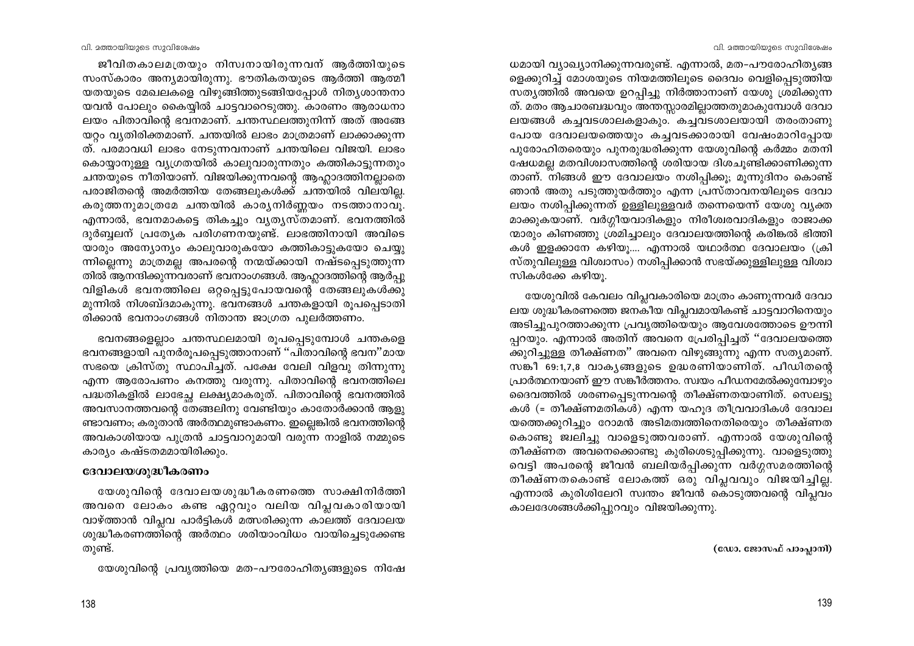ധമായി വ്യാഖ്യാനിക്കുന്നവരുണ്ട്. എന്നാൽ, മത-പൗരോഹിത്യങ്ങ ളെക്കുറിച്ച് മോശയുടെ നിയമത്തിലൂടെ ദൈവം വെളിപ്പെടുത്തിയ സത്യത്തിൽ അവയെ ഉറപ്പിച്ചു നിർത്താനാണ് യേശു ശ്രമിക്കുന്ന ത്. മതം ആചാരബദ്ധവും അന്തസ്സാരമില്ലാത്തതുമാകുമ്പോൾ ദേവാ ലയങ്ങൾ കച്ചവടശാലകളാകും. കച്ചവടശാലയായി തരംതാണു പോയ ദേവാലയത്തെയും കച്ചവടക്കാരായി വേഷംമാറിപ്പോയ പൂരോഹിതരെയും പുനരുദ്ധരിക്കുന്ന യേശുവിന്റെ കർമ്മം മതനി ഷേധമല്ല മതവിശ്വാസത്തിന്റെ ശരിയായ ദിശചൂണ്ടിക്കാണിക്കുന്ന താണ്. നിങ്ങൾ ഈ ദേവാലയം നശിപ്പിക്കു; മുന്നുദിനം കൊണ്ട് ഞാൻ അതു പടുത്തുയർത്തും എന്ന പ്രസ്താവനയിലൂടെ ദേവാ ലയം നശിപ്പിക്കുന്നത് ഉള്ളിലുള്ളവർ തന്നെയെന്ന് യേശു വ്യക്ത മാക്കുകയാണ്. വർഗ്ഗീയവാദികളും നിരീശ്വരവാദികളും രാജാക്ക ന്മാരും കിണഞ്ഞു ശ്രമിച്ചാലും ദേവാലയത്തിന്റെ കരിങ്കൽ ഭിത്തി കൾ ഇളക്കാനേ കഴിയൂ.... എന്നാൽ യഥാർത്ഥ ദേവാലയം (ക്രി സ്തുവിലുള്ള വിശ്വാസം) നശിപ്പിക്കാൻ സഭയ്ക്കുള്ളിലുള്ള വിശ്വാ സികൾക്കേ കഴിയു.

യേശുവിൽ കേവലം വിപ്ലവകാരിയെ മാത്രം കാണുന്നവർ ദേവാ ലയ ശുദ്ധീകരണത്തെ ജനകീയ വിപ്ലവമായികണ്ട് ചാട്ടവാറിനെയും അടിച്ചുപുറത്താക്കുന്ന പ്രവൃത്തിയെയും ആവേശത്തോടെ ഊന്നി പ്പറയും. എന്നാൽ അതിന് അവനെ പ്രേരിപ്പിച്ചത് ''ദേവാലയത്തെ ക്കുറിച്ചുള്ള തീക്ഷ്ണത്'' അവനെ വിഴുങ്ങുന്നു എന്ന സത്യമാണ്. സങ്കീ 69:1,7,8 വാകൃങ്ങളുടെ ഉദ്ധരണിയാണിത്. പീഡിതന്റെ പ്രാർത്ഥനയാണ് ഈ സങ്കീർത്തനം. സ്വയം പീഡനമേൽക്കുമ്പോഴും ദൈവത്തിൽ ശരണപ്പെടുന്നവന്റെ തീക്ഷ്ണതയാണിത്. സെലട്ടു കൾ (= തീക്ഷ്ണമതികൾ) എന്ന യഹുദ തീവ്രവാദികൾ ദേവാല യത്തെക്കുറിച്ചും റോമൻ അടിമത്വത്തിനെതിരെയും തീക്ഷ്ണത കൊണ്ടു ജ്വലിച്ചു വാളെടുത്തവരാണ്. എന്നാൽ യേശുവിന്റെ തീക്ഷ്ണത അവനെക്കൊണ്ടു കുരിശെടുപ്പിക്കുന്നു. വാളെടുത്തു വെട്ടി അപരന്റെ ജീവൻ ബലിയർപ്പിക്കുന്ന വർഗ്ഗസമരത്തിന്റെ തീക്ഷ്ണതകൊണ്ട് ലോകത്ത് ഒരു വിപ്ലവവും വിജയിച്ചില്ല. എന്നാൽ കുരിശിലേറി സ്വന്തം ജീവൻ കൊടുത്തവന്റെ വിപ്ലവം കാലദേശങ്ങൾക്കിപ്പുറവും വിജയിക്കുന്നു.

(ഡോ. ജോസഫ് പാംപ്ലാനി)

വി. മത്തായിയുടെ സുവിശേഷം

ജീവിതകാലമത്രയും നിസ്വനായിരുന്നവന് ആർത്തിയുടെ സംസ്കാരം അന്യമായിരുന്നു. ഭൗതികതയുടെ ആർത്തി ആത്മീ യതയുടെ മേഖലകളെ വിഴുങ്ങിത്തുടങ്ങിയപ്പോൾ നിതൃശാന്തനാ യവൻ പോലും കൈയ്യിൽ ചാട്ടവാറെടുത്തു. കാരണം ആരാധനാ ലയം പിതാവിന്റെ ഭവനമാണ്. ചന്തസ്ഥലത്തുനിന്ന് അത് അങ്ങേ യറ്റം വ്യതിരിക്തമാണ്. ചന്തയിൽ ലാഭം മാത്രമാണ് ലാക്കാക്കുന്ന ത്. പരമാവധി ലാഭം നേടുന്നവനാണ് ചന്തയിലെ വിജയി. ലാഭം കൊയ്യാനുള്ള വ്യഗ്രതയിൽ കാലുവാരുന്നതും കത്തികാട്ടുന്നതും ചന്തയുടെ നീതിയാണ്. വിജയിക്കുന്നവന്റെ ആഹ്ലാദത്തിനല്ലാതെ പരാജിതന്റെ അമർത്തിയ തേങ്ങലുകൾക്ക് ചന്തയിൽ വിലയില്ല. കരുത്തനുമാത്രമേ ചന്തയിൽ കാര്യനിർണ്ണയം നടത്താനാവൂ. എന്നാൽ, ഭവനമാകട്ടെ തികച്ചും വൃതൃസ്തമാണ്. ഭവനത്തിൽ ദുർബ്ബലന് പ്രത്യേക പരിഗണനയുണ്ട്. ലാഭത്തിനായി അവിടെ യാരും അന്യോന്യം കാലുവാരുകയോ കത്തികാട്ടുകയോ ചെയ്യു ന്നില്ലെന്നു മാത്രമല്ല അപരന്റെ നന്മയ്ക്കായി നഷ്ടപ്പെടുത്തുന്ന തിൽ ആനന്ദിക്കുന്നവരാണ് ഭവനാംഗങ്ങൾ. ആഹ്ലാദത്തിന്റെ ആർപ്പു വിളികൾ ഭവനത്തിലെ ഒറ്റപ്പെട്ടുപോയവന്റെ തേങ്ങലുകൾക്കു മുന്നിൽ നിശബ്ദമാകുന്നു. ഭവനങ്ങൾ ചന്തകളായി രൂപപ്പെടാതി രിക്കാൻ ഭവനാംഗങ്ങൾ നിതാന്ത ജാഗ്രത പുലർത്തണം.

ഭവനങ്ങളെല്ലാം ചന്തസ്ഥലമായി രൂപപ്പെടുമ്പോൾ ചന്തകളെ ഭവനങ്ങളായി പുനർരൂപപ്പെടുത്താനാണ് ''പിതാവിന്റെ ഭവന''മായ സഭയെ ക്രിസ്തു സ്ഥാപിച്ചത്. പക്ഷേ വേലി വിളവു തിന്നുന്നു എന്ന ആരോപണം കനത്തു വരുന്നു. പിതാവിന്റെ ഭവനത്തിലെ പദ്ധതികളിൽ ലാഭേച്ച ലക്ഷ്യമാകരുത്. പിതാവിന്റെ ഭവനത്തിൽ അവസാനത്തവന്റെ ഭതങ്ങലിനു വേണ്ടിയും കാതോർക്കാൻ ആളു ണ്ടാവണം; കരുതാൻ അർത്ഥമുണ്ടാകണം. ഇല്ലെങ്കിൽ ഭവനത്തിന്റെ അവകാശിയായ പുത്രൻ ചാട്ടവാറുമായി വരുന്ന നാളിൽ നമ്മുടെ കാര്യം കഷ്ടതമമായിരിക്കും.

#### ദേവാലയശുദ്ധീകരണം

യേശുവിന്റെ ദേവാലയശുദ്ധീകരണത്തെ സാക്ഷിനിർത്തി അവനെ ലോകം കണ്ട ഏറ്റവും വലിയ വിപ്ലവകാരിയായി വാഴ്ത്താൻ വിപ്ലവ പാർട്ടികൾ മത്സരിക്കുന്ന കാലത്ത് ദേവാലയ ശുദ്ധീകരണത്തിന്റെ അർത്ഥം ശരിയാംവിധം വായിച്ചെടുക്കേണ്ട തുണ്ട്.

യേശുവിന്റെ പ്രവൃത്തിയെ മത-പൗരോഹിതൃങ്ങളുടെ നിഷേ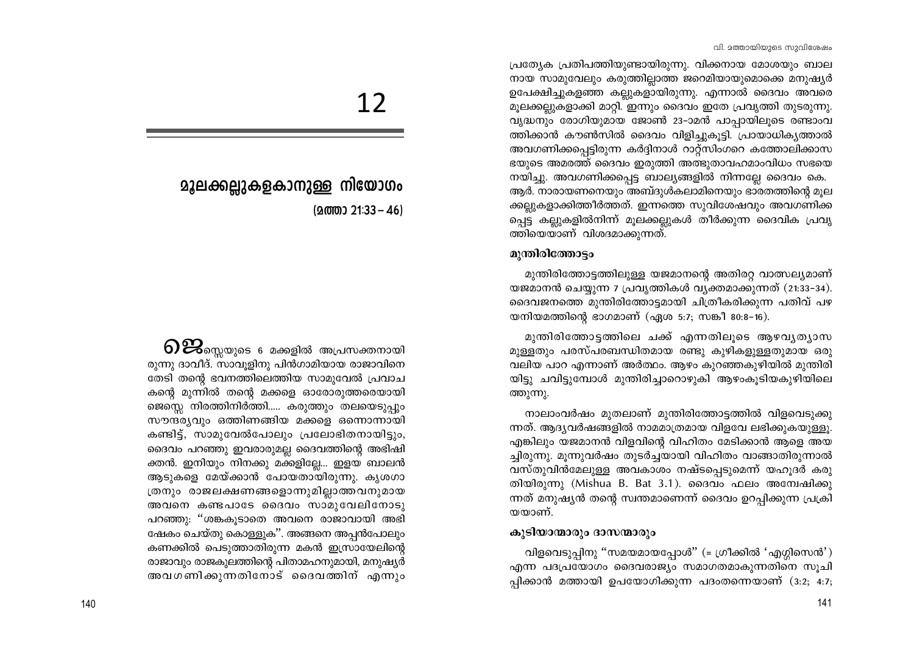പ്രത്യേക പ്രതിപത്തിയുണ്ടായിരുന്നു. വിക്കനായ മോശയും ബാല നായ സാമുവേലും കരുത്തില്ലാത്ത ജറെമിയായുമൊക്കെ മനുഷ്യർ ഉപേക്ഷിച്ചുകളഞ്ഞ കല്ലുകളായിരുന്നു. എന്നാൽ ദൈവം അവരെ മൂലക്കല്ലുകളാക്കി മാറ്റി. ഇന്നും ദൈവം ഇതേ പ്രവൃത്തി തുടരുന്നു. വൃദ്ധനും രോഗിയുമായ ജോൺ 23-ാമൻ പാപ്പായിലൂടെ രണ്ടാംവ ത്തിക്കാൻ കൗൺസിൽ ദൈവം വിളിച്ചുകൂട്ടി. പ്രായാധികൃത്താൽ അവഗണിക്കപ്പെട്ടിരുന്ന കർദ്ദിനാൾ റാറ്റ്സിംഗറെ കത്തോലിക്കാസ ഭയുടെ അമരത്ത് ദൈവം ഇരുത്തി അത്ഭുതാവഹമാംവിധം സഭയെ നയിച്ചു. അവഗണിക്കപ്പെട്ട ബാല്യങ്ങളിൽ നിന്നല്ലേ ദൈവം കെ. ആർ. നാരായണനെയും അബ്ദുൾകലാമിനെയും ഭാരതത്തിന്റെ മൂല ക്കല്ലുകളാക്കിത്തീർത്തത്. ഇന്നത്തെ സുവിശേഷവും അവഗണിക്ക പ്പെട്ട കല്ലുകളിൽനിന്ന് മുലക്കല്ലുകൾ തീർക്കുന്ന ദൈവിക പ്രവൃ ത്തിയെയാണ് വിശദമാക്കുന്നത്.

#### മൂന്തിരിത്തോട്ടം

മുന്തിരിത്തോട്ടത്തിലുള്ള യജമാനന്റെ അതിരറ്റ വാത്സല്യമാണ് യജമാനൻ ചെയ്യുന്ന 7 പ്രവൃത്തികൾ വൃക്തമാക്കുന്നത് (21:33-34). ദൈവജനത്തെ മുന്തിരിത്തോട്ടമായി ചിത്രീകരിക്കുന്ന പതിവ് പഴ യനിയമത്തിന്റെ ഭാഗമാണ് (ഏശ 5:7; സങ്കീ 80:8-16).

മുന്തിരിത്തോട്ടത്തിലെ ചക്ക് എന്നതിലുടെ ആഴവൃത്യാസ മുള്ളതും പരസ്പരബന്ധിതമായ രണ്ടു കുഴികളുള്ളതുമായ ഒരു വലിയ പാറ എന്നാണ് അർത്ഥം. ആഴം കുറഞ്ഞകുഴിയിൽ മുന്തിരി യിട്ടു ചവിട്ടുമ്പോൾ മുന്തിരിച്ചാറൊഴുകി ആഴംകുടിയകുഴിയിലെ ത്തുന്നു.

നാലാംവർഷം മുതലാണ് മുന്തിരിത്തോട്ടത്തിൽ വിളവെടുക്കു ന്നത്. ആദ്യവർഷങ്ങളിൽ നാമമാത്രമായ വിളവേ ലഭിക്കുകയുള്ളു. എങ്കിലും യജമാനൻ വിളവിന്റെ വിഹിതം മേടിക്കാൻ ആളെ അയ ച്ചിരുന്നു. മൂന്നുവർഷം തുടർച്ചയായി വിഹിതം വാങ്ങാതിരുന്നാൽ വസ്തുവിൻമേലുള്ള അവകാശം നഷ്ടപ്പെടുമെന്ന് യഹൂദർ കരു തിയിരുന്നു (Mishua B. Bat 3.1). ദൈവം ഫലം അമ്പേഷിക്കു ന്നത് മനുഷ്യൻ തന്റെ സ്വന്തമാണെന്ന് ദൈവം ഉറപ്പിക്കുന്ന പ്രക്രി യയാണ്.

#### കുടിയാന്മാരും ദാസന്മാരും

വിളവെടുപ്പിനു ''സമയമായപ്പോൾ'' (= ഗ്രീക്കിൽ 'എഗ്ഗിസെൻ') എന്ന പദപ്രയോഗം ദൈവരാജ്യം സമാഗതമാകുന്നതിനെ സൂചി പ്പിക്കാൻ മത്തായി ഉപയോഗിക്കുന്ന പദംതന്നെയാണ് (3:2; 4:7;

# 12

# <u> മൂലക്കല്ലുകളകാനുള്ള നിയോഗം</u> (മത്താ 21:33 – 46)

 $\Omega\mathcal{B}$ സ്സെയുടെ 6 മക്കളിൽ അപ്രസക്തനായി രുന്നു ദാവീദ്. സാവൂളിനു പിൻഗാമിയായ രാജാവിനെ തേടി തന്റെ ഭവനത്തിലെത്തിയ സാമുവേൽ പ്രവാച കന്റെ മുന്നിൽ തന്റെ മക്കളെ ഓരോരുത്തരെയായി ജെസ്സെ നിരത്തിനിർത്തി..... കരുത്തും തലയെടുപ്പും സൗന്ദര്യവും ഒത്തിണങ്ങിയ മക്കളെ ഒന്നൊന്നായി കണ്ടിട്ട്, സാമുവേൽപോലും പ്രലോഭിതനായിട്ടും, ദൈവം പറഞ്ഞു ഇവരാരുമല്ല ദൈവത്തിന്റെ അഭിഷി ക്തൻ. ഇനിയും നിനക്കു മക്കളില്ലേ... ഇളയ ബാലൻ ആടുകളെ മേയ്ക്കാൻ പോയതായിരുന്നു. കൃശഗാ ത്രനും രാജലക്ഷണങ്ങളൊന്നുമില്ലാത്തവനുമായ അവനെ കണ്ടപാടേ ദൈവം സാമുവേലിനോടു പറഞ്ഞു: ''ശങ്കകൂടാതെ അവനെ രാജാവായി അഭി ഷേകം ചെയ്തു കൊള്ളുക''. അങ്ങനെ അപ്പൻപോലും കണക്കിൽ പെടുത്താതിരുന്ന മകൻ ഇസ്രായേലിന്റെ രാജാവും രാജകുലത്തിന്റെ പിതാമഹനുമായി, മനുഷ്യർ അവഗണിക്കുന്നതിനോട് ദൈവത്തിന് എന്നും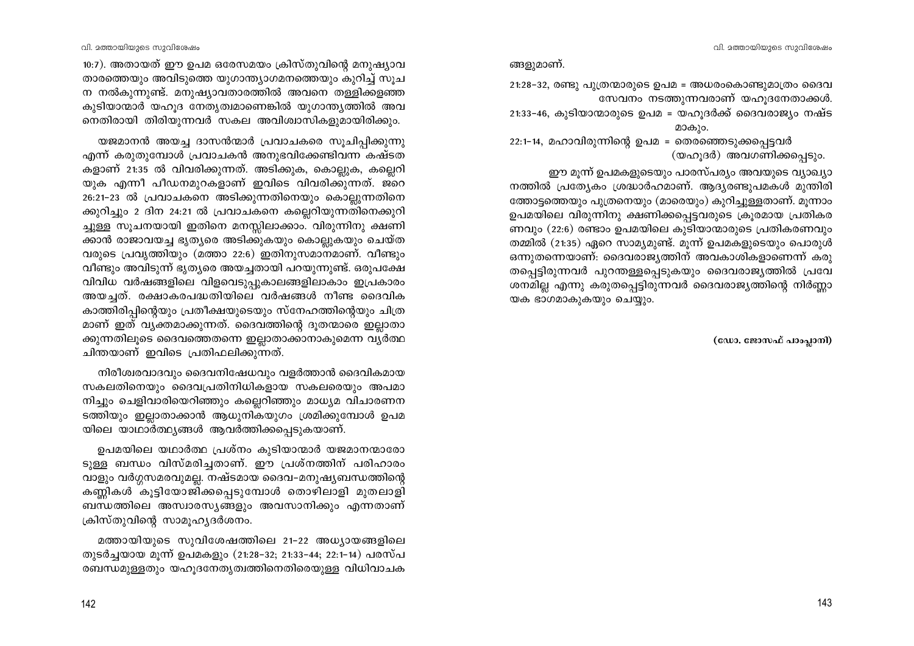വി. മത്തായിയുടെ സുവിശേഷം

ങ്ങളുമാണ്.

21:28-32, രണ്ടു പുത്രന്മാരുടെ ഉപമ = അധരംകൊണ്ടുമാത്രം ദൈവ സേവനം നടത്തുന്നവരാണ് യഹൂദനേതാക്കൾ.

21:33-46, കുടിയാന്മാരുടെ ഉപമ = യഹുദർക്ക് ദൈവരാജ്യം നഷ്ട മാകും.

22:1-14, മഹാവിരുന്നിന്റെ ഉപമ = തെരഞ്ഞെടുക്കപ്പെട്ടവർ (യഹുദർ) അവഗണിക്കപ്പെടും.

ഈ മുന്ന് ഉപമകളുടെയും പാരസ്പര്യം അവയുടെ വ്യാഖ്യാ നത്തിൽ പ്രത്യേകം ശ്രദ്ധാർഹമാണ്. ആദ്യരണ്ടുപമകൾ മുന്തിരി ത്തോട്ടത്തെയും പുത്രനെയും (മാരെയും) കുറിച്ചുള്ളതാണ്. മുന്നാം ഉപമയിലെ വിരുന്നിനു ക്ഷണിക്കപ്പെട്ടവരുടെ ക്രൂരമായ പ്രതികര ണവും (22:6) രണ്ടാം ഉപമയിലെ കുടിയാന്മാരുടെ പ്രതികരണവും തമ്മിൽ (21:35) ഏറെ സാമ്യമുണ്ട്. മൂന്ന് ഉപമകളുടെയും പൊരുൾ ഒന്നുതന്നെയാണ്: ദൈവരാജ്യത്തിന് അവകാശികളാണെന്ന് കരു തപ്പെട്ടിരുന്നവർ പുറന്തള്ളപ്പെടുകയും ദൈവരാജ്യത്തിൽ പ്രവേ ശനമില്ല എന്നു കരുതപ്പെട്ടിരുന്നവർ ദൈവരാജ്യത്തിന്റെ നിർണ്ണാ യക ഭാഗമാകുകയും ചെയ്യും.

(ഡോ. ജോസഫ് പാംപ്ലാനി)

10:7). അതായത് ഈ ഉപമ ഒരേസമയം ക്രിസ്തുവിന്റെ മനുഷ്യാവ താരത്തെയും അവിടുത്തെ യുഗാന്ത്യാഗമനത്തെയും കുറിച്ച് സുച ന നൽകുന്നുണ്ട്. മനുഷ്യാവതാരത്തിൽ അവനെ തള്ളിക്കളഞ്ഞ കൂടിയാന്മാർ യഹൂദ നേതൃത്വമാണെങ്കിൽ യൂഗാന്തൃത്തിൽ അവ നെതിരായി തിരിയുന്നവർ സകല അവിശ്വാസികളുമായിരിക്കും.

യജമാനൻ അയച്ച ദാസൻന്മാർ പ്രവാചകരെ സൂചിപ്പിക്കുന്നു എന്ന് കരുതുമ്പോൾ പ്രവാചകൻ അനുഭവിക്കേണ്ടിവന്ന കഷ്ടത കളാണ് 21:35 ൽ വിവരിക്കുന്നത്. അടിക്കുക, കൊല്ലുക, കല്ലെറി യുക എന്നീ പീഡനമുറകളാണ് ഇവിടെ വിവരിക്കുന്നത്. ജറെ 26:21-23 ൽ പ്രവാചകനെ അടിക്കുന്നതിനെയും കൊല്ലുന്നതിനെ ക്കുറിച്ചും 2 ദിന 24:21 ൽ പ്രവാചകനെ കല്ലെറിയുന്നതിനെക്കുറി ച്ചുള്ള സൂചനയായി ഇതിനെ മനസ്സിലാക്കാം. വിരുന്നിനു ക്ഷണി ക്കാൻ രാജാവയച്ച ഭൃത്യരെ അടിക്കുകയും കൊല്ലുകയും ചെയ്ത വരുടെ പ്രവൃത്തിയും (മത്താ 22:6) ഇതിനുസമാനമാണ്. വീണ്ടും വീണ്ടും അവിടുന്ന് ഭൃതൃരെ അയച്ചതായി പറയുന്നുണ്ട്. ഒരുപക്ഷേ വിവിധ വർഷങ്ങളിലെ വിളവെടുപ്പുകാലങ്ങളിലാകാം ഇപ്രകാരം അയച്ചത്. രക്ഷാകരപദ്ധതിയിലെ വർഷങ്ങൾ നീണ്ട ദൈവിക കാത്തിരിപ്പിന്റെയും പ്രതീക്ഷയുടെയും സ്നേഹത്തിന്റെയും ചിത്ര മാണ് ഇത് വൃക്തമാക്കുന്നത്. ദൈവത്തിന്റെ ദൂതന്മാരെ ഇല്ലാതാ ക്കുന്നതിലൂടെ ദൈവത്തെതന്നെ ഇല്ലാതാക്കാനാകുമെന്ന വൃർത്ഥ ചിന്തയാണ് ഇവിടെ പ്രതിഫലിക്കുന്നത്.

നിരീശ്വരവാദവും ദൈവനിഷേധവും വളർത്താൻ ദൈവികമായ സകലതിനെയും ദൈവപ്രതിനിധികളായ സകലരെയും അപമാ നിച്ചും ചെളിവാരിയെറിഞ്ഞും കല്ലെറിഞ്ഞും മാധ്യമ വിചാരണന ടത്തിയും ഇല്ലാതാക്കാൻ ആധുനികയുഗം ശ്രമിക്കുമ്പോൾ ഉപമ യിലെ യാഥാർത്ഥ്യങ്ങൾ ആവർത്തിക്കപ്പെടുകയാണ്.

ഉപമയിലെ യഥാർത്ഥ പ്രശ്നം കുടിയാന്മാർ യജമാനന്മാരോ ടുള്ള ബന്ധം വിസ്മരിച്ചതാണ്. ഈ പ്രശ്നത്തിന് പരിഹാരം വാളും വർഗ്ഗസമരവുമല്ല. നഷ്ടമായ ദൈവ–മനുഷ്യബന്ധത്തിന്റെ കണ്ണികൾ കൂട്ടിയോജിക്കപ്പെടുമ്പോൾ തൊഴിലാളി മുതലാളി ബന്ധത്തിലെ അസ്വാരസ്യങ്ങളും അവസാനിക്കും എന്നതാണ് ക്രിസ്തുവിന്റെ സാമൂഹ്യദർശനം.

മത്തായിയുടെ സുവിശേഷത്തിലെ 21-22 അധ്യായങ്ങളിലെ തുടർച്ചയായ മൂന്ന് ഉപമകളും (21:28-32; 21:33-44; 22:1-14) പരസ്പ രബന്ധമുള്ളതും യഹൂദനേതൃത്വത്തിനെതിരെയുള്ള വിധിവാചക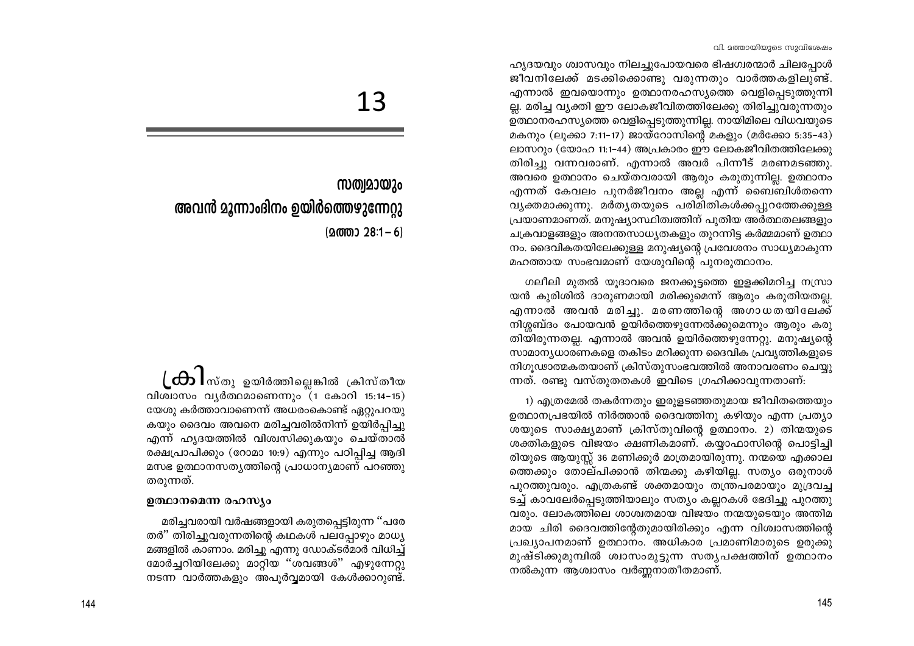ഹൃദയവും ശ്വാസവും നിലച്ചുപോയവരെ ഭിഷഗ്വരന്മാർ ചിലപ്പോൾ ജീവനിലേക്ക് മടക്കിക്കൊണ്ടു വരുന്നതും വാർത്തകളിലുണ്ട്. എന്നാൽ ഇവയൊന്നും ഉത്ഥാനരഹസ്യത്തെ വെളിപ്പെടുത്തുന്നി ല്ല. മരിച്ച വ്യക്തി ഈ ലോകജീവിതത്തിലേക്കു തിരിച്ചുവരുന്നതും ഉത്ഥാനരഹസ്യത്തെ വെളിപ്പെടുത്തുന്നില്ല. നായിമിലെ വിധവയുടെ മകനും (ലുക്കാ 7:11-17) ജായ്റോസിന്റെ മകളും (മർക്കോ 5:35-43) ലാസറും (യോഹ 11:1-44) അപ്രകാരം ഈ ലോകജീവിതത്തിലേക്കു തിരിച്ചു വന്നവരാണ്. എന്നാൽ അവർ പിന്നീട് മരണമടഞ്ഞു. അവരെ ഉത്ഥാനം ചെയ്തവരായി ആരും കരുതുന്നില്ല. ഉത്ഥാനം എന്നത് കേവലം പുനർജീവനം അല്ല എന്ന് ബൈബിൾതന്നെ വൃക്തമാക്കുന്നു. മർതൃതയുടെ പരിമിതികൾക്കപ്പുറത്തേക്കുള്ള പ്രയാണമാണത്. മനുഷ്യാസ്ഥിത്വത്തിന് പുതിയ അർത്ഥതലങ്ങളും ചക്രവാളങ്ങളും അനന്തസാധ്യതകളും തുറന്നിട്ട കർമ്മമാണ് ഉത്ഥാ നം. ദൈവികതയിലേക്കുള്ള മനുഷ്യന്റെ പ്രവേശനം സാധ്യമാകുന്ന മഹത്തായ സംഭവമാണ് യേശുവിന്റെ പുനരുത്ഥാനം.

ഗലീലി മുതൽ യുദാവരെ ജനക്കുട്ടത്തെ ഇളക്കിമറിച്ച നസ്രാ യൻ കുരിശിൽ ദാരുണമായി മരിക്കുമെന്ന് ആരും കരുതിയതല്ല. എന്നാൽ അവൻ മരിച്ചു. മരണത്തിന്റെ അഗാധതയിലേക്ക് നിശ്ശബ്ദം പോയവൻ ഉയിർത്തെഴുന്നേൽക്കുമെന്നും ആരും കരു തിയിരുന്നതല്ല. എന്നാൽ അവൻ ഉയിർത്തെഴുന്നേറ്റു. മനുഷ്യന്റെ സാമാന്യധാരണകളെ തകിടം മറിക്കുന്ന ദൈവിക പ്രവൃത്തികളുടെ നിഗുഢാത്മകതയാണ് ക്രിസ്തുസംഭവത്തിൽ അനാവരണം ചെയ്യു ന്നത്. രണ്ടു വസ്തുതതകൾ ഇവിടെ ഗ്രഹിക്കാവുന്നതാണ്:

1) എത്രമേൽ തകർന്നതും ഇരുളടഞ്ഞതുമായ ജീവിതത്തെയും ഉത്ഥാനപ്രഭയിൽ നിർത്താൻ ദൈവത്തിനു കഴിയും എന്ന പ്രത്യാ ശയുടെ സാക്ഷ്യമാണ് ക്രിസ്തുവിന്റെ ഉത്ഥാനം. 2) തിന്മയുടെ ശക്തികളുടെ വിജയം ക്ഷണികമാണ്. കയ്യാഫാസിന്റെ പൊട്ടിച്ചി രിയുടെ ആയുസ്സ് 36 മണിക്കൂർ മാത്രമായിരുന്നു. നന്മയെ എക്കാല ത്തെക്കും തോല്പിക്കാൻ തിന്മക്കു കഴിയില്ല. സത്യം ഒരുനാൾ പുറത്തുവരും. എത്രകണ്ട് ശക്തമായും തന്ത്രപരമായും മുദ്രവച്ച ടച്ച് കാവലേർപ്പെടുത്തിയാലും സത്യം കല്ലറകൾ ഭേദിച്ചു പുറത്തു വരും. ലോകത്തിലെ ശാശ്വതമായ വിജയം നന്മയുടെയും അന്തിമ മായ ചിരി ദൈവത്തിന്റേതുമായിരിക്കും എന്ന വിശ്വാസത്തിന്റെ പ്രഖ്യാപനമാണ് ഉത്ഥാനം. അധികാര പ്രമാണിമാരുടെ ഉരുക്കു മുഷ്ടിക്കുമുമ്പിൽ ശ്വാസംമുട്ടുന്ന സതൃപക്ഷത്തിന് ഉത്ഥാനം നൽകുന്ന ആശ്വാസം വർണ്ണനാതീതമാണ്.

# 13

# <u>സത്വമായും</u> അവൻ മൂന്നാംദിനം ഉയിർത്തെഴുന്നേറു  $(2000) 28:1 - 6$

വിശ്വാസം വൃർത്ഥമാണെന്നും (1 കോറി 15:14-15) യേശു കർത്താവാണെന്ന് അധരംകൊണ്ട് ഏറ്റുപറയു കയും ദൈവം അവനെ മരിച്ചവരിൽനിന്ന് ഉയിർപ്പിച്ചു എന്ന് ഹൃദയത്തിൽ വിശ്വസിക്കുകയും ചെയ്താൽ രക്ഷപ്രാപിക്കും (റോമാ 10:9) എന്നും പഠിപ്പിച്ച ആദി മസഭ ഉത്ഥാനസത്യത്തിന്റെ പ്രാധാന്യമാണ് പറഞ്ഞു തരുന്നത്.

### ഉത്ഥാനമെന്ന രഹസ്യം

മരിച്ചവരായി വർഷങ്ങളായി കരുതപ്പെട്ടിരുന്ന ''പരേ തർ" തിരിച്ചുവരുന്നതിന്റെ കഥകൾ പലപ്പോഴും മാധ്യ മങ്ങളിൽ കാണാം. മരിച്ചു എന്നു ഡോക്ടർമാർ വിധിച്ച് മോർച്ചറിയിലേക്കു മാറ്റിയ ''ശവങ്ങൾ'' എഴുന്നേറ്റു നടന്ന വാർത്തകളും അപൂർവ്വമായി കേൾക്കാറുണ്ട്.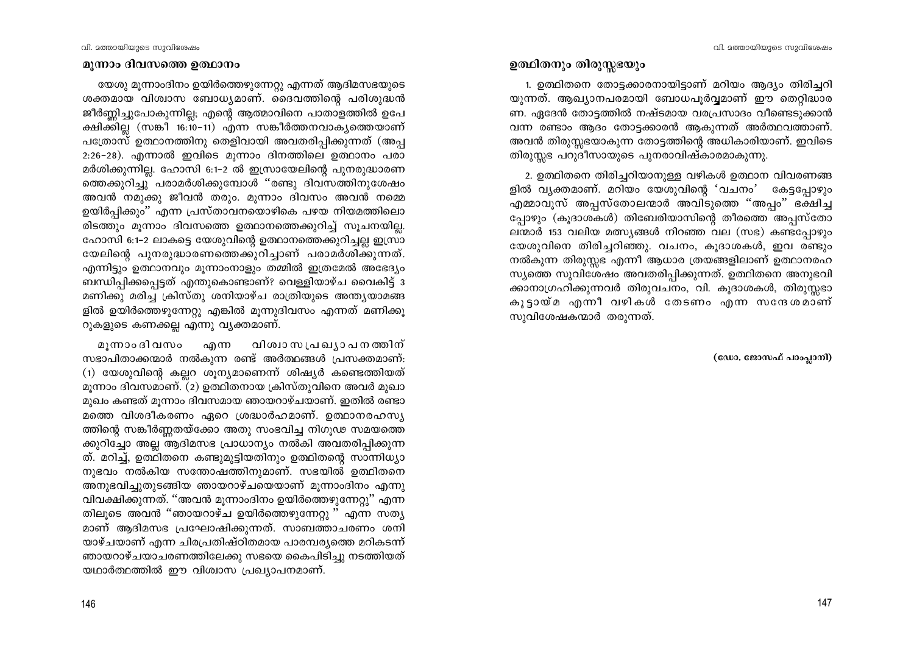### മൂന്നാം ദിവസത്തെ ഉത്ഥാനം

യേശു മൂന്നാംദിനം ഉയിർത്തെഴുന്നേറ്റു എന്നത് ആദിമസഭയുടെ ശക്തമായ വിശ്വാസ ബോധ്യമാണ്. ദൈവത്തിന്റെ പരിശുദ്ധൻ ജീർണ്ണിച്ചുപോകുന്നില്ല; എന്റെ ആത്മാവിനെ പാതാളത്തിൽ ഉപേ ക്ഷിക്കില്ല (സങ്കീ 16:10-11) എന്ന സങ്കീർത്തനവാകൃത്തെയാണ് പത്രോസ് ഉത്ഥാനത്തിനു തെളിവായി അവതരിപ്പിക്കുന്നത് (അപ്പ 2:26-28). എന്നാൽ ഇവിടെ മുന്നാം ദിനത്തിലെ ഉത്ഥാനം പരാ മർശിക്കുന്നില്ല. ഹോസി 6:1-2 ൽ ഇസ്രായേലിന്റെ പുനരുദ്ധാരണ ത്തെക്കുറിച്ചു പരാമർശിക്കുമ്പോൾ ''രണ്ടു ദിവസത്തിനുശേഷം അവൻ നമുക്കു ജീവൻ തരും. മുന്നാം ദിവസം അവൻ നമ്മെ ഉയിർപ്പിക്കും'' എന്ന പ്രസ്താവനയൊഴികെ പഴയ നിയമത്തിലൊ രിടത്തും മൂന്നാം ദിവസത്തെ ഉത്ഥാനത്തെക്കുറിച്ച് സൂചനയില്ല. ഹോസി 6:1-2 ലാകട്ടെ യേശുവിന്റെ ഉത്ഥാനത്തെക്കുറിച്ചല്ല ഇസ്രാ യേലിന്റെ പുനരുദ്ധാരണത്തെക്കുറിച്ചാണ് പരാമർശിക്കുന്നത്. എന്നിട്ടും ഉത്ഥാനവും മൂന്നാംനാളും തമ്മിൽ ഇത്രമേൽ അഭേദ്യം ബന്ധിപ്പിക്കപ്പെട്ടത് എന്തുകൊണ്ടാണ്? വെള്ളിയാഴ്ച വൈകിട്ട് 3 മണിക്കു മരിച്ച ക്രിസ്തു ശനിയാഴ്ച രാത്രിയുടെ അന്ത്യയാമങ്ങ ളിൽ ഉയിർത്തെഴുന്നേറ്റു എങ്കിൽ മൂന്നുദിവസം എന്നത് മണിക്കൂ റുകളുടെ കണക്കല്ല എന്നു വ്യക്തമാണ്.

മുന്നാം ദിവസം എന്ന വിശ്വാസപ്രഖ്യാപനത്തിന് സഭാപിതാക്കന്മാർ നൽകുന്ന രണ്ട് അർത്ഥങ്ങൾ പ്രസക്തമാണ്: (1) യേശുവിന്റെ കല്ലറ ശൂന്യമാണെന്ന് ശിഷ്യർ കണ്ടെത്തിയത് മൂന്നാം ദിവസമാണ്. (2) ഉത്ഥിതനായ ക്രിസ്തുവിനെ അവർ മുഖാ മുഖം കണ്ടത് മുന്നാം ദിവസമായ ഞായറാഴ്ചയാണ്. ഇതിൽ രണ്ടാ മത്തെ വിശദീകരണം ഏറെ ശ്രദ്ധാർഹമാണ്. ഉത്ഥാനരഹസ്യ ത്തിന്റെ സങ്കീർണ്ണതയ്ക്കോ അതു സംഭവിച്ച നിഗൂഢ സമയത്തെ ക്കുറിച്ചോ അല്ല ആദിമസഭ പ്രാധാന്യം നൽകി അവതരിപ്പിക്കുന്ന ത്. മറിച്ച്, ഉത്ഥിതനെ കണ്ടുമുട്ടിയതിനും ഉത്ഥിതന്റെ സാന്നിധ്യാ നുഭവം നൽകിയ സന്തോഷത്തിനുമാണ്. സഭയിൽ ഉത്ഥിതനെ അനുഭവിച്ചുതുടങ്ങിയ ഞായറാഴ്ചയെയാണ് മുന്നാംദിനം എന്നു വിവക്ഷിക്കുന്നത്. ''അവൻ മൂന്നാംദിനം ഉയിർത്തെഴുന്നേറ്റു'' എന്ന തിലൂടെ അവൻ "ഞായറാഴ്ച ഉയിർത്തെഴുന്നേറ്റു " എന്ന സത്യ മാണ് ആദിമസഭ പ്രഘോഷിക്കുന്നത്. സാബത്താചരണം ശനി യാഴ്ചയാണ് എന്ന ചിരപ്രതിഷ്ഠിതമായ പാരമ്പര്യത്തെ മറികടന്ന് ഞായറാഴ്ചയാചരണത്തിലേക്കു സഭയെ കൈപിടിച്ചു നടത്തിയത് യഥാർത്ഥത്തിൽ ഈ വിശ്വാസ പ്രഖ്യാപനമാണ്.

# ഉത്ഥിതനും തിരുസ്സഭയും

1. ഉത്ഥിതനെ തോട്ടക്കാരനായിട്ടാണ് മറിയം ആദ്യം തിരിച്ചറി യുന്നത്. ആഖ്യാനപരമായി ബോധപൂർവ്വമാണ് ഈ തെറ്റിദ്ധാര ണ. ഏദേൻ തോട്ടത്തിൽ നഷ്ടമായ വര്യപസാദം വീണ്ടെടുക്കാൻ വന്ന രണ്ടാം ആദം തോട്ടക്കാരൻ ആകുന്നത് അർത്ഥവത്താണ്. അവൻ തിരുസ്സഭയാകുന്ന തോട്ടത്തിന്റെ അധികാരിയാണ്. ഇവിടെ തിരുസ്സഭ പറുദീസായുടെ പുനരാവിഷ്കാരമാകുന്നു.

2. ഉത്ഥിതനെ തിരിച്ചറിയാനുള്ള വഴികൾ ഉത്ഥാന വിവരണങ്ങ ളിൽ വൃക്തമാണ്. മറിയം യേശുവിന്റെ 'വചനം' കേട്ടപ്പോഴും എമ്മാവൂസ് അപ്പസ്തോലന്മാർ അവിടുത്തെ ''അപ്പം'' ഭക്ഷിച്ച പ്പോഴും (കുദാശകൾ) തിബേരിയാസിന്റെ തീരത്തെ അപ്പസ്തോ ലന്മാർ 153 വലിയ മത്സ്യങ്ങൾ നിറഞ്ഞ വല (സഭ) കണ്ടപ്പോഴും യേശുവിനെ തിരിച്ചറിഞ്ഞു. വചനം, കൂദാശകൾ, ഇവ രണ്ടും നൽകുന്ന തിരുസ്സഭ എന്നീ ആധാര ത്രയങ്ങളിലാണ് ഉത്ഥാനരഹ സ്യത്തെ സുവിശേഷം അവതരിപ്പിക്കുന്നത്. ഉത്ഥിതനെ അനുഭവി ക്കാനാഗ്രഹിക്കുന്നവർ തിരുവചനം, വി. കൂദാശകൾ, തിരുസ്സഭാ കൂട്ടായ്മ എന്നീ വഴികൾ തേടണം എന്ന സന്ദേശമാണ് സുവിശേഷകന്മാർ തരുന്നത്.

(ഡോ. ജോസഫ് പാംപ്ലാനി)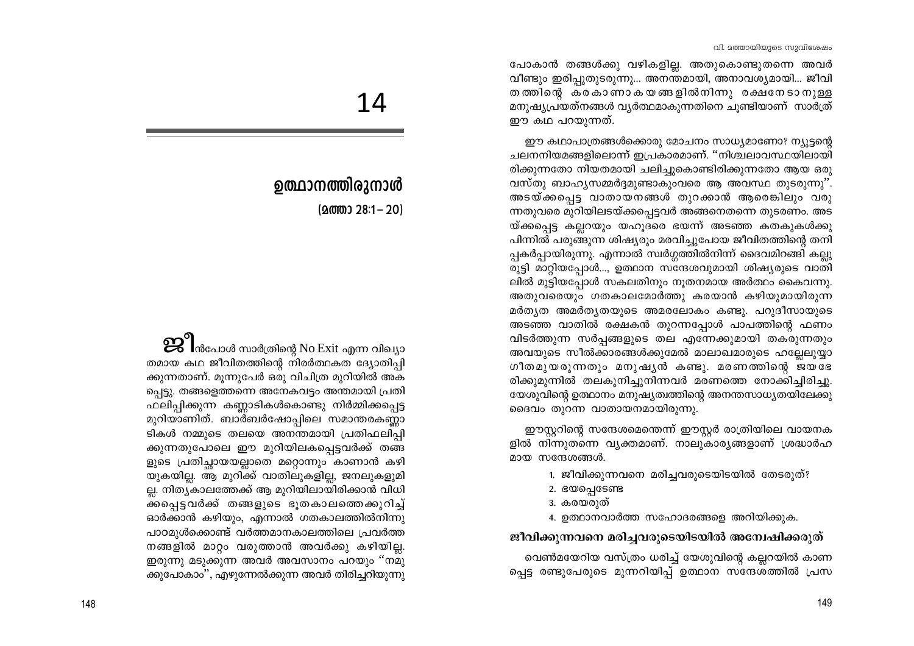പോകാൻ തങ്ങൾക്കു വഴികളില്ല. അതുകൊണ്ടുതന്നെ അവർ വീണ്ടും ഇരിപ്പുതുടരുന്നു... അനന്തമായി, അനാവശ്യമായി... ജീവി തത്തിന്റെ കരകാണാകയങ്ങളിൽനിന്നു രക്ഷനേടാനുള്ള മനുഷ്യപ്രയത്നങ്ങൾ വ്യർത്ഥമാകുന്നതിനെ ചൂണ്ടിയാണ് സാർത്ര് ഈ കഥ പറയുന്നത്.

ഈ കഥാപാത്രങ്ങൾക്കൊരു മോചനം സാധ്യമാണോ? ന്യൂട്ടന്റെ ചലനനിയമങ്ങളിലൊന്ന് ഇപ്രകാരമാണ്. ''നിശ്ചലാവസ്ഥയിലായി രിക്കുന്നതോ നിയതമായി ചലിച്ചുകൊണ്ടിരിക്കുന്നതോ ആയ ഒരു വസ്തു ബാഹ്യസമ്മർദ്ദമുണ്ടാകുംവരെ ആ അവസ്ഥ തുടരുന്നു". അടയ്ക്കപ്പെട്ട വാതായനങ്ങൾ തുറക്കാൻ ആരെങ്കിലും വരു ന്നതുവരെ മുറിയിലടയ്ക്കപ്പെട്ടവർ അങ്ങനെതന്നെ തുടരണം. അട യ്ക്കപ്പെട്ട കല്ലറയും യഹൂദരെ ഭയന്ന് അടഞ്ഞ കതകുകൾക്കു പിന്നിൽ പരുങ്ങുന്ന ശിഷ്യരും മരവിച്ചുപോയ ജീവിതത്തിന്റെ തനി പ്പകർപ്പായിരുന്നു. എന്നാൽ സ്വർഗ്ഗത്തിൽനിന്ന് ദൈവമിറങ്ങി കല്ലു രുട്ടി മാറ്റിയപ്പോൾ..., ഉത്ഥാന സന്ദേശവുമായി ശിഷ്യരുടെ വാതി ലിൽ മുട്ടിയപ്പോൾ സകലതിനും നുതനമായ അർത്ഥം കൈവന്നു. അതുവരെയും ഗതകാലമോർത്തു കരയാൻ കഴിയുമായിരുന്ന മർത്യത അമർത്യതയുടെ അമരലോകം കണ്ടു. പറുദീസായുടെ അടഞ്ഞ വാതിൽ രക്ഷകൻ തുറന്നപ്പോൾ പാപത്തിന്റെ ഫണം വിടർത്തുന്ന സർപ്പങ്ങളുടെ തല എന്നേക്കുമായി തകരുന്നതും അവയുടെ സീൽക്കാരങ്ങൾക്കുമേൽ മാലാഖമാരുടെ ഹല്ലേലുയ്യാ ഗീതമുയരുന്നതും മനുഷ്യൻ കണ്ടു. മരണത്തിന്റെ ജയഭേ രിക്കുമുന്നിൽ തലകുനിച്ചുനിന്നവർ മരണത്തെ നോക്കിച്ചിരിച്ചു. യേശുവിന്റെ ഉത്ഥാനം മനുഷ്യത്വത്തിന്റെ അനന്തസാധ്യതയിലേക്കു ദൈവം തുറന്ന വാതായനമായിരുന്നു.

ഈസ്റ്ററിന്റെ സന്ദേശമെന്തെന്ന് ഈസ്റ്റർ രാത്രിയിലെ വായനക ളിൽ നിന്നുതന്നെ വ്യക്തമാണ്. നാലുകാര്യങ്ങളാണ് ശ്രദ്ധാർഹ മായ സന്ദേശങ്ങൾ.

- 1. ജീവിക്കുന്നവനെ മരിച്ചവരുടെയിടയിൽ തേടരുത്?
- 2. ഭയപ്പെടേണ്ട
- 3. കരയരുത്
- 4. ഉത്ഥാനവാർത്ത സഹോദരങ്ങളെ അറിയിക്കുക.

### ജീവിക്കുന്നവനെ മരിച്ചവരുടെയിടയിൽ അന്വേഷിക്കരുത്

വെൺമയേറിയ വസ്ത്രം ധരിച്ച് യേശുവിന്റെ കല്ലറയിൽ കാണ പ്പെട്ട രണ്ടുപേരുടെ മുന്നറിയിപ്പ് ഉത്ഥാന സന്ദേശത്തിൽ പ്രസ

# 14

# ഉത്ഥാനത്തിരുനാൾ

 $(2000) 28:1 - 20)$ 

 $\mathbf{B}$ ് നർപോൾ സാർത്രിന്റെ No Exit എന്ന വിഖ്യാ തമായ കഥ ജീവിതത്തിന്റെ നിരർത്ഥകത ദ്യോതിപ്പി ക്കുന്നതാണ്. മൂന്നുപേർ ഒരു വിചിത്ര മുറിയിൽ അക പ്പെട്ടു. തങ്ങളെത്തന്നെ അനേകവട്ടം അന്തമായി പ്രതി ഫലിപ്പിക്കുന്ന കണ്ണാടികൾകൊണ്ടു നിർമ്മിക്കപ്പെട്ട മുറിയാണിത്. ബാർബർഷോപ്പിലെ സമാന്തരകണ്ണാ ടികൾ നമ്മുടെ തലയെ അനന്തമായി പ്രതിഫലിപ്പി ക്കുന്നതുപോലെ ഈ മുറിയിലകപ്പെട്ടവർക്ക് തങ്ങ ളുടെ പ്രതിച്ചായയല്ലാതെ മറ്റൊന്നും കാണാൻ കഴി യുകയില്ല. ആ മുറിക്ക് വാതിലുകളില്ല, ജനലുകളുമി ല്ല. നിത്യകാലത്തേക്ക് ആ മുറിയിലായിരിക്കാൻ വിധി ക്കപ്പെട്ടവർക്ക് തങ്ങളുടെ ഭൂതകാലത്തെക്കുറിച്ച് ഓർക്കാൻ കഴിയും, എന്നാൽ ഗതകാലത്തിൽനിന്നു പാഠമുൾക്കൊണ്ട് വർത്തമാനകാലത്തിലെ പ്രവർത്ത നങ്ങളിൽ മാറ്റം വരുത്താൻ അവർക്കു കഴിയില്ല. ഇരുന്നു മടുക്കുന്ന അവർ അവസാനം പറയും "നമു ക്കുപോകാം'', എഴുന്നേൽക്കുന്ന അവർ തിരിച്ചറിയുന്നു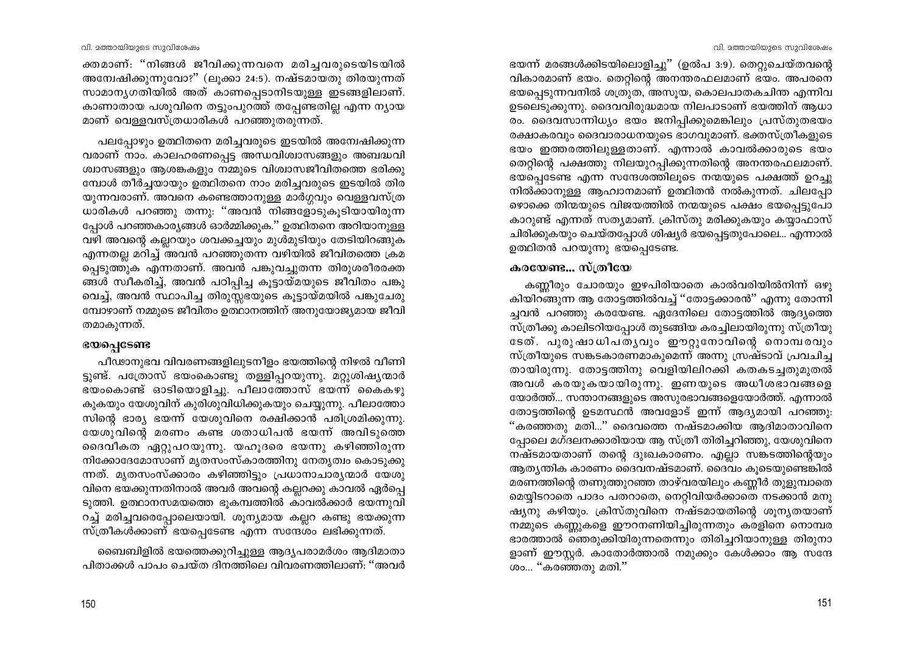വി. മത്തായിയുടെ സുവിശേഷം ക്തമാണ്: "നിങ്ങൾ ജീവിക്കുന്നവനെ മരിച്ചവരുടെയിടയിൽ അന്വേഷിക്കുന്നുവോ?" (ലുക്കാ 24:5). നഷ്ടമായതു തിരയുന്നത് സാമാന്യഗതിയിൽ അത് കാണപ്പെടാനിടയുള്ള ഇടങ്ങളിലാണ്. കാണാതായ പശുവിനെ തട്ടുംപുറത്ത് തപ്പേണ്ടതില്ല എന്ന ന്യായ മാണ് വെള്ളവസ്ത്രധാരികൾ പറഞ്ഞുതരുന്നത്.

പലപ്പോഴും ഉത്ഥിതനെ മരിച്ചവരുടെ ഇടയിൽ അന്വേഷിക്കുന്ന വരാണ് നാം. കാലഹരണപ്പെട്ട അന്ധവിശ്വാസങ്ങളും അബദ്ധവി ശ്വാസങ്ങളും ആശങ്കകളും നമ്മുടെ വിശ്വാസജീവിതത്തെ ഭരിക്കു മ്പോൾ തീർച്ചയായും ഉത്ഥിതനെ നാം മരിച്ചവരുടെ ഇടയിൽ തിര യുന്നവരാണ്. അവനെ കണ്ടെത്താനുള്ള മാർഗ്ഗവും വെള്ളവസ്ത്ര ധാരികൾ പറഞ്ഞു തന്നു: "അവൻ നിങ്ങളോടുകൂടിയായിരുന്ന പ്പോൾ പറഞ്ഞകാര്യങ്ങൾ ഓർമ്മിക്കുക.'' ഉത്ഥിതനെ അറിയാനുള്ള വഴി അവന്റെ കല്ലറയും ശവക്കച്ചയും മുൾമുടിയും തേടിയിറങ്ങുക എന്നതല്ല മറിച്ച് അവൻ പറഞ്ഞുതന്ന വഴിയിൽ ജീവിതത്തെ ക്രമ പ്പെടുത്തുക എന്നതാണ്. അവൻ പങ്കുവച്ചുതന്ന തിരുശരീരരക്ത ങ്ങൾ സ്വീകരിച്ച്, അവൻ പഠിപ്പിച്ച കുട്ടായ്മയുടെ ജീവിതം പങ്കു വെച്ച്, അവൻ സ്ഥാപിച്ച തിരുസ്സഭയുടെ കൂട്ടായ്മയിൽ പങ്കുചേരു മ്പോഴാണ് നമ്മുടെ ജീവിതം ഉത്ഥാനത്തിന് അനുയോജ്യമായ ജീവി തമാകുന്നത്.

### ഭയപ്പെടേണ്ട

പീഢാനുഭവ വിവരണങ്ങളിലുടനീളം ഭയത്തിന്റെ നിഴൽ വീണി ട്ടുണ്ട്. പത്രോസ് ഭയംകൊണ്ടു തള്ളിപ്പറയുന്നു. മറ്റുശിഷ്യന്മാർ ഭയംകൊണ്ട് ഓടിയൊളിച്ചു. പീലാത്തോസ് ഭയന്ന് കൈകഴു കുകയും യേശുവിന് കുരിശുവിധിക്കുകയും ചെയ്യുന്നു. പീലാത്തോ സിന്റെ ഭാര്യ ഭയന്ന് യേശുവിനെ രക്ഷിക്കാൻ പരിശ്രമിക്കുന്നു. യേശുവിന്റെ മരണം കണ്ട ശതാധിപൻ ഭയന്ന് അവിടുത്തെ ദൈവീകത ഏറ്റുപറയുന്നു. യഹുദരെ ഭയന്നു കഴിഞ്ഞിരുന്ന നിക്കോദേമോസാണ് മൃതസംസ്കാരത്തിനു നേതൃത്വം കൊടുക്കു ന്നത്. മൃതസംസ്ക്കാരം കഴിഞ്ഞിട്ടും പ്രധാനാചാര്യന്മാർ യേശു വിനെ ഭയക്കുന്നതിനാൽ അവർ അവന്റെ കല്ലറക്കു കാവൽ ഏർപ്പെ ടുത്തി. ഉത്ഥാനസമയത്തെ ഭൂകമ്പത്തിൽ കാവൽക്കാർ ഭയന്നുവി റച്ച് മരിച്ചവരെപ്പോലെയായി. ശൂന്യമായ കല്ലറ കണ്ടു ഭയക്കുന്ന സ്ത്രീകൾക്കാണ് ഭയപ്പെടേണ്ട എന്ന സന്ദേശം ലഭിക്കുന്നത്.

ബൈബിളിൽ ഭയത്തെക്കുറിച്ചുള്ള ആദ്യപരാമർശം ആദിമാതാ പിതാക്കൾ പാപം ചെയ്ത ദിനത്തിലെ വിവരണത്തിലാണ്: ''അവർ ഭയന്ന് മരങ്ങൾക്കിടയിലൊളിച്ചു'' (ഉൽപ 3:9). തെറ്റുചെയ്തവന്റെ വികാരമാണ് ഭയം. തെറ്റിന്റെ അനന്തരഫലമാണ് ഭയം. അപരനെ ഭയപെടുന്നവനിൽ ശത്രുത, അസൂയ, കൊലപാതകചിന്ത എന്നിവ ഉടലെടുക്കുന്നു. ദൈവവിരുദ്ധമായ നിലപാടാണ് ഭയത്തിന് ആധാ രം. ദൈവസാന്നിധ്യം ഭയം ജനിപ്പിക്കുമെങ്കിലും പ്രസ്തുതഭയം രക്ഷാകരവും ദൈവാരാധനയുടെ ഭാഗവുമാണ്. ഭക്തസ്ത്രീകളുടെ ഭയം ഇത്തരത്തിലുള്ളതാണ്. എന്നാൽ കാവൽക്കാരുടെ ഭയം തെറ്റിന്റെ പക്ഷത്തു നിലയുറപ്പിക്കുന്നതിന്റെ അനന്തരഫലമാണ്. ഭയപ്പെടേണ്ട എന്ന സന്ദേശത്തിലൂടെ നന്മയുടെ പക്ഷത്ത് ഉറച്ചു .<br>നിൽക്കാനുള്ള ആഹ്വാനമാണ് ഉത്ഥിതൻ നൽകുന്നത്. ചിലപ്പോ ഴൊക്കെ തിന്മയുടെ വിജയത്തിൽ നന്മയുടെ പക്ഷം ഭയപ്പെട്ടുപോ കാറുണ്ട് എന്നത് സത്യമാണ്. ക്രിസ്തു മരിക്കുകയും കയ്യാഫാസ് ചിരിക്കുകയും ചെയ്തപ്പോൾ ശിഷ്യർ ഭയപ്പെട്ടതുപോലെ... എന്നാൽ ഉത്ഥിതൻ പറയുന്നു ഭയപ്പെടേണ്ട.

## കരയേണ്ട... സ്ത്രീയേ

കണ്ണീരും ചോരയും ഇഴപിരിയാതെ കാൽവരിയിൽനിന്ന് ഒഴു കിയിറങ്ങുന്ന ആ തോട്ടത്തിൽവച്ച് ''തോട്ടക്കാരൻ'' എന്നു തോന്നി ച്ചവൻ പറഞ്ഞു കരയേണ്ട. ഏദേനിലെ തോട്ടത്തിൽ ആദ്യത്തെ സ്ത്രീക്കു കാലിടറിയപ്പോൾ തുടങ്ങിയ കരച്ചിലായിരുന്നു സ്ത്രീയു ടേത്. പുരുഷാധിപതൃവും ഈറ്റുനോവിന്റെ നൊമ്പരവും സ്ത്രീയുടെ സങ്കടകാരണമാകുമെന്ന് അന്നു സ്രഷ്ടാവ് പ്രവചിച്ച തായിരുന്നു. തോട്ടത്തിനു വെളിയിലിറക്കി കതകടച്ചതുമുതൽ അവൾ കരയുകയായിരുന്നു. ഇണയുടെ അധീശഭാവങ്ങളെ യോർത്ത്... സന്താനങ്ങളുടെ അസുരഭാവങ്ങളെയോർത്ത്. എന്നാൽ തോട്ടത്തിന്റെ ഉടമസ്ഥൻ അവളോട് ഇന്ന് ആദ്യമായി പറഞ്ഞു: "കരഞ്ഞതു മതി..." ദൈവത്തെ നഷ്ടമാക്കിയ ആദിമാതാവിനെ പ്പോലെ മഗ്ദലനക്കാരിയായ ആ സ്ത്രീ തിരിച്ചറിഞ്ഞു, യേശുവിനെ നഷ്ടമായതാണ് തന്റെ ദുഃഖകാരണം. എല്ലാ സങ്കടത്തിന്റെയും ആത്യന്തിക കാരണം ദൈവനഷ്ടമാണ്. ദൈവം കുടെയുണ്ടെങ്കിൽ മരണത്തിന്റെ തണുത്തുറഞ്ഞ താഴ്വരയിലും കണ്ണീർ തുളുമ്പാതെ മെയ്യിടറാതെ പാദം പതറാതെ, നെറ്റിവിയർക്കാതെ നടക്കാൻ മനു ഷ്യനു കഴിയും. ക്രിസ്തുവിനെ നഷ്ടമായതിന്റെ ശൂന്യതയാണ് നമ്മുടെ കണ്ണുകളെ ഈറനണിയിച്ചിരുന്നതും കരളിനെ നൊമ്പര ഭാരത്താൽ ഞെരുക്കിയിരുന്നതെന്നും തിരിച്ചറിയാനുള്ള തിരുനാ ളാണ് ഈസ്റ്റർ. കാതോർത്താൽ നമുക്കും കേൾക്കാം ആ സന്ദേ ശം... "കരഞ്ഞതു മതി."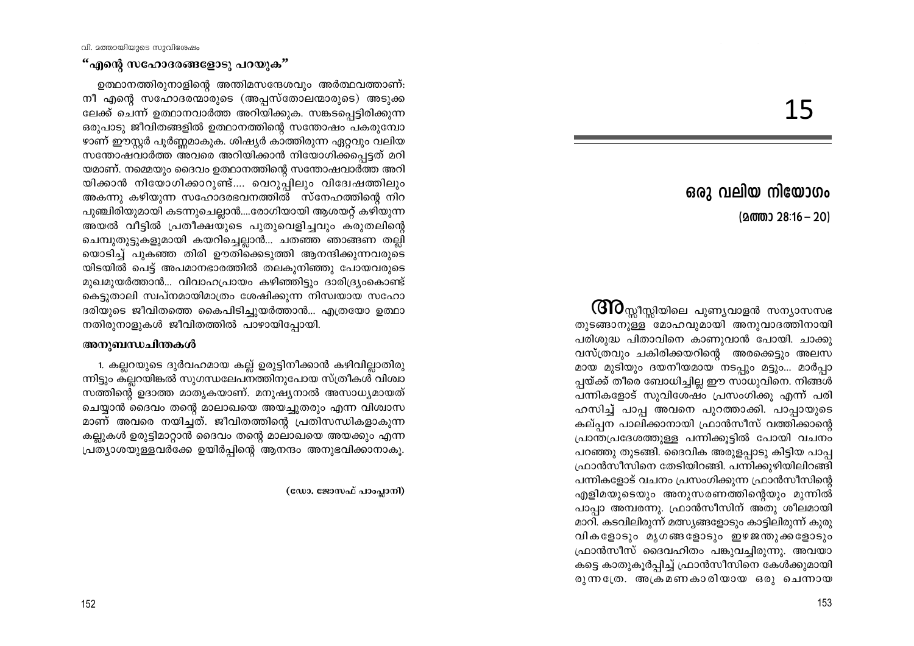# 15

# ഒരു വലിയ നിയോഗം

### $(2000)$   $28:16 - 20)$

(610സ്സീയിലെ പുണ്യവാളൻ സന്യാസസഭ തുടങ്ങാനുള്ള മോഹവുമായി അനുവാദത്തിനായി പരിശുദ്ധ പിതാവിനെ കാണുവാൻ പോയി. ചാക്കു വസ്ത്രവും ചകിരിക്കയറിന്റെ അരക്കെട്ടും അലസ മായ മുടിയും ദയനീയമായ നടപ്പും മട്ടും... മാർപ്പാ പ്പയ്ക്ക് തീരെ ബോധിച്ചില്ല ഈ സാധുവിനെ. നിങ്ങൾ പന്നികളോട് സുവിശേഷം പ്രസംഗിക്കു എന്ന് പരി ഹസിച്ച് പാപ്പ അവനെ പുറത്താക്കി. പാപ്പായുടെ കല്പ്പന പാലിക്കാനായി ഫ്രാൻസീസ് വത്തിക്കാന്റെ പ്രാന്തപ്രദേശത്തുള്ള പന്നിക്കൂട്ടിൽ പോയി വചനം പറഞ്ഞു തുടങ്ങി. ദൈവിക അരുളപ്പാടു കിട്ടിയ പാപ്പ ഫ്രാൻസീസിനെ തേടിയിറങ്ങി. പന്നിക്കുഴിയിലിറങ്ങി പന്നികളോട് വചനം പ്രസംഗിക്കുന്ന ഫ്രാൻസീസിന്റെ എളിമയുടെയും അനുസരണത്തിന്റെയും മുന്നിൽ പാപ്പാ അമ്പരന്നു. ഫ്രാൻസീസിന് അതു ശീലമായി മാറി. കടവിലിരുന്ന് മത്സ്യങ്ങളോടും കാട്ടിലിരുന്ന് കുരു വികളോടും മൃഗങ്ങളോടും ഇഴജന്തുക്കളോടും ഫ്രാൻസീസ് ദൈവഹിതം പങ്കുവച്ചിരുന്നു. അവയാ കട്ടെ കാതുകൂർപ്പിച്ച് ഫ്രാൻസീസിനെ കേൾക്കുമായി രുന്നത്രേ. അക്രമണകാരിയായ ഒരു ചെന്നായ

വി. മത്തായിയുടെ സുവിശേഷം

#### "എന്റെ സഹോദരങ്ങളോടു പറയുക"

ഉത്ഥാനത്തിരുനാളിന്റെ അന്തിമസന്ദേശവും അർത്ഥവത്താണ്: നീ എന്റെ സഹോദരന്മാരുടെ (അപ്പസ്തോലന്മാരുടെ) അടുക്ക ലേക്ക് ചെന്ന് ഉത്ഥാനവാർത്ത അറിയിക്കുക. സങ്കടപ്പെട്ടിരിക്കുന്ന ഒരുപാടു ജീവിതങ്ങളിൽ ഉത്ഥാനത്തിന്റെ സന്തോഷം പകരുമ്പോ ഴാണ് ഈസ്റ്റർ പൂർണ്ണമാകുക. ശിഷ്യർ കാത്തിരുന്ന ഏറ്റവും വലിയ സന്തോഷവാർത്ത അവരെ അറിയിക്കാൻ നിയോഗിക്കപ്പെട്ടത് മറി യമാണ്. നമ്മെയും ദൈവം ഉത്ഥാനത്തിന്റെ സന്തോഷവാർത്ത അറി യിക്കാൻ നിയോഗിക്കാറുണ്ട്.... വെറുപ്പിലും വിദേവഷത്തിലും അകന്നു കഴിയുന്ന സഹോദരഭവനത്തിൽ സ്നേഹത്തിന്റെ നിറ പുഞ്ചിരിയുമായി കടന്നുചെല്ലാൻ....രോഗിയായി ആശയറ്റ് കഴിയുന്ന അയൽ വീട്ടിൽ പ്രതീക്ഷയുടെ പുതുവെളിച്ചവും കരുതലിന്റെ ചെമ്പുതുട്ടുകളുമായി കയറിച്ചെല്ലാൻ... ചതഞ്ഞ ഞാങ്ങണ തല്ലി യൊടിച്ച് പൂകഞ്ഞ തിരി ഊതിക്കെടുത്തി ആനന്ദിക്കുന്നവരുടെ യിടയിൽ പെട്ട് അപമാനഭാരത്തിൽ തലകുനിഞ്ഞു പോയവരുടെ മുഖമുയർത്താൻ... വിവാഹപ്രായം കഴിഞ്ഞിട്ടും ദാരിദ്ര്യംകൊണ്ട് കെട്ടുതാലി സ്വപ്നമായിമാത്രം ശേഷിക്കുന്ന നിസ്വയായ സഹോ ദരിയുടെ ജീവിതത്തെ കൈപിടിച്ചുയർത്താൻ... എത്രയോ ഉത്ഥാ നതിരുനാളുകൾ ജീവിതത്തിൽ പാഴായിപ്പോയി.

#### അനുബന്ധചിന്തകൾ

1. കല്ലറയുടെ ദുർവഹമായ കല്ല് ഉരുട്ടിനീക്കാൻ കഴിവില്ലാതിരു ന്നിട്ടും കല്ലറയിങ്കൽ സുഗന്ധലേപനത്തിനുപോയ സ്ത്രീകൾ വിശ്വാ സത്തിന്റെ ഉദാത്ത മാതൃകയാണ്. മനുഷ്യനാൽ അസാധ്യമായത് ചെയ്യാൻ ദൈവം തന്റെ മാലാഖയെ അയച്ചുതരും എന്ന വിശ്വാസ മാണ് അവരെ നയിച്ചത്. ജീവിതത്തിന്റെ പ്രതിസന്ധികളാകുന്ന കല്ലുകൾ ഉരുട്ടിമാറ്റാൻ ദൈവം തന്റെ മാലാഖയെ അയക്കും എന്ന പ്രത്യാശയുള്ളവർക്കേ ഉയിർപ്പിന്റെ ആനന്ദം അനുഭവിക്കാനാകൂ.

(ഡോ. ജോസഫ് പാംപ്ലാനി)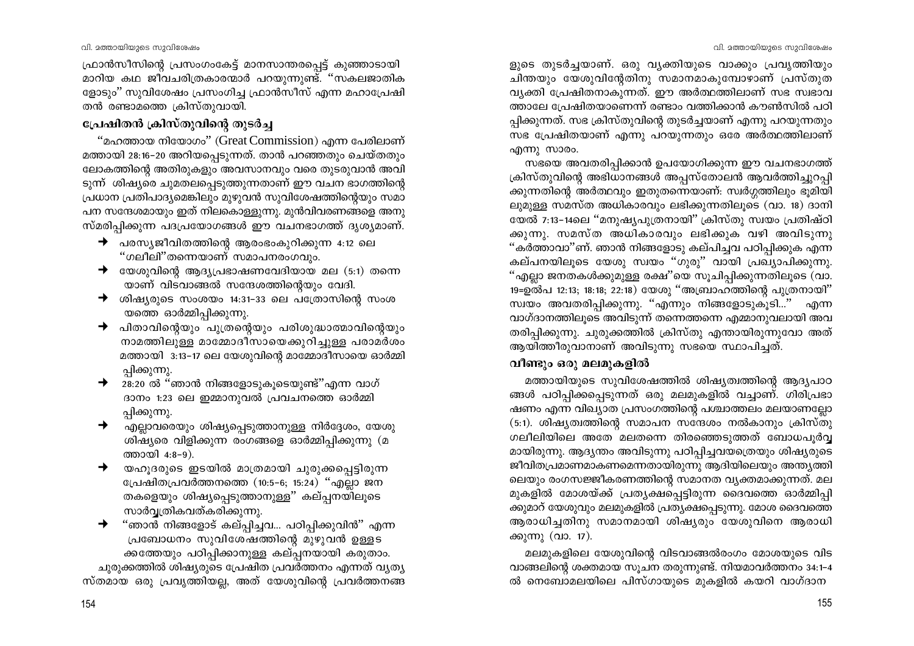ഫ്രാൻസീസിന്റെ പ്രസംഗംകേട്ട് മാനസാന്തരപ്പെട്ട് കുഞ്ഞാടായി മാറിയ കഥ ജീവചരിത്രകാരന്മാർ പറയുന്നുണ്ട്. ''സകലജാതിക ളോടും'' സുവിശേഷം പ്രസംഗിച്ച ഫ്രാൻസീസ് എന്ന മഹാപ്രേഷി തൻ രണ്ടാമത്തെ ക്രിസ്തുവായി.

## പ്രേഷിതൻ ക്രിസ്തുവിന്റെ തുടർച്ച

"മഹത്തായ നിയോഗം" (Great Commission) എന്ന പേരിലാണ് മത്തായി 28:16-20 അറിയപ്പെടുന്നത്. താൻ പറഞ്ഞതും ചെയ്തതും ലോകത്തിന്റെ അതിരുകളും അവസാനവും വരെ തുടരുവാൻ അവി ടുന്ന് ശിഷ്യരെ ചുമതലപ്പെടുത്തുന്നതാണ് ഈ വചന ഭാഗത്തിന്റെ പ്രധാന പ്രതിപാദ്യമെങ്കിലും മുഴുവൻ സുവിശേഷത്തിന്റെയും സമാ പന സന്ദേശമായും ഇത് നിലകൊള്ളുന്നു. മുൻവിവരണങ്ങളെ അനു സ്മരിപ്പിക്കുന്ന പദപ്രയോഗങ്ങൾ ഈ വചനഭാഗത്ത് ദൃശ്യമാണ്.

- $\rightarrow$  പരസ്യജീവിതത്തിന്റെ ആരംഭംകുറിക്കുന്ന 4:12 ലെ "ഗലീലി"തന്നെയാണ് സമാപനരംഗവും.
- $\rightarrow$  യേശുവിന്റെ ആദ്യപ്രഭാഷണവേദിയായ മല (5:1) തന്നെ യാണ് വിടവാങ്ങൽ സന്ദേശത്തിന്റെയും വേദി.
- $\rightarrow$  ശിഷ്യരുടെ സംശയം 14:31-33 ലെ പത്രോസിന്റെ സംശ യത്തെ ഓർമ്മിപ്പിക്കുന്നു.
- $\;\blacktriangleright\;$  പിതാവിന്റെയും പുത്രന്റെയും പരിശുദ്ധാത്മാവിന്റെയും നാമത്തിലുള്ള മാമ്മോദീസായെക്കുറിച്ചുള്ള പരാമർശം മത്തായി 3:13–17 ലെ യേശുവിന്റെ മാമ്മോദീസായെ ഓർമ്മി പ്പിക്കുന്നു.
- $\rightarrow$  28:20 ൽ ''ഞാൻ നിങ്ങളോടുകുടെയുണ്ട്''എന്ന വാഗ് ദാനം 1:23 ലെ ഇമ്മാനുവൽ പ്രവചനത്തെ ഓർമ്മി പ്പിക്കുന്നു.
- $\rightarrow$  എല്ലാവരെയും ശിഷ്യപ്പെടുത്താനുള്ള നിർദ്ദേശം, യേശു ശിഷ്യരെ വിളിക്കുന്ന രംഗങ്ങളെ ഓർമ്മിപ്പിക്കുന്നു (മ ത്തായി 4:8-9).
- യഹുദരുടെ ഇടയിൽ മാത്രമായി ചുരുക്കപ്പെട്ടിരുന്ന പ്രേഷിതപ്രവർത്തനത്തെ (10:5-6; 15:24) "എല്ലാ ജന തകളെയും ശിഷ്യപ്പെടുത്താനുള്ള'' കല്പ്പനയിലൂടെ സാർവ്വത്രികവത്കരിക്കുന്നു.
- → "ഞാൻ നിങ്ങളോട് കല്പ്പിച്ചവ... പഠിപ്പിക്കുവിൻ" എന്ന പ്രബോധനം സുവിശേഷത്തിന്റെ മുഴുവൻ ഉള്ളട ക്കത്തേയും പഠിപ്പിക്കാനുള്ള കല്പ്പനയായി കരുതാം. ചുരുക്കത്തിൽ ശിഷ്യരുടെ പ്രേഷിത പ്രവർത്തനം എന്നത് വ്യത്യ

സ്തമായ ഒരു പ്രവൃത്തിയല്ല, അത് യേശുവിന്റെ പ്രവർത്തനങ്ങ

ളുടെ തുടർച്ചയാണ്. ഒരു വ്യക്തിയുടെ വാക്കും പ്രവൃത്തിയും ചിന്തയും യേശുവിന്റേതിനു സമാനമാകുമ്പോഴാണ് പ്രസ്തുത വ്യക്തി പ്രേഷിതനാകുന്നത്. ഈ അർത്ഥത്തിലാണ് സഭ സ്വഭാവ ത്താലേ പ്രേഷിതയാണെന്ന് രണ്ടാം വത്തിക്കാൻ കൗൺസിൽ പഠി പ്പിക്കുന്നത്. സഭ ക്രിസ്തുവിന്റെ തുടർച്ചയാണ് എന്നു പറയുന്നതും സഭ പ്രേഷിതയാണ് എന്നു പറയുന്നതും ഒരേ അർത്ഥത്തിലാണ് എന്നു സാരം.

സഭയെ അവതരിപ്പിക്കാൻ ഉപയോഗിക്കുന്ന ഈ വചനഭാഗത്ത് ക്രിസ്തുവിന്റെ അഭിധാനങ്ങൾ അപ്പസ്തോലൻ ആവർത്തിച്ചുറപ്പി ക്കുന്നതിന്റെ അർത്ഥവും ഇതുതന്നെയാണ്: സ്വർഗ്ഗത്തിലും ഭൂമിയി ലുമുള്ള സമസ്ത അധികാരവും ലഭിക്കുന്നതിലൂടെ (വാ. 18) ദാനി യേൽ 7:13-14ലെ ''മനുഷ്യപുത്രനായി'' ക്രിസ്തു സ്വയം പ്രതിഷ്ഠി ക്കുന്നു. സമസ്ത അധികാരവും ലഭിക്കുക വഴി അവിടുന്നു ''കർത്താവാ''ണ്. ഞാൻ നിങ്ങളോടു കല്പിച്ചവ പഠിപ്പിക്കുക എന്ന കല്പനയിലുടെ യേശു സ്വയം "ഗുരു" വായി പ്രഖ്യാപിക്കുന്നു. "എല്ലാ ജനതകൾക്കുമുള്ള രക്ഷ"യെ സൂചിപ്പിക്കുന്നതിലൂടെ (വാ. 19=ഉൽപ 12:13; 18:18; 22:18) യേശു "അബ്രാഹത്തിന്റെ പുത്രനായി" സ്വയം അവതരിപ്പിക്കുന്നു. ''എന്നും നിങ്ങളോടുകൂടി...'' എന്ന വാഗ്ദാനത്തിലുടെ അവിടുന്ന് തന്നെത്തന്നെ എമ്മാനുവലായി അവ തരിപ്പിക്കുന്നു. ചുരുക്കത്തിൽ ക്രിസ്തു എന്തായിരുന്നുവോ അത് ആയിത്തീരുവാനാണ് അവിടുന്നു സഭയെ സ്ഥാപിച്ചത്.

### വീണ്ടും ഒരു മലമുകളിൽ

മത്തായിയുടെ സുവിശേഷത്തിൽ ശിഷ്യത്വത്തിന്റെ ആദ്യപാഠ ങ്ങൾ പഠിപ്പിക്കപ്പെടുന്നത് ഒരു മലമുകളിൽ വച്ചാണ്. ഗിരിപ്രഭാ ഷണം എന്ന വിഖ്യാത പ്രസംഗത്തിന്റെ പശ്ചാത്തലം മലയാണല്ലോ  $(5:1)$ . ശിഷ്യത്വത്തിന്റെ സമാപന സന്ദേശം നൽകാനും ക്രിസ്തു ഗലീലിയിലെ അതേ മലതന്നെ തിരഞ്ഞെടുത്തത് ബോധപൂർവ്വ മായിരുന്നു. ആദൃന്തം അവിടുന്നു പഠിപ്പിച്ചവയത്രെയും ശിഷ്യരുടെ ജീവിതപ്രമാണമാകണമെന്നതായിരുന്നു ആദിയിലെയും അന്ത്യത്തി ലെയും രംഗസജ്ജീകരണത്തിന്റെ സമാനത വ്യക്തമാക്കുന്നത്. മല മുകളിൽ മോശയ്ക്ക് പ്രത്യക്ഷപ്പെട്ടിരുന്ന ദൈവത്തെ ഓർമ്മിപ്പി ക്കുമാറ് യേശുവും മലമുകളിൽ പ്രത്യക്ഷപ്പെടുന്നു. മോശ ദൈവത്തെ ആരാധിച്ചതിനു സമാനമായി ശിഷ്യരും യേശുവിനെ ആരാധി ക്കുന്നു (വാ. 17).

മലമുകളിലെ യേശുവിന്റെ വിടവാങ്ങൽരംഗം മോശയുടെ വിട വാങ്ങലിന്റെ ശക്തമായ സൂചന തരുന്നുണ്ട്. നിയമാവർത്തനം 34:1-4 ൽ നെബോമലയിലെ പിസ്ഗായുടെ മുകളിൽ കയറി വാഗ്ദാന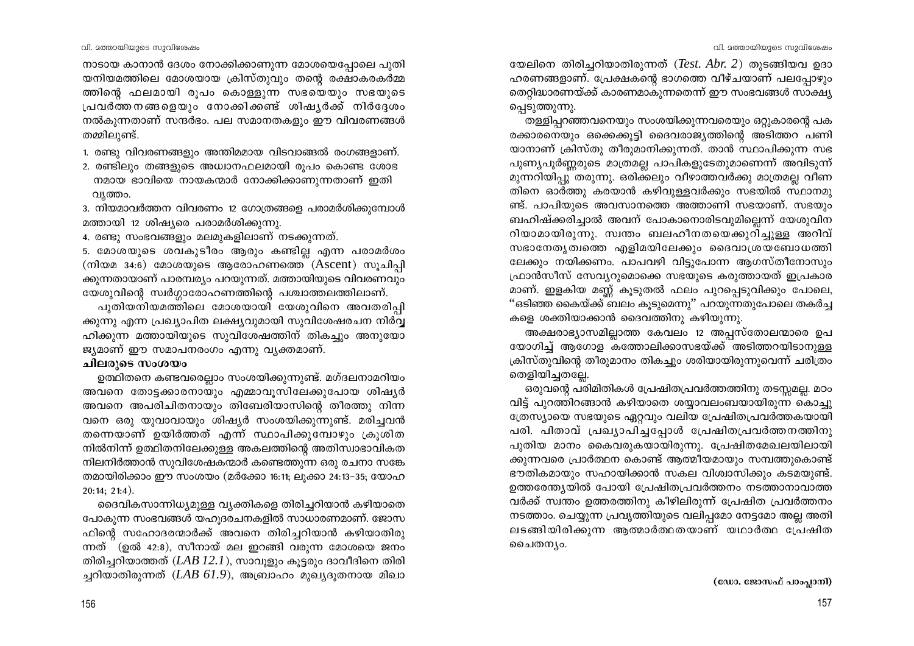നാടായ കാനാൻ ദേശം നോക്കിക്കാണുന്ന മോശയെപ്പോലെ പുതി യനിയമത്തിലെ മോശയായ ക്രിസ്തുവും തന്റെ രക്ഷാകരകർമ്മ ത്തിന്റെ ഫലമായി രൂപം കൊള്ളുന്ന സഭയെയും സഭയുടെ പ്രവർത്തനങ്ങളെയും നോക്കിക്കണ്ട് ശിഷൃർക്ക് നിർദ്ദേശം നൽകുന്നതാണ് സന്ദർഭം. പല സമാനതകളും ഈ വിവരണങ്ങൾ തമ്മിലുണ്ട്.

- 1. രണ്ടു വിവരണങ്ങളും അന്തിമമായ വിടവാങ്ങൽ രംഗങ്ങളാണ്.
- 2. രണ്ടിലും തങ്ങളുടെ അധ്വാനഫലമായി രൂപം കൊണ്ട ശോഭ നമായ ഭാവിയെ നായകന്മാർ നോക്കിക്കാണുന്നതാണ് ഇതി വ്യത്തം.
- 3. നിയമാവർത്തന വിവരണം 12 ഗോത്രങ്ങളെ പരാമർശിക്കുമ്പോൾ മത്തായി 12 ശിഷ്യരെ പരാമർശിക്കുന്നു.
- 4. രണ്ടു സംഭവങ്ങളും മലമുകളിലാണ് നടക്കുന്നത്.

5. മോശയുടെ ശവകുടീരം ആരും കണ്ടില്ല എന്ന പരാമർശം (നിയമ 34:6) മോശയുടെ ആരോഹണത്തെ (Ascent) സുചിപ്പി ക്കുന്നതായാണ് പാരമ്പര്യം പറയുന്നത്. മത്തായിയുടെ വിവരണവും യേശുവിന്റെ സ്വർഗ്ഗാരോഹണത്തിന്റെ പശ്ചാത്തലത്തിലാണ്.

പുതിയനിയമത്തിലെ മോശയായി യേശുവിനെ അവതരിപ്പി ക്കുന്നു എന്ന പ്രഖ്യാപിത ലക്ഷ്യവുമായി സുവിശേഷരചന നിർവ്വ ഹിക്കുന്ന മത്തായിയുടെ സുവിശേഷത്തിന് തികച്ചും അനുയോ ജ്യമാണ് ഈ സമാപനരംഗം എന്നു വ്യക്തമാണ്.

#### ചിലരുടെ സംശയം

ഉത്ഥിതനെ കണ്ടവരെല്ലാം സംശയിക്കുന്നുണ്ട്. മഗ്ദലനാമറിയം അവനെ തോട്ടക്കാരനായും എമ്മാവൂസിലേക്കുപോയ ശിഷ്യർ അവനെ അപരിചിതനായും തിബേരിയാസിന്റെ തീരത്തു നിന്ന വനെ ഒരു യുവാവായും ശിഷ്യർ സംശയിക്കുന്നുണ്ട്. മരിച്ചവൻ തന്നെയാണ് ഉയിർത്തത് എന്ന് സ്ഥാപിക്കുമ്പോഴും ക്രൂശിത നിൽനിന്ന് ഉത്ഥിതനിലേക്കുള്ള അകലത്തിന്റെ അതിസ്വാഭാവികത നിലനിർത്താൻ സുവിശേഷകന്മാർ കണ്ടെത്തുന്ന ഒരു രചനാ സങ്കേ തമായിരിക്കാം ഈ സംശയം (മർക്കോ 16:11; ലൂക്കാ 24:13-35; യോഹ  $20:14; 21:4$ .

ദൈവികസാന്നിധ്യമുള്ള വ്യക്തികളെ തിരിച്ചറിയാൻ കഴിയാതെ പോകുന്ന സംഭവങ്ങൾ യഹൂദരചനകളിൽ സാധാരണമാണ്. ജോസ ഫിന്റെ സഹോദരന്മാർക്ക് അവനെ തിരിച്ചറിയാൻ കഴിയാതിരു ന്നത് (ഉൽ 42:8), സീനായ് മല ഇറങ്ങി വരുന്ന മോശയെ ജനം തിരിച്ചറിയാത്തത് ( $LAB$  12.1), സാവൂളും കൂട്ടരും ദാവീദിനെ തിരി ച്ചറിയാതിരുന്നത് ( $LAB\ 61.9$ ), അബ്രാഹം മുഖ്യദൂതനായ മിഖാ

യേലിനെ തിരിച്ചറിയാതിരുന്നത് (Test. Abr. 2) തുടങ്ങിയവ ഉദാ ഹരണങ്ങളാണ്. പ്രേക്ഷകന്റെ ഭാഗത്തെ വീഴ്ചയാണ് പലപ്പോഴും തെറ്റിദ്ധാരണയ്ക്ക് കാരണമാകുന്നതെന്ന് ഈ സംഭവങ്ങൾ സാക്ഷ്യ പ്പെടുത്തുന്നു.

തള്ളിപ്പറഞ്ഞവനെയും സംശയിക്കുന്നവരെയും ഒറ്റുകാരന്റെ പക രക്കാരനെയും ഒക്കെക്കുട്ടി ദൈവരാജ്യത്തിന്റെ അടിത്തറ പണി യാനാണ് ക്രിസ്തു തീരുമാനിക്കുന്നത്. താൻ സ്ഥാപിക്കുന്ന സഭ പുണ്യപൂർണ്ണരുടെ മാത്രമല്ല പാപികളുടേതുമാണെന്ന് അവിടുന്ന് മുന്നറിയിപ്പു തരുന്നു. ഒരിക്കലും വീഴാത്തവർക്കു മാത്രമല്ല വീണ തിനെ ഓർത്തു കരയാൻ കഴിവുള്ളവർക്കും സഭയിൽ സ്ഥാനമു ണ്ട്. പാപിയുടെ അവസാനത്തെ അത്താണി സഭയാണ്. സഭയും ബഹിഷ്ക്കരിച്ചാൽ അവന് പോകാനൊരിടവുമില്ലെന്ന് യേശുവിന റിയാമായിരുന്നു. സ്വന്തം ബലഹീനതയെക്കുറിച്ചുള്ള അറിവ് സഭാനേതൃത്വത്തെ എളിമയിലേക്കും ദൈവാശ്രയബോധത്തി ലേക്കും നയിക്കണം. പാപവഴി വിട്ടുപോന്ന ആഗസ്തീനോസും ഫ്രാൻസീസ് സേവ്യറുമൊക്കെ സഭയുടെ കരുത്തായത് ഇപ്രകാര മാണ്. ഇളകിയ മണ്ണ് കൂടുതൽ ഫലം പുറപ്പെടുവിക്കും പോലെ, ''ഒടിഞ്ഞ കൈയ്ക്ക് ബലം കൂടുമെന്നു'' പറയുന്നതുപോലെ തകർച്ച കളെ ശക്തിയാക്കാൻ ദൈവത്തിനു കഴിയുന്നു.

അക്ഷരാഭ്യാസമില്ലാത്ത കേവലം 12 അപ്പസ്തോലന്മാരെ ഉപ യോഗിച്ച് ആഗോള കത്തോലിക്കാസഭയ്ക്ക് അടിത്തറയിടാനുള്ള ക്രിസ്തുവിന്റെ തീരുമാനം തികച്ചും ശരിയായിരുന്നുവെന്ന് ചരിത്രം തെളിയിച്ചതല്ലേ.

ഒരുവന്റെ പരിമിതികൾ പ്രേഷിതപ്രവർത്തത്തിനു തടസ്സമല്ല. മഠം വിട്ട് പുറത്തിറങ്ങാൻ കഴിയാതെ ശയ്യാവലംബയായിരുന്ന കൊച്ചു ത്രേസ്യായെ സഭയുടെ ഏറ്റവും വലിയ പ്രേഷിതപ്രവർത്തകയായി പരി. പിതാവ് പ്രഖ്യാപിച്ചപ്പോൾ പ്രേഷിതപ്രവർത്തനത്തിനു പുതിയ മാനം കൈവരുകയായിരുന്നു. പ്രേഷിതമേഖലയിലായി ക്കുന്നവരെ പ്രാർത്ഥന കൊണ്ട് ആത്മീയമായും സമ്പത്തുകൊണ്ട് ഭൗതികമായും സഹായിക്കാൻ സകല വിശ്വാസിക്കും കടമയുണ്ട്. ഉത്തരേന്ത്യയിൽ പോയി പ്രേഷിതപ്രവർത്തനം നടത്താനാവാത്ത വർക്ക് സ്വന്തം ഉത്തരത്തിനു കീഴിലിരുന്ന് പ്രേഷിത പ്രവർത്തനം നടത്താം. ചെയ്യുന്ന പ്രവൃത്തിയുടെ വലിപ്പമോ നേട്ടമോ അല്ല അതി ലടങ്ങിയിരിക്കുന്ന ആത്മാർത്ഥതയാണ് യഥാർത്ഥ പ്രേഷിത ചൈതന്യം.

(ഡോ. ജോസഫ് പാംപ്ലാനി)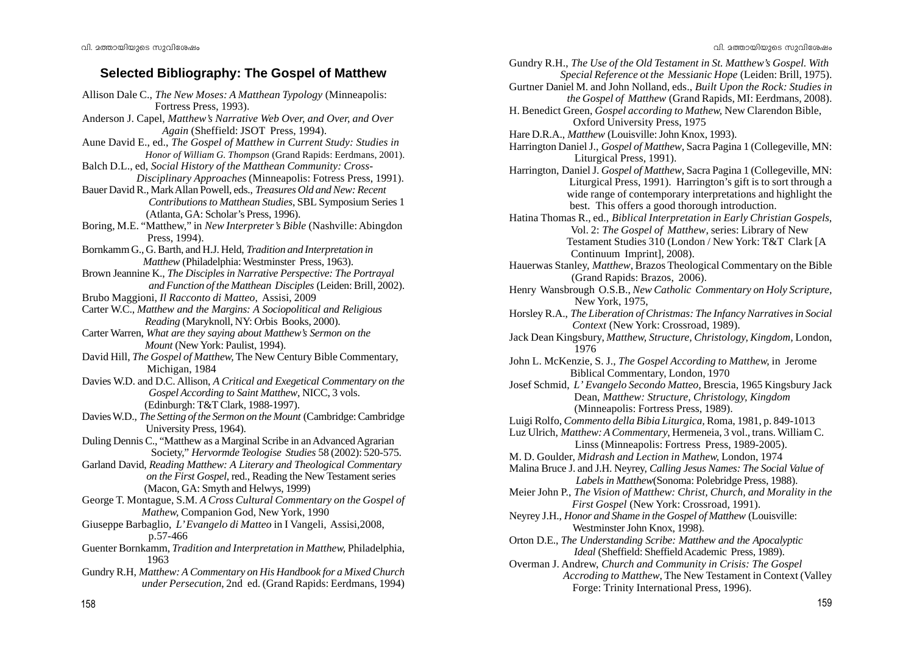# **Selected Bibliography: The Gospel of Matthew**

- Allison Dale C., *The New Moses: A Matthean Typology* (Minneapolis: Fortress Press, 1993).
- Anderson J. Capel, *Matthew's Narrative Web Over, and Over, and Over Again* (Sheffield: JSOT Press, 1994).
- Aune David E., ed., *The Gospel of Matthew in Current Study: Studies in Honor of William G. Thompson* (Grand Rapids: Eerdmans, 2001).
- Balch D.L., ed, *Social History of the Matthean Community: Cross- Disciplinary Approaches* (Minneapolis: Fotress Press, 1991).
- Bauer David R., Mark Allan Powell, eds., *Treasures Old and New: Recent Contributions to Matthean Studies*, SBL Symposium Series 1 (Atlanta, GA: Scholar's Press, 1996).
- Boring, M.E. "Matthew," in *New Interpreter's Bible* (Nashville: Abingdon Press, 1994).
- Bornkamm G., G. Barth, and H.J. Held, *Tradition and Interpretation in Matthew* (Philadelphia: Westminster Press, 1963).
- Brown Jeannine K., *The Disciples in Narrative Perspective: The Portrayal and Function of the Matthean Disciples* (Leiden: Brill, 2002).
- Brubo Maggioni, *Il Racconto di Matteo,* Assisi, 2009
- Carter W.C., *Matthew and the Margins: A Sociopolitical and Religious Reading* (Maryknoll, NY: Orbis Books, 2000).
- Carter Warren, *What are they saying about Matthew's Sermon on the Mount* (New York: Paulist, 1994).
- David Hill, *The Gospel of Matthew,* The New Century Bible Commentary, Michigan, 1984
- Davies W.D. and D.C. Allison, *A Critical and Exegetical Commentary on the Gospel According to Saint Matthew*, NICC, 3 vols. (Edinburgh: T&T Clark, 1988-1997).
- Davies W.D., *The Setting of the Sermon on the Mount* (Cambridge: Cambridge University Press, 1964).
- Duling Dennis C., "Matthew as a Marginal Scribe in an Advanced Agrarian Society," *Hervormde Teologise Studies* 58 (2002): 520-575.
- Garland David, *Reading Matthew: A Literary and Theological Commentary on the First Gospel*, red., Reading the New Testament series (Macon, GA: Smyth and Helwys, 1999)
- George T. Montague, S.M. *A Cross Cultural Commentary on the Gospel of Mathew,* Companion God, New York, 1990
- Giuseppe Barbaglio, *L' Evangelo di Matteo* in I Vangeli, Assisi,2008, p.57-466
- Guenter Bornkamm, *Tradition and Interpretation in Matthew,* Philadelphia, 1963
- Gundry R.H, *Matthew: A Commentary on His Handbook for a Mixed Church under Persecution*, 2nd ed. (Grand Rapids: Eerdmans, 1994)

Gundry R.H., *The Use of the Old Testament in St. Matthew's Gospel. With Special Reference ot the Messianic Hope* (Leiden: Brill, 1975). Gurtner Daniel M. and John Nolland, eds., *Built Upon the Rock: Studies in the Gospel of Matthew* (Grand Rapids, MI: Eerdmans, 2008). H. Benedict Green, *Gospel according to Mathew,* New Clarendon Bible, Oxford University Press, 1975 Hare D.R.A., *Matthew* (Louisville: John Knox, 1993). Harrington Daniel J., *Gospel of Matthew*, Sacra Pagina 1 (Collegeville, MN: Liturgical Press, 1991). Harrington, Daniel J. *Gospel of Matthew*, Sacra Pagina 1 (Collegeville, MN: Liturgical Press, 1991). Harrington's gift is to sort through a wide range of contemporary interpretations and highlight the best. This offers a good thorough introduction. Hatina Thomas R., ed., *Biblical Interpretation in Early Christian Gospels*, Vol. 2: *The Gospel of Matthew*, series: Library of New Testament Studies 310 (London / New York: T&T Clark [A Continuum Imprint], 2008). Hauerwas Stanley, *Matthew*, Brazos Theological Commentary on the Bible (Grand Rapids: Brazos, 2006). Henry Wansbrough O.S.B., *New Catholic Commentary on Holy Scripture,* New York, 1975, Horsley R.A., *The Liberation of Christmas: The Infancy Narratives in Social Context* (New York: Crossroad, 1989). Jack Dean Kingsbury, *Matthew, Structure, Christology, Kingdom,* London, 1976 John L. McKenzie, S. J., *The Gospel According to Matthew,* in Jerome Biblical Commentary, London, 1970 Josef Schmid, *L' Evangelo Secondo Matteo,* Brescia, 1965 Kingsbury Jack Dean, *Matthew: Structure, Christology, Kingdom*  (Minneapolis: Fortress Press, 1989). Luigi Rolfo, *Commento della Bibia Liturgica,* Roma, 1981, p. 849-1013 Luz Ulrich, *Matthew: A Commentary*, Hermeneia, 3 vol., trans. William C. Linss (Minneapolis: Fortress Press, 1989-2005). M. D. Goulder, *Midrash and Lection in Mathew,* London, 1974 Malina Bruce J. and J.H. Neyrey, *Calling Jesus Names: The Social Value of Labels in Matthew*(Sonoma: Polebridge Press, 1988). Meier John P., *The Vision of Matthew: Christ, Church, and Morality in the First Gospel* (New York: Crossroad, 1991). Neyrey J.H., *Honor and Shame in the Gospel of Matthew* (Louisville: Westminster John Knox, 1998). Orton D.E., *The Understanding Scribe: Matthew and the Apocalyptic Ideal* (Sheffield: Sheffield Academic Press, 1989). Overman J. Andrew, *Church and Community in Crisis: The Gospel Accroding to Matthew*, The New Testament in Context (Valley Forge: Trinity International Press, 1996).